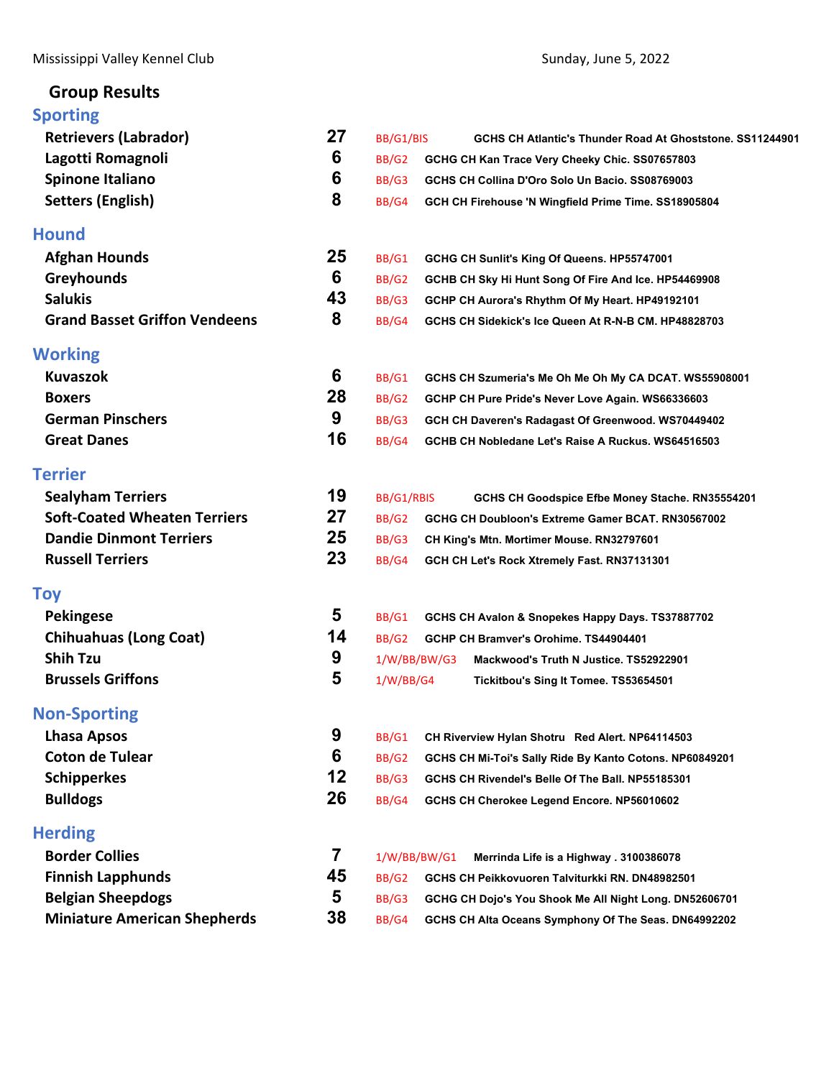## **Group Results**

| <b>Sporting</b>                      |    |              |              |                                                           |
|--------------------------------------|----|--------------|--------------|-----------------------------------------------------------|
| <b>Retrievers (Labrador)</b>         | 27 | BB/G1/BIS    |              | GCHS CH Atlantic's Thunder Road At Ghoststone, SS11244901 |
| Lagotti Romagnoli                    | 6  | BB/G2        |              | GCHG CH Kan Trace Very Cheeky Chic. SS07657803            |
| Spinone Italiano                     | 6  | BB/G3        |              | GCHS CH Collina D'Oro Solo Un Bacio. SS08769003           |
| <b>Setters (English)</b>             | 8  | BB/G4        |              | GCH CH Firehouse 'N Wingfield Prime Time. SS18905804      |
| <b>Hound</b>                         |    |              |              |                                                           |
| <b>Afghan Hounds</b>                 | 25 | BB/G1        |              | GCHG CH Sunlit's King Of Queens. HP55747001               |
| <b>Greyhounds</b>                    | 6  | <b>BB/G2</b> |              | GCHB CH Sky Hi Hunt Song Of Fire And Ice. HP54469908      |
| <b>Salukis</b>                       | 43 | BB/G3        |              | GCHP CH Aurora's Rhythm Of My Heart. HP49192101           |
| <b>Grand Basset Griffon Vendeens</b> | 8  | BB/G4        |              | GCHS CH Sidekick's Ice Queen At R-N-B CM. HP48828703      |
| <b>Working</b>                       |    |              |              |                                                           |
| <b>Kuvaszok</b>                      | 6  | BB/G1        |              | GCHS CH Szumeria's Me Oh Me Oh My CA DCAT. WS55908001     |
| <b>Boxers</b>                        | 28 | BB/G2        |              | GCHP CH Pure Pride's Never Love Again. WS66336603         |
| <b>German Pinschers</b>              | 9  | BB/G3        |              | GCH CH Daveren's Radagast Of Greenwood. WS70449402        |
| <b>Great Danes</b>                   | 16 | BB/G4        |              | GCHB CH Nobledane Let's Raise A Ruckus. WS64516503        |
| <b>Terrier</b>                       |    |              |              |                                                           |
| <b>Sealyham Terriers</b>             | 19 | BB/G1/RBIS   |              | GCHS CH Goodspice Efbe Money Stache. RN35554201           |
| <b>Soft-Coated Wheaten Terriers</b>  | 27 | BB/G2        |              | GCHG CH Doubloon's Extreme Gamer BCAT. RN30567002         |
| <b>Dandie Dinmont Terriers</b>       | 25 | BB/G3        |              | CH King's Mtn. Mortimer Mouse. RN32797601                 |
| <b>Russell Terriers</b>              | 23 | BB/G4        |              | GCH CH Let's Rock Xtremely Fast. RN37131301               |
| <b>Toy</b>                           |    |              |              |                                                           |
| <b>Pekingese</b>                     | 5  | BB/G1        |              | GCHS CH Avalon & Snopekes Happy Days. TS37887702          |
| <b>Chihuahuas (Long Coat)</b>        | 14 | BB/G2        |              | GCHP CH Bramver's Orohime. TS44904401                     |
| <b>Shih Tzu</b>                      | 9  |              | 1/W/BB/BW/G3 | Mackwood's Truth N Justice. TS52922901                    |
| <b>Brussels Griffons</b>             | 5  | 1/W/BB/G4    |              | Tickitbou's Sing It Tomee. TS53654501                     |
| <b>Non-Sporting</b>                  |    |              |              |                                                           |
| Lhasa Apsos                          | 9  | BB/G1        |              | CH Riverview Hylan Shotru Red Alert. NP64114503           |
| <b>Coton de Tulear</b>               | 6  | BB/G2        |              | GCHS CH Mi-Toi's Sally Ride By Kanto Cotons. NP60849201   |
| <b>Schipperkes</b>                   | 12 | BB/G3        |              | GCHS CH Rivendel's Belle Of The Ball. NP55185301          |
| <b>Bulldogs</b>                      | 26 | BB/G4        |              | GCHS CH Cherokee Legend Encore. NP56010602                |
| <b>Herding</b>                       |    |              |              |                                                           |
| <b>Border Collies</b>                | 7  | 1/W/BB/BW/G1 |              | Merrinda Life is a Highway . 3100386078                   |
| <b>Finnish Lapphunds</b>             | 45 | BB/G2        |              | GCHS CH Peikkovuoren Talviturkki RN. DN48982501           |
| <b>Belgian Sheepdogs</b>             | 5  | BB/G3        |              | GCHG CH Dojo's You Shook Me All Night Long. DN52606701    |
| <b>Miniature American Shepherds</b>  | 38 | BB/G4        |              | GCHS CH Alta Oceans Symphony Of The Seas. DN64992202      |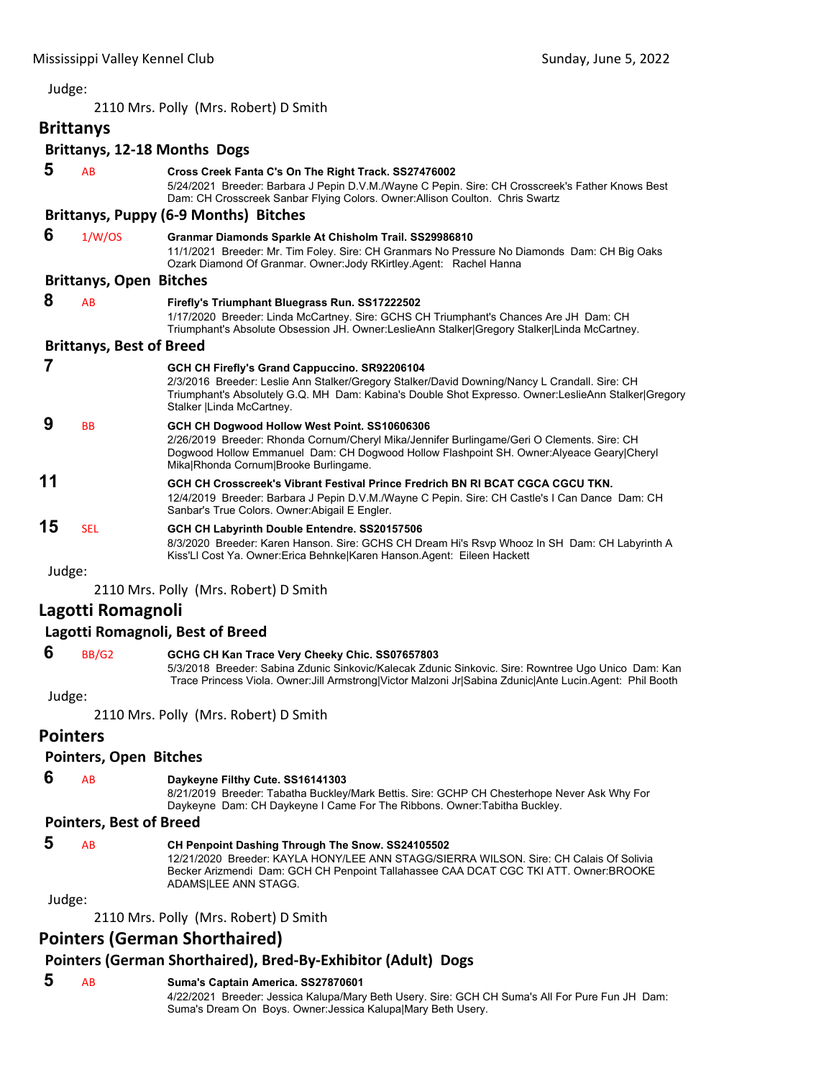<span id="page-1-0"></span>2110 Mrs. Polly (Mrs. Robert) D Smith

## **Brittanys**

### **Brittanys, 12‐18 Months Dogs**

| 5      | AB                              | Cross Creek Fanta C's On The Right Track. SS27476002<br>5/24/2021 Breeder: Barbara J Pepin D.V.M./Wayne C Pepin. Sire: CH Crosscreek's Father Knows Best<br>Dam: CH Crosscreek Sanbar Flying Colors. Owner: Allison Coulton. Chris Swartz                                           |
|--------|---------------------------------|-------------------------------------------------------------------------------------------------------------------------------------------------------------------------------------------------------------------------------------------------------------------------------------|
|        |                                 | <b>Brittanys, Puppy (6-9 Months) Bitches</b>                                                                                                                                                                                                                                        |
| 6      | 1/W/OS                          | Granmar Diamonds Sparkle At Chisholm Trail. SS29986810<br>11/1/2021 Breeder: Mr. Tim Foley. Sire: CH Granmars No Pressure No Diamonds Dam: CH Big Oaks<br>Ozark Diamond Of Granmar. Owner: Jody RKirtley. Agent: Rachel Hanna                                                       |
|        | <b>Brittanys, Open Bitches</b>  |                                                                                                                                                                                                                                                                                     |
| 8      | AB                              | Firefly's Triumphant Bluegrass Run. SS17222502<br>1/17/2020 Breeder: Linda McCartney. Sire: GCHS CH Triumphant's Chances Are JH Dam: CH<br>Triumphant's Absolute Obsession JH. Owner:LeslieAnn Stalker Gregory Stalker Linda McCartney.                                             |
|        | <b>Brittanys, Best of Breed</b> |                                                                                                                                                                                                                                                                                     |
|        |                                 | GCH CH Firefly's Grand Cappuccino. SR92206104<br>2/3/2016 Breeder: Leslie Ann Stalker/Gregory Stalker/David Downing/Nancy L Crandall. Sire: CH<br>Triumphant's Absolutely G.Q. MH Dam: Kabina's Double Shot Expresso. Owner:LeslieAnn Stalker Gregory<br>Stalker   Linda McCartney. |
| 9      | <b>BB</b>                       | GCH CH Dogwood Hollow West Point. SS10606306<br>2/26/2019 Breeder: Rhonda Cornum/Cheryl Mika/Jennifer Burlingame/Geri O Clements. Sire: CH<br>Dogwood Hollow Emmanuel Dam: CH Dogwood Hollow Flashpoint SH. Owner:Alyeace Geary Cheryl<br>MikalRhonda Cornum Brooke Burlingame.     |
| 11     |                                 | GCH CH Crosscreek's Vibrant Festival Prince Fredrich BN RI BCAT CGCA CGCU TKN.<br>12/4/2019 Breeder: Barbara J Pepin D.V.M./Wayne C Pepin. Sire: CH Castle's I Can Dance Dam: CH<br>Sanbar's True Colors. Owner: Abigail E Engler.                                                  |
| 15     | <b>SEL</b>                      | GCH CH Labyrinth Double Entendre. SS20157506<br>8/3/2020 Breeder: Karen Hanson, Sire: GCHS CH Dream Hi's Rsvp Whooz In SH Dam: CH Labyrinth A<br>Kiss'Ll Cost Ya. Owner: Erica Behnke Karen Hanson. Agent: Eileen Hackett                                                           |
| Judge: |                                 |                                                                                                                                                                                                                                                                                     |
|        |                                 | 2110 Mrs. Polly (Mrs. Robert) D Smith                                                                                                                                                                                                                                               |

### **Lagotti Romagnoli**

### **Lagotti Romagnoli, Best of Breed**

### **6** BB/G2 **GCHG CH Kan Trace Very Cheeky Chic. SS07657803**

5/3/2018 Breeder: Sabina Zdunic Sinkovic/Kalecak Zdunic Sinkovic. Sire: Rowntree Ugo Unico Dam: Kan Trace Princess Viola. Owner:Jill Armstrong|Victor Malzoni Jr|Sabina Zdunic|Ante Lucin.Agent: Phil Booth

#### Judge:

2110 Mrs. Polly (Mrs. Robert) D Smith

### **Pointers**

### **Pointers, Open Bitches**

 **6** AB **Daykeyne Filthy Cute. SS16141303**

8/21/2019 Breeder: Tabatha Buckley/Mark Bettis. Sire: GCHP CH Chesterhope Never Ask Why For Daykeyne Dam: CH Daykeyne I Came For The Ribbons. Owner:Tabitha Buckley.

#### **Pointers, Best of Breed**

| -5 | AB. | CH Penpoint Dashing Through The Snow. SS24105502                                                              |
|----|-----|---------------------------------------------------------------------------------------------------------------|
|    |     | 12/21/2020 Breeder: KAYLA HONY/LEE ANN STAGG/SIERRA WILSON, Sire: CH Calais Of Solivia                        |
|    |     | Becker Arizmendi Dam: GCH CH Penpoint Tallahassee CAA DCAT CGC TKI ATT. Owner: BROOKE<br>ADAMSILEE ANN STAGG. |
|    |     |                                                                                                               |

Judge:

2110 Mrs. Polly (Mrs. Robert) D Smith

### **Pointers (German Shorthaired)**

### **Pointers (German Shorthaired), Bred‐By‐Exhibitor (Adult) Dogs**

 **5** AB **Suma's Captain America. SS27870601** 4/22/2021 Breeder: Jessica Kalupa/Mary Beth Usery. Sire: GCH CH Suma's All For Pure Fun JH Dam: Suma's Dream On Boys. Owner:Jessica Kalupa|Mary Beth Usery.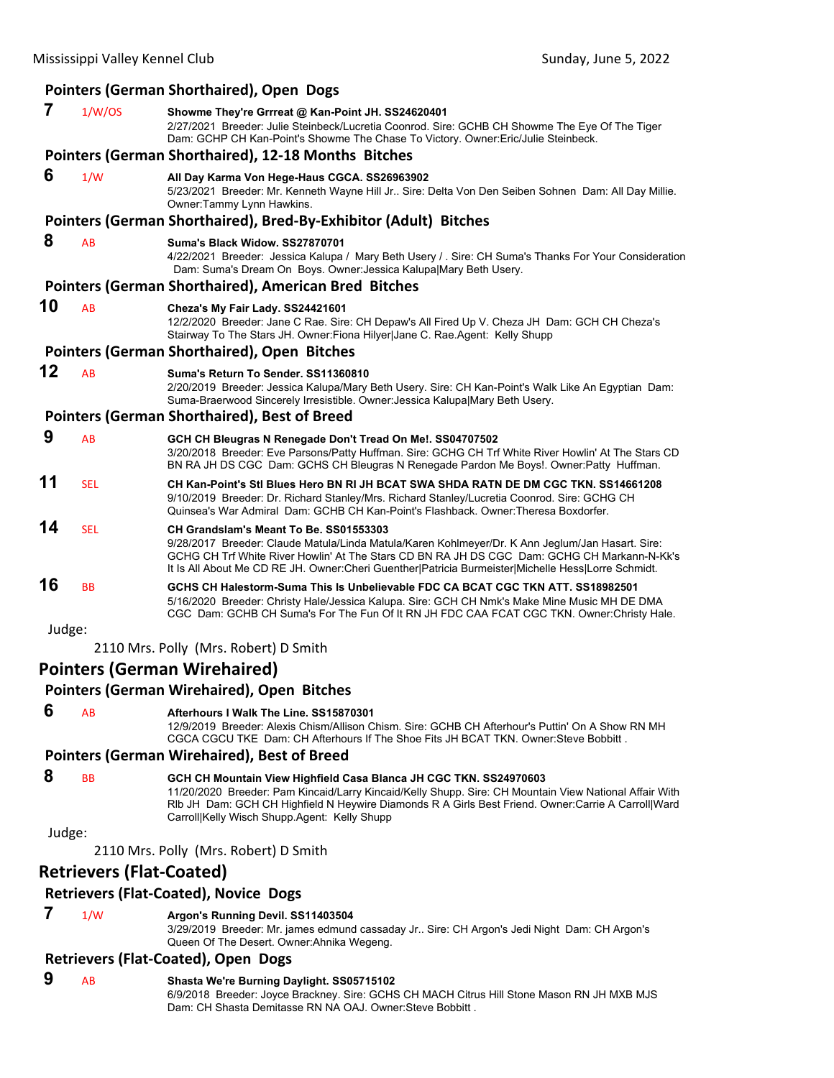|        |                                 | <b>Pointers (German Shorthaired), Open Dogs</b>                                                                                                                                                                                                                                                                                                        |
|--------|---------------------------------|--------------------------------------------------------------------------------------------------------------------------------------------------------------------------------------------------------------------------------------------------------------------------------------------------------------------------------------------------------|
| 7      | 1/W/OS                          | Showme They're Grrreat @ Kan-Point JH. SS24620401<br>2/27/2021 Breeder: Julie Steinbeck/Lucretia Coonrod. Sire: GCHB CH Showme The Eye Of The Tiger<br>Dam: GCHP CH Kan-Point's Showme The Chase To Victory. Owner: Eric/Julie Steinbeck.                                                                                                              |
|        |                                 | Pointers (German Shorthaired), 12-18 Months Bitches                                                                                                                                                                                                                                                                                                    |
| 6      | 1/W                             | All Day Karma Von Hege-Haus CGCA. SS26963902<br>5/23/2021 Breeder: Mr. Kenneth Wayne Hill Jr Sire: Delta Von Den Seiben Sohnen Dam: All Day Millie.<br>Owner:Tammy Lynn Hawkins.                                                                                                                                                                       |
|        |                                 | Pointers (German Shorthaired), Bred-By-Exhibitor (Adult) Bitches                                                                                                                                                                                                                                                                                       |
| 8      | AB                              | Suma's Black Widow, SS27870701<br>4/22/2021 Breeder: Jessica Kalupa / Mary Beth Usery / . Sire: CH Suma's Thanks For Your Consideration<br>Dam: Suma's Dream On Boys. Owner: Jessica Kalupa Mary Beth Usery.                                                                                                                                           |
|        |                                 | <b>Pointers (German Shorthaired), American Bred Bitches</b>                                                                                                                                                                                                                                                                                            |
| 10     | AB                              | Cheza's My Fair Lady. SS24421601<br>12/2/2020 Breeder: Jane C Rae. Sire: CH Depaw's All Fired Up V. Cheza JH Dam: GCH CH Cheza's<br>Stairway To The Stars JH. Owner: Fiona Hilyer Jane C. Rae. Agent: Kelly Shupp                                                                                                                                      |
|        |                                 | Pointers (German Shorthaired), Open Bitches                                                                                                                                                                                                                                                                                                            |
| 12     | AB                              | Suma's Return To Sender, SS11360810<br>2/20/2019 Breeder: Jessica Kalupa/Mary Beth Usery. Sire: CH Kan-Point's Walk Like An Egyptian Dam:<br>Suma-Braerwood Sincerely Irresistible. Owner: Jessica Kalupa Mary Beth Usery.                                                                                                                             |
|        |                                 | <b>Pointers (German Shorthaired), Best of Breed</b>                                                                                                                                                                                                                                                                                                    |
| 9      | AB                              | GCH CH Bleugras N Renegade Don't Tread On Me!. SS04707502<br>3/20/2018 Breeder: Eve Parsons/Patty Huffman. Sire: GCHG CH Trf White River Howlin' At The Stars CD<br>BN RA JH DS CGC Dam: GCHS CH Bleugras N Renegade Pardon Me Boys!. Owner: Patty Huffman.                                                                                            |
| 11     | <b>SEL</b>                      | CH Kan-Point's Stl Blues Hero BN RI JH BCAT SWA SHDA RATN DE DM CGC TKN. SS14661208<br>9/10/2019 Breeder: Dr. Richard Stanley/Mrs. Richard Stanley/Lucretia Coonrod. Sire: GCHG CH<br>Quinsea's War Admiral Dam: GCHB CH Kan-Point's Flashback. Owner:Theresa Boxdorfer.                                                                               |
| 14     | <b>SEL</b>                      | CH Grandslam's Meant To Be. SS01553303<br>9/28/2017 Breeder: Claude Matula/Linda Matula/Karen Kohlmeyer/Dr. K Ann Jeglum/Jan Hasart. Sire:<br>GCHG CH Trf White River Howlin' At The Stars CD BN RA JH DS CGC Dam: GCHG CH Markann-N-Kk's<br>It Is All About Me CD RE JH. Owner: Cheri Guenther   Patricia Burmeister   Michelle Hess   Lorre Schmidt. |
| 16     | BB                              | GCHS CH Halestorm-Suma This Is Unbelievable FDC CA BCAT CGC TKN ATT. SS18982501<br>5/16/2020 Breeder: Christy Hale/Jessica Kalupa. Sire: GCH CH Nmk's Make Mine Music MH DE DMA<br>CGC Dam: GCHB CH Suma's For The Fun Of It RN JH FDC CAA FCAT CGC TKN. Owner:Christy Hale.                                                                           |
| Judge: |                                 |                                                                                                                                                                                                                                                                                                                                                        |
|        |                                 | 2110 Mrs. Polly (Mrs. Robert) D Smith                                                                                                                                                                                                                                                                                                                  |
|        |                                 | <b>Pointers (German Wirehaired)</b>                                                                                                                                                                                                                                                                                                                    |
|        |                                 | Pointers (German Wirehaired), Open Bitches                                                                                                                                                                                                                                                                                                             |
| 6      | AB                              | Afterhours I Walk The Line, SS15870301<br>12/9/2019 Breeder: Alexis Chism/Allison Chism, Sire: GCHB CH Afterhour's Puttin' On A Show RN MH<br>CGCA CGCU TKE Dam: CH Afterhours If The Shoe Fits JH BCAT TKN, Owner: Steve Bobbitt                                                                                                                      |
|        |                                 | <b>Pointers (German Wirehaired), Best of Breed</b>                                                                                                                                                                                                                                                                                                     |
| 8      | <b>BB</b>                       | GCH CH Mountain View Highfield Casa Blanca JH CGC TKN. SS24970603<br>11/20/2020 Breeder: Pam Kincaid/Larry Kincaid/Kelly Shupp. Sire: CH Mountain View National Affair With<br>RIb JH Dam: GCH CH Highfield N Heywire Diamonds R A Girls Best Friend. Owner:Carrie A Carroll Ward<br>Carroll Kelly Wisch Shupp.Agent: Kelly Shupp                      |
| Judge: |                                 |                                                                                                                                                                                                                                                                                                                                                        |
|        |                                 | 2110 Mrs. Polly (Mrs. Robert) D Smith                                                                                                                                                                                                                                                                                                                  |
|        | <b>Retrievers (Flat-Coated)</b> |                                                                                                                                                                                                                                                                                                                                                        |
|        |                                 | <b>Retrievers (Flat-Coated), Novice Dogs</b>                                                                                                                                                                                                                                                                                                           |
| 7      | 1/W                             | Argon's Running Devil. SS11403504<br>3/29/2019 Breeder: Mr. james edmund cassaday Jr Sire: CH Argon's Jedi Night Dam: CH Argon's<br>Queen Of The Desert. Owner: Ahnika Wegeng.                                                                                                                                                                         |
|        |                                 | <b>Retrievers (Flat-Coated), Open Dogs</b>                                                                                                                                                                                                                                                                                                             |
| 9      | AB                              | Shasta We're Burning Daylight. SS05715102<br>6/9/2018 Breeder: Joyce Brackney. Sire: GCHS CH MACH Citrus Hill Stone Mason RN JH MXB MJS                                                                                                                                                                                                                |

Dam: CH Shasta Demitasse RN NA OAJ. Owner:Steve Bobbitt .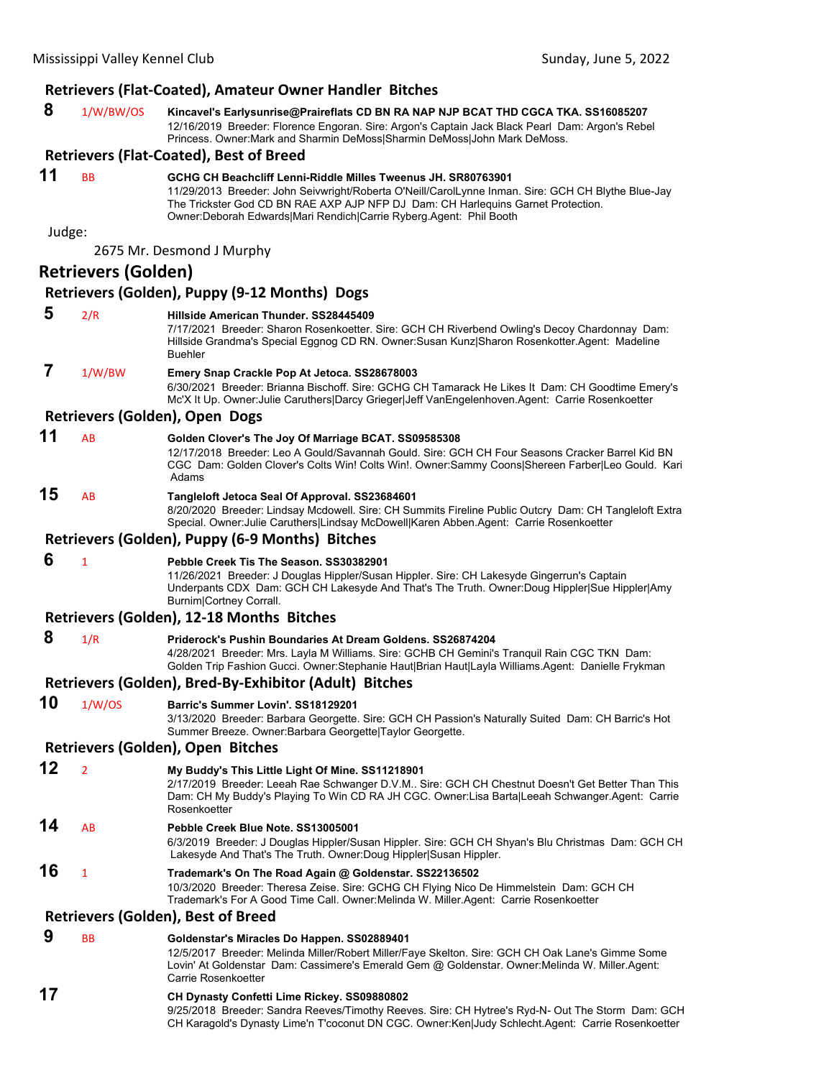### **Retrievers (Flat‐Coated), Amateur Owner Handler Bitches**

| 8 | 1/W/BW/OS | Kincavel's Earlysunrise@Praireflats CD BN RA NAP NJP BCAT THD CGCA TKA. SS16085207              |
|---|-----------|-------------------------------------------------------------------------------------------------|
|   |           | 12/16/2019 Breeder: Florence Engoran, Sire: Argon's Captain Jack Black Pearl Dam: Argon's Rebel |
|   |           | Princess, Owner:Mark and Sharmin DeMossISharmin DeMossIJohn Mark DeMoss,                        |

|                |                            | 12/16/2019 Breeder: Florence Engoran. Sire: Argon's Captain Jack Black Pearl Dam: Argon's Rebel<br>Princess. Owner: Mark and Sharmin DeMoss Sharmin DeMoss John Mark DeMoss.                                                                                                                                                  |
|----------------|----------------------------|-------------------------------------------------------------------------------------------------------------------------------------------------------------------------------------------------------------------------------------------------------------------------------------------------------------------------------|
|                |                            | <b>Retrievers (Flat-Coated), Best of Breed</b>                                                                                                                                                                                                                                                                                |
| 11             | <b>BB</b>                  | GCHG CH Beachcliff Lenni-Riddle Milles Tweenus JH. SR80763901<br>11/29/2013 Breeder: John Seivwright/Roberta O'Neill/CarolLynne Inman. Sire: GCH CH Blythe Blue-Jay<br>The Trickster God CD BN RAE AXP AJP NFP DJ Dam: CH Harlequins Garnet Protection.<br>Owner:Deborah Edwards Mari Rendich Carrie Ryberg.Agent: Phil Booth |
| Judge:         |                            |                                                                                                                                                                                                                                                                                                                               |
|                |                            | 2675 Mr. Desmond J Murphy                                                                                                                                                                                                                                                                                                     |
|                | <b>Retrievers (Golden)</b> |                                                                                                                                                                                                                                                                                                                               |
|                |                            | Retrievers (Golden), Puppy (9-12 Months) Dogs                                                                                                                                                                                                                                                                                 |
| 5              | 2/R                        | Hillside American Thunder. SS28445409<br>7/17/2021 Breeder: Sharon Rosenkoetter. Sire: GCH CH Riverbend Owling's Decoy Chardonnay Dam:<br>Hillside Grandma's Special Eggnog CD RN. Owner:Susan Kunz Sharon Rosenkotter.Agent: Madeline<br><b>Buehler</b>                                                                      |
| $\overline{7}$ | 1/W/BW                     | Emery Snap Crackle Pop At Jetoca. SS28678003<br>6/30/2021 Breeder: Brianna Bischoff. Sire: GCHG CH Tamarack He Likes It Dam: CH Goodtime Emery's<br>Mc'X It Up. Owner: Julie Caruthers Darcy Grieger Jeff VanEngelenhoven.Agent: Carrie Rosenkoetter                                                                          |
|                |                            | Retrievers (Golden), Open Dogs                                                                                                                                                                                                                                                                                                |
| 11             | AB                         | Golden Clover's The Joy Of Marriage BCAT. SS09585308<br>12/17/2018 Breeder: Leo A Gould/Savannah Gould. Sire: GCH CH Four Seasons Cracker Barrel Kid BN<br>CGC Dam: Golden Clover's Colts Win! Colts Win!. Owner:Sammy Coons Shereen Farber Leo Gould. Kari<br>Adams                                                          |
| 15             | AB                         | Tangleloft Jetoca Seal Of Approval. SS23684601<br>8/20/2020 Breeder: Lindsay Mcdowell. Sire: CH Summits Fireline Public Outcry Dam: CH Tangleloft Extra<br>Special. Owner: Julie Caruthers Lindsay McDowell Karen Abben.Agent: Carrie Rosenkoetter                                                                            |
|                |                            | Retrievers (Golden), Puppy (6-9 Months) Bitches                                                                                                                                                                                                                                                                               |
| 6              | $\mathbf{1}$               | Pebble Creek Tis The Season. SS30382901<br>11/26/2021 Breeder: J Douglas Hippler/Susan Hippler. Sire: CH Lakesyde Gingerrun's Captain<br>Underpants CDX Dam: GCH CH Lakesyde And That's The Truth. Owner: Doug Hippler Sue Hippler Amy<br>Burnim Cortney Corrall.                                                             |
|                |                            | Retrievers (Golden), 12-18 Months Bitches                                                                                                                                                                                                                                                                                     |
| 8              | 1/R                        | Priderock's Pushin Boundaries At Dream Goldens. SS26874204<br>4/28/2021 Breeder: Mrs. Layla M Williams. Sire: GCHB CH Gemini's Tranquil Rain CGC TKN Dam:<br>Golden Trip Fashion Gucci. Owner:Stephanie Haut Brian Haut Layla Williams.Agent: Danielle Frykman                                                                |
|                |                            | Retrievers (Golden), Bred-By-Exhibitor (Adult) Bitches                                                                                                                                                                                                                                                                        |
| 10             | 1/W/OS                     | Barric's Summer Lovin', SS18129201<br>3/13/2020 Breeder: Barbara Georgette. Sire: GCH CH Passion's Naturally Suited Dam: CH Barric's Hot<br>Summer Breeze. Owner: Barbara Georgette   Taylor Georgette.                                                                                                                       |
|                |                            | Retrievers (Golden), Open Bitches                                                                                                                                                                                                                                                                                             |
| 12             | $\overline{2}$             | My Buddy's This Little Light Of Mine. SS11218901                                                                                                                                                                                                                                                                              |

2/17/2019 Breeder: Leeah Rae Schwanger D.V.M.. Sire: GCH CH Chestnut Doesn't Get Better Than This Dam: CH My Buddy's Playing To Win CD RA JH CGC. Owner:Lisa Barta|Leeah Schwanger.Agent: Carrie **Rosenkoetter** 

### **14** AB **Pebble Creek Blue Note. SS13005001**

6/3/2019 Breeder: J Douglas Hippler/Susan Hippler. Sire: GCH CH Shyan's Blu Christmas Dam: GCH CH Lakesyde And That's The Truth. Owner:Doug Hippler|Susan Hippler.

**16** <sup>1</sup> **Trademark's On The Road Again @ Goldenstar. SS22136502** 10/3/2020 Breeder: Theresa Zeise. Sire: GCHG CH Flying Nico De Himmelstein Dam: GCH CH Trademark's For A Good Time Call. Owner:Melinda W. Miller.Agent: Carrie Rosenkoetter

#### **Retrievers (Golden), Best of Breed**

 **9** BB **Goldenstar's Miracles Do Happen. SS02889401**

12/5/2017 Breeder: Melinda Miller/Robert Miller/Faye Skelton. Sire: GCH CH Oak Lane's Gimme Some Lovin' At Goldenstar Dam: Cassimere's Emerald Gem @ Goldenstar. Owner:Melinda W. Miller.Agent: Carrie Rosenkoetter

### **17 CH Dynasty Confetti Lime Rickey. SS09880802**

9/25/2018 Breeder: Sandra Reeves/Timothy Reeves. Sire: CH Hytree's Ryd-N- Out The Storm Dam: GCH CH Karagold's Dynasty Lime'n T'coconut DN CGC. Owner:Ken|Judy Schlecht.Agent: Carrie Rosenkoetter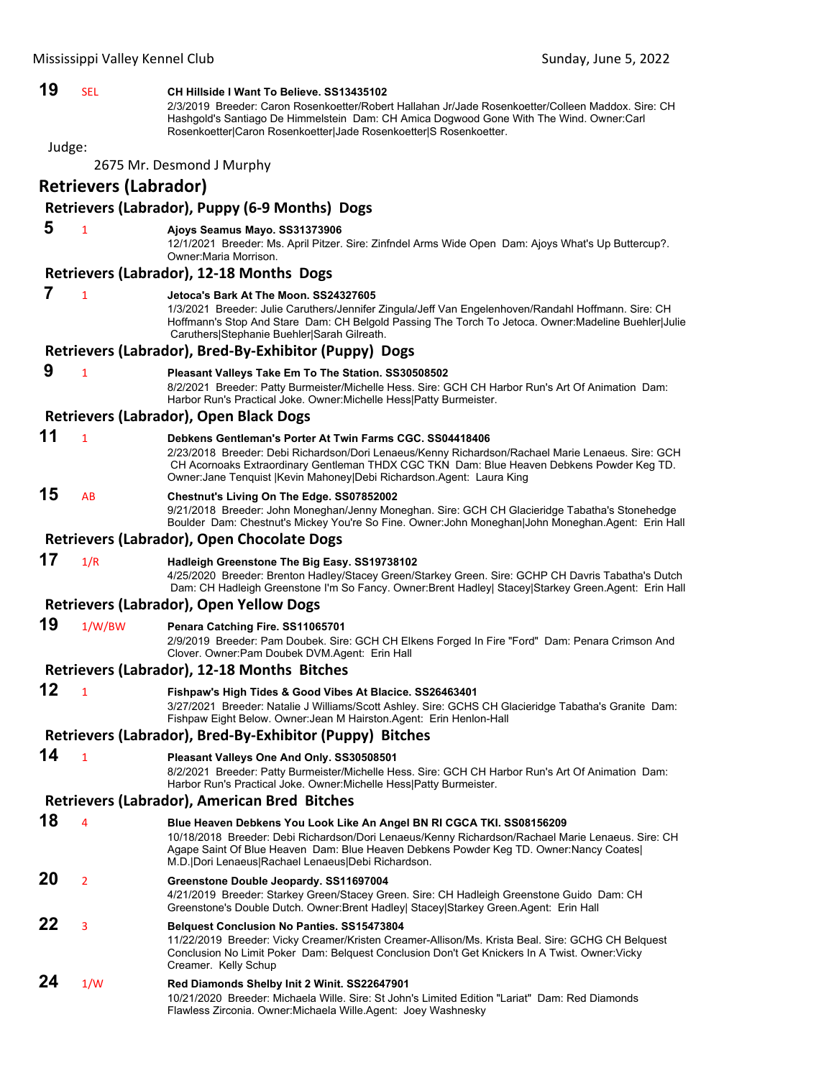| 19     | SEL                          | CH Hillside I Want To Believe. SS13435102<br>2/3/2019 Breeder: Caron Rosenkoetter/Robert Hallahan Jr/Jade Rosenkoetter/Colleen Maddox. Sire: CH<br>Hashgold's Santiago De Himmelstein Dam: CH Amica Dogwood Gone With The Wind. Owner:Carl<br>Rosenkoetter Caron Rosenkoetter Jade Rosenkoetter S Rosenkoetter.                        |
|--------|------------------------------|----------------------------------------------------------------------------------------------------------------------------------------------------------------------------------------------------------------------------------------------------------------------------------------------------------------------------------------|
| Judge: |                              |                                                                                                                                                                                                                                                                                                                                        |
|        |                              | 2675 Mr. Desmond J Murphy                                                                                                                                                                                                                                                                                                              |
|        | <b>Retrievers (Labrador)</b> |                                                                                                                                                                                                                                                                                                                                        |
|        |                              | Retrievers (Labrador), Puppy (6-9 Months) Dogs                                                                                                                                                                                                                                                                                         |
| 5      | $\mathbf{1}$                 | Ajoys Seamus Mayo. SS31373906<br>12/1/2021 Breeder: Ms. April Pitzer. Sire: Zinfndel Arms Wide Open Dam: Ajoys What's Up Buttercup?.<br>Owner: Maria Morrison.                                                                                                                                                                         |
|        |                              | Retrievers (Labrador), 12-18 Months Dogs                                                                                                                                                                                                                                                                                               |
| 7      | $\mathbf{1}$                 | Jetoca's Bark At The Moon, SS24327605<br>1/3/2021 Breeder: Julie Caruthers/Jennifer Zingula/Jeff Van Engelenhoven/Randahl Hoffmann. Sire: CH<br>Hoffmann's Stop And Stare Dam: CH Belgold Passing The Torch To Jetoca. Owner: Madeline Buehler Julie<br>Caruthers Stephanie Buehler Sarah Gilreath.                                    |
|        |                              | Retrievers (Labrador), Bred-By-Exhibitor (Puppy) Dogs                                                                                                                                                                                                                                                                                  |
| 9      | $\mathbf{1}$                 | Pleasant Valleys Take Em To The Station. SS30508502<br>8/2/2021 Breeder: Patty Burmeister/Michelle Hess. Sire: GCH CH Harbor Run's Art Of Animation Dam:<br>Harbor Run's Practical Joke. Owner: Michelle Hess   Patty Burmeister.                                                                                                      |
|        |                              | Retrievers (Labrador), Open Black Dogs                                                                                                                                                                                                                                                                                                 |
| 11     | $\mathbf{1}$                 | Debkens Gentleman's Porter At Twin Farms CGC. SS04418406<br>2/23/2018 Breeder: Debi Richardson/Dori Lenaeus/Kenny Richardson/Rachael Marie Lenaeus. Sire: GCH<br>CH Acornoaks Extraordinary Gentleman THDX CGC TKN Dam: Blue Heaven Debkens Powder Keg TD.<br>Owner: Jane Tenquist   Kevin Mahoney  Debi Richardson. Agent: Laura King |
| 15     | AB                           | Chestnut's Living On The Edge. SS07852002<br>9/21/2018 Breeder: John Moneghan/Jenny Moneghan. Sire: GCH CH Glacieridge Tabatha's Stonehedge<br>Boulder Dam: Chestnut's Mickey You're So Fine. Owner: John Moneghan John Moneghan.Agent: Erin Hall                                                                                      |
|        |                              | Retrievers (Labrador), Open Chocolate Dogs                                                                                                                                                                                                                                                                                             |
| 17     | 1/R                          | Hadleigh Greenstone The Big Easy. SS19738102<br>4/25/2020 Breeder: Brenton Hadley/Stacey Green/Starkey Green. Sire: GCHP CH Davris Tabatha's Dutch<br>Dam: CH Hadleigh Greenstone I'm So Fancy. Owner:Brent Hadley  Stacey Starkey Green.Agent: Erin Hall                                                                              |
|        |                              | <b>Retrievers (Labrador), Open Yellow Dogs</b>                                                                                                                                                                                                                                                                                         |
| 19     | 1/W/BW                       | Penara Catching Fire. SS11065701<br>2/9/2019 Breeder: Pam Doubek. Sire: GCH CH Elkens Forged In Fire "Ford" Dam: Penara Crimson And<br>Clover. Owner: Pam Doubek DVM. Agent: Erin Hall                                                                                                                                                 |
|        |                              | <b>Retrievers (Labrador), 12-18 Months Bitches</b>                                                                                                                                                                                                                                                                                     |
| 12     |                              | Fishpaw's High Tides & Good Vibes At Blacice. SS26463401<br>3/27/2021 Breeder: Natalie J Williams/Scott Ashley. Sire: GCHS CH Glacieridge Tabatha's Granite Dam:<br>Fishpaw Eight Below. Owner: Jean M Hairston. Agent: Erin Henlon-Hall                                                                                               |
|        |                              | Retrievers (Labrador), Bred-By-Exhibitor (Puppy) Bitches                                                                                                                                                                                                                                                                               |
| 14     | $\mathbf{1}$                 | Pleasant Valleys One And Only. SS30508501<br>8/2/2021 Breeder: Patty Burmeister/Michelle Hess. Sire: GCH CH Harbor Run's Art Of Animation Dam:<br>Harbor Run's Practical Joke. Owner: Michelle Hess   Patty Burmeister.                                                                                                                |
|        |                              | Retrievers (Labrador), American Bred Bitches                                                                                                                                                                                                                                                                                           |
| 18     | 4                            | Blue Heaven Debkens You Look Like An Angel BN RI CGCA TKI. SS08156209<br>10/18/2018 Breeder: Debi Richardson/Dori Lenaeus/Kenny Richardson/Rachael Marie Lenaeus. Sire: CH<br>Agape Saint Of Blue Heaven Dam: Blue Heaven Debkens Powder Keg TD. Owner: Nancy Coates<br>M.D. Dori Lenaeus Rachael Lenaeus Debi Richardson.             |
| 20     | $\overline{2}$               | Greenstone Double Jeopardy. SS11697004<br>4/21/2019 Breeder: Starkey Green/Stacey Green. Sire: CH Hadleigh Greenstone Guido Dam: CH<br>Greenstone's Double Dutch. Owner:Brent Hadley Stacey Starkey Green.Agent: Erin Hall                                                                                                             |
| 22     | 3                            | <b>Belquest Conclusion No Panties. SS15473804</b><br>11/22/2019 Breeder: Vicky Creamer/Kristen Creamer-Allison/Ms. Krista Beal. Sire: GCHG CH Belquest<br>Conclusion No Limit Poker Dam: Belquest Conclusion Don't Get Knickers In A Twist. Owner: Vicky<br>Creamer. Kelly Schup                                                       |
| 24     | 1/W                          | Red Diamonds Shelby Init 2 Winit. SS22647901<br>10/21/2020 Breeder: Michaela Wille. Sire: St John's Limited Edition "Lariat" Dam: Red Diamonds<br>Flawless Zirconia. Owner: Michaela Wille. Agent: Joey Washnesky                                                                                                                      |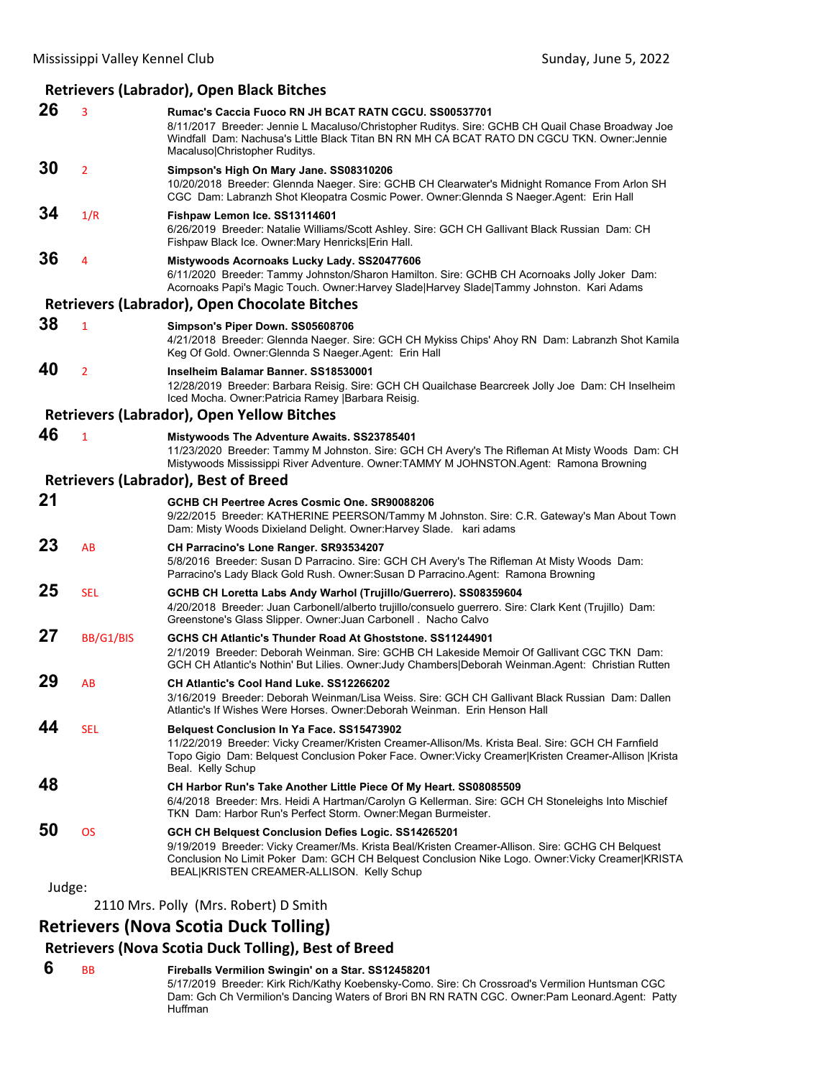### **Retrievers (Labrador), Open Black Bitches**

| 26     | 3              | Rumac's Caccia Fuoco RN JH BCAT RATN CGCU. SS00537701<br>8/11/2017 Breeder: Jennie L Macaluso/Christopher Ruditys. Sire: GCHB CH Quail Chase Broadway Joe<br>Windfall Dam: Nachusa's Little Black Titan BN RN MH CA BCAT RATO DN CGCU TKN. Owner: Jennie<br>Macaluso Christopher Ruditys.                |
|--------|----------------|----------------------------------------------------------------------------------------------------------------------------------------------------------------------------------------------------------------------------------------------------------------------------------------------------------|
| 30     | $\overline{2}$ | Simpson's High On Mary Jane. SS08310206<br>10/20/2018 Breeder: Glennda Naeger. Sire: GCHB CH Clearwater's Midnight Romance From Arlon SH<br>CGC Dam: Labranzh Shot Kleopatra Cosmic Power. Owner: Glennda S Naeger Agent: Erin Hall                                                                      |
| 34     | 1/R            | Fishpaw Lemon Ice. SS13114601<br>6/26/2019 Breeder: Natalie Williams/Scott Ashley. Sire: GCH CH Gallivant Black Russian Dam: CH<br>Fishpaw Black Ice. Owner: Mary Henricks Erin Hall.                                                                                                                    |
| 36     | 4              | Mistywoods Acornoaks Lucky Lady. SS20477606<br>6/11/2020 Breeder: Tammy Johnston/Sharon Hamilton. Sire: GCHB CH Acornoaks Jolly Joker Dam:<br>Acornoaks Papi's Magic Touch. Owner: Harvey Slade   Harvey Slade   Tammy Johnston. Kari Adams                                                              |
|        |                | <b>Retrievers (Labrador), Open Chocolate Bitches</b>                                                                                                                                                                                                                                                     |
| 38     | 1              | Simpson's Piper Down. SS05608706<br>4/21/2018 Breeder: Glennda Naeger. Sire: GCH CH Mykiss Chips' Ahoy RN Dam: Labranzh Shot Kamila<br>Keg Of Gold. Owner: Glennda S Naeger. Agent: Erin Hall                                                                                                            |
| 40     | $\overline{2}$ | Inselheim Balamar Banner, SS18530001<br>12/28/2019 Breeder: Barbara Reisig. Sire: GCH CH Quailchase Bearcreek Jolly Joe Dam: CH Inselheim<br>Iced Mocha. Owner: Patricia Ramey   Barbara Reisig.                                                                                                         |
|        |                | <b>Retrievers (Labrador), Open Yellow Bitches</b>                                                                                                                                                                                                                                                        |
| 46     | $\mathbf{1}$   | <b>Mistywoods The Adventure Awaits. SS23785401</b><br>11/23/2020 Breeder: Tammy M Johnston. Sire: GCH CH Avery's The Rifleman At Misty Woods Dam: CH<br>Mistywoods Mississippi River Adventure. Owner:TAMMY M JOHNSTON.Agent: Ramona Browning                                                            |
|        |                | <b>Retrievers (Labrador), Best of Breed</b>                                                                                                                                                                                                                                                              |
| 21     |                | GCHB CH Peertree Acres Cosmic One. SR90088206<br>9/22/2015 Breeder: KATHERINE PEERSON/Tammy M Johnston. Sire: C.R. Gateway's Man About Town<br>Dam: Misty Woods Dixieland Delight. Owner: Harvey Slade. kari adams                                                                                       |
| 23     | AB             | CH Parracino's Lone Ranger. SR93534207<br>5/8/2016 Breeder: Susan D Parracino. Sire: GCH CH Avery's The Rifleman At Misty Woods Dam:<br>Parracino's Lady Black Gold Rush. Owner: Susan D Parracino. Agent: Ramona Browning                                                                               |
| 25     | <b>SEL</b>     | GCHB CH Loretta Labs Andy Warhol (Trujillo/Guerrero). SS08359604<br>4/20/2018 Breeder: Juan Carbonell/alberto trujillo/consuelo guerrero. Sire: Clark Kent (Trujillo) Dam:<br>Greenstone's Glass Slipper. Owner: Juan Carbonell . Nacho Calvo                                                            |
| 27     | BB/G1/BIS      | GCHS CH Atlantic's Thunder Road At Ghoststone, SS11244901<br>2/1/2019 Breeder: Deborah Weinman. Sire: GCHB CH Lakeside Memoir Of Gallivant CGC TKN Dam:<br>GCH CH Atlantic's Nothin' But Lilies. Owner: Judy Chambers Deborah Weinman Agent: Christian Rutten                                            |
| 29     | AB             | CH Atlantic's Cool Hand Luke. SS12266202<br>3/16/2019 Breeder: Deborah Weinman/Lisa Weiss. Sire: GCH CH Gallivant Black Russian Dam: Dallen<br>Atlantic's If Wishes Were Horses. Owner:Deborah Weinman. Erin Henson Hall                                                                                 |
| 44     | <b>SEL</b>     | <b>Belquest Conclusion In Ya Face. SS15473902</b><br>11/22/2019 Breeder: Vicky Creamer/Kristen Creamer-Allison/Ms. Krista Beal. Sire: GCH CH Farnfield<br>Topo Gigio Dam: Belquest Conclusion Poker Face. Owner: Vicky Creamer Kristen Creamer-Allison  Krista<br>Beal. Kelly Schup                      |
| 48     |                | CH Harbor Run's Take Another Little Piece Of My Heart. SS08085509<br>6/4/2018 Breeder: Mrs. Heidi A Hartman/Carolyn G Kellerman. Sire: GCH CH Stoneleighs Into Mischief<br>TKN Dam: Harbor Run's Perfect Storm. Owner: Megan Burmeister.                                                                 |
| 50     | <b>OS</b>      | GCH CH Belquest Conclusion Defies Logic. SS14265201<br>9/19/2019 Breeder: Vicky Creamer/Ms. Krista Beal/Kristen Creamer-Allison. Sire: GCHG CH Belquest<br>Conclusion No Limit Poker Dam: GCH CH Belquest Conclusion Nike Logo. Owner: Vicky Creamer KRISTA<br>BEAL KRISTEN CREAMER-ALLISON. Kelly Schup |
| Judge: |                |                                                                                                                                                                                                                                                                                                          |
|        |                | 2110 Mrs. Polly (Mrs. Robert) D Smith                                                                                                                                                                                                                                                                    |

### **Retrievers (Nova Scotia Duck Tolling)**

### **Retrievers (Nova Scotia Duck Tolling), Best of Breed**

 **6** BB **Fireballs Vermilion Swingin' on a Star. SS12458201** 5/17/2019 Breeder: Kirk Rich/Kathy Koebensky-Como. Sire: Ch Crossroad's Vermilion Huntsman CGC Dam: Gch Ch Vermilion's Dancing Waters of Brori BN RN RATN CGC. Owner:Pam Leonard.Agent: Patty Huffman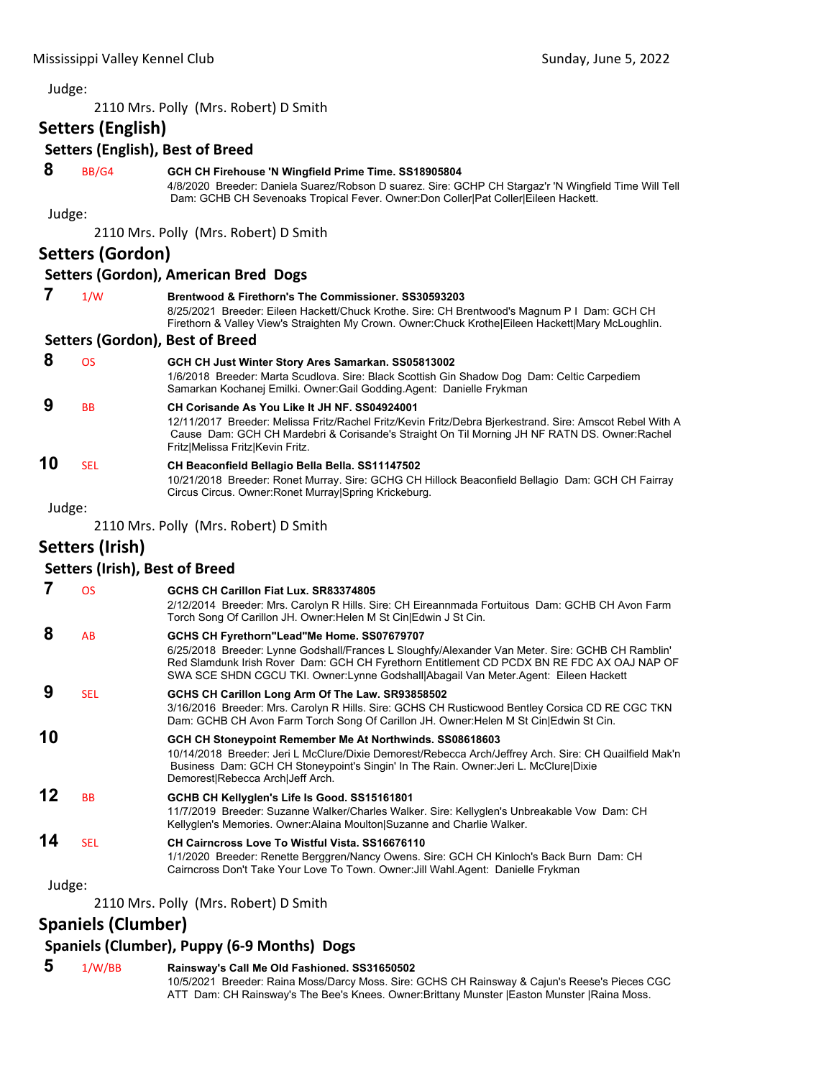2110 Mrs. Polly (Mrs. Robert) D Smith

### **Setters (English)**

### **Setters (English), Best of Breed**

### **8** BB/G4 **GCH CH Firehouse 'N Wingfield Prime Time. SS18905804**

4/8/2020 Breeder: Daniela Suarez/Robson D suarez. Sire: GCHP CH Stargaz'r 'N Wingfield Time Will Tell Dam: GCHB CH Sevenoaks Tropical Fever. Owner:Don Coller|Pat Coller|Eileen Hackett.

10/21/2018 Breeder: Ronet Murray. Sire: GCHG CH Hillock Beaconfield Bellagio Dam: GCH CH Fairray

#### Judge:

2110 Mrs. Polly (Mrs. Robert) D Smith

### **Setters (Gordon)**

#### **Setters (Gordon), American Bred Dogs**

| 1/W | Brentwood & Firethorn's The Commissioner, SS30593203                                               |
|-----|----------------------------------------------------------------------------------------------------|
|     | 8/25/2021 Breeder: Eileen Hackett/Chuck Krothe. Sire: CH Brentwood's Magnum P I Dam: GCH CH        |
|     | Firethorn & Valley View's Straighten My Crown. Owner: Chuck Krothe Eileen Hackett Mary McLoughlin. |
|     | Sattars (Gordon) Rast of Braad                                                                     |

#### **Setters (Gordon), Best of Breed**

| 8  | <b>OS</b> | GCH CH Just Winter Story Ares Samarkan. SS05813002<br>1/6/2018 Breeder: Marta Scudlova. Sire: Black Scottish Gin Shadow Dog Dam: Celtic Carpediem<br>Samarkan Kochanej Emilki. Owner: Gail Godding Agent: Danielle Frykman                                                                     |
|----|-----------|------------------------------------------------------------------------------------------------------------------------------------------------------------------------------------------------------------------------------------------------------------------------------------------------|
| 9  | <b>BB</b> | CH Corisande As You Like It JH NF. SS04924001<br>12/11/2017 Breeder: Melissa Fritz/Rachel Fritz/Kevin Fritz/Debra Bjerkestrand. Sire: Amscot Rebel With A<br>Cause Dam: GCH CH Mardebri & Corisande's Straight On Til Morning JH NF RATN DS. Owner: Rachel<br>Fritz Melissa Fritz Kevin Fritz. |
| 10 | SFI.      | CH Beaconfield Bellagio Bella Bella. SS11147502                                                                                                                                                                                                                                                |

Circus Circus. Owner:Ronet Murray|Spring Krickeburg.

Judge:

2110 Mrs. Polly (Mrs. Robert) D Smith

### **Setters (Irish)**

### **Setters (Irish), Best of Breed**

|        | <b>OS</b>  | GCHS CH Carillon Fiat Lux, SR83374805                                                                                                                                                                                                                                                                                               |
|--------|------------|-------------------------------------------------------------------------------------------------------------------------------------------------------------------------------------------------------------------------------------------------------------------------------------------------------------------------------------|
|        |            | 2/12/2014 Breeder: Mrs. Carolyn R Hills. Sire: CH Eireannmada Fortuitous Dam: GCHB CH Avon Farm<br>Torch Song Of Carillon JH. Owner: Helen M St Cin Edwin J St Cin.                                                                                                                                                                 |
| 8      | AB         | GCHS CH Fyrethorn"Lead"Me Home. SS07679707<br>6/25/2018 Breeder: Lynne Godshall/Frances L Sloughfy/Alexander Van Meter. Sire: GCHB CH Ramblin'<br>Red Slamdunk Irish Rover Dam: GCH CH Fyrethorn Entitlement CD PCDX BN RE FDC AX OAJ NAP OF<br>SWA SCE SHDN CGCU TKI. Owner:Lynne Godshall Abagail Van Meter.Agent: Eileen Hackett |
| 9      | <b>SEL</b> | GCHS CH Carillon Long Arm Of The Law. SR93858502<br>3/16/2016 Breeder: Mrs. Carolyn R Hills. Sire: GCHS CH Rusticwood Bentley Corsica CD RE CGC TKN<br>Dam: GCHB CH Avon Farm Torch Song Of Carillon JH. Owner: Helen M St Cin Edwin St Cin.                                                                                        |
| 10     |            | GCH CH Stoneypoint Remember Me At Northwinds. SS08618603<br>10/14/2018 Breeder: Jeri L McClure/Dixie Demorest/Rebecca Arch/Jeffrey Arch. Sire: CH Quailfield Mak'n<br>Business Dam: GCH CH Stoneypoint's Singin' In The Rain. Owner: Jeri L. McClure Dixie<br>Demorest Rebecca Arch Jeff Arch.                                      |
| 12     | <b>BB</b>  | GCHB CH Kellyglen's Life Is Good. SS15161801<br>11/7/2019 Breeder: Suzanne Walker/Charles Walker. Sire: Kellyglen's Unbreakable Vow Dam: CH<br>Kellyglen's Memories. Owner:Alaina Moulton Suzanne and Charlie Walker.                                                                                                               |
| 14     | <b>SEL</b> | CH Cairncross Love To Wistful Vista, SS16676110<br>1/1/2020 Breeder: Renette Berggren/Nancy Owens. Sire: GCH CH Kinloch's Back Burn Dam: CH<br>Cairncross Don't Take Your Love To Town. Owner: Jill Wahl. Agent: Danielle Frykman                                                                                                   |
| Judge: |            |                                                                                                                                                                                                                                                                                                                                     |
|        |            |                                                                                                                                                                                                                                                                                                                                     |

2110 Mrs. Polly (Mrs. Robert) D Smith

### **Spaniels (Clumber)**

### **Spaniels (Clumber), Puppy (6‐9 Months) Dogs**

### **5** 1/W/BB **Rainsway's Call Me Old Fashioned. SS31650502**

10/5/2021 Breeder: Raina Moss/Darcy Moss. Sire: GCHS CH Rainsway & Cajun's Reese's Pieces CGC ATT Dam: CH Rainsway's The Bee's Knees. Owner:Brittany Munster |Easton Munster |Raina Moss.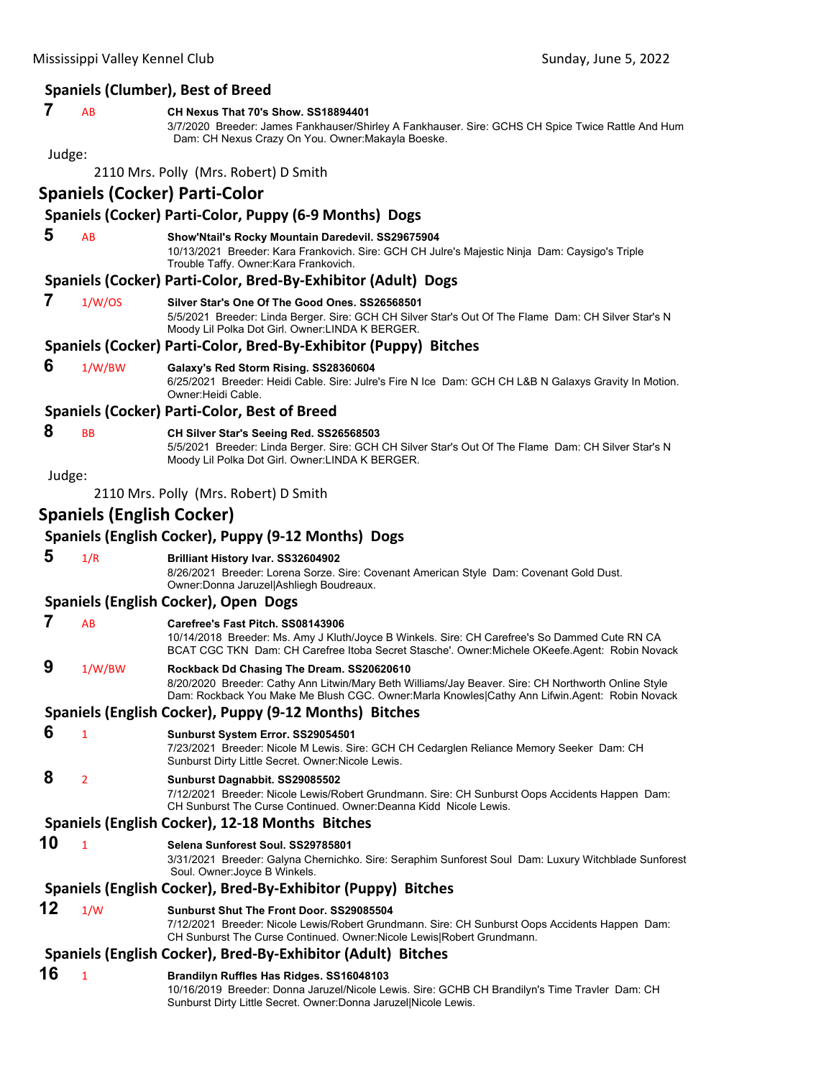|        |                                  | <b>Spaniels (Clumber), Best of Breed</b>                                                                                                                                                                                                           |
|--------|----------------------------------|----------------------------------------------------------------------------------------------------------------------------------------------------------------------------------------------------------------------------------------------------|
| 7      | AB                               | CH Nexus That 70's Show, SS18894401<br>3/7/2020 Breeder: James Fankhauser/Shirley A Fankhauser. Sire: GCHS CH Spice Twice Rattle And Hum<br>Dam: CH Nexus Crazy On You. Owner: Makayla Boeske.                                                     |
| Judge: |                                  |                                                                                                                                                                                                                                                    |
|        |                                  | 2110 Mrs. Polly (Mrs. Robert) D Smith                                                                                                                                                                                                              |
|        |                                  | Spaniels (Cocker) Parti-Color                                                                                                                                                                                                                      |
|        |                                  | Spaniels (Cocker) Parti-Color, Puppy (6-9 Months) Dogs                                                                                                                                                                                             |
| 5      | AB                               | Show'Ntail's Rocky Mountain Daredevil. SS29675904<br>10/13/2021 Breeder: Kara Frankovich. Sire: GCH CH Julre's Majestic Ninja Dam: Caysigo's Triple<br>Trouble Taffy. Owner: Kara Frankovich.                                                      |
|        |                                  | Spaniels (Cocker) Parti-Color, Bred-By-Exhibitor (Adult) Dogs                                                                                                                                                                                      |
| 7      | 1/W/OS                           | Silver Star's One Of The Good Ones, SS26568501<br>5/5/2021 Breeder: Linda Berger. Sire: GCH CH Silver Star's Out Of The Flame Dam: CH Silver Star's N<br>Moody Lil Polka Dot Girl. Owner: LINDA K BERGER.                                          |
|        |                                  | Spaniels (Cocker) Parti-Color, Bred-By-Exhibitor (Puppy) Bitches                                                                                                                                                                                   |
| 6      | 1/W/BW                           | Galaxy's Red Storm Rising. SS28360604<br>6/25/2021 Breeder: Heidi Cable. Sire: Julre's Fire N Ice Dam: GCH CH L&B N Galaxys Gravity In Motion.<br>Owner: Heidi Cable.                                                                              |
|        |                                  | Spaniels (Cocker) Parti-Color, Best of Breed                                                                                                                                                                                                       |
| 8      | BB                               | CH Silver Star's Seeing Red. SS26568503<br>5/5/2021 Breeder: Linda Berger. Sire: GCH CH Silver Star's Out Of The Flame Dam: CH Silver Star's N<br>Moody Lil Polka Dot Girl. Owner: LINDA K BERGER.                                                 |
| Judge: |                                  |                                                                                                                                                                                                                                                    |
|        |                                  | 2110 Mrs. Polly (Mrs. Robert) D Smith                                                                                                                                                                                                              |
|        | <b>Spaniels (English Cocker)</b> |                                                                                                                                                                                                                                                    |
|        |                                  | Spaniels (English Cocker), Puppy (9-12 Months) Dogs                                                                                                                                                                                                |
| 5      | 1/R                              | <b>Brilliant History Ivar. SS32604902</b><br>8/26/2021 Breeder: Lorena Sorze. Sire: Covenant American Style Dam: Covenant Gold Dust.<br>Owner: Donna Jaruzel Ashliegh Boudreaux.                                                                   |
|        |                                  | Spaniels (English Cocker), Open Dogs                                                                                                                                                                                                               |
| 7      | AB                               | Carefree's Fast Pitch. SS08143906<br>10/14/2018 Breeder: Ms. Amy J Kluth/Joyce B Winkels. Sire: CH Carefree's So Dammed Cute RN CA<br>BCAT CGC TKN Dam: CH Carefree Itoba Secret Stasche'. Owner: Michele OKeefe. Agent: Robin Novack              |
| 9      | 1/W/BW                           | Rockback Dd Chasing The Dream. SS20620610<br>8/20/2020 Breeder: Cathy Ann Litwin/Mary Beth Williams/Jay Beaver. Sire: CH Northworth Online Style<br>Dam: Rockback You Make Me Blush CGC. Owner: Marla Knowles Cathy Ann Lifwin Agent: Robin Novack |
|        |                                  | Spaniels (English Cocker), Puppy (9-12 Months) Bitches                                                                                                                                                                                             |
| 6      | 1                                | Sunburst System Error. SS29054501<br>7/23/2021 Breeder: Nicole M Lewis. Sire: GCH CH Cedarglen Reliance Memory Seeker Dam: CH<br>Sunburst Dirty Little Secret. Owner: Nicole Lewis.                                                                |
| 8      | $\overline{2}$                   | Sunburst Dagnabbit. SS29085502<br>7/12/2021 Breeder: Nicole Lewis/Robert Grundmann. Sire: CH Sunburst Oops Accidents Happen Dam:<br>CH Sunburst The Curse Continued. Owner:Deanna Kidd Nicole Lewis.                                               |
|        |                                  | Spaniels (English Cocker), 12-18 Months Bitches                                                                                                                                                                                                    |
| 10     | $\mathbf{1}$                     | Selena Sunforest Soul. SS29785801<br>3/31/2021 Breeder: Galyna Chernichko. Sire: Seraphim Sunforest Soul Dam: Luxury Witchblade Sunforest<br>Soul. Owner: Joyce B Winkels.                                                                         |
|        |                                  | Spaniels (English Cocker), Bred-By-Exhibitor (Puppy) Bitches                                                                                                                                                                                       |
| 12     | 1/W                              | Sunburst Shut The Front Door. SS29085504<br>7/12/2021 Breeder: Nicole Lewis/Robert Grundmann. Sire: CH Sunburst Oops Accidents Happen Dam:<br>CH Sunburst The Curse Continued. Owner: Nicole Lewis Robert Grundmann.                               |
|        |                                  | Spaniels (English Cocker), Bred-By-Exhibitor (Adult) Bitches                                                                                                                                                                                       |
| 16     | $\mathbf{1}$                     | Brandilyn Ruffles Has Ridges. SS16048103<br>10/16/2019 Breeder: Donna Jaruzel/Nicole Lewis. Sire: GCHB CH Brandilyn's Time Travler Dam: CH<br>Sunburst Dirty Little Secret. Owner: Donna Jaruzel Nicole Lewis.                                     |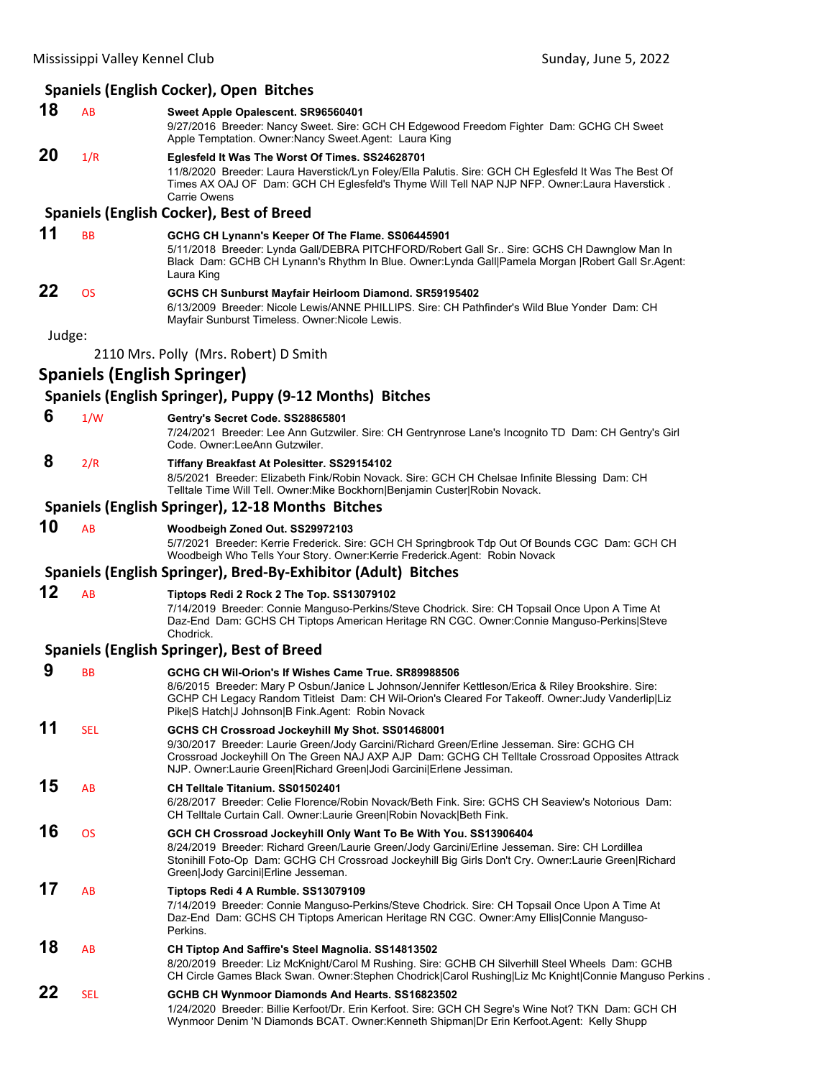## **Spaniels (English Cocker), Open Bitches**

**18** AB **Sweet Apple Opalescent. SR96560401** 9/27/2016 Breeder: Nancy Sweet. Sire: GCH CH Edgewood Freedom Fighter Dam: GCHG CH Sweet Apple Temptation. Owner:Nancy Sweet.Agent: Laura King **20** 1/R **Eglesfeld It Was The Worst Of Times. SS24628701** 11/8/2020 Breeder: Laura Haverstick/Lyn Foley/Ella Palutis. Sire: GCH CH Eglesfeld It Was The Best Of

Times AX OAJ OF Dam: GCH CH Eglesfeld's Thyme Will Tell NAP NJP NFP. Owner:Laura Haverstick . Carrie Owens

### **Spaniels (English Cocker), Best of Breed**

#### **11** BB **GCHG CH Lynann's Keeper Of The Flame. SS06445901** 5/11/2018 Breeder: Lynda Gall/DEBRA PITCHFORD/Robert Gall Sr.. Sire: GCHS CH Dawnglow Man In Black Dam: GCHB CH Lynann's Rhythm In Blue. Owner:Lynda Gall|Pamela Morgan |Robert Gall Sr.Agent: Laura King **22** OS **GCHS CH Sunburst Mayfair Heirloom Diamond. SR59195402**

6/13/2009 Breeder: Nicole Lewis/ANNE PHILLIPS. Sire: CH Pathfinder's Wild Blue Yonder Dam: CH Mayfair Sunburst Timeless. Owner:Nicole Lewis.

Judge:

2110 Mrs. Polly (Mrs. Robert) D Smith

### **Spaniels (English Springer)**

### **Spaniels (English Springer), Puppy (9‐12 Months) Bitches**

 **6** 1/W **Gentry's Secret Code. SS28865801**

7/24/2021 Breeder: Lee Ann Gutzwiler. Sire: CH Gentrynrose Lane's Incognito TD Dam: CH Gentry's Girl Code. Owner:LeeAnn Gutzwiler.

 **8** 2/R **Tiffany Breakfast At Polesitter. SS29154102**

8/5/2021 Breeder: Elizabeth Fink/Robin Novack. Sire: GCH CH Chelsae Infinite Blessing Dam: CH Telltale Time Will Tell. Owner:Mike Bockhorn|Benjamin Custer|Robin Novack.

### **Spaniels (English Springer), 12‐18 Months Bitches**

**10** AB **Woodbeigh Zoned Out. SS29972103**

5/7/2021 Breeder: Kerrie Frederick. Sire: GCH CH Springbrook Tdp Out Of Bounds CGC Dam: GCH CH Woodbeigh Who Tells Your Story. Owner:Kerrie Frederick.Agent: Robin Novack

### **Spaniels (English Springer), Bred‐By‐Exhibitor (Adult) Bitches**

### **12** AB **Tiptops Redi 2 Rock 2 The Top. SS13079102**

7/14/2019 Breeder: Connie Manguso-Perkins/Steve Chodrick. Sire: CH Topsail Once Upon A Time At Daz-End Dam: GCHS CH Tiptops American Heritage RN CGC. Owner:Connie Manguso-Perkins|Steve Chodrick.

### **Spaniels (English Springer), Best of Breed**

| 9  |            |                                                                                                                                                                                                                                                                                                                          |
|----|------------|--------------------------------------------------------------------------------------------------------------------------------------------------------------------------------------------------------------------------------------------------------------------------------------------------------------------------|
|    | <b>BB</b>  | GCHG CH Wil-Orion's If Wishes Came True, SR89988506<br>8/6/2015 Breeder: Mary P Osbun/Janice L Johnson/Jennifer Kettleson/Erica & Riley Brookshire. Sire:<br>GCHP CH Legacy Random Titleist Dam: CH Wil-Orion's Cleared For Takeoff. Owner: Judy Vanderlip Liz<br>Pike S Hatch J Johnson B Fink.Agent: Robin Novack      |
| 11 | <b>SEL</b> | GCHS CH Crossroad Jockeyhill My Shot. SS01468001<br>9/30/2017 Breeder: Laurie Green/Jody Garcini/Richard Green/Erline Jesseman. Sire: GCHG CH<br>Crossroad Jockeyhill On The Green NAJ AXP AJP Dam: GCHG CH Telltale Crossroad Opposites Attrack<br>NJP. Owner: Laurie Green Richard Green Jodi Garcini Erlene Jessiman. |
| 15 | <b>AB</b>  | CH Telltale Titanium. SS01502401<br>6/28/2017 Breeder: Celie Florence/Robin Novack/Beth Fink. Sire: GCHS CH Seaview's Notorious Dam:<br>CH Telltale Curtain Call. Owner: Laurie Green Robin Novack Beth Fink.                                                                                                            |
| 16 | <b>OS</b>  | GCH CH Crossroad Jockeyhill Only Want To Be With You. SS13906404<br>8/24/2019 Breeder: Richard Green/Laurie Green/Jody Garcini/Erline Jesseman. Sire: CH Lordillea<br>Stonihill Foto-Op Dam: GCHG CH Crossroad Jockeyhill Big Girls Don't Cry. Owner:Laurie Green Richard<br>Green Jody Garcini Erline Jesseman.         |
| 17 | AB         | Tiptops Redi 4 A Rumble. SS13079109<br>7/14/2019 Breeder: Connie Manguso-Perkins/Steve Chodrick. Sire: CH Topsail Once Upon A Time At<br>Daz-End Dam: GCHS CH Tiptops American Heritage RN CGC. Owner:Amy Ellis Connie Manguso-<br>Perkins.                                                                              |
| 18 | <b>AB</b>  | CH Tiptop And Saffire's Steel Magnolia. SS14813502<br>8/20/2019 Breeder: Liz McKnight/Carol M Rushing. Sire: GCHB CH Silverhill Steel Wheels Dam: GCHB<br>CH Circle Games Black Swan. Owner:Stephen Chodrick Carol Rushing Liz Mc Knight Connie Manguso Perkins.                                                         |
| 22 | <b>SEL</b> | GCHB CH Wynmoor Diamonds And Hearts. SS16823502<br>1/24/2020 Breeder: Billie Kerfoot/Dr. Erin Kerfoot. Sire: GCH CH Segre's Wine Not? TKN Dam: GCH CH<br>Wynmoor Denim 'N Diamonds BCAT. Owner: Kenneth Shipman Dr Erin Kerfoot. Agent: Kelly Shupp                                                                      |
|    |            |                                                                                                                                                                                                                                                                                                                          |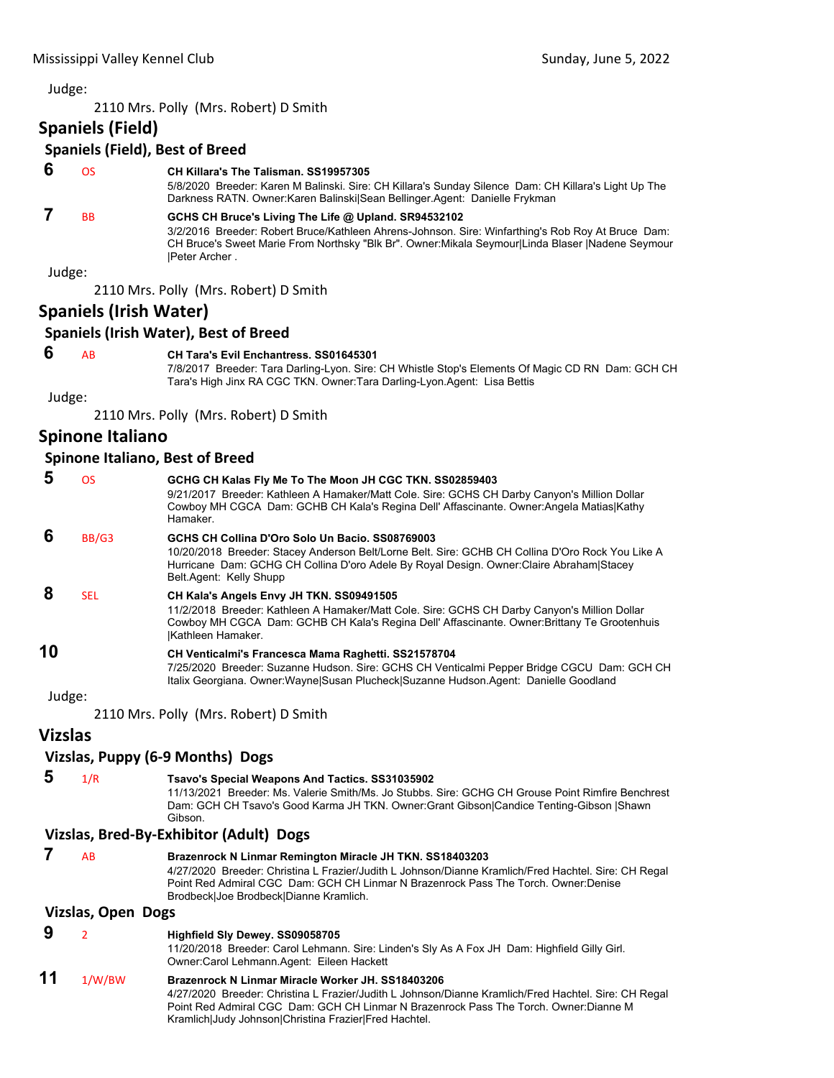2110 Mrs. Polly (Mrs. Robert) D Smith

### **Spaniels (Field)**

### **Spaniels (Field), Best of Breed**

| -6<br>CH Killara's The Talisman, SS19957305 |
|---------------------------------------------|
|---------------------------------------------|

5/8/2020 Breeder: Karen M Balinski. Sire: CH Killara's Sunday Silence Dam: CH Killara's Light Up The Darkness RATN. Owner:Karen Balinski|Sean Bellinger.Agent: Danielle Frykman

### **7** BB **GCHS CH Bruce's Living The Life @ Upland. SR94532102**

3/2/2016 Breeder: Robert Bruce/Kathleen Ahrens-Johnson. Sire: Winfarthing's Rob Roy At Bruce Dam: CH Bruce's Sweet Marie From Northsky "Blk Br". Owner:Mikala Seymour|Linda Blaser |Nadene Seymour |Peter Archer .

Judge:

2110 Mrs. Polly (Mrs. Robert) D Smith

### **Spaniels (Irish Water)**

### **Spaniels (Irish Water), Best of Breed**

 **6** AB **CH Tara's Evil Enchantress. SS01645301**

7/8/2017 Breeder: Tara Darling-Lyon. Sire: CH Whistle Stop's Elements Of Magic CD RN Dam: GCH CH Tara's High Jinx RA CGC TKN. Owner:Tara Darling-Lyon.Agent: Lisa Bettis

Judge:

2110 Mrs. Polly (Mrs. Robert) D Smith

### **Spinone Italiano**

### **Spinone Italiano, Best of Breed**

| 5      | OS.        | GCHG CH Kalas Fly Me To The Moon JH CGC TKN. SS02859403<br>9/21/2017 Breeder: Kathleen A Hamaker/Matt Cole. Sire: GCHS CH Darby Canyon's Million Dollar<br>Cowboy MH CGCA Dam: GCHB CH Kala's Regina Dell' Affascinante. Owner: Angela Matias Kathy<br>Hamaker.            |
|--------|------------|----------------------------------------------------------------------------------------------------------------------------------------------------------------------------------------------------------------------------------------------------------------------------|
| 6      | BB/G3      | GCHS CH Collina D'Oro Solo Un Bacio. SS08769003<br>10/20/2018 Breeder: Stacey Anderson Belt/Lorne Belt. Sire: GCHB CH Collina D'Oro Rock You Like A<br>Hurricane Dam: GCHG CH Collina D'oro Adele By Royal Design. Owner: Claire Abraham Stacey<br>Belt.Agent: Kelly Shupp |
| 8      | <b>SEL</b> | CH Kala's Angels Envy JH TKN. SS09491505<br>11/2/2018 Breeder: Kathleen A Hamaker/Matt Cole. Sire: GCHS CH Darby Canyon's Million Dollar<br>Cowboy MH CGCA Dam: GCHB CH Kala's Regina Dell' Affascinante. Owner: Brittany Te Grootenhuis<br>Kathleen Hamaker.              |
| 10     |            | CH Venticalmi's Francesca Mama Raghetti. SS21578704<br>7/25/2020 Breeder: Suzanne Hudson. Sire: GCHS CH Venticalmi Pepper Bridge CGCU Dam: GCH CH<br>Italix Georgiana. Owner: Wayne Susan Plucheck Suzanne Hudson. Agent: Danielle Goodland                                |
| Judge: |            |                                                                                                                                                                                                                                                                            |

2110 Mrs. Polly (Mrs. Robert) D Smith

### **Vizslas**

### **Vizslas, Puppy (6‐9 Months) Dogs**

 **5** 1/R **Tsavo's Special Weapons And Tactics. SS31035902**

11/13/2021 Breeder: Ms. Valerie Smith/Ms. Jo Stubbs. Sire: GCHG CH Grouse Point Rimfire Benchrest Dam: GCH CH Tsavo's Good Karma JH TKN. Owner:Grant Gibson|Candice Tenting-Gibson |Shawn Gibson.

### **Vizslas, Bred‐By‐Exhibitor (Adult) Dogs**

| AB |                           | Brazenrock N Linmar Remington Miracle JH TKN. SS18403203<br>4/27/2020 Breeder: Christina L Frazier/Judith L Johnson/Dianne Kramlich/Fred Hachtel. Sire: CH Regal<br>Point Red Admiral CGC Dam: GCH CH Linmar N Brazenrock Pass The Torch, Owner:Denise<br>Brodbeck Joe Brodbeck Dianne Kramlich. |  |
|----|---------------------------|--------------------------------------------------------------------------------------------------------------------------------------------------------------------------------------------------------------------------------------------------------------------------------------------------|--|
|    | <b>Vizslas, Open Dogs</b> |                                                                                                                                                                                                                                                                                                  |  |
| 9  |                           | Highfield Sly Dewey. SS09058705<br>11/20/2018 Breeder: Carol Lehmann. Sire: Linden's Sly As A Fox JH Dam: Highfield Gilly Girl.<br>Owner: Carol Lehmann. Agent: Eileen Hackett                                                                                                                   |  |

# **11** 1/W/BW **Brazenrock N Linmar Miracle Worker JH. SS18403206**

4/27/2020 Breeder: Christina L Frazier/Judith L Johnson/Dianne Kramlich/Fred Hachtel. Sire: CH Regal Point Red Admiral CGC Dam: GCH CH Linmar N Brazenrock Pass The Torch. Owner:Dianne M Kramlich|Judy Johnson|Christina Frazier|Fred Hachtel.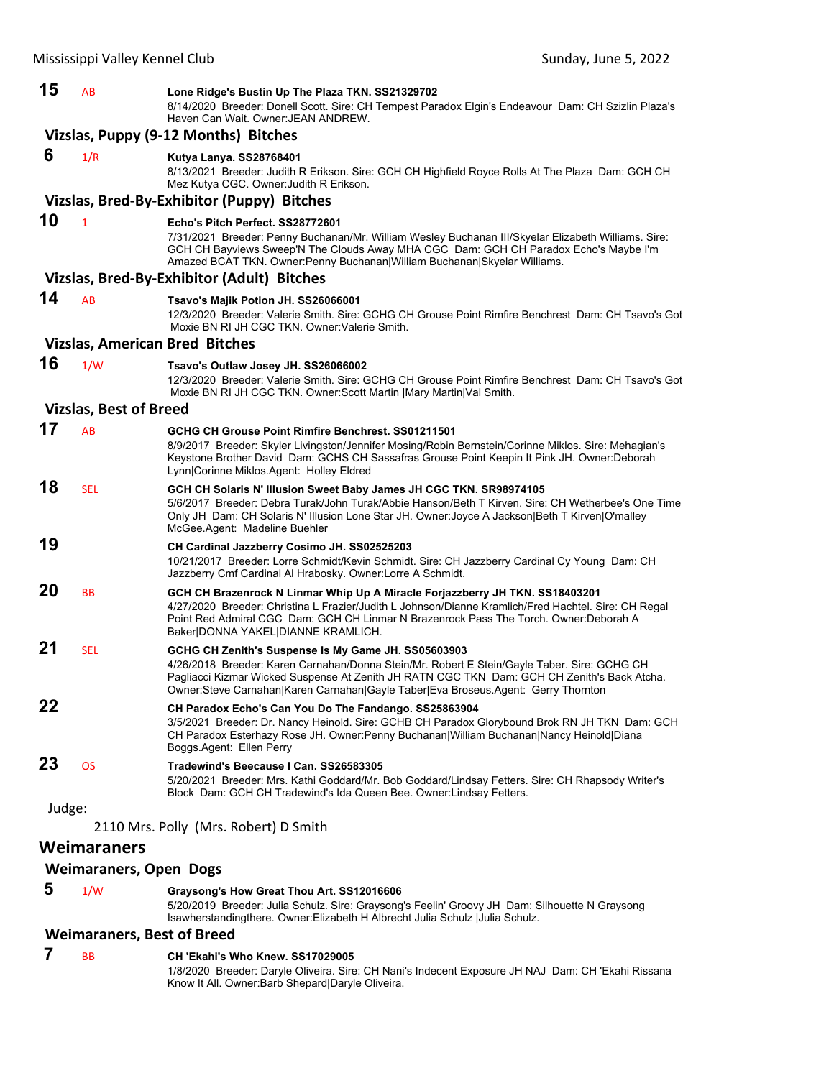| 15     | AB                            | Lone Ridge's Bustin Up The Plaza TKN. SS21329702<br>8/14/2020 Breeder: Donell Scott. Sire: CH Tempest Paradox Elgin's Endeavour Dam: CH Szizlin Plaza's<br>Haven Can Wait, Owner JEAN ANDREW.                                                                                                                                          |
|--------|-------------------------------|----------------------------------------------------------------------------------------------------------------------------------------------------------------------------------------------------------------------------------------------------------------------------------------------------------------------------------------|
|        |                               | Vizslas, Puppy (9-12 Months) Bitches                                                                                                                                                                                                                                                                                                   |
| 6      | 1/R                           | Kutya Lanya. SS28768401                                                                                                                                                                                                                                                                                                                |
|        |                               | 8/13/2021 Breeder: Judith R Erikson. Sire: GCH CH Highfield Royce Rolls At The Plaza Dam: GCH CH<br>Mez Kutya CGC. Owner: Judith R Erikson.                                                                                                                                                                                            |
|        |                               | Vizslas, Bred-By-Exhibitor (Puppy) Bitches                                                                                                                                                                                                                                                                                             |
| 10     | $\mathbf{1}$                  | Echo's Pitch Perfect, SS28772601<br>7/31/2021 Breeder: Penny Buchanan/Mr. William Wesley Buchanan III/Skyelar Elizabeth Williams. Sire:<br>GCH CH Bayviews Sweep'N The Clouds Away MHA CGC Dam: GCH CH Paradox Echo's Maybe I'm<br>Amazed BCAT TKN. Owner: Penny Buchanan William Buchanan Skyelar Williams.                           |
|        |                               | Vizslas, Bred-By-Exhibitor (Adult) Bitches                                                                                                                                                                                                                                                                                             |
| 14     | AB                            | Tsavo's Majik Potion JH. SS26066001<br>12/3/2020 Breeder: Valerie Smith. Sire: GCHG CH Grouse Point Rimfire Benchrest Dam: CH Tsavo's Got<br>Moxie BN RI JH CGC TKN. Owner: Valerie Smith.                                                                                                                                             |
|        |                               | <b>Vizslas, American Bred Bitches</b>                                                                                                                                                                                                                                                                                                  |
| 16     | 1/W                           | Tsavo's Outlaw Josey JH. SS26066002<br>12/3/2020 Breeder: Valerie Smith. Sire: GCHG CH Grouse Point Rimfire Benchrest Dam: CH Tsavo's Got<br>Moxie BN RI JH CGC TKN. Owner:Scott Martin   Mary Martin  Val Smith.                                                                                                                      |
|        | <b>Vizslas, Best of Breed</b> |                                                                                                                                                                                                                                                                                                                                        |
| 17     | <b>AB</b>                     | GCHG CH Grouse Point Rimfire Benchrest, SS01211501<br>8/9/2017 Breeder: Skyler Livingston/Jennifer Mosing/Robin Bernstein/Corinne Miklos. Sire: Mehagian's<br>Keystone Brother David Dam: GCHS CH Sassafras Grouse Point Keepin It Pink JH. Owner:Deborah<br>Lynn Corinne Miklos.Agent: Holley Eldred                                  |
| 18     | <b>SEL</b>                    | GCH CH Solaris N' Illusion Sweet Baby James JH CGC TKN. SR98974105<br>5/6/2017 Breeder: Debra Turak/John Turak/Abbie Hanson/Beth T Kirven. Sire: CH Wetherbee's One Time<br>Only JH Dam: CH Solaris N' Illusion Lone Star JH. Owner: Joyce A Jackson Beth T Kirven O'malley<br>McGee Agent: Madeline Buehler                           |
| 19     |                               | CH Cardinal Jazzberry Cosimo JH. SS02525203<br>10/21/2017 Breeder: Lorre Schmidt/Kevin Schmidt. Sire: CH Jazzberry Cardinal Cy Young Dam: CH<br>Jazzberry Cmf Cardinal Al Hrabosky. Owner: Lorre A Schmidt.                                                                                                                            |
| 20     | <b>BB</b>                     | GCH CH Brazenrock N Linmar Whip Up A Miracle Forjazzberry JH TKN. SS18403201<br>4/27/2020 Breeder: Christina L Frazier/Judith L Johnson/Dianne Kramlich/Fred Hachtel. Sire: CH Regal<br>Point Red Admiral CGC Dam: GCH CH Linmar N Brazenrock Pass The Torch. Owner:Deborah A<br>Baker DONNA YAKEL DIANNE KRAMLICH.                    |
| 21     | <b>SEL</b>                    | GCHG CH Zenith's Suspense Is My Game JH. SS05603903<br>4/26/2018 Breeder: Karen Carnahan/Donna Stein/Mr. Robert E Stein/Gayle Taber. Sire: GCHG CH<br>Pagliacci Kizmar Wicked Suspense At Zenith JH RATN CGC TKN Dam: GCH CH Zenith's Back Atcha.<br>Owner:Steve Carnahan Karen Carnahan Gayle Taber Eva Broseus.Agent: Gerry Thornton |
| 22     |                               | CH Paradox Echo's Can You Do The Fandango. SS25863904<br>3/5/2021 Breeder: Dr. Nancy Heinold. Sire: GCHB CH Paradox Glorybound Brok RN JH TKN Dam: GCH<br>CH Paradox Esterhazy Rose JH. Owner:Penny Buchanan William Buchanan Nancy Heinold Diana<br>Boggs.Agent: Ellen Perry                                                          |
| 23     | <b>OS</b>                     | Tradewind's Beecause I Can. SS26583305<br>5/20/2021 Breeder: Mrs. Kathi Goddard/Mr. Bob Goddard/Lindsay Fetters. Sire: CH Rhapsody Writer's<br>Block Dam: GCH CH Tradewind's Ida Queen Bee. Owner: Lindsay Fetters.                                                                                                                    |
| Judge: |                               |                                                                                                                                                                                                                                                                                                                                        |
|        |                               | 2110 Mrs. Polly (Mrs. Robert) D Smith                                                                                                                                                                                                                                                                                                  |
|        | <b>Weimaraners</b>            |                                                                                                                                                                                                                                                                                                                                        |
|        | <b>Weimaraners, Open Dogs</b> |                                                                                                                                                                                                                                                                                                                                        |
| 5      | 1/W                           | Graysong's How Great Thou Art. SS12016606                                                                                                                                                                                                                                                                                              |

5/20/2019 Breeder: Julia Schulz. Sire: Graysong's Feelin' Groovy JH Dam: Silhouette N Graysong Isawherstandingthere. Owner:Elizabeth H Albrecht Julia Schulz |Julia Schulz.

### **Weimaraners, Best of Breed**

#### **7** BB **CH 'Ekahi's Who Knew. SS17029005** 1/8/2020 Breeder: Daryle Oliveira. Sire: CH Nani's Indecent Exposure JH NAJ Dam: CH 'Ekahi Rissana Know It All. Owner:Barb Shepard|Daryle Oliveira.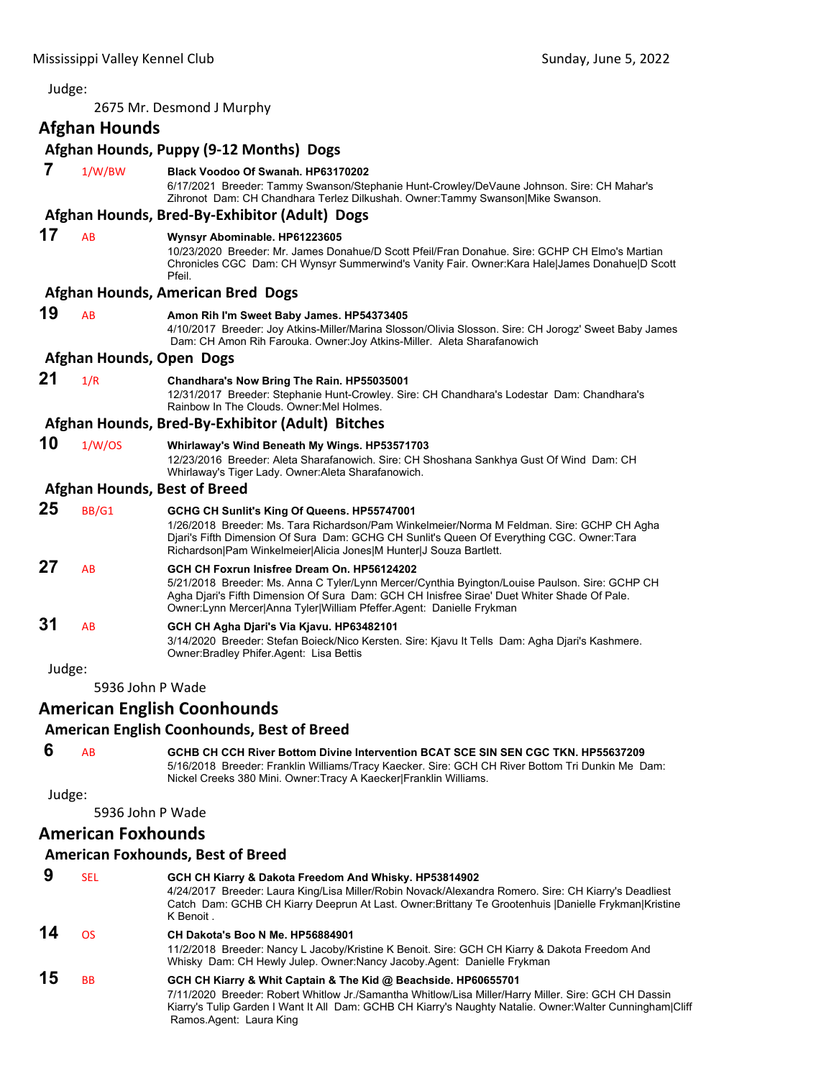### <span id="page-11-0"></span>Judge: 2675 Mr. Desmond J Murphy **Afghan Hounds Afghan Hounds, Puppy (9‐12 Months) Dogs 7** 1/W/BW **Black Voodoo Of Swanah. HP63170202** 6/17/2021 Breeder: Tammy Swanson/Stephanie Hunt-Crowley/DeVaune Johnson. Sire: CH Mahar's Zihronot Dam: CH Chandhara Terlez Dilkushah. Owner:Tammy Swanson|Mike Swanson. **Afghan Hounds, Bred‐By‐Exhibitor (Adult) Dogs 17** AB **Wynsyr Abominable. HP61223605** 10/23/2020 Breeder: Mr. James Donahue/D Scott Pfeil/Fran Donahue. Sire: GCHP CH Elmo's Martian Chronicles CGC Dam: CH Wynsyr Summerwind's Vanity Fair. Owner:Kara Hale|James Donahue|D Scott Pfeil. **Afghan Hounds, American Bred Dogs 19** AB **Amon Rih I'm Sweet Baby James. HP54373405** 4/10/2017 Breeder: Joy Atkins-Miller/Marina Slosson/Olivia Slosson. Sire: CH Jorogz' Sweet Baby James Dam: CH Amon Rih Farouka. Owner:Joy Atkins-Miller. Aleta Sharafanowich **Afghan Hounds, Open Dogs 21** 1/R **Chandhara's Now Bring The Rain. HP55035001** 12/31/2017 Breeder: Stephanie Hunt-Crowley. Sire: CH Chandhara's Lodestar Dam: Chandhara's Rainbow In The Clouds. Owner:Mel Holmes. **Afghan Hounds, Bred‐By‐Exhibitor (Adult) Bitches 10** 1/W/OS **Whirlaway's Wind Beneath My Wings. HP53571703** 12/23/2016 Breeder: Aleta Sharafanowich. Sire: CH Shoshana Sankhya Gust Of Wind Dam: CH Whirlaway's Tiger Lady. Owner:Aleta Sharafanowich. **Afghan Hounds, Best of Breed 25** BB/G1 **GCHG CH Sunlit's King Of Queens. HP55747001** 1/26/2018 Breeder: Ms. Tara Richardson/Pam Winkelmeier/Norma M Feldman. Sire: GCHP CH Agha Djari's Fifth Dimension Of Sura Dam: GCHG CH Sunlit's Queen Of Everything CGC. Owner:Tara Richardson|Pam Winkelmeier|Alicia Jones|M Hunter|J Souza Bartlett. **27** AB **GCH CH Foxrun Inisfree Dream On. HP56124202** 5/21/2018 Breeder: Ms. Anna C Tyler/Lynn Mercer/Cynthia Byington/Louise Paulson. Sire: GCHP CH Agha Djari's Fifth Dimension Of Sura Dam: GCH CH Inisfree Sirae' Duet Whiter Shade Of Pale. Owner:Lynn Mercer|Anna Tyler|William Pfeffer.Agent: Danielle Frykman **31** AB **GCH CH Agha Djari's Via Kjavu. HP63482101** 3/14/2020 Breeder: Stefan Boieck/Nico Kersten. Sire: Kjavu It Tells Dam: Agha Djari's Kashmere. Owner:Bradley Phifer.Agent: Lisa Bettis Judge: 5936 John P Wade **American English Coonhounds American English Coonhounds, Best of Breed 6** AB **GCHB CH CCH River Bottom Divine Intervention BCAT SCE SIN SEN CGC TKN. HP55637209** 5/16/2018 Breeder: Franklin Williams/Tracy Kaecker. Sire: GCH CH River Bottom Tri Dunkin Me Dam: Nickel Creeks 380 Mini. Owner:Tracy A Kaecker|Franklin Williams.

Judge:

5936 John P Wade

### **American Foxhounds**

### **American Foxhounds, Best of Breed**

| 9  | SEL       | GCH CH Kiarry & Dakota Freedom And Whisky. HP53814902<br>4/24/2017 Breeder: Laura King/Lisa Miller/Robin Novack/Alexandra Romero, Sire: CH Kiarry's Deadliest<br>Catch Dam: GCHB CH Kiarry Deeprun At Last. Owner: Brittany Te Grootenhuis  Danielle Frykman Kristine<br>K Benoit.                             |
|----|-----------|----------------------------------------------------------------------------------------------------------------------------------------------------------------------------------------------------------------------------------------------------------------------------------------------------------------|
| 14 | ΩS        | CH Dakota's Boo N Me. HP56884901<br>11/2/2018 Breeder: Nancy L Jacoby/Kristine K Benoit. Sire: GCH CH Kiarry & Dakota Freedom And<br>Whisky Dam: CH Hewly Julep. Owner:Nancy Jacoby.Agent: Danielle Frykman                                                                                                    |
| 15 | <b>BB</b> | GCH CH Kiarry & Whit Captain & The Kid @ Beachside. HP60655701<br>7/11/2020 Breeder: Robert Whitlow Jr./Samantha Whitlow/Lisa Miller/Harry Miller. Sire: GCH CH Dassin<br>Kiarry's Tulip Garden I Want It All Dam: GCHB CH Kiarry's Naughty Natalie. Owner: Walter Cunningham Cliff<br>Ramos Agent: Laura King |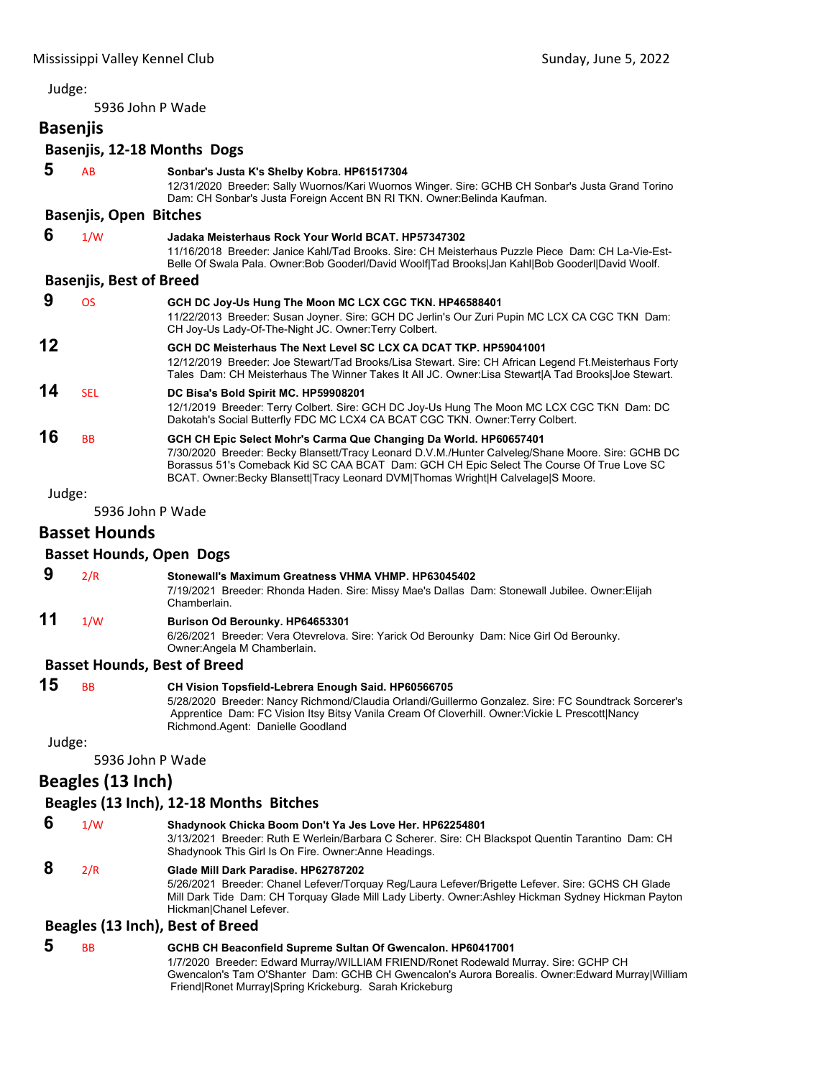5936 John P Wade

## **Basenjis**

### **Basenjis, 12‐18 Months Dogs**

|        | <b>Dascrise, IL 10 MORGIO DOGS</b>  |                                                                                                                                                                                                                                                                                                                                                        |
|--------|-------------------------------------|--------------------------------------------------------------------------------------------------------------------------------------------------------------------------------------------------------------------------------------------------------------------------------------------------------------------------------------------------------|
| 5      | AB                                  | Sonbar's Justa K's Shelby Kobra. HP61517304<br>12/31/2020 Breeder: Sally Wuornos/Kari Wuornos Winger. Sire: GCHB CH Sonbar's Justa Grand Torino<br>Dam: CH Sonbar's Justa Foreign Accent BN RI TKN. Owner: Belinda Kaufman.                                                                                                                            |
|        | <b>Basenjis, Open Bitches</b>       |                                                                                                                                                                                                                                                                                                                                                        |
| 6      | 1/W                                 | Jadaka Meisterhaus Rock Your World BCAT. HP57347302<br>11/16/2018 Breeder: Janice Kahl/Tad Brooks, Sire: CH Meisterhaus Puzzle Piece Dam: CH La-Vie-Est-<br>Belle Of Swala Pala. Owner: Bob Gooderl/David Woolf Tad Brooks Jan Kahl Bob Gooderl David Woolf.                                                                                           |
|        | <b>Basenjis, Best of Breed</b>      |                                                                                                                                                                                                                                                                                                                                                        |
| 9      | <b>OS</b>                           | GCH DC Joy-Us Hung The Moon MC LCX CGC TKN. HP46588401<br>11/22/2013 Breeder: Susan Joyner. Sire: GCH DC Jerlin's Our Zuri Pupin MC LCX CA CGC TKN Dam:<br>CH Joy-Us Lady-Of-The-Night JC. Owner: Terry Colbert.                                                                                                                                       |
| 12     |                                     | GCH DC Meisterhaus The Next Level SC LCX CA DCAT TKP. HP59041001<br>12/12/2019 Breeder: Joe Stewart/Tad Brooks/Lisa Stewart. Sire: CH African Legend Ft. Meisterhaus Forty<br>Tales Dam: CH Meisterhaus The Winner Takes It All JC. Owner:Lisa Stewart A Tad Brooks Joe Stewart.                                                                       |
| 14     | <b>SEL</b>                          | DC Bisa's Bold Spirit MC. HP59908201<br>12/1/2019 Breeder: Terry Colbert. Sire: GCH DC Joy-Us Hung The Moon MC LCX CGC TKN Dam: DC<br>Dakotah's Social Butterfly FDC MC LCX4 CA BCAT CGC TKN. Owner: Terry Colbert.                                                                                                                                    |
| 16     | <b>BB</b>                           | GCH CH Epic Select Mohr's Carma Que Changing Da World. HP60657401<br>7/30/2020 Breeder: Becky Blansett/Tracy Leonard D.V.M./Hunter Calveleg/Shane Moore. Sire: GCHB DC<br>Borassus 51's Comeback Kid SC CAA BCAT Dam: GCH CH Epic Select The Course Of True Love SC<br>BCAT. Owner:Becky Blansett Tracy Leonard DVM Thomas Wright H Calvelage S Moore. |
| Judge: |                                     |                                                                                                                                                                                                                                                                                                                                                        |
|        | 5936 John P Wade                    |                                                                                                                                                                                                                                                                                                                                                        |
|        | <b>Basset Hounds</b>                |                                                                                                                                                                                                                                                                                                                                                        |
|        | <b>Basset Hounds, Open Dogs</b>     |                                                                                                                                                                                                                                                                                                                                                        |
| 9      | 2/R                                 | Stonewall's Maximum Greatness VHMA VHMP. HP63045402<br>7/19/2021 Breeder: Rhonda Haden. Sire: Missy Mae's Dallas Dam: Stonewall Jubilee. Owner:Elijah<br>Chamberlain.                                                                                                                                                                                  |
| 11     | 1/W                                 | Burison Od Berounky. HP64653301<br>6/26/2021 Breeder: Vera Otevrelova. Sire: Yarick Od Berounky Dam: Nice Girl Od Berounky.<br>Owner: Angela M Chamberlain.                                                                                                                                                                                            |
|        | <b>Basset Hounds, Best of Breed</b> |                                                                                                                                                                                                                                                                                                                                                        |
| 15     | <b>BB</b>                           | CH Vision Topsfield-Lebrera Enough Said. HP60566705<br>5/28/2020 Breeder: Nancy Richmond/Claudia Orlandi/Guillermo Gonzalez. Sire: FC Soundtrack Sorcerer's<br>Apprentice Dam: FC Vision Itsy Bitsy Vanila Cream Of Cloverhill. Owner: Vickie L Prescott Nancy<br>Richmond.Agent: Danielle Goodland                                                    |
| Judge: |                                     |                                                                                                                                                                                                                                                                                                                                                        |
|        | 5936 John P Wade                    |                                                                                                                                                                                                                                                                                                                                                        |
|        | Beagles (13 Inch)                   |                                                                                                                                                                                                                                                                                                                                                        |
|        |                                     | Beagles (13 Inch), 12-18 Months Bitches                                                                                                                                                                                                                                                                                                                |
| 6      | 1/W                                 | Shadynook Chicka Boom Don't Ya Jes Love Her. HP62254801<br>3/13/2021 Breeder: Ruth E Werlein/Barbara C Scherer. Sire: CH Blackspot Quentin Tarantino Dam: CH<br>Shadynook This Girl Is On Fire. Owner: Anne Headings.                                                                                                                                  |
| 8      | 2/R                                 | Glade Mill Dark Paradise, HP62787202<br>5/26/2021 Breeder: Chanel Lefever/Torquay Reg/Laura Lefever/Brigette Lefever. Sire: GCHS CH Glade<br>Mill Dark Tide Dam: CH Torquay Glade Mill Lady Liberty. Owner:Ashley Hickman Sydney Hickman Payton<br>Hickman Chanel Lefever.                                                                             |
|        |                                     | Beagles (13 Inch), Best of Breed                                                                                                                                                                                                                                                                                                                       |
| 5      | ВB                                  | GCHB CH Beaconfield Supreme Sultan Of Gwencalon. HP60417001                                                                                                                                                                                                                                                                                            |

1/7/2020 Breeder: Edward Murray/WILLIAM FRIEND/Ronet Rodewald Murray. Sire: GCHP CH Gwencalon's Tam O'Shanter Dam: GCHB CH Gwencalon's Aurora Borealis. Owner:Edward Murray|William Friend|Ronet Murray|Spring Krickeburg. Sarah Krickeburg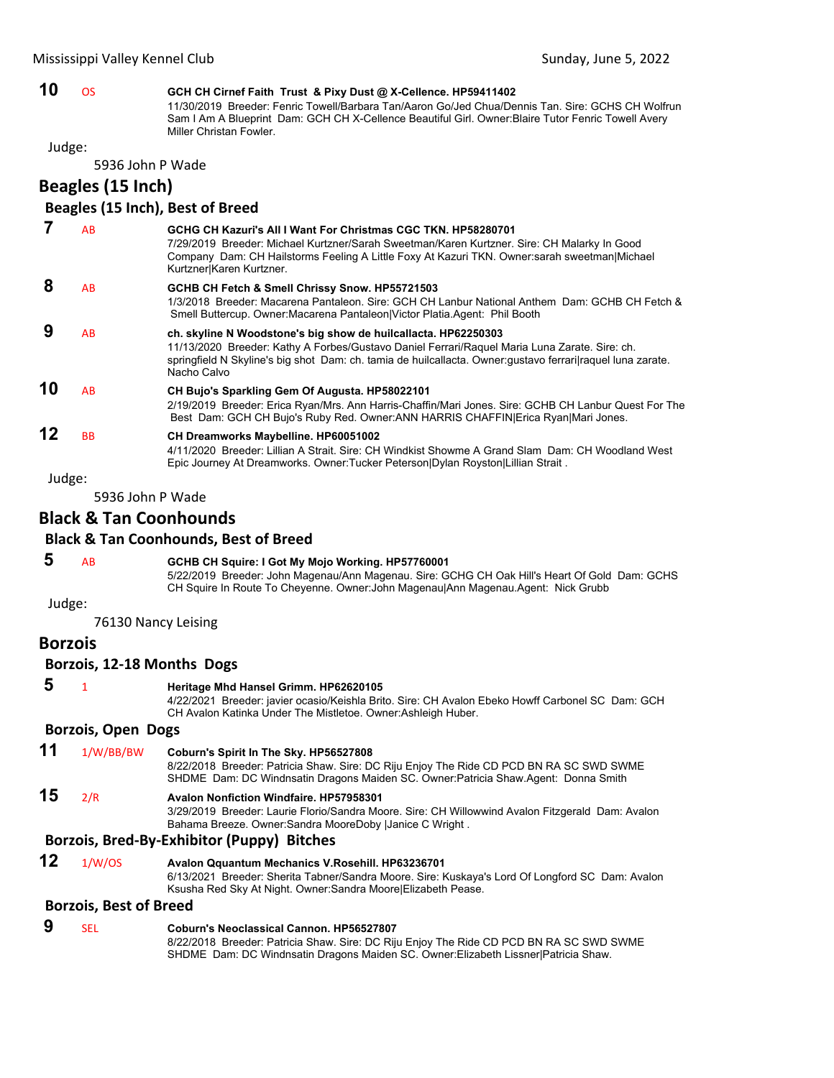### **10** OS **GCH CH Cirnef Faith Trust & Pixy Dust @ X-Cellence. HP59411402**

11/30/2019 Breeder: Fenric Towell/Barbara Tan/Aaron Go/Jed Chua/Dennis Tan. Sire: GCHS CH Wolfrun Sam I Am A Blueprint Dam: GCH CH X-Cellence Beautiful Girl. Owner:Blaire Tutor Fenric Towell Avery Miller Christan Fowler.

Judge:

5936 John P Wade

**Beagles (15 Inch)**

#### **Beagles (15 Inch), Best of Breed**

|    | AB        | GCHG CH Kazuri's All I Want For Christmas CGC TKN, HP58280701<br>7/29/2019 Breeder: Michael Kurtzner/Sarah Sweetman/Karen Kurtzner. Sire: CH Malarky In Good<br>Company Dam: CH Hailstorms Feeling A Little Foxy At Kazuri TKN. Owner:sarah sweetman Michael<br>Kurtzner Karen Kurtzner.      |
|----|-----------|-----------------------------------------------------------------------------------------------------------------------------------------------------------------------------------------------------------------------------------------------------------------------------------------------|
| 8  | AB        | GCHB CH Fetch & Smell Chrissy Snow. HP55721503<br>1/3/2018 Breeder: Macarena Pantaleon, Sire: GCH CH Lanbur National Anthem Dam: GCHB CH Fetch &<br>Smell Buttercup. Owner: Macarena Pantaleon   Victor Platia. Agent: Phil Booth                                                             |
| 9  | AB        | ch. skyline N Woodstone's big show de huilcallacta. HP62250303<br>11/13/2020 Breeder: Kathy A Forbes/Gustavo Daniel Ferrari/Raquel Maria Luna Zarate. Sire: ch.<br>springfield N Skyline's big shot Dam: ch. tamia de huilcallacta. Owner: gustavo ferrari raquel luna zarate.<br>Nacho Calvo |
| 10 | AB        | CH Bujo's Sparkling Gem Of Augusta. HP58022101<br>2/19/2019 Breeder: Erica Ryan/Mrs. Ann Harris-Chaffin/Mari Jones. Sire: GCHB CH Lanbur Quest For The<br>Best Dam: GCH CH Bujo's Ruby Red. Owner: ANN HARRIS CHAFFIN Erica Ryan Mari Jones.                                                  |
| 12 | <b>BB</b> | CH Dreamworks Maybelline. HP60051002<br>4/11/2020 Breeder: Lillian A Strait. Sire: CH Windkist Showme A Grand Slam Dam: CH Woodland West<br>Epic Journey At Dreamworks. Owner: Tucker Peterson Dylan Royston Lillian Strait.                                                                  |

Judge:

5936 John P Wade

### **Black & Tan Coonhounds**

#### **Black & Tan Coonhounds, Best of Breed**

#### **5** AB **GCHB CH Squire: I Got My Mojo Working. HP57760001** 5/22/2019 Breeder: John Magenau/Ann Magenau. Sire: GCHG CH Oak Hill's Heart Of Gold Dam: GCHS

CH Squire In Route To Cheyenne. Owner:John Magenau|Ann Magenau.Agent: Nick Grubb

Judge:

76130 Nancy Leising

### **Borzois**

#### **Borzois, 12‐18 Months Dogs**

#### **5** <sup>1</sup> **Heritage Mhd Hansel Grimm. HP62620105**

4/22/2021 Breeder: javier ocasio/Keishla Brito. Sire: CH Avalon Ebeko Howff Carbonel SC Dam: GCH CH Avalon Katinka Under The Mistletoe. Owner:Ashleigh Huber.

#### **Borzois, Open Dogs**

**11** 1/W/BB/BW **Coburn's Spirit In The Sky. HP56527808** 8/22/2018 Breeder: Patricia Shaw. Sire: DC Riju Enjoy The Ride CD PCD BN RA SC SWD SWME SHDME Dam: DC Windnsatin Dragons Maiden SC. Owner:Patricia Shaw.Agent: Donna Smith **15** 2/R **Avalon Nonfiction Windfaire. HP57958301** 3/29/2019 Breeder: Laurie Florio/Sandra Moore. Sire: CH Willowwind Avalon Fitzgerald Dam: Avalon Bahama Breeze. Owner:Sandra MooreDoby |Janice C Wright .

### **Borzois, Bred‐By‐Exhibitor (Puppy) Bitches**

**12** 1/W/OS **Avalon Qquantum Mechanics V.Rosehill. HP63236701** 6/13/2021 Breeder: Sherita Tabner/Sandra Moore. Sire: Kuskaya's Lord Of Longford SC Dam: Avalon Ksusha Red Sky At Night. Owner:Sandra Moore|Elizabeth Pease.

#### **Borzois, Best of Breed**

 **9** SEL **Coburn's Neoclassical Cannon. HP56527807** 8/22/2018 Breeder: Patricia Shaw. Sire: DC Riju Enjoy The Ride CD PCD BN RA SC SWD SWME SHDME Dam: DC Windnsatin Dragons Maiden SC. Owner:Elizabeth Lissner|Patricia Shaw.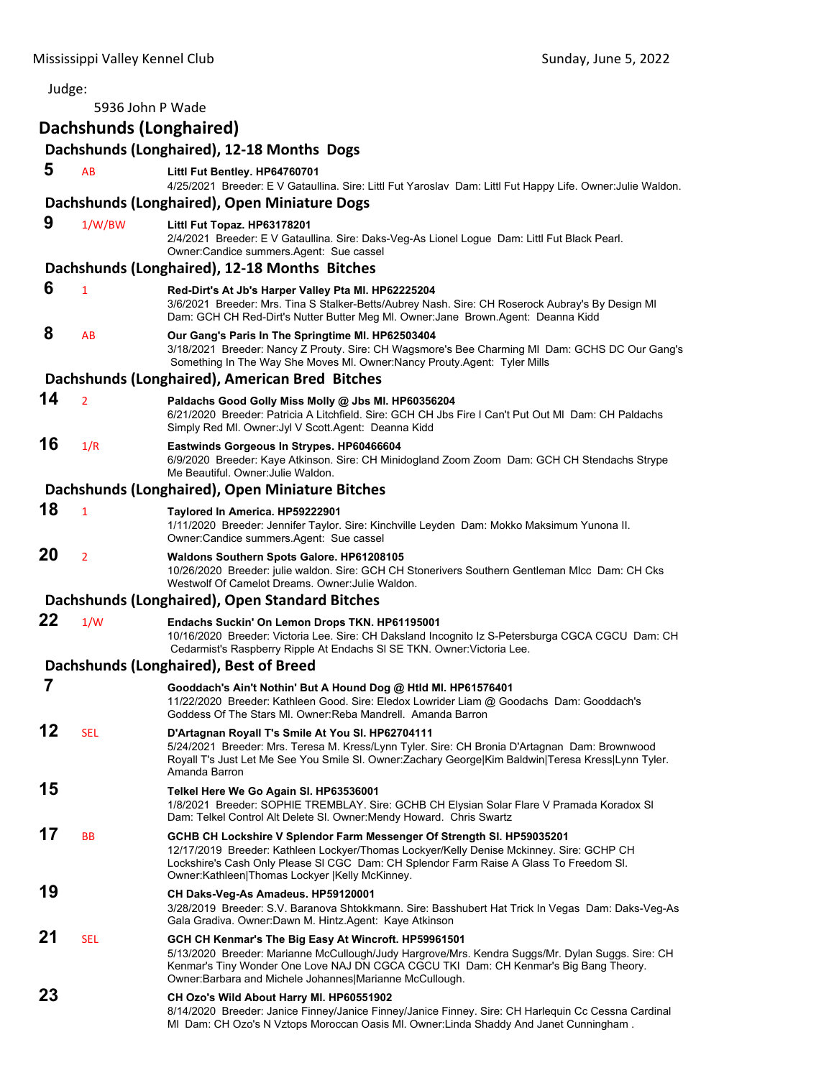| Judge: |                         |                                                                                                                                                                                                                                                                                                                |
|--------|-------------------------|----------------------------------------------------------------------------------------------------------------------------------------------------------------------------------------------------------------------------------------------------------------------------------------------------------------|
|        | 5936 John P Wade        |                                                                                                                                                                                                                                                                                                                |
|        | Dachshunds (Longhaired) |                                                                                                                                                                                                                                                                                                                |
|        |                         | Dachshunds (Longhaired), 12-18 Months Dogs                                                                                                                                                                                                                                                                     |
| 5      | AB                      | Littl Fut Bentley. HP64760701<br>4/25/2021 Breeder: E V Gataullina. Sire: Littl Fut Yaroslav Dam: Littl Fut Happy Life. Owner: Julie Waldon.                                                                                                                                                                   |
|        |                         | Dachshunds (Longhaired), Open Miniature Dogs                                                                                                                                                                                                                                                                   |
| 9      | 1/W/BW                  | Littl Fut Topaz. HP63178201<br>2/4/2021 Breeder: E V Gataullina. Sire: Daks-Veg-As Lionel Logue Dam: Littl Fut Black Pearl.<br>Owner:Candice summers.Agent: Sue cassel                                                                                                                                         |
|        |                         | Dachshunds (Longhaired), 12-18 Months Bitches                                                                                                                                                                                                                                                                  |
| 6      | $\mathbf{1}$            | Red-Dirt's At Jb's Harper Valley Pta MI. HP62225204<br>3/6/2021 Breeder: Mrs. Tina S Stalker-Betts/Aubrey Nash. Sire: CH Roserock Aubray's By Design MI<br>Dam: GCH CH Red-Dirt's Nutter Butter Meg MI. Owner: Jane Brown.Agent: Deanna Kidd                                                                   |
| 8      | AB                      | Our Gang's Paris In The Springtime MI. HP62503404<br>3/18/2021 Breeder: Nancy Z Prouty. Sire: CH Wagsmore's Bee Charming MI Dam: GCHS DC Our Gang's<br>Something In The Way She Moves MI. Owner: Nancy Prouty. Agent: Tyler Mills                                                                              |
|        |                         | Dachshunds (Longhaired), American Bred Bitches                                                                                                                                                                                                                                                                 |
| 14     | $\overline{2}$          | Paldachs Good Golly Miss Molly @ Jbs MI. HP60356204<br>6/21/2020 Breeder: Patricia A Litchfield. Sire: GCH CH Jbs Fire I Can't Put Out MI Dam: CH Paldachs<br>Simply Red MI. Owner: Jyl V Scott. Agent: Deanna Kidd                                                                                            |
| 16     | 1/R                     | Eastwinds Gorgeous In Strypes. HP60466604<br>6/9/2020 Breeder: Kaye Atkinson. Sire: CH Minidogland Zoom Zoom Dam: GCH CH Stendachs Strype<br>Me Beautiful. Owner: Julie Waldon.                                                                                                                                |
|        |                         | Dachshunds (Longhaired), Open Miniature Bitches                                                                                                                                                                                                                                                                |
| 18     | $\mathbf{1}$            | Taylored In America. HP59222901<br>1/11/2020 Breeder: Jennifer Taylor. Sire: Kinchville Leyden Dam: Mokko Maksimum Yunona II.<br>Owner:Candice summers.Agent: Sue cassel                                                                                                                                       |
| 20     | $\overline{2}$          | Waldons Southern Spots Galore. HP61208105<br>10/26/2020 Breeder: julie waldon. Sire: GCH CH Stonerivers Southern Gentleman MIcc Dam: CH Cks<br>Westwolf Of Camelot Dreams, Owner: Julie Waldon,                                                                                                                |
|        |                         | Dachshunds (Longhaired), Open Standard Bitches                                                                                                                                                                                                                                                                 |
| 22     | 1/W                     | Endachs Suckin' On Lemon Drops TKN. HP61195001<br>10/16/2020 Breeder: Victoria Lee. Sire: CH Daksland Incognito Iz S-Petersburga CGCA CGCU Dam: CH<br>Cedarmist's Raspberry Ripple At Endachs SI SE TKN. Owner: Victoria Lee.                                                                                  |
|        |                         | Dachshunds (Longhaired), Best of Breed                                                                                                                                                                                                                                                                         |
| 7      |                         | Gooddach's Ain't Nothin' But A Hound Dog @ Htld Ml. HP61576401<br>11/22/2020 Breeder: Kathleen Good. Sire: Eledox Lowrider Liam @ Goodachs Dam: Gooddach's<br>Goddess Of The Stars MI. Owner: Reba Mandrell. Amanda Barron                                                                                     |
| 12     | SEL                     | D'Artagnan Royall T's Smile At You SI. HP62704111<br>5/24/2021 Breeder: Mrs. Teresa M. Kress/Lynn Tyler. Sire: CH Bronia D'Artagnan Dam: Brownwood<br>Royall T's Just Let Me See You Smile SI. Owner:Zachary George Kim Baldwin Teresa Kress Lynn Tyler.                                                       |
| 15     |                         | Amanda Barron<br>Telkel Here We Go Again SI. HP63536001<br>1/8/2021 Breeder: SOPHIE TREMBLAY. Sire: GCHB CH Elysian Solar Flare V Pramada Koradox SI<br>Dam: Telkel Control Alt Delete SI. Owner: Mendy Howard. Chris Swartz                                                                                   |
| 17     | <b>BB</b>               | GCHB CH Lockshire V Splendor Farm Messenger Of Strength SI. HP59035201<br>12/17/2019 Breeder: Kathleen Lockyer/Thomas Lockyer/Kelly Denise Mckinney. Sire: GCHP CH<br>Lockshire's Cash Only Please SI CGC Dam: CH Splendor Farm Raise A Glass To Freedom SI.<br>Owner:Kathleen Thomas Lockyer  Kelly McKinney. |
| 19     |                         | CH Daks-Veg-As Amadeus. HP59120001<br>3/28/2019 Breeder: S.V. Baranova Shtokkmann. Sire: Basshubert Hat Trick In Vegas Dam: Daks-Veg-As<br>Gala Gradiva. Owner:Dawn M. Hintz.Agent: Kaye Atkinson                                                                                                              |
| 21     | <b>SEL</b>              | GCH CH Kenmar's The Big Easy At Wincroft. HP59961501<br>5/13/2020 Breeder: Marianne McCullough/Judy Hargrove/Mrs. Kendra Suggs/Mr. Dylan Suggs. Sire: CH<br>Kenmar's Tiny Wonder One Love NAJ DN CGCA CGCU TKI Dam: CH Kenmar's Big Bang Theory.<br>Owner: Barbara and Michele Johannes Marianne McCullough.   |
| 23     |                         | CH Ozo's Wild About Harry MI. HP60551902<br>8/14/2020 Breeder: Janice Finney/Janice Finney/Janice Finney. Sire: CH Harlequin Cc Cessna Cardinal<br>MI Dam: CH Ozo's N Vztops Moroccan Oasis MI. Owner:Linda Shaddy And Janet Cunningham.                                                                       |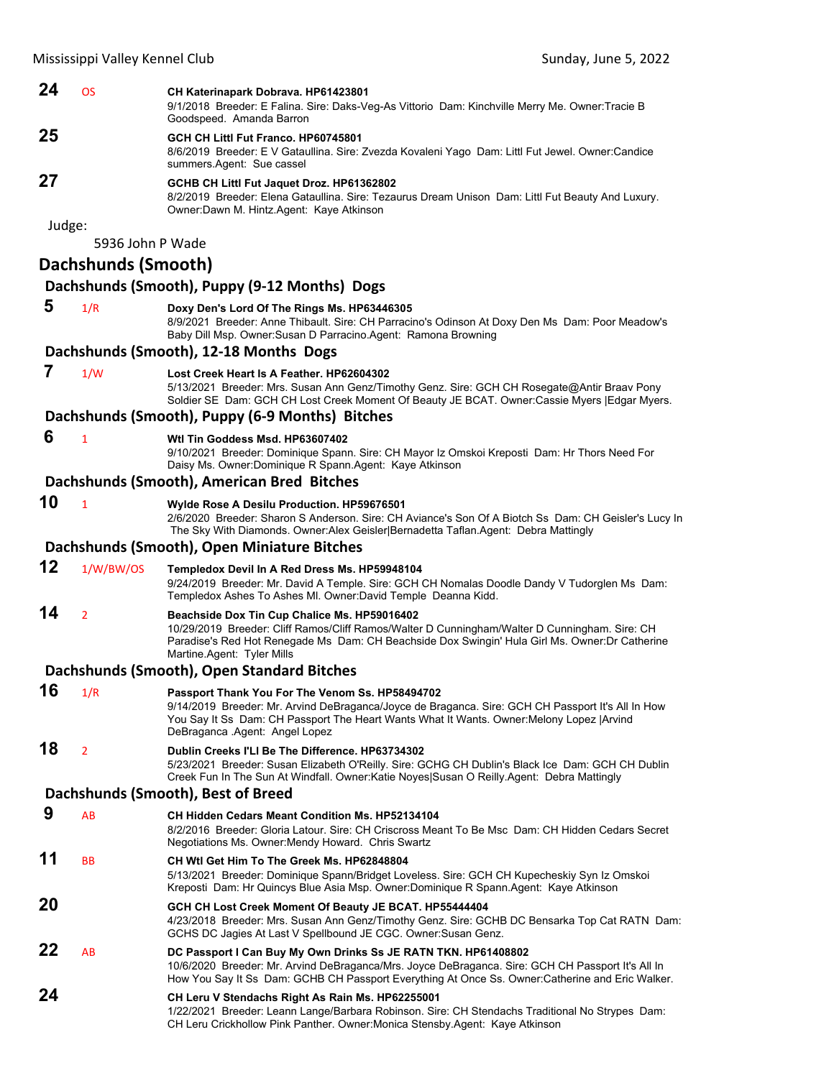| 24       | <b>OS</b>           | CH Katerinapark Dobrava. HP61423801<br>9/1/2018 Breeder: E Falina. Sire: Daks-Veg-As Vittorio Dam: Kinchville Merry Me. Owner:Tracie B<br>Goodspeed. Amanda Barron                                                                                                                  |  |  |
|----------|---------------------|-------------------------------------------------------------------------------------------------------------------------------------------------------------------------------------------------------------------------------------------------------------------------------------|--|--|
| 25       |                     | GCH CH Littl Fut Franco. HP60745801<br>8/6/2019 Breeder: E V Gataullina. Sire: Zvezda Kovaleni Yago  Dam: Littl Fut Jewel. Owner:Candice<br>summers.Agent: Sue cassel                                                                                                               |  |  |
| 27       |                     | GCHB CH Littl Fut Jaquet Droz. HP61362802<br>8/2/2019 Breeder: Elena Gataullina. Sire: Tezaurus Dream Unison Dam: Littl Fut Beauty And Luxury.<br>Owner:Dawn M. Hintz.Agent: Kaye Atkinson                                                                                          |  |  |
| Judge:   | 5936 John P Wade    |                                                                                                                                                                                                                                                                                     |  |  |
|          | Dachshunds (Smooth) |                                                                                                                                                                                                                                                                                     |  |  |
|          |                     | Dachshunds (Smooth), Puppy (9-12 Months) Dogs                                                                                                                                                                                                                                       |  |  |
| 5        | 1/R                 | Doxy Den's Lord Of The Rings Ms. HP63446305<br>8/9/2021 Breeder: Anne Thibault. Sire: CH Parracino's Odinson At Doxy Den Ms Dam: Poor Meadow's<br>Baby Dill Msp. Owner: Susan D Parracino. Agent: Ramona Browning                                                                   |  |  |
|          |                     | Dachshunds (Smooth), 12-18 Months Dogs                                                                                                                                                                                                                                              |  |  |
| 7        | 1/W                 | Lost Creek Heart Is A Feather, HP62604302<br>5/13/2021 Breeder: Mrs. Susan Ann Genz/Timothy Genz. Sire: GCH CH Rosegate@Antir Braav Pony<br>Soldier SE Dam: GCH CH Lost Creek Moment Of Beauty JE BCAT. Owner: Cassie Myers   Edgar Myers.                                          |  |  |
|          |                     | Dachshunds (Smooth), Puppy (6-9 Months) Bitches                                                                                                                                                                                                                                     |  |  |
| 6        | $\mathbf{1}$        | Wtl Tin Goddess Msd. HP63607402<br>9/10/2021 Breeder: Dominique Spann. Sire: CH Mayor Iz Omskoi Kreposti Dam: Hr Thors Need For<br>Daisy Ms. Owner: Dominique R Spann. Agent: Kaye Atkinson                                                                                         |  |  |
|          |                     | Dachshunds (Smooth), American Bred Bitches                                                                                                                                                                                                                                          |  |  |
| 10       | $\mathbf{1}$        | Wylde Rose A Desilu Production. HP59676501<br>2/6/2020 Breeder: Sharon S Anderson. Sire: CH Aviance's Son Of A Biotch Ss Dam: CH Geisler's Lucy In<br>The Sky With Diamonds. Owner: Alex Geisler Bernadetta Taflan. Agent: Debra Mattingly                                          |  |  |
|          |                     | Dachshunds (Smooth), Open Miniature Bitches                                                                                                                                                                                                                                         |  |  |
| 12       | 1/W/BW/OS           | Templedox Devil In A Red Dress Ms. HP59948104<br>9/24/2019 Breeder: Mr. David A Temple. Sire: GCH CH Nomalas Doodle Dandy V Tudorglen Ms Dam:<br>Templedox Ashes To Ashes MI. Owner:David Temple Deanna Kidd.                                                                       |  |  |
|          |                     |                                                                                                                                                                                                                                                                                     |  |  |
| 14       | $\overline{2}$      | Beachside Dox Tin Cup Chalice Ms. HP59016402<br>10/29/2019 Breeder: Cliff Ramos/Cliff Ramos/Walter D Cunningham/Walter D Cunningham. Sire: CH<br>Paradise's Red Hot Renegade Ms Dam: CH Beachside Dox Swingin' Hula Girl Ms. Owner: Dr Catherine<br>Martine.Agent: Tyler Mills      |  |  |
|          |                     | Dachshunds (Smooth), Open Standard Bitches                                                                                                                                                                                                                                          |  |  |
| 16       | 1/R                 | Passport Thank You For The Venom Ss. HP58494702<br>9/14/2019 Breeder: Mr. Arvind DeBraganca/Joyce de Braganca. Sire: GCH CH Passport It's All In How<br>You Say It Ss Dam: CH Passport The Heart Wants What It Wants. Owner: Melony Lopez   Arvind<br>DeBraganca Agent: Angel Lopez |  |  |
| 18       | $\overline{2}$      | Dublin Creeks I'LI Be The Difference. HP63734302<br>5/23/2021 Breeder: Susan Elizabeth O'Reilly. Sire: GCHG CH Dublin's Black Ice Dam: GCH CH Dublin<br>Creek Fun In The Sun At Windfall. Owner:Katie Noyes Susan O Reilly.Agent: Debra Mattingly                                   |  |  |
|          |                     | Dachshunds (Smooth), Best of Breed                                                                                                                                                                                                                                                  |  |  |
| 9        | AB                  | CH Hidden Cedars Meant Condition Ms. HP52134104<br>8/2/2016 Breeder: Gloria Latour. Sire: CH Criscross Meant To Be Msc Dam: CH Hidden Cedars Secret<br>Negotiations Ms. Owner: Mendy Howard. Chris Swartz                                                                           |  |  |
| 11       | <b>BB</b>           | CH Wtl Get Him To The Greek Ms. HP62848804<br>5/13/2021 Breeder: Dominique Spann/Bridget Loveless. Sire: GCH CH Kupecheskiy Syn Iz Omskoi<br>Kreposti Dam: Hr Quincys Blue Asia Msp. Owner:Dominique R Spann.Agent: Kaye Atkinson                                                   |  |  |
| 20       |                     | GCH CH Lost Creek Moment Of Beauty JE BCAT. HP55444404<br>4/23/2018 Breeder: Mrs. Susan Ann Genz/Timothy Genz. Sire: GCHB DC Bensarka Top Cat RATN Dam:<br>GCHS DC Jagies At Last V Spellbound JE CGC. Owner: Susan Genz.                                                           |  |  |
| 22<br>24 | AB                  | DC Passport I Can Buy My Own Drinks Ss JE RATN TKN. HP61408802<br>10/6/2020 Breeder: Mr. Arvind DeBraganca/Mrs. Joyce DeBraganca. Sire: GCH CH Passport It's All In<br>How You Say It Ss Dam: GCHB CH Passport Everything At Once Ss. Owner:Catherine and Eric Walker.              |  |  |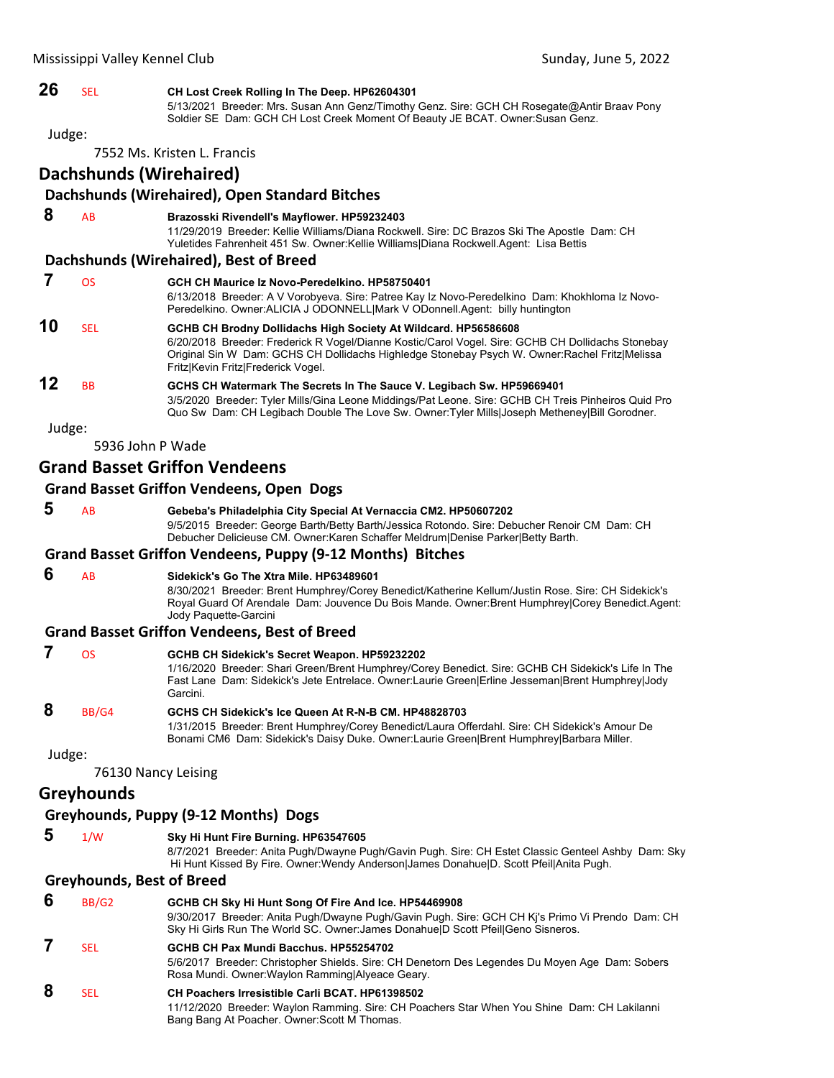### **26** SEL **CH Lost Creek Rolling In The Deep. HP62604301**

5/13/2021 Breeder: Mrs. Susan Ann Genz/Timothy Genz. Sire: GCH CH Rosegate@Antir Braav Pony Soldier SE Dam: GCH CH Lost Creek Moment Of Beauty JE BCAT. Owner:Susan Genz.

Judge:

7552 Ms. Kristen L. Francis

### **Dachshunds (Wirehaired)**

### **Dachshunds (Wirehaired), Open Standard Bitches**

#### **8** AB **Brazosski Rivendell's Mayflower. HP59232403** 11/29/2019 Breeder: Kellie Williams/Diana Rockwell. Sire: DC Brazos Ski The Apostle Dam: CH Yuletides Fahrenheit 451 Sw. Owner:Kellie Williams|Diana Rockwell.Agent: Lisa Bettis

#### **Dachshunds (Wirehaired), Best of Breed**

|    | OS        | GCH CH Maurice Iz Novo-Peredelkino, HP58750401<br>6/13/2018 Breeder: A V Vorobyeva. Sire: Patree Kay Iz Novo-Peredelkino Dam: Khokhloma Iz Novo-<br>Peredelkino. Owner: ALICIA J ODONNELL Mark V ODonnell.Agent: billy huntington                                                                           |
|----|-----------|-------------------------------------------------------------------------------------------------------------------------------------------------------------------------------------------------------------------------------------------------------------------------------------------------------------|
| 10 | SEL       | GCHB CH Brodny Dollidachs High Society At Wildcard. HP56586608<br>6/20/2018 Breeder: Frederick R Vogel/Dianne Kostic/Carol Vogel. Sire: GCHB CH Dollidachs Stonebay<br>Original Sin W Dam: GCHS CH Dollidachs Highledge Stonebay Psych W. Owner: Rachel Fritz Melissa<br>Fritz Kevin Fritz Frederick Vogel. |
| 12 | <b>BB</b> | GCHS CH Watermark The Secrets In The Sauce V. Legibach Sw. HP59669401<br>3/5/2020 Breeder: Tyler Mills/Gina Leone Middings/Pat Leone. Sire: GCHB CH Treis Pinheiros Quid Pro<br>Quo Sw Dam: CH Legibach Double The Love Sw. Owner: Tyler Mills Joseph Metheney Bill Gorodner.                               |

Judge:

5936 John P Wade

### **Grand Basset Griffon Vendeens**

### **Grand Basset Griffon Vendeens, Open Dogs**

### **5** AB **Gebeba's Philadelphia City Special At Vernaccia CM2. HP50607202**

9/5/2015 Breeder: George Barth/Betty Barth/Jessica Rotondo. Sire: Debucher Renoir CM Dam: CH Debucher Delicieuse CM. Owner:Karen Schaffer Meldrum|Denise Parker|Betty Barth.

### **Grand Basset Griffon Vendeens, Puppy (9‐12 Months) Bitches**

### **6** AB **Sidekick's Go The Xtra Mile. HP63489601**

8/30/2021 Breeder: Brent Humphrey/Corey Benedict/Katherine Kellum/Justin Rose. Sire: CH Sidekick's Royal Guard Of Arendale Dam: Jouvence Du Bois Mande. Owner:Brent Humphrey|Corey Benedict.Agent: Jody Paquette-Garcini

### **Grand Basset Griffon Vendeens, Best of Breed**

|        | OS    | GCHB CH Sidekick's Secret Weapon. HP59232202<br>1/16/2020 Breeder: Shari Green/Brent Humphrey/Corey Benedict. Sire: GCHB CH Sidekick's Life In The<br>Fast Lane Dam: Sidekick's Jete Entrelace. Owner:Laurie Green Erline Jesseman Brent Humphrey Jody<br>Garcini. |
|--------|-------|--------------------------------------------------------------------------------------------------------------------------------------------------------------------------------------------------------------------------------------------------------------------|
| 8      | BB/G4 | GCHS CH Sidekick's Ice Queen At R-N-B CM. HP48828703<br>1/31/2015 Breeder: Brent Humphrey/Corey Benedict/Laura Offerdahl. Sire: CH Sidekick's Amour De<br>Bonami CM6 Dam: Sidekick's Daisy Duke. Owner: Laurie Green Brent Humphrey Barbara Miller.                |
| Judge: |       |                                                                                                                                                                                                                                                                    |

76130 Nancy Leising

### **Greyhounds**

### **Greyhounds, Puppy (9‐12 Months) Dogs**

 **5** 1/W **Sky Hi Hunt Fire Burning. HP63547605**

8/7/2021 Breeder: Anita Pugh/Dwayne Pugh/Gavin Pugh. Sire: CH Estet Classic Genteel Ashby Dam: Sky Hi Hunt Kissed By Fire. Owner:Wendy Anderson|James Donahue|D. Scott Pfeil|Anita Pugh.

### **Greyhounds, Best of Breed**

| 6 | BB/G <sub>2</sub> | GCHB CH Sky Hi Hunt Song Of Fire And Ice. HP54469908<br>9/30/2017 Breeder: Anita Pugh/Dwayne Pugh/Gavin Pugh. Sire: GCH CH Ki's Primo Vi Prendo Dam: CH<br>Sky Hi Girls Run The World SC. Owner James Donahuel D Scott Pfeil Geno Sisneros. |
|---|-------------------|---------------------------------------------------------------------------------------------------------------------------------------------------------------------------------------------------------------------------------------------|
|   | <b>SEL</b>        | GCHB CH Pax Mundi Bacchus, HP55254702<br>5/6/2017 Breeder: Christopher Shields. Sire: CH Denetorn Des Legendes Du Moyen Age Dam: Sobers<br>Rosa Mundi. Owner: Waylon Ramming Alyeace Geary.                                                 |
| 8 | SFI.              | <b>CH Poachers Irresistible Carli BCAT. HP61398502</b><br>11/12/2020 Breeder: Waylon Ramming. Sire: CH Poachers Star When You Shine Dam: CH Lakilanni<br>Bang Bang At Poacher. Owner: Scott M Thomas.                                       |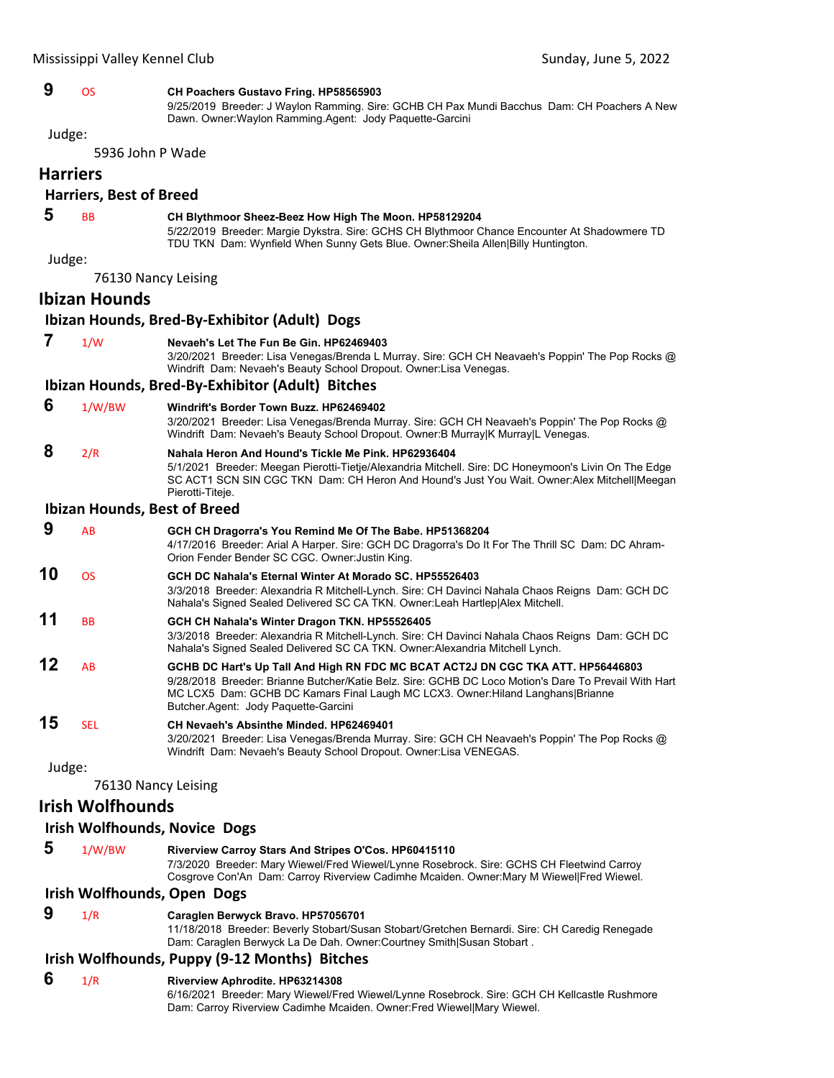### **9** OS **CH Poachers Gustavo Fring. HP58565903**

9/25/2019 Breeder: J Waylon Ramming. Sire: GCHB CH Pax Mundi Bacchus Dam: CH Poachers A New Dawn. Owner:Waylon Ramming.Agent: Jody Paquette-Garcini

Judge:

5936 John P Wade

#### **Harriers**

### **Harriers, Best of Breed**

### **5** BB **CH Blythmoor Sheez-Beez How High The Moon. HP58129204**

5/22/2019 Breeder: Margie Dykstra. Sire: GCHS CH Blythmoor Chance Encounter At Shadowmere TD TDU TKN Dam: Wynfield When Sunny Gets Blue. Owner:Sheila Allen|Billy Huntington.

Judge:

76130 Nancy Leising

### **Ibizan Hounds**

### **Ibizan Hounds, Bred‐By‐Exhibitor (Adult) Dogs**

 **7** 1/W **Nevaeh's Let The Fun Be Gin. HP62469403** 3/20/2021 Breeder: Lisa Venegas/Brenda L Murray. Sire: GCH CH Neavaeh's Poppin' The Pop Rocks @ Windrift Dam: Nevaeh's Beauty School Dropout. Owner:Lisa Venegas.

### **Ibizan Hounds, Bred‐By‐Exhibitor (Adult) Bitches**

#### **6** 1/W/BW **Windrift's Border Town Buzz. HP62469402**

3/20/2021 Breeder: Lisa Venegas/Brenda Murray. Sire: GCH CH Neavaeh's Poppin' The Pop Rocks @ Windrift Dam: Nevaeh's Beauty School Dropout. Owner:B Murray|K Murray|L Venegas.

### **8** 2/R **Nahala Heron And Hound's Tickle Me Pink. HP62936404**

5/1/2021 Breeder: Meegan Pierotti-Tietje/Alexandria Mitchell. Sire: DC Honeymoon's Livin On The Edge SC ACT1 SCN SIN CGC TKN Dam: CH Heron And Hound's Just You Wait. Owner:Alex Mitchell|Meegan Pierotti-Titeje.

#### **Ibizan Hounds, Best of Breed**

| 9       | AB             | GCH CH Dragorra's You Remind Me Of The Babe. HP51368204<br>4/17/2016 Breeder: Arial A Harper. Sire: GCH DC Dragorra's Do It For The Thrill SC Dam: DC Ahram-<br>Orion Fender Bender SC CGC. Owner: Justin King.                                                                                                    |
|---------|----------------|--------------------------------------------------------------------------------------------------------------------------------------------------------------------------------------------------------------------------------------------------------------------------------------------------------------------|
| 10      | <b>OS</b>      | GCH DC Nahala's Eternal Winter At Morado SC, HP55526403<br>3/3/2018 Breeder: Alexandria R Mitchell-Lynch. Sire: CH Davinci Nahala Chaos Reigns Dam: GCH DC<br>Nahala's Signed Sealed Delivered SC CA TKN. Owner: Leah Hartlep Alex Mitchell.                                                                       |
| 11      | <b>BB</b>      | GCH CH Nahala's Winter Dragon TKN. HP55526405<br>3/3/2018 Breeder: Alexandria R Mitchell-Lynch. Sire: CH Davinci Nahala Chaos Reigns Dam: GCH DC<br>Nahala's Signed Sealed Delivered SC CA TKN. Owner: Alexandria Mitchell Lynch.                                                                                  |
| 12      | A <sub>R</sub> | GCHB DC Hart's Up Tall And High RN FDC MC BCAT ACT2J DN CGC TKA ATT. HP56446803<br>9/28/2018 Breeder: Brianne Butcher/Katie Belz, Sire: GCHB DC Loco Motion's Dare To Prevail With Hart<br>MC LCX5 Dam: GCHB DC Kamars Final Laugh MC LCX3. Owner: Hiland Langhans Brianne<br>Butcher Agent: Jody Paquette-Garcini |
| 15<br>. | <b>SEL</b>     | CH Nevaeh's Absinthe Minded, HP62469401<br>3/20/2021 Breeder: Lisa Venegas/Brenda Murray. Sire: GCH CH Neavaeh's Poppin' The Pop Rocks @<br>Windrift Dam: Nevaeh's Beauty School Dropout. Owner: Lisa VENEGAS.                                                                                                     |

Judge:

76130 Nancy Leising

### **Irish Wolfhounds**

### **Irish Wolfhounds, Novice Dogs**

 **5** 1/W/BW **Riverview Carroy Stars And Stripes O'Cos. HP60415110** 7/3/2020 Breeder: Mary Wiewel/Fred Wiewel/Lynne Rosebrock. Sire: GCHS CH Fleetwind Carroy Cosgrove Con'An Dam: Carroy Riverview Cadimhe Mcaiden. Owner:Mary M Wiewel|Fred Wiewel.

### **Irish Wolfhounds, Open Dogs**

 **9** 1/R **Caraglen Berwyck Bravo. HP57056701** 11/18/2018 Breeder: Beverly Stobart/Susan Stobart/Gretchen Bernardi. Sire: CH Caredig Renegade Dam: Caraglen Berwyck La De Dah. Owner:Courtney Smith|Susan Stobart .

### **Irish Wolfhounds, Puppy (9‐12 Months) Bitches**

 **6** 1/R **Riverview Aphrodite. HP63214308** 6/16/2021 Breeder: Mary Wiewel/Fred Wiewel/Lynne Rosebrock. Sire: GCH CH Kellcastle Rushmore Dam: Carroy Riverview Cadimhe Mcaiden. Owner:Fred Wiewel|Mary Wiewel.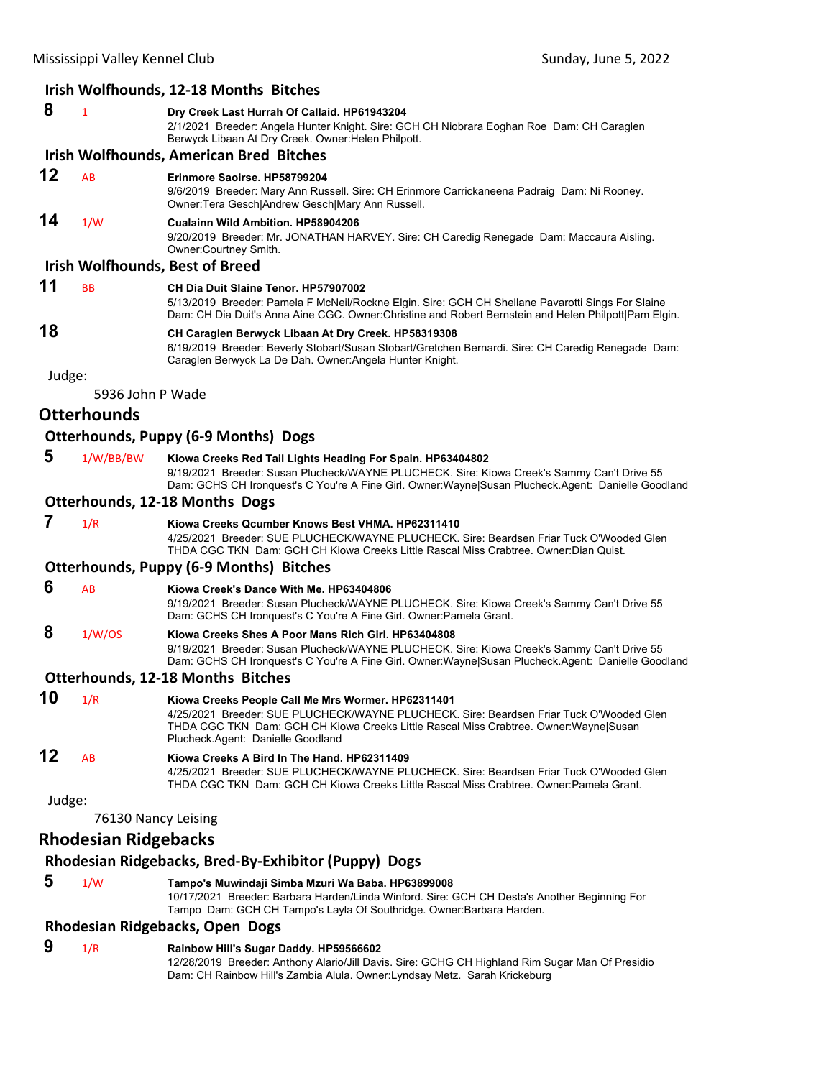### **Irish Wolfhounds, 12‐18 Months Bitches**

|    |           | <u>Irish Wolfhounds, 12-18 Months Bitches</u>                                                                                                                                                                                                     |
|----|-----------|---------------------------------------------------------------------------------------------------------------------------------------------------------------------------------------------------------------------------------------------------|
| 8  | 1         | Dry Creek Last Hurrah Of Callaid. HP61943204<br>2/1/2021 Breeder: Angela Hunter Knight, Sire: GCH CH Niobrara Eoghan Roe Dam: CH Caraglen<br>Berwyck Libaan At Dry Creek. Owner: Helen Philpott.                                                  |
|    |           | <b>Irish Wolfhounds, American Bred Bitches</b>                                                                                                                                                                                                    |
| 12 | AB        | Erinmore Saoirse, HP58799204<br>9/6/2019 Breeder: Mary Ann Russell. Sire: CH Erinmore Carrickaneena Padraig Dam: Ni Rooney.<br>Owner: Tera Gesch Andrew Gesch Mary Ann Russell.                                                                   |
| 14 | 1/W       | <b>Cualainn Wild Ambition, HP58904206</b><br>9/20/2019 Breeder: Mr. JONATHAN HARVEY. Sire: CH Caredig Renegade Dam: Maccaura Aisling.<br>Owner:Courtney Smith.                                                                                    |
|    |           | <b>Irish Wolfhounds, Best of Breed</b>                                                                                                                                                                                                            |
| 11 | <b>BB</b> | CH Dia Duit Slaine Tenor, HP57907002<br>5/13/2019 Breeder: Pamela F McNeil/Rockne Elgin. Sire: GCH CH Shellane Pavarotti Sings For Slaine<br>Dam: CH Dia Duit's Anna Aine CGC. Owner:Christine and Robert Bernstein and Helen Philpott Pam Elgin. |
| 18 |           | CH Caraglen Berwyck Libaan At Dry Creek. HP58319308<br>6/19/2019 Breeder: Beverly Stobart/Susan Stobart/Gretchen Bernardi. Sire: CH Caredig Renegade Dam:<br>Caraglen Berwyck La De Dah. Owner: Angela Hunter Knight.                             |

Judge:

5936 John P Wade

### **Otterhounds**

### **Otterhounds, Puppy (6‐9 Months) Dogs**

 **5** 1/W/BB/BW **Kiowa Creeks Red Tail Lights Heading For Spain. HP63404802** 9/19/2021 Breeder: Susan Plucheck/WAYNE PLUCHECK. Sire: Kiowa Creek's Sammy Can't Drive 55 Dam: GCHS CH Ironquest's C You're A Fine Girl. Owner:Wayne|Susan Plucheck.Agent: Danielle Goodland

#### **Otterhounds, 12‐18 Months Dogs**

### **7** 1/R **Kiowa Creeks Qcumber Knows Best VHMA. HP62311410**

4/25/2021 Breeder: SUE PLUCHECK/WAYNE PLUCHECK. Sire: Beardsen Friar Tuck O'Wooded Glen THDA CGC TKN Dam: GCH CH Kiowa Creeks Little Rascal Miss Crabtree. Owner:Dian Quist.

#### **Otterhounds, Puppy (6‐9 Months) Bitches**

#### **6** AB **Kiowa Creek's Dance With Me. HP63404806**

9/19/2021 Breeder: Susan Plucheck/WAYNE PLUCHECK. Sire: Kiowa Creek's Sammy Can't Drive 55 Dam: GCHS CH Ironquest's C You're A Fine Girl. Owner:Pamela Grant.

#### **8** 1/W/OS **Kiowa Creeks Shes A Poor Mans Rich Girl. HP63404808** 9/19/2021 Breeder: Susan Plucheck/WAYNE PLUCHECK. Sire: Kiowa Creek's Sammy Can't Drive 55 Dam: GCHS CH Ironquest's C You're A Fine Girl. Owner:Wayne|Susan Plucheck.Agent: Danielle Goodland

#### **Otterhounds, 12‐18 Months Bitches**

| 10 | 1/R             | Kiowa Creeks People Call Me Mrs Wormer. HP62311401                                                                         |
|----|-----------------|----------------------------------------------------------------------------------------------------------------------------|
|    |                 | 4/25/2021 Breeder: SUE PLUCHECK/WAYNE PLUCHECK, Sire: Beardsen Friar Tuck O'Wooded Glen                                    |
|    |                 | THDA CGC TKN Dam: GCH CH Kiowa Creeks Little Rascal Miss Crabtree. Owner: Wayne Susan<br>Plucheck.Agent: Danielle Goodland |
| 12 | $\overline{AB}$ | Kiowa Creeks A Bird In The Hand, HP62311409                                                                                |

4/25/2021 Breeder: SUE PLUCHECK/WAYNE PLUCHECK. Sire: Beardsen Friar Tuck O'Wooded Glen THDA CGC TKN Dam: GCH CH Kiowa Creeks Little Rascal Miss Crabtree. Owner:Pamela Grant.

Judge:

76130 Nancy Leising

### **Rhodesian Ridgebacks**

### **Rhodesian Ridgebacks, Bred‐By‐Exhibitor (Puppy) Dogs**

 **5** 1/W **Tampo's Muwindaji Simba Mzuri Wa Baba. HP63899008** 10/17/2021 Breeder: Barbara Harden/Linda Winford. Sire: GCH CH Desta's Another Beginning For Tampo Dam: GCH CH Tampo's Layla Of Southridge. Owner:Barbara Harden.

### **Rhodesian Ridgebacks, Open Dogs**

### **9** 1/R **Rainbow Hill's Sugar Daddy. HP59566602**

12/28/2019 Breeder: Anthony Alario/Jill Davis. Sire: GCHG CH Highland Rim Sugar Man Of Presidio Dam: CH Rainbow Hill's Zambia Alula. Owner:Lyndsay Metz. Sarah Krickeburg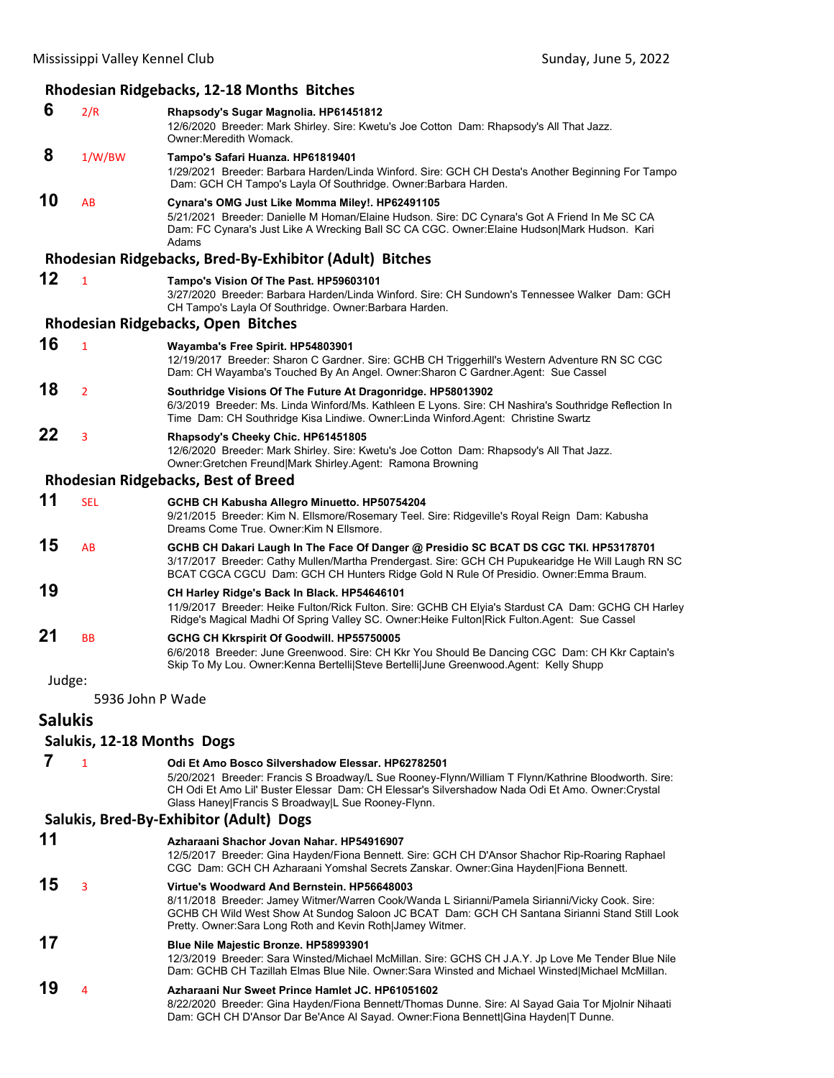### **Rhodesian Ridgebacks, 12‐18 Months Bitches 6** 2/R **Rhapsody's Sugar Magnolia. HP61451812** 12/6/2020 Breeder: Mark Shirley. Sire: Kwetu's Joe Cotton Dam: Rhapsody's All That Jazz. Owner:Meredith Womack.  **8** 1/W/BW **Tampo's Safari Huanza. HP61819401** 1/29/2021 Breeder: Barbara Harden/Linda Winford. Sire: GCH CH Desta's Another Beginning For Tampo Dam: GCH CH Tampo's Layla Of Southridge. Owner:Barbara Harden. **10** AB **Cynara's OMG Just Like Momma Miley!. HP62491105** 5/21/2021 Breeder: Danielle M Homan/Elaine Hudson. Sire: DC Cynara's Got A Friend In Me SC CA Dam: FC Cynara's Just Like A Wrecking Ball SC CA CGC. Owner:Elaine Hudson|Mark Hudson. Kari Adams **Rhodesian Ridgebacks, Bred‐By‐Exhibitor (Adult) Bitches 12** <sup>1</sup> **Tampo's Vision Of The Past. HP59603101** 3/27/2020 Breeder: Barbara Harden/Linda Winford. Sire: CH Sundown's Tennessee Walker Dam: GCH CH Tampo's Layla Of Southridge. Owner:Barbara Harden. **Rhodesian Ridgebacks, Open Bitches 16** <sup>1</sup> **Wayamba's Free Spirit. HP54803901** 12/19/2017 Breeder: Sharon C Gardner. Sire: GCHB CH Triggerhill's Western Adventure RN SC CGC Dam: CH Wayamba's Touched By An Angel. Owner:Sharon C Gardner.Agent: Sue Cassel **18** <sup>2</sup> **Southridge Visions Of The Future At Dragonridge. HP58013902** 6/3/2019 Breeder: Ms. Linda Winford/Ms. Kathleen E Lyons. Sire: CH Nashira's Southridge Reflection In Time Dam: CH Southridge Kisa Lindiwe. Owner:Linda Winford.Agent: Christine Swartz **22** <sup>3</sup> **Rhapsody's Cheeky Chic. HP61451805** 12/6/2020 Breeder: Mark Shirley. Sire: Kwetu's Joe Cotton Dam: Rhapsody's All That Jazz. Owner:Gretchen Freund|Mark Shirley.Agent: Ramona Browning **Rhodesian Ridgebacks, Best of Breed 11** SEL **GCHB CH Kabusha Allegro Minuetto. HP50754204** 9/21/2015 Breeder: Kim N. Ellsmore/Rosemary Teel. Sire: Ridgeville's Royal Reign Dam: Kabusha Dreams Come True. Owner:Kim N Ellsmore. **15** AB **GCHB CH Dakari Laugh In The Face Of Danger @ Presidio SC BCAT DS CGC TKI. HP53178701** 3/17/2017 Breeder: Cathy Mullen/Martha Prendergast. Sire: GCH CH Pupukearidge He Will Laugh RN SC BCAT CGCA CGCU Dam: GCH CH Hunters Ridge Gold N Rule Of Presidio. Owner:Emma Braum. **19 CH Harley Ridge's Back In Black. HP54646101** 11/9/2017 Breeder: Heike Fulton/Rick Fulton. Sire: GCHB CH Elyia's Stardust CA Dam: GCHG CH Harley Ridge's Magical Madhi Of Spring Valley SC. Owner:Heike Fulton|Rick Fulton.Agent: Sue Cassel **21** BB **GCHG CH Kkrspirit Of Goodwill. HP55750005** 6/6/2018 Breeder: June Greenwood. Sire: CH Kkr You Should Be Dancing CGC Dam: CH Kkr Captain's Skip To My Lou. Owner:Kenna Bertelli|Steve Bertelli|June Greenwood.Agent: Kelly Shupp Judge: 5936 John P Wade **Salukis Salukis, 12‐18 Months Dogs 7** <sup>1</sup> **Odi Et Amo Bosco Silvershadow Elessar. HP62782501** 5/20/2021 Breeder: Francis S Broadway/L Sue Rooney-Flynn/William T Flynn/Kathrine Bloodworth. Sire: CH Odi Et Amo Lil' Buster Elessar Dam: CH Elessar's Silvershadow Nada Odi Et Amo. Owner:Crystal Glass Haney|Francis S Broadway|L Sue Rooney-Flynn. **Salukis, Bred‐By‐Exhibitor (Adult) Dogs 11 Azharaani Shachor Jovan Nahar. HP54916907** 12/5/2017 Breeder: Gina Hayden/Fiona Bennett. Sire: GCH CH D'Ansor Shachor Rip-Roaring Raphael CGC Dam: GCH CH Azharaani Yomshal Secrets Zanskar. Owner:Gina Hayden|Fiona Bennett. **15** <sup>3</sup> **Virtue's Woodward And Bernstein. HP56648003** 8/11/2018 Breeder: Jamey Witmer/Warren Cook/Wanda L Sirianni/Pamela Sirianni/Vicky Cook. Sire: GCHB CH Wild West Show At Sundog Saloon JC BCAT Dam: GCH CH Santana Sirianni Stand Still Look Pretty. Owner:Sara Long Roth and Kevin Roth|Jamey Witmer. **17 Blue Nile Majestic Bronze. HP58993901** 12/3/2019 Breeder: Sara Winsted/Michael McMillan. Sire: GCHS CH J.A.Y. Jp Love Me Tender Blue Nile Dam: GCHB CH Tazillah Elmas Blue Nile. Owner:Sara Winsted and Michael Winsted|Michael McMillan. **19** <sup>4</sup> **Azharaani Nur Sweet Prince Hamlet JC. HP61051602** 8/22/2020 Breeder: Gina Hayden/Fiona Bennett/Thomas Dunne. Sire: Al Sayad Gaia Tor Mjolnir Nihaati Dam: GCH CH D'Ansor Dar Be'Ance Al Sayad. Owner:Fiona Bennett|Gina Hayden|T Dunne.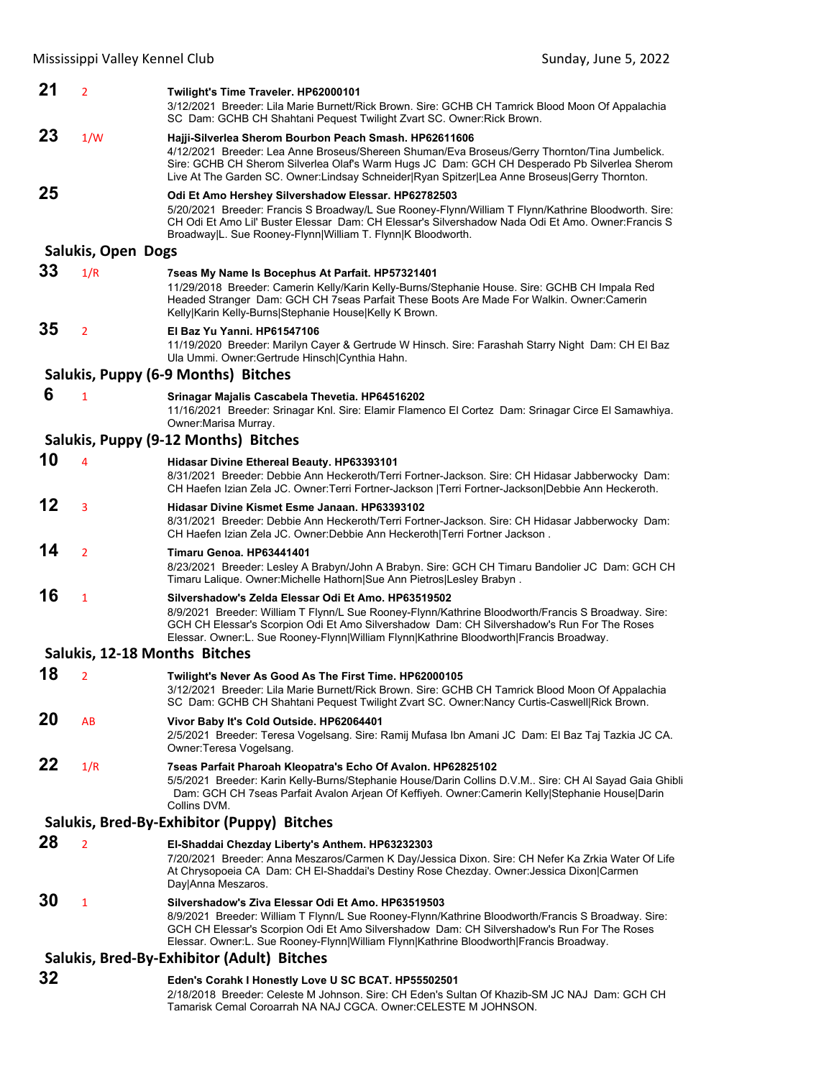| 21 | $\overline{2}$     | Twilight's Time Traveler. HP62000101<br>3/12/2021 Breeder: Lila Marie Burnett/Rick Brown. Sire: GCHB CH Tamrick Blood Moon Of Appalachia<br>SC Dam: GCHB CH Shahtani Pequest Twilight Zvart SC. Owner: Rick Brown.                                                                                                                                      |
|----|--------------------|---------------------------------------------------------------------------------------------------------------------------------------------------------------------------------------------------------------------------------------------------------------------------------------------------------------------------------------------------------|
| 23 | 1/W                | Hajji-Silverlea Sherom Bourbon Peach Smash. HP62611606<br>4/12/2021 Breeder: Lea Anne Broseus/Shereen Shuman/Eva Broseus/Gerry Thornton/Tina Jumbelick.<br>Sire: GCHB CH Sherom Silverlea Olaf's Warm Hugs JC Dam: GCH CH Desperado Pb Silverlea Sherom<br>Live At The Garden SC. Owner:Lindsay Schneider Ryan Spitzer Lea Anne Broseus Gerry Thornton. |
| 25 |                    | Odi Et Amo Hershey Silvershadow Elessar. HP62782503<br>5/20/2021 Breeder: Francis S Broadway/L Sue Rooney-Flynn/William T Flynn/Kathrine Bloodworth. Sire:<br>CH Odi Et Amo Lil' Buster Elessar Dam: CH Elessar's Silvershadow Nada Odi Et Amo. Owner: Francis S<br>Broadway L. Sue Rooney-Flynn William T. Flynn K Bloodworth.                         |
|    | Salukis, Open Dogs |                                                                                                                                                                                                                                                                                                                                                         |
| 33 | 1/R                | 7seas My Name Is Bocephus At Parfait. HP57321401<br>11/29/2018 Breeder: Camerin Kelly/Karin Kelly-Burns/Stephanie House. Sire: GCHB CH Impala Red<br>Headed Stranger Dam: GCH CH 7seas Parfait These Boots Are Made For Walkin. Owner:Camerin<br>Kelly Karin Kelly-Burns Stephanie House Kelly K Brown.                                                 |
| 35 | $\overline{2}$     | El Baz Yu Yanni, HP61547106<br>11/19/2020 Breeder: Marilyn Cayer & Gertrude W Hinsch. Sire: Farashah Starry Night Dam: CH El Baz<br>Ula Ummi. Owner: Gertrude Hinsch Cynthia Hahn.                                                                                                                                                                      |
|    |                    | Salukis, Puppy (6-9 Months) Bitches                                                                                                                                                                                                                                                                                                                     |
| 6  | $\mathbf{1}$       | Srinagar Majalis Cascabela Thevetia. HP64516202<br>11/16/2021 Breeder: Srinagar Knl. Sire: Elamir Flamenco El Cortez Dam: Srinagar Circe El Samawhiya.<br>Owner: Marisa Murray.                                                                                                                                                                         |
|    |                    | Salukis, Puppy (9-12 Months) Bitches                                                                                                                                                                                                                                                                                                                    |
| 10 | 4                  | <b>Hidasar Divine Ethereal Beauty. HP63393101</b><br>8/31/2021 Breeder: Debbie Ann Heckeroth/Terri Fortner-Jackson. Sire: CH Hidasar Jabberwocky Dam:<br>CH Haefen Izian Zela JC. Owner: Terri Fortner-Jackson   Terri Fortner-Jackson  Debbie Ann Heckeroth.                                                                                           |
| 12 | 3                  | Hidasar Divine Kismet Esme Janaan, HP63393102<br>8/31/2021 Breeder: Debbie Ann Heckeroth/Terri Fortner-Jackson. Sire: CH Hidasar Jabberwocky Dam:<br>CH Haefen Izian Zela JC. Owner:Debbie Ann Heckeroth Terri Fortner Jackson.                                                                                                                         |
| 14 | $\overline{2}$     | Timaru Genoa, HP63441401<br>8/23/2021 Breeder: Lesley A Brabyn/John A Brabyn. Sire: GCH CH Timaru Bandolier JC Dam: GCH CH<br>Timaru Lalique. Owner: Michelle Hathorn Sue Ann Pietros Lesley Brabyn.                                                                                                                                                    |
| 16 | 1                  | Silvershadow's Zelda Elessar Odi Et Amo. HP63519502<br>8/9/2021 Breeder: William T Flynn/L Sue Rooney-Flynn/Kathrine Bloodworth/Francis S Broadway. Sire:<br>GCH CH Elessar's Scorpion Odi Et Amo Silvershadow Dam: CH Silvershadow's Run For The Roses<br>Elessar. Owner:L. Sue Rooney-Flynn William Flynn Kathrine Bloodworth Francis Broadway.       |
|    |                    | Salukis, 12-18 Months Bitches                                                                                                                                                                                                                                                                                                                           |
| 18 | $\overline{2}$     | Twilight's Never As Good As The First Time. HP62000105<br>3/12/2021 Breeder: Lila Marie Burnett/Rick Brown. Sire: GCHB CH Tamrick Blood Moon Of Appalachia<br>SC Dam: GCHB CH Shahtani Pequest Twilight Zvart SC. Owner:Nancy Curtis-Caswell Rick Brown.                                                                                                |
| 20 | AB                 | Vivor Baby It's Cold Outside. HP62064401<br>2/5/2021 Breeder: Teresa Vogelsang. Sire: Ramij Mufasa Ibn Amani JC Dam: El Baz Taj Tazkia JC CA.<br>Owner: Teresa Vogelsang.                                                                                                                                                                               |
| 22 | 1/R                | 7seas Parfait Pharoah Kleopatra's Echo Of Avalon. HP62825102<br>5/5/2021 Breeder: Karin Kelly-Burns/Stephanie House/Darin Collins D.V.M Sire: CH Al Sayad Gaia Ghibli<br>Dam: GCH CH 7seas Parfait Avalon Arjean Of Keffiyeh. Owner:Camerin Kelly Stephanie House Darin<br>Collins DVM.                                                                 |
|    |                    | Salukis, Bred-By-Exhibitor (Puppy) Bitches                                                                                                                                                                                                                                                                                                              |
| 28 | $\overline{2}$     | El-Shaddai Chezday Liberty's Anthem. HP63232303<br>7/20/2021 Breeder: Anna Meszaros/Carmen K Day/Jessica Dixon. Sire: CH Nefer Ka Zrkia Water Of Life<br>At Chrysopoeia CA Dam: CH El-Shaddai's Destiny Rose Chezday. Owner: Jessica Dixon Carmen<br>Day Anna Meszaros.                                                                                 |
| 30 | $\mathbf{1}$       | Silvershadow's Ziva Elessar Odi Et Amo. HP63519503<br>8/9/2021 Breeder: William T Flynn/L Sue Rooney-Flynn/Kathrine Bloodworth/Francis S Broadway. Sire:<br>GCH CH Elessar's Scorpion Odi Et Amo Silvershadow Dam: CH Silvershadow's Run For The Roses<br>Elessar. Owner:L. Sue Rooney-Flynn William Flynn Kathrine Bloodworth Francis Broadway.        |
|    |                    | Salukis, Bred-By-Exhibitor (Adult) Bitches                                                                                                                                                                                                                                                                                                              |
| 32 |                    | Eden's Corahk I Honestly Love U SC BCAT. HP55502501                                                                                                                                                                                                                                                                                                     |
|    |                    | 2/18/2018 Breeder: Celeste M Johnson. Sire: CH Eden's Sultan Of Khazib-SM JC NAJ Dam: GCH CH<br>Tamarisk Cemal Coroarrah NA NAJ CGCA. Owner:CELESTE M JOHNSON.                                                                                                                                                                                          |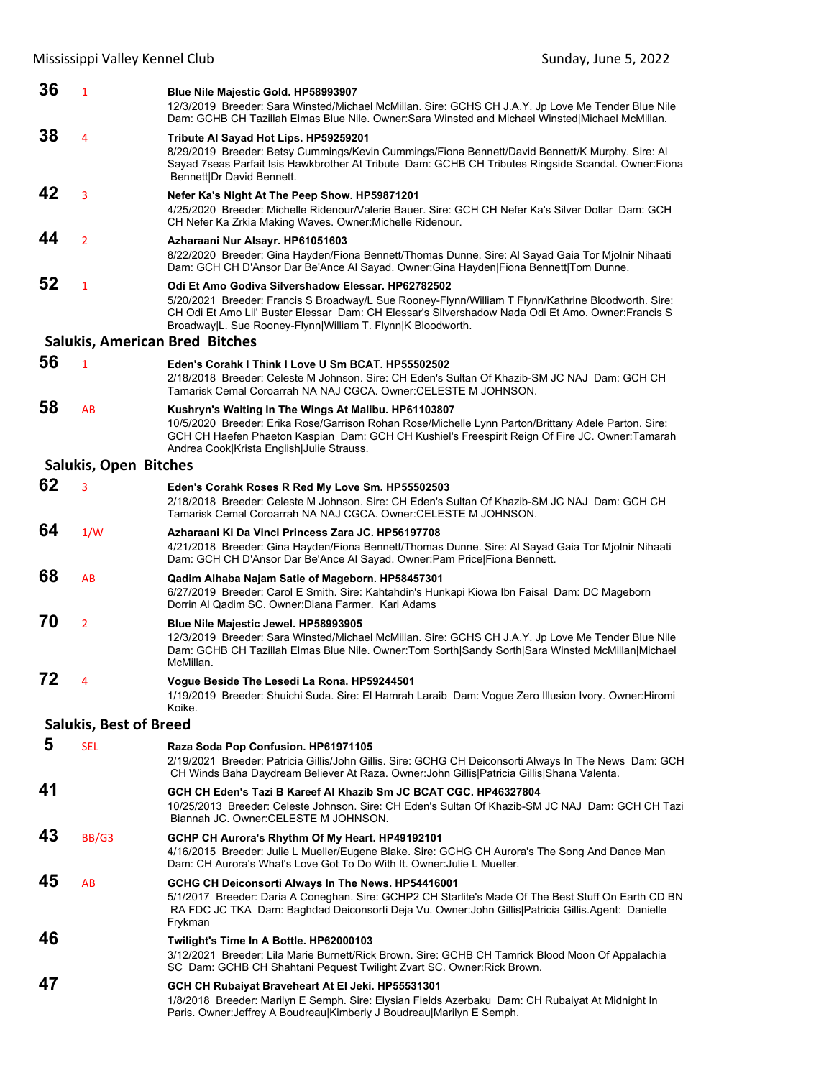| 36 | $\mathbf{1}$                  | Blue Nile Majestic Gold. HP58993907<br>12/3/2019 Breeder: Sara Winsted/Michael McMillan. Sire: GCHS CH J.A.Y. Jp Love Me Tender Blue Nile<br>Dam: GCHB CH Tazillah Elmas Blue Nile. Owner: Sara Winsted and Michael Winsted Michael McMillan.                                                                                 |
|----|-------------------------------|-------------------------------------------------------------------------------------------------------------------------------------------------------------------------------------------------------------------------------------------------------------------------------------------------------------------------------|
| 38 | 4                             | Tribute Al Sayad Hot Lips. HP59259201<br>8/29/2019 Breeder: Betsy Cummings/Kevin Cummings/Fiona Bennett/David Bennett/K Murphy. Sire: Al                                                                                                                                                                                      |
|    |                               | Sayad 7seas Parfait Isis Hawkbrother At Tribute Dam: GCHB CH Tributes Ringside Scandal. Owner:Fiona<br>Bennett Dr David Bennett.                                                                                                                                                                                              |
| 42 | 3                             | Nefer Ka's Night At The Peep Show. HP59871201<br>4/25/2020 Breeder: Michelle Ridenour/Valerie Bauer. Sire: GCH CH Nefer Ka's Silver Dollar Dam: GCH<br>CH Nefer Ka Zrkia Making Waves. Owner: Michelle Ridenour.                                                                                                              |
| 44 | $\overline{2}$                | Azharaani Nur Alsayr. HP61051603<br>8/22/2020 Breeder: Gina Hayden/Fiona Bennett/Thomas Dunne. Sire: Al Sayad Gaia Tor Mjolnir Nihaati<br>Dam: GCH CH D'Ansor Dar Be'Ance Al Sayad. Owner: Gina Hayden Fiona Bennett Tom Dunne.                                                                                               |
| 52 | $\mathbf{1}$                  | Odi Et Amo Godiva Silvershadow Elessar. HP62782502<br>5/20/2021 Breeder: Francis S Broadway/L Sue Rooney-Flynn/William T Flynn/Kathrine Bloodworth. Sire:<br>CH Odi Et Amo Lil' Buster Elessar Dam: CH Elessar's Silvershadow Nada Odi Et Amo. Owner:Francis S<br>Broadway L. Sue Rooney-Flynn William T. Flynn K Bloodworth. |
|    |                               | <b>Salukis, American Bred Bitches</b>                                                                                                                                                                                                                                                                                         |
| 56 | $\mathbf{1}$                  | Eden's Corahk I Think I Love U Sm BCAT, HP55502502<br>2/18/2018 Breeder: Celeste M Johnson, Sire: CH Eden's Sultan Of Khazib-SM JC NAJ Dam: GCH CH<br>Tamarisk Cemal Coroarrah NA NAJ CGCA. Owner:CELESTE M JOHNSON.                                                                                                          |
| 58 | AB                            | Kushryn's Waiting In The Wings At Malibu. HP61103807<br>10/5/2020 Breeder: Erika Rose/Garrison Rohan Rose/Michelle Lynn Parton/Brittany Adele Parton. Sire:<br>GCH CH Haefen Phaeton Kaspian Dam: GCH CH Kushiel's Freespirit Reign Of Fire JC. Owner: Tamarah<br>Andrea Cook Krista English Julie Strauss.                   |
|    | <b>Salukis, Open Bitches</b>  |                                                                                                                                                                                                                                                                                                                               |
| 62 | 3                             | Eden's Corahk Roses R Red My Love Sm. HP55502503<br>2/18/2018 Breeder: Celeste M Johnson. Sire: CH Eden's Sultan Of Khazib-SM JC NAJ Dam: GCH CH<br>Tamarisk Cemal Coroarrah NA NAJ CGCA. Owner: CELESTE M JOHNSON.                                                                                                           |
| 64 | 1/W                           | Azharaani Ki Da Vinci Princess Zara JC. HP56197708<br>4/21/2018 Breeder: Gina Hayden/Fiona Bennett/Thomas Dunne. Sire: Al Sayad Gaia Tor Mjolnir Nihaati<br>Dam: GCH CH D'Ansor Dar Be'Ance Al Sayad. Owner: Pam Price   Fiona Bennett.                                                                                       |
| 68 | AB                            | Qadim Alhaba Najam Satie of Mageborn. HP58457301<br>6/27/2019 Breeder: Carol E Smith. Sire: Kahtahdin's Hunkapi Kiowa Ibn Faisal Dam: DC Mageborn<br>Dorrin Al Qadim SC. Owner: Diana Farmer. Kari Adams                                                                                                                      |
| 70 | $\overline{2}$                | Blue Nile Majestic Jewel. HP58993905<br>12/3/2019 Breeder: Sara Winsted/Michael McMillan. Sire: GCHS CH J.A.Y. Jp Love Me Tender Blue Nile<br>Dam: GCHB CH Tazillah Elmas Blue Nile. Owner:Tom Sorth Sandy Sorth Sara Winsted McMillan Michael<br>McMillan.                                                                   |
| 72 | 4                             | Vogue Beside The Lesedi La Rona. HP59244501<br>1/19/2019 Breeder: Shuichi Suda. Sire: El Hamrah Laraib Dam: Vogue Zero Illusion Ivory. Owner: Hiromi<br>Koike.                                                                                                                                                                |
|    | <b>Salukis, Best of Breed</b> |                                                                                                                                                                                                                                                                                                                               |
| 5  | <b>SEL</b>                    | Raza Soda Pop Confusion. HP61971105<br>2/19/2021 Breeder: Patricia Gillis/John Gillis. Sire: GCHG CH Deiconsorti Always In The News Dam: GCH<br>CH Winds Baha Daydream Believer At Raza. Owner: John Gillis   Patricia Gillis   Shana Valenta.                                                                                |
| 41 |                               | GCH CH Eden's Tazi B Kareef Al Khazib Sm JC BCAT CGC. HP46327804<br>10/25/2013 Breeder: Celeste Johnson. Sire: CH Eden's Sultan Of Khazib-SM JC NAJ Dam: GCH CH Tazi<br>Biannah JC. Owner: CELESTE M JOHNSON.                                                                                                                 |
| 43 | BB/G3                         | GCHP CH Aurora's Rhythm Of My Heart. HP49192101<br>4/16/2015 Breeder: Julie L Mueller/Eugene Blake. Sire: GCHG CH Aurora's The Song And Dance Man<br>Dam: CH Aurora's What's Love Got To Do With It. Owner: Julie L Mueller.                                                                                                  |
| 45 | AB                            | GCHG CH Deiconsorti Always In The News. HP54416001<br>5/1/2017 Breeder: Daria A Coneghan. Sire: GCHP2 CH Starlite's Made Of The Best Stuff On Earth CD BN<br>RA FDC JC TKA Dam: Baghdad Deiconsorti Deja Vu. Owner: John Gillis Patricia Gillis. Agent: Danielle<br>Frykman                                                   |
| 46 |                               | Twilight's Time In A Bottle. HP62000103<br>3/12/2021 Breeder: Lila Marie Burnett/Rick Brown. Sire: GCHB CH Tamrick Blood Moon Of Appalachia<br>SC Dam: GCHB CH Shahtani Pequest Twilight Zvart SC. Owner: Rick Brown.                                                                                                         |
| 47 |                               | GCH CH Rubaiyat Braveheart At El Jeki. HP55531301<br>1/8/2018 Breeder: Marilyn E Semph. Sire: Elysian Fields Azerbaku Dam: CH Rubaiyat At Midnight In<br>Paris. Owner: Jeffrey A Boudreau Kimberly J Boudreau Marilyn E Semph.                                                                                                |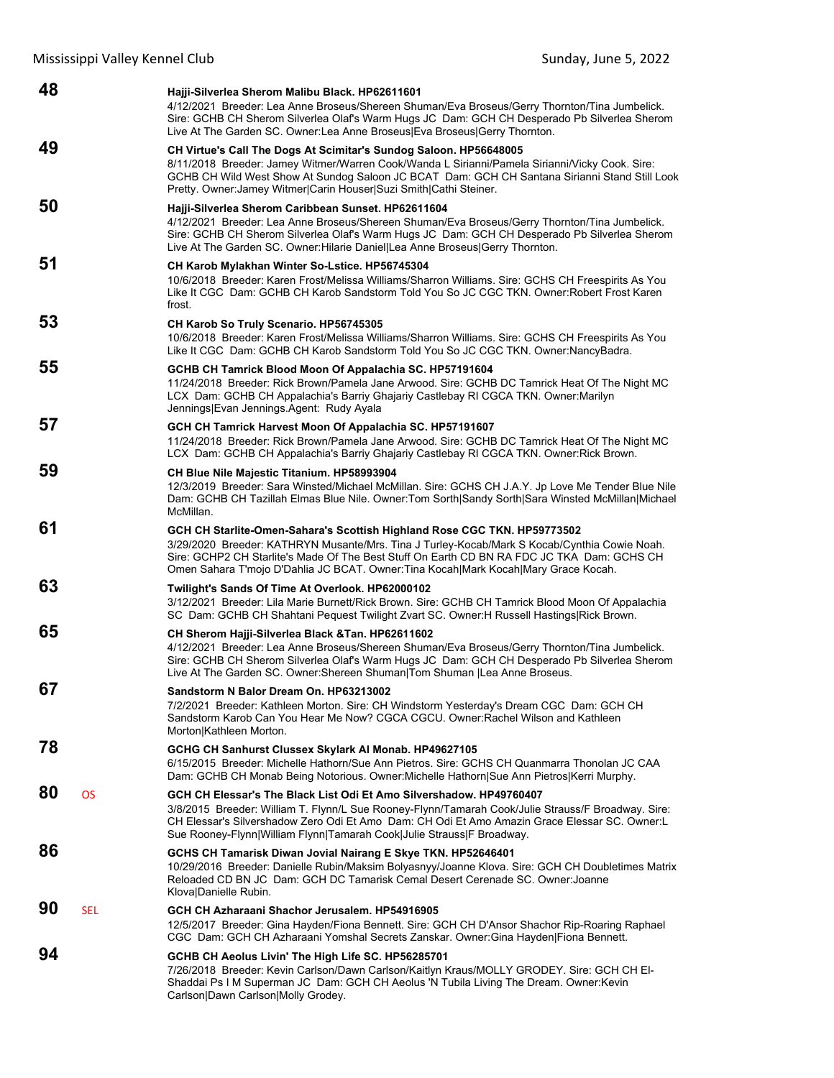| 48               | Hajji-Silverlea Sherom Malibu Black. HP62611601<br>4/12/2021 Breeder: Lea Anne Broseus/Shereen Shuman/Eva Broseus/Gerry Thornton/Tina Jumbelick.<br>Sire: GCHB CH Sherom Silverlea Olaf's Warm Hugs JC Dam: GCH CH Desperado Pb Silverlea Sherom<br>Live At The Garden SC. Owner: Lea Anne Broseus Eva Broseus Gerry Thornton.                                |
|------------------|---------------------------------------------------------------------------------------------------------------------------------------------------------------------------------------------------------------------------------------------------------------------------------------------------------------------------------------------------------------|
| 49               | CH Virtue's Call The Dogs At Scimitar's Sundog Saloon. HP56648005<br>8/11/2018 Breeder: Jamey Witmer/Warren Cook/Wanda L Sirianni/Pamela Sirianni/Vicky Cook. Sire:<br>GCHB CH Wild West Show At Sundog Saloon JC BCAT Dam: GCH CH Santana Sirianni Stand Still Look<br>Pretty. Owner: Jamey Witmer Carin Houser Suzi Smith Cathi Steiner.                    |
| 50               | Hajji-Silverlea Sherom Caribbean Sunset. HP62611604<br>4/12/2021 Breeder: Lea Anne Broseus/Shereen Shuman/Eva Broseus/Gerry Thornton/Tina Jumbelick.<br>Sire: GCHB CH Sherom Silverlea Olaf's Warm Hugs JC Dam: GCH CH Desperado Pb Silverlea Sherom<br>Live At The Garden SC. Owner: Hilarie Daniel Lea Anne Broseus Gerry Thornton.                         |
| 51               | CH Karob Mylakhan Winter So-Lstice. HP56745304<br>10/6/2018 Breeder: Karen Frost/Melissa Williams/Sharron Williams. Sire: GCHS CH Freespirits As You<br>Like It CGC Dam: GCHB CH Karob Sandstorm Told You So JC CGC TKN. Owner:Robert Frost Karen<br>frost.                                                                                                   |
| 53               | CH Karob So Truly Scenario. HP56745305<br>10/6/2018 Breeder: Karen Frost/Melissa Williams/Sharron Williams. Sire: GCHS CH Freespirits As You<br>Like It CGC Dam: GCHB CH Karob Sandstorm Told You So JC CGC TKN. Owner:NancyBadra.                                                                                                                            |
| 55               | GCHB CH Tamrick Blood Moon Of Appalachia SC. HP57191604<br>11/24/2018 Breeder: Rick Brown/Pamela Jane Arwood. Sire: GCHB DC Tamrick Heat Of The Night MC<br>LCX Dam: GCHB CH Appalachia's Barriy Ghajariy Castlebay RI CGCA TKN. Owner: Marilyn<br>Jennings Evan Jennings.Agent: Rudy Ayala                                                                   |
| 57               | GCH CH Tamrick Harvest Moon Of Appalachia SC. HP57191607<br>11/24/2018 Breeder: Rick Brown/Pamela Jane Arwood. Sire: GCHB DC Tamrick Heat Of The Night MC<br>LCX Dam: GCHB CH Appalachia's Barriy Ghajariy Castlebay RI CGCA TKN. Owner: Rick Brown.                                                                                                          |
| 59               | CH Blue Nile Majestic Titanium. HP58993904<br>12/3/2019 Breeder: Sara Winsted/Michael McMillan. Sire: GCHS CH J.A.Y. Jp Love Me Tender Blue Nile<br>Dam: GCHB CH Tazillah Elmas Blue Nile. Owner: Tom Sorth Sandy Sorth Sara Winsted McMillan Michael<br>McMillan.                                                                                            |
| 61               | GCH CH Starlite-Omen-Sahara's Scottish Highland Rose CGC TKN. HP59773502<br>3/29/2020 Breeder: KATHRYN Musante/Mrs. Tina J Turley-Kocab/Mark S Kocab/Cynthia Cowie Noah.<br>Sire: GCHP2 CH Starlite's Made Of The Best Stuff On Earth CD BN RA FDC JC TKA Dam: GCHS CH<br>Omen Sahara T'mojo D'Dahlia JC BCAT. Owner: Tina Kocah Mark Kocah Mary Grace Kocah. |
| 63               | Twilight's Sands Of Time At Overlook. HP62000102<br>3/12/2021 Breeder: Lila Marie Burnett/Rick Brown. Sire: GCHB CH Tamrick Blood Moon Of Appalachia<br>SC Dam: GCHB CH Shahtani Pequest Twilight Zvart SC. Owner: H Russell Hastings Rick Brown.                                                                                                             |
| 65               | CH Sherom Hajji-Silverlea Black & Tan. HP62611602<br>4/12/2021 Breeder: Lea Anne Broseus/Shereen Shuman/Eva Broseus/Gerry Thornton/Tina Jumbelick.<br>Sire: GCHB CH Sherom Silverlea Olaf's Warm Hugs JC Dam: GCH CH Desperado Pb Silverlea Sherom<br>Live At The Garden SC. Owner: Shereen Shuman Tom Shuman  Lea Anne Broseus.                              |
| 67               | Sandstorm N Balor Dream On HP63213002<br>7/2/2021 Breeder: Kathleen Morton. Sire: CH Windstorm Yesterday's Dream CGC Dam: GCH CH<br>Sandstorm Karob Can You Hear Me Now? CGCA CGCU. Owner: Rachel Wilson and Kathleen<br>Morton Kathleen Morton.                                                                                                              |
| 78               | GCHG CH Sanhurst Clussex Skylark Al Monab. HP49627105<br>6/15/2015 Breeder: Michelle Hathorn/Sue Ann Pietros. Sire: GCHS CH Quanmarra Thonolan JC CAA<br>Dam: GCHB CH Monab Being Notorious. Owner: Michelle Hathorn Sue Ann Pietros Kerri Murphy.                                                                                                            |
| 80<br>OS         | GCH CH Elessar's The Black List Odi Et Amo Silvershadow, HP49760407<br>3/8/2015 Breeder: William T. Flynn/L Sue Rooney-Flynn/Tamarah Cook/Julie Strauss/F Broadway. Sire:<br>CH Elessar's Silvershadow Zero Odi Et Amo Dam: CH Odi Et Amo Amazin Grace Elessar SC. Owner:L<br>Sue Rooney-Flynn William Flynn Tamarah Cook Julie Strauss F Broadway.           |
| 86               | GCHS CH Tamarisk Diwan Jovial Nairang E Skye TKN. HP52646401<br>10/29/2016 Breeder: Danielle Rubin/Maksim Bolyasnyy/Joanne Klova. Sire: GCH CH Doubletimes Matrix<br>Reloaded CD BN JC Dam: GCH DC Tamarisk Cemal Desert Cerenade SC. Owner: Joanne<br>Klova Danielle Rubin.                                                                                  |
| 90<br><b>SEL</b> | GCH CH Azharaani Shachor Jerusalem. HP54916905<br>12/5/2017 Breeder: Gina Hayden/Fiona Bennett. Sire: GCH CH D'Ansor Shachor Rip-Roaring Raphael<br>CGC Dam: GCH CH Azharaani Yomshal Secrets Zanskar. Owner: Gina Hayden Fiona Bennett.                                                                                                                      |
| 94               | GCHB CH Aeolus Livin' The High Life SC. HP56285701<br>7/26/2018 Breeder: Kevin Carlson/Dawn Carlson/Kaitlyn Kraus/MOLLY GRODEY. Sire: GCH CH El-<br>Shaddai Ps I M Superman JC Dam: GCH CH Aeolus 'N Tubila Living The Dream. Owner: Kevin<br>Carlson Dawn Carlson Molly Grodey.                                                                              |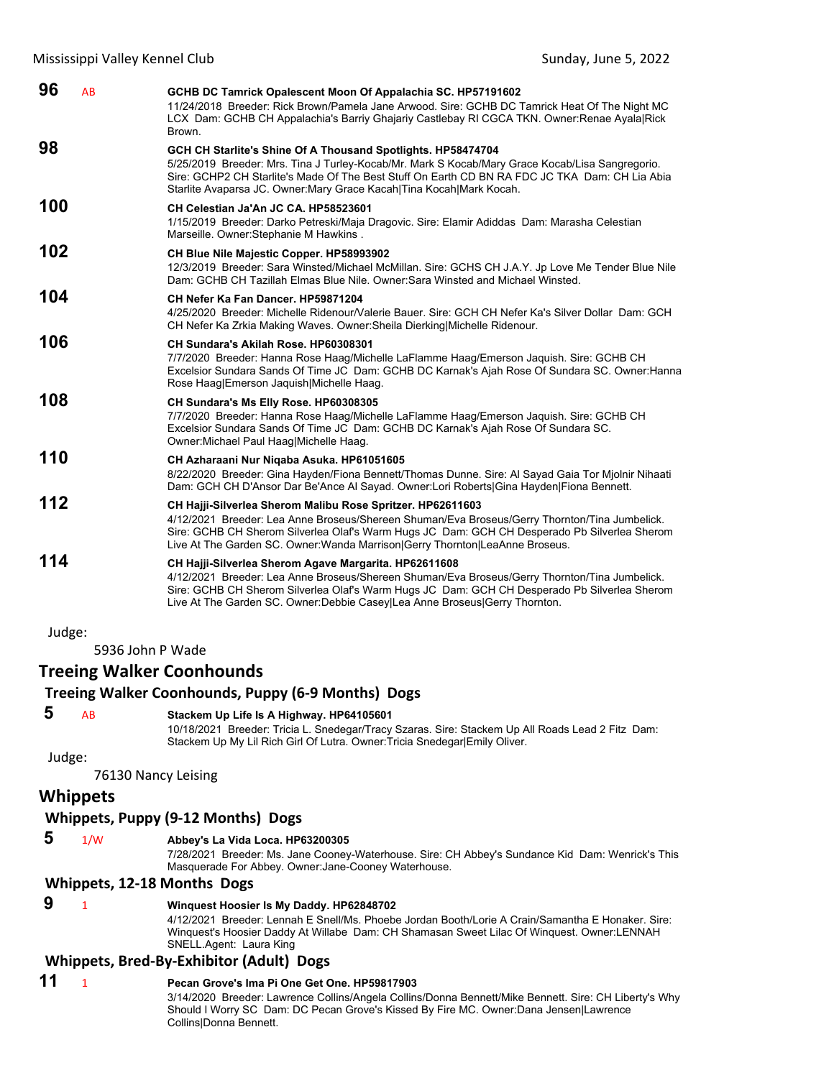| 96<br>AB | GCHB DC Tamrick Opalescent Moon Of Appalachia SC. HP57191602<br>11/24/2018 Breeder: Rick Brown/Pamela Jane Arwood. Sire: GCHB DC Tamrick Heat Of The Night MC<br>LCX Dam: GCHB CH Appalachia's Barriy Ghajariy Castlebay RI CGCA TKN. Owner: Renae Ayala Rick<br>Brown.                                                                       |
|----------|-----------------------------------------------------------------------------------------------------------------------------------------------------------------------------------------------------------------------------------------------------------------------------------------------------------------------------------------------|
| 98       | GCH CH Starlite's Shine Of A Thousand Spotlights. HP58474704<br>5/25/2019 Breeder: Mrs. Tina J Turley-Kocab/Mr. Mark S Kocab/Mary Grace Kocab/Lisa Sangregorio.<br>Sire: GCHP2 CH Starlite's Made Of The Best Stuff On Earth CD BN RA FDC JC TKA Dam: CH Lia Abia<br>Starlite Avaparsa JC. Owner: Mary Grace Kacah   Tina Kocah   Mark Kocah. |
| 100      | CH Celestian Ja'An JC CA, HP58523601<br>1/15/2019 Breeder: Darko Petreski/Maja Dragovic. Sire: Elamir Adiddas Dam: Marasha Celestian<br>Marseille. Owner: Stephanie M Hawkins.                                                                                                                                                                |
| 102      | CH Blue Nile Majestic Copper. HP58993902<br>12/3/2019 Breeder: Sara Winsted/Michael McMillan. Sire: GCHS CH J.A.Y. Jp Love Me Tender Blue Nile<br>Dam: GCHB CH Tazillah Elmas Blue Nile, Owner: Sara Winsted and Michael Winsted.                                                                                                             |
| 104      | CH Nefer Ka Fan Dancer, HP59871204<br>4/25/2020 Breeder: Michelle Ridenour/Valerie Bauer. Sire: GCH CH Nefer Ka's Silver Dollar Dam: GCH<br>CH Nefer Ka Zrkia Making Waves. Owner: Sheila Dierking Michelle Ridenour.                                                                                                                         |
| 106      | CH Sundara's Akilah Rose, HP60308301<br>7/7/2020 Breeder: Hanna Rose Haag/Michelle LaFlamme Haag/Emerson Jaguish. Sire: GCHB CH<br>Excelsior Sundara Sands Of Time JC Dam: GCHB DC Karnak's Ajah Rose Of Sundara SC. Owner: Hanna<br>Rose Haag Emerson Jaquish Michelle Haag.                                                                 |
| 108      | CH Sundara's Ms Elly Rose. HP60308305<br>7/7/2020 Breeder: Hanna Rose Haag/Michelle LaFlamme Haag/Emerson Jaquish. Sire: GCHB CH<br>Excelsior Sundara Sands Of Time JC Dam: GCHB DC Karnak's Ajah Rose Of Sundara SC.<br>Owner: Michael Paul Haag Michelle Haag.                                                                              |
| 110      | CH Azharaani Nur Niqaba Asuka. HP61051605<br>8/22/2020 Breeder: Gina Hayden/Fiona Bennett/Thomas Dunne. Sire: Al Sayad Gaia Tor Mjolnir Nihaati<br>Dam: GCH CH D'Ansor Dar Be'Ance Al Sayad. Owner:Lori Roberts Gina Hayden Fiona Bennett.                                                                                                    |
| 112      | CH Hajji-Silverlea Sherom Malibu Rose Spritzer. HP62611603<br>4/12/2021 Breeder: Lea Anne Broseus/Shereen Shuman/Eva Broseus/Gerry Thornton/Tina Jumbelick.<br>Sire: GCHB CH Sherom Silverlea Olaf's Warm Hugs JC Dam: GCH CH Desperado Pb Silverlea Sherom<br>Live At The Garden SC. Owner: Wanda Marrison Gerry Thornton   LeaAnne Broseus. |
| 114      | CH Hajji-Silverlea Sherom Agave Margarita. HP62611608<br>4/12/2021 Breeder: Lea Anne Broseus/Shereen Shuman/Eva Broseus/Gerry Thornton/Tina Jumbelick.<br>Sire: GCHB CH Sherom Silverlea Olaf's Warm Hugs JC Dam: GCH CH Desperado Pb Silverlea Sherom<br>Live At The Garden SC. Owner: Debbie Casey Lea Anne Broseus Gerry Thornton.         |

5936 John P Wade

### **Treeing Walker Coonhounds**

### **Treeing Walker Coonhounds, Puppy (6‐9 Months) Dogs**

### **5** AB **Stackem Up Life Is A Highway. HP64105601**

10/18/2021 Breeder: Tricia L. Snedegar/Tracy Szaras. Sire: Stackem Up All Roads Lead 2 Fitz Dam: Stackem Up My Lil Rich Girl Of Lutra. Owner:Tricia Snedegar|Emily Oliver.

Judge:

76130 Nancy Leising

#### **Whippets**

### **Whippets, Puppy (9‐12 Months) Dogs**

 **5** 1/W **Abbey's La Vida Loca. HP63200305**

7/28/2021 Breeder: Ms. Jane Cooney-Waterhouse. Sire: CH Abbey's Sundance Kid Dam: Wenrick's This Masquerade For Abbey. Owner:Jane-Cooney Waterhouse.

#### **Whippets, 12‐18 Months Dogs**

### **9** <sup>1</sup> **Winquest Hoosier Is My Daddy. HP62848702**

4/12/2021 Breeder: Lennah E Snell/Ms. Phoebe Jordan Booth/Lorie A Crain/Samantha E Honaker. Sire: Winquest's Hoosier Daddy At Willabe Dam: CH Shamasan Sweet Lilac Of Winquest. Owner:LENNAH SNELL.Agent: Laura King

### **Whippets, Bred‐By‐Exhibitor (Adult) Dogs**

### **11** <sup>1</sup> **Pecan Grove's Ima Pi One Get One. HP59817903**

3/14/2020 Breeder: Lawrence Collins/Angela Collins/Donna Bennett/Mike Bennett. Sire: CH Liberty's Why Should I Worry SC Dam: DC Pecan Grove's Kissed By Fire MC. Owner:Dana Jensen|Lawrence Collins|Donna Bennett.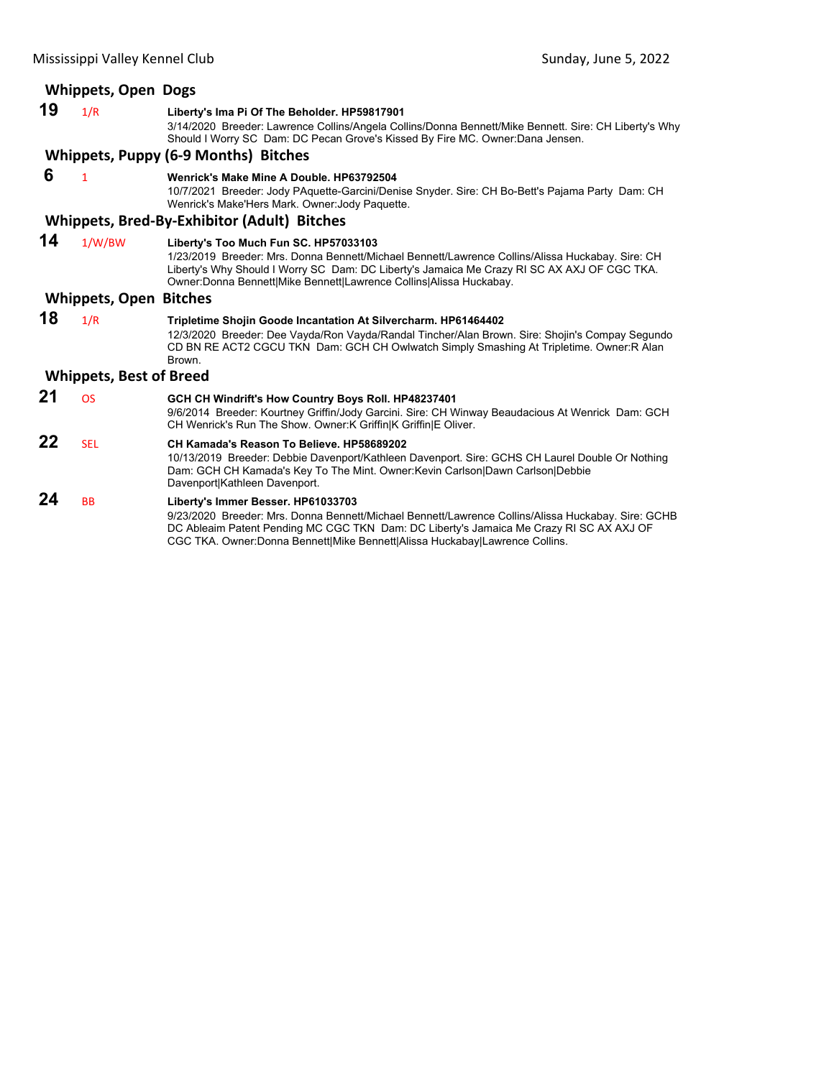|    | <b>Whippets, Open Dogs</b>     |                                                                                                                                                                                                                                                                                                                 |
|----|--------------------------------|-----------------------------------------------------------------------------------------------------------------------------------------------------------------------------------------------------------------------------------------------------------------------------------------------------------------|
| 19 | 1/R                            | Liberty's Ima Pi Of The Beholder. HP59817901<br>3/14/2020 Breeder: Lawrence Collins/Angela Collins/Donna Bennett/Mike Bennett. Sire: CH Liberty's Why<br>Should I Worry SC Dam: DC Pecan Grove's Kissed By Fire MC. Owner:Dana Jensen.                                                                          |
|    |                                | Whippets, Puppy (6-9 Months) Bitches                                                                                                                                                                                                                                                                            |
| 6  | $\mathbf{1}$                   | Wenrick's Make Mine A Double, HP63792504<br>10/7/2021 Breeder: Jody PAquette-Garcini/Denise Snyder. Sire: CH Bo-Bett's Pajama Party Dam: CH<br>Wenrick's Make'Hers Mark. Owner Jody Paquette.                                                                                                                   |
|    |                                | <b>Whippets, Bred-By-Exhibitor (Adult) Bitches</b>                                                                                                                                                                                                                                                              |
| 14 | 1/W/BW                         | Liberty's Too Much Fun SC. HP57033103<br>1/23/2019 Breeder: Mrs. Donna Bennett/Michael Bennett/Lawrence Collins/Alissa Huckabay. Sire: CH<br>Liberty's Why Should I Worry SC Dam: DC Liberty's Jamaica Me Crazy RI SC AX AXJ OF CGC TKA.<br>Owner: Donna Bennett Mike Bennett Lawrence Collins Alissa Huckabay. |
|    | <b>Whippets, Open Bitches</b>  |                                                                                                                                                                                                                                                                                                                 |
| 18 | 1/R                            | Tripletime Shojin Goode Incantation At Silvercharm. HP61464402<br>12/3/2020 Breeder: Dee Vayda/Ron Vayda/Randal Tincher/Alan Brown, Sire: Shojin's Compay Segundo<br>CD BN RE ACT2 CGCU TKN Dam: GCH CH Owlwatch Simply Smashing At Tripletime. Owner:R Alan<br>Brown.                                          |
|    | <b>Whippets, Best of Breed</b> |                                                                                                                                                                                                                                                                                                                 |
| 21 | <b>OS</b>                      | GCH CH Windrift's How Country Boys Roll. HP48237401<br>9/6/2014 Breeder: Kourtney Griffin/Jody Garcini. Sire: CH Winway Beaudacious At Wenrick Dam: GCH<br>CH Wenrick's Run The Show. Owner: K Griffin K Griffin E Oliver.                                                                                      |
| 22 | <b>SEL</b>                     | CH Kamada's Reason To Believe, HP58689202<br>10/13/2019 Breeder: Debbie Davenport/Kathleen Davenport. Sire: GCHS CH Laurel Double Or Nothing<br>Dam: GCH CH Kamada's Key To The Mint. Owner: Kevin Carlson Dawn Carlson Debbie<br>Davenport Kathleen Davenport.                                                 |
| 24 | <b>BB</b>                      | Liberty's Immer Besser. HP61033703<br>9/23/2020 Breeder: Mrs. Donna Bennett/Michael Bennett/Lawrence Collins/Alissa Huckabay. Sire: GCHB<br>DC Ableaim Patent Pending MC CGC TKN Dam: DC Liberty's Jamaica Me Crazy RI SC AX AXJ OF                                                                             |

CGC TKA. Owner:Donna Bennett|Mike Bennett|Alissa Huckabay|Lawrence Collins.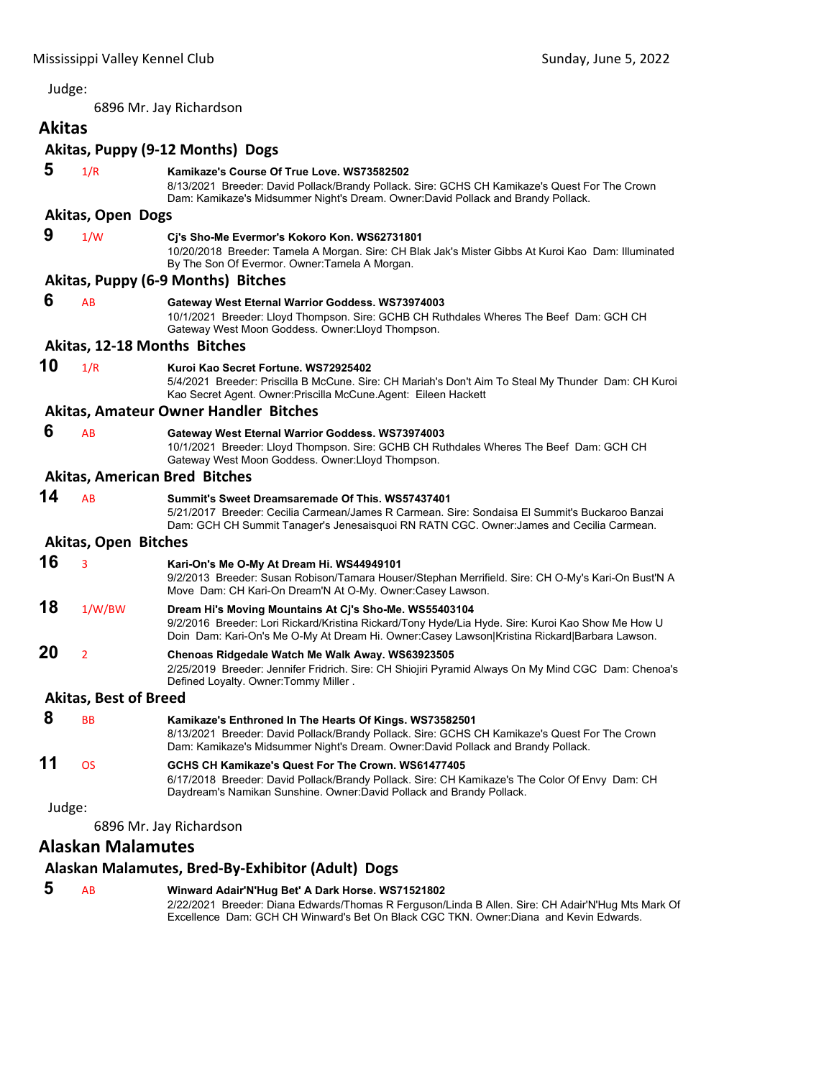<span id="page-25-0"></span>6896 Mr. Jay Richardson

## **Akitas**

### **Akitas, Puppy (9‐12 Months) Dogs**

| 5      | 1/R                          | Kamikaze's Course Of True Love, WS73582502<br>8/13/2021 Breeder: David Pollack/Brandy Pollack. Sire: GCHS CH Kamikaze's Quest For The Crown<br>Dam: Kamikaze's Midsummer Night's Dream. Owner:David Pollack and Brandy Pollack.                             |
|--------|------------------------------|-------------------------------------------------------------------------------------------------------------------------------------------------------------------------------------------------------------------------------------------------------------|
|        | Akitas, Open Dogs            |                                                                                                                                                                                                                                                             |
| 9      | 1/W                          | Cj's Sho-Me Evermor's Kokoro Kon. WS62731801<br>10/20/2018 Breeder: Tamela A Morgan. Sire: CH Blak Jak's Mister Gibbs At Kuroi Kao Dam: Illuminated<br>By The Son Of Evermor. Owner: Tamela A Morgan.                                                       |
|        |                              | Akitas, Puppy (6-9 Months) Bitches                                                                                                                                                                                                                          |
| 6      | AB                           | Gateway West Eternal Warrior Goddess. WS73974003<br>10/1/2021 Breeder: Lloyd Thompson. Sire: GCHB CH Ruthdales Wheres The Beef Dam: GCH CH<br>Gateway West Moon Goddess. Owner: Lloyd Thompson.                                                             |
|        |                              | Akitas, 12-18 Months Bitches                                                                                                                                                                                                                                |
| 10     | 1/R                          | Kuroi Kao Secret Fortune, WS72925402<br>5/4/2021 Breeder: Priscilla B McCune. Sire: CH Mariah's Don't Aim To Steal My Thunder Dam: CH Kuroi<br>Kao Secret Agent. Owner: Priscilla McCune. Agent: Eileen Hackett                                             |
|        |                              | Akitas, Amateur Owner Handler Bitches                                                                                                                                                                                                                       |
| 6      | AB                           | Gateway West Eternal Warrior Goddess. WS73974003<br>10/1/2021 Breeder: Lloyd Thompson. Sire: GCHB CH Ruthdales Wheres The Beef Dam: GCH CH<br>Gateway West Moon Goddess. Owner: Lloyd Thompson.                                                             |
|        |                              | <b>Akitas, American Bred Bitches</b>                                                                                                                                                                                                                        |
| 14     | AB                           | Summit's Sweet Dreamsaremade Of This, WS57437401<br>5/21/2017 Breeder: Cecilia Carmean/James R Carmean. Sire: Sondaisa El Summit's Buckaroo Banzai<br>Dam: GCH CH Summit Tanager's Jenesaisquoi RN RATN CGC. Owner: James and Cecilia Carmean.              |
|        | <b>Akitas, Open Bitches</b>  |                                                                                                                                                                                                                                                             |
| 16     | 3                            | Kari-On's Me O-My At Dream Hi. WS44949101<br>9/2/2013 Breeder: Susan Robison/Tamara Houser/Stephan Merrifield. Sire: CH O-My's Kari-On Bust'N A<br>Move Dam: CH Kari-On Dream'N At O-My. Owner:Casey Lawson.                                                |
| 18     | 1/W/BW                       | Dream Hi's Moving Mountains At Cj's Sho-Me. WS55403104<br>9/2/2016 Breeder: Lori Rickard/Kristina Rickard/Tony Hyde/Lia Hyde. Sire: Kuroi Kao Show Me How U<br>Doin Dam: Kari-On's Me O-My At Dream Hi. Owner:Casey Lawson Kristina Rickard Barbara Lawson. |
| 20     | $\overline{2}$               | Chenoas Ridgedale Watch Me Walk Away. WS63923505<br>2/25/2019 Breeder: Jennifer Fridrich. Sire: CH Shiojiri Pyramid Always On My Mind CGC Dam: Chenoa's<br>Defined Loyalty. Owner: Tommy Miller.                                                            |
|        | <b>Akitas, Best of Breed</b> |                                                                                                                                                                                                                                                             |
| 8      | <b>BB</b>                    | Kamikaze's Enthroned In The Hearts Of Kings. WS73582501<br>8/13/2021 Breeder: David Pollack/Brandy Pollack. Sire: GCHS CH Kamikaze's Quest For The Crown<br>Dam: Kamikaze's Midsummer Night's Dream. Owner:David Pollack and Brandy Pollack.                |
| 11     | <b>OS</b>                    | GCHS CH Kamikaze's Quest For The Crown, WS61477405<br>6/17/2018 Breeder: David Pollack/Brandy Pollack. Sire: CH Kamikaze's The Color Of Envy Dam: CH<br>Daydream's Namikan Sunshine. Owner:David Pollack and Brandy Pollack.                                |
| Judge: |                              |                                                                                                                                                                                                                                                             |
|        |                              | 6896 Mr. Jay Richardson                                                                                                                                                                                                                                     |
|        | . <b>. .</b>                 |                                                                                                                                                                                                                                                             |

### **Alaskan Malamutes**

### **Alaskan Malamutes, Bred‐By‐Exhibitor (Adult) Dogs**

| 5 | <b>AB</b> | Winward Adair'N'Hug Bet' A Dark Horse. WS71521802                                                  |
|---|-----------|----------------------------------------------------------------------------------------------------|
|   |           | 2/22/2021 Breeder: Diana Edwards/Thomas R Ferguson/Linda B Allen. Sire: CH Adair'N'Hug Mts Mark Of |
|   |           | Excellence Dam: GCH CH Winward's Bet On Black CGC TKN. Owner:Diana and Kevin Edwards.              |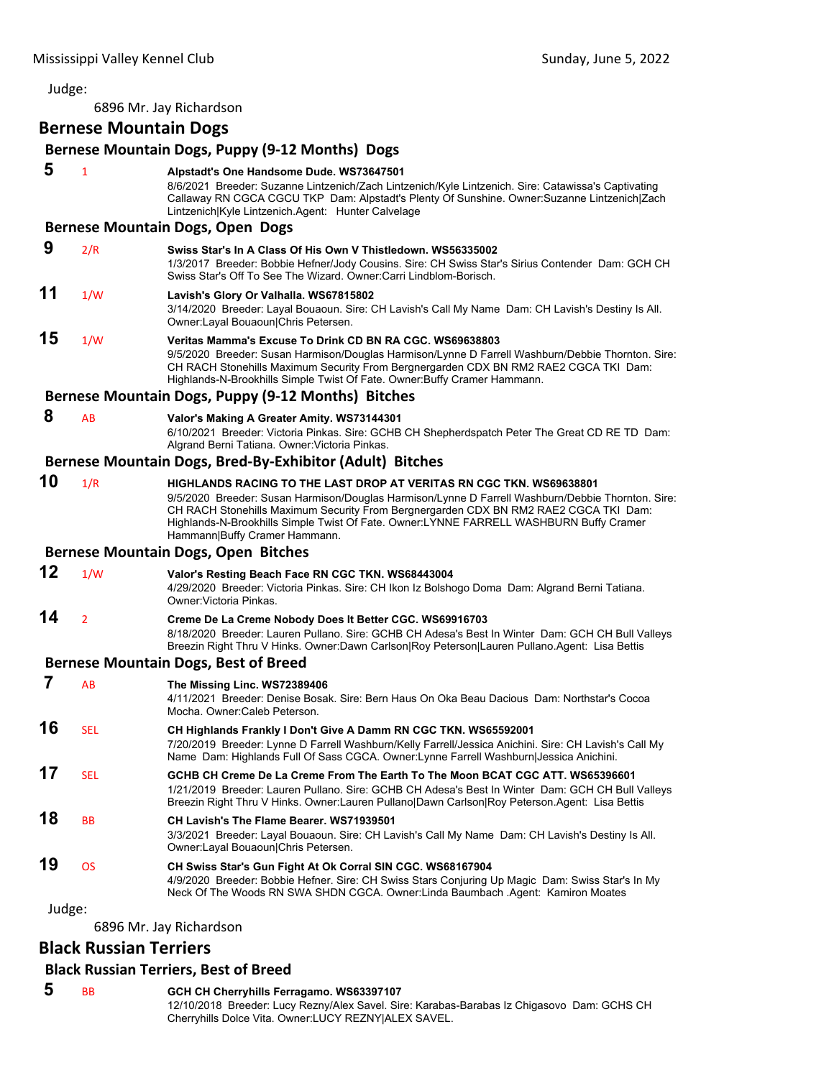6896 Mr. Jay Richardson

### **Bernese Mountain Dogs**

|                         |                | Bernese Mountain Dogs, Puppy (9-12 Months) Dogs                                                                                                                                                                                                                                                                                                                                             |
|-------------------------|----------------|---------------------------------------------------------------------------------------------------------------------------------------------------------------------------------------------------------------------------------------------------------------------------------------------------------------------------------------------------------------------------------------------|
| 5                       | 1              | Alpstadt's One Handsome Dude. WS73647501<br>8/6/2021 Breeder: Suzanne Lintzenich/Zach Lintzenich/Kyle Lintzenich. Sire: Catawissa's Captivating<br>Callaway RN CGCA CGCU TKP Dam: Alpstadt's Plenty Of Sunshine. Owner:Suzanne Lintzenich Zach<br>Lintzenich Kyle Lintzenich.Agent: Hunter Calvelage                                                                                        |
|                         |                | <b>Bernese Mountain Dogs, Open Dogs</b>                                                                                                                                                                                                                                                                                                                                                     |
| 9                       | 2/R            | Swiss Star's In A Class Of His Own V Thistledown, WS56335002<br>1/3/2017 Breeder: Bobbie Hefner/Jody Cousins. Sire: CH Swiss Star's Sirius Contender Dam: GCH CH<br>Swiss Star's Off To See The Wizard, Owner:Carri Lindblom-Borisch.                                                                                                                                                       |
| 11                      | 1/W            | Lavish's Glory Or Valhalla. WS67815802<br>3/14/2020 Breeder: Layal Bouaoun. Sire: CH Lavish's Call My Name Dam: CH Lavish's Destiny Is All.<br>Owner:Layal Bouaoun Chris Petersen.                                                                                                                                                                                                          |
| 15                      | 1/W            | Veritas Mamma's Excuse To Drink CD BN RA CGC. WS69638803<br>9/5/2020 Breeder: Susan Harmison/Douglas Harmison/Lynne D Farrell Washburn/Debbie Thornton. Sire:<br>CH RACH Stonehills Maximum Security From Bergnergarden CDX BN RM2 RAE2 CGCA TKI Dam:<br>Highlands-N-Brookhills Simple Twist Of Fate. Owner: Buffy Cramer Hammann.                                                          |
|                         |                | Bernese Mountain Dogs, Puppy (9-12 Months) Bitches                                                                                                                                                                                                                                                                                                                                          |
| 8                       | AB             | Valor's Making A Greater Amity. WS73144301<br>6/10/2021 Breeder: Victoria Pinkas. Sire: GCHB CH Shepherdspatch Peter The Great CD RE TD Dam:<br>Algrand Berni Tatiana. Owner: Victoria Pinkas.                                                                                                                                                                                              |
|                         |                | Bernese Mountain Dogs, Bred-By-Exhibitor (Adult) Bitches                                                                                                                                                                                                                                                                                                                                    |
| 10                      | 1/R            | HIGHLANDS RACING TO THE LAST DROP AT VERITAS RN CGC TKN. WS69638801<br>9/5/2020 Breeder: Susan Harmison/Douglas Harmison/Lynne D Farrell Washburn/Debbie Thornton. Sire:<br>CH RACH Stonehills Maximum Security From Bergnergarden CDX BN RM2 RAE2 CGCA TKI Dam:<br>Highlands-N-Brookhills Simple Twist Of Fate. Owner:LYNNE FARRELL WASHBURN Buffy Cramer<br>Hammann Buffy Cramer Hammann. |
|                         |                | <b>Bernese Mountain Dogs, Open Bitches</b>                                                                                                                                                                                                                                                                                                                                                  |
| 12                      | 1/W            | Valor's Resting Beach Face RN CGC TKN. WS68443004<br>4/29/2020 Breeder: Victoria Pinkas. Sire: CH Ikon Iz Bolshogo Doma Dam: Algrand Berni Tatiana.<br>Owner: Victoria Pinkas.                                                                                                                                                                                                              |
| 14                      | $\overline{2}$ | Creme De La Creme Nobody Does It Better CGC. WS69916703<br>8/18/2020 Breeder: Lauren Pullano. Sire: GCHB CH Adesa's Best In Winter Dam: GCH CH Bull Valleys<br>Breezin Right Thru V Hinks. Owner:Dawn Carlson Roy Peterson Lauren Pullano.Agent: Lisa Bettis                                                                                                                                |
|                         |                | <b>Bernese Mountain Dogs, Best of Breed</b>                                                                                                                                                                                                                                                                                                                                                 |
| 7                       | AB             | The Missing Linc. WS72389406<br>4/11/2021 Breeder: Denise Bosak. Sire: Bern Haus On Oka Beau Dacious Dam: Northstar's Cocoa<br>Mocha. Owner: Caleb Peterson.                                                                                                                                                                                                                                |
| 16                      | <b>SEL</b>     | CH Highlands Frankly I Don't Give A Damm RN CGC TKN. WS65592001<br>7/20/2019 Breeder: Lynne D Farrell Washburn/Kelly Farrell/Jessica Anichini. Sire: CH Lavish's Call My<br>Name Dam: Highlands Full Of Sass CGCA. Owner: Lynne Farrell Washburn Jessica Anichini.                                                                                                                          |
| 17                      | SEL            | GCHB CH Creme De La Creme From The Earth To The Moon BCAT CGC ATT. WS65396601<br>1/21/2019 Breeder: Lauren Pullano. Sire: GCHB CH Adesa's Best In Winter Dam: GCH CH Bull Valleys<br>Breezin Right Thru V Hinks. Owner:Lauren Pullano Dawn Carlson Roy Peterson.Agent: Lisa Bettis                                                                                                          |
| 18                      | BB             | CH Lavish's The Flame Bearer. WS71939501<br>3/3/2021 Breeder: Layal Bouaoun. Sire: CH Lavish's Call My Name Dam: CH Lavish's Destiny Is All.<br>Owner:Layal Bouaoun Chris Petersen.                                                                                                                                                                                                         |
| 19                      | <b>OS</b>      | CH Swiss Star's Gun Fight At Ok Corral SIN CGC. WS68167904<br>4/9/2020 Breeder: Bobbie Hefner. Sire: CH Swiss Stars Conjuring Up Magic Dam: Swiss Star's In My<br>Neck Of The Woods RN SWA SHDN CGCA. Owner:Linda Baumbach .Agent: Kamiron Moates                                                                                                                                           |
| Judge:                  |                |                                                                                                                                                                                                                                                                                                                                                                                             |
| 6896 Mr. Jay Richardson |                |                                                                                                                                                                                                                                                                                                                                                                                             |

### **Black Russian Terriers**

### **Black Russian Terriers, Best of Breed**

 **5** BB **GCH CH Cherryhills Ferragamo. WS63397107** 12/10/2018 Breeder: Lucy Rezny/Alex Savel. Sire: Karabas-Barabas Iz Chigasovo Dam: GCHS CH Cherryhills Dolce Vita. Owner:LUCY REZNY|ALEX SAVEL.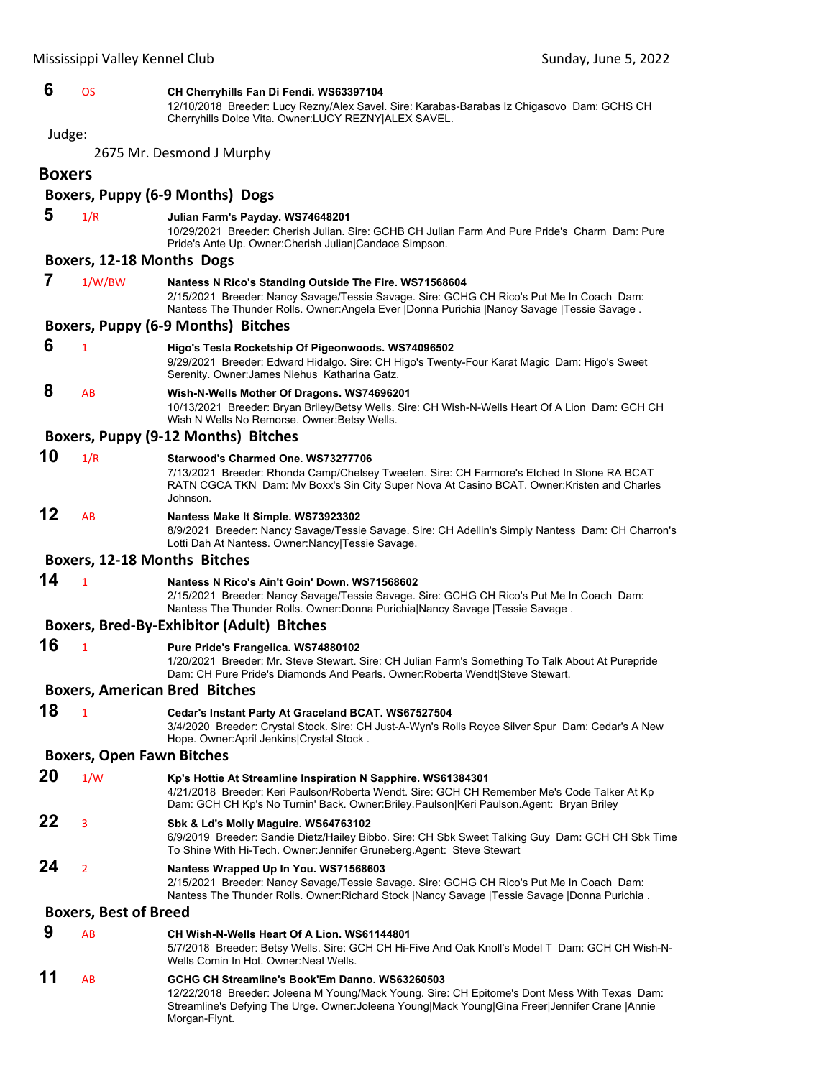| 6             | <b>OS</b>                        | CH Cherryhills Fan Di Fendi. WS63397104<br>12/10/2018 Breeder: Lucy Rezny/Alex Savel. Sire: Karabas-Barabas Iz Chigasovo Dam: GCHS CH<br>Cherryhills Dolce Vita. Owner:LUCY REZNY ALEX SAVEL.                                                             |
|---------------|----------------------------------|-----------------------------------------------------------------------------------------------------------------------------------------------------------------------------------------------------------------------------------------------------------|
| Judge:        |                                  |                                                                                                                                                                                                                                                           |
|               |                                  | 2675 Mr. Desmond J Murphy                                                                                                                                                                                                                                 |
| <b>Boxers</b> |                                  |                                                                                                                                                                                                                                                           |
|               |                                  | Boxers, Puppy (6-9 Months) Dogs                                                                                                                                                                                                                           |
|               |                                  |                                                                                                                                                                                                                                                           |
| 5             | 1/R                              | Julian Farm's Payday. WS74648201<br>10/29/2021 Breeder: Cherish Julian. Sire: GCHB CH Julian Farm And Pure Pride's Charm Dam: Pure<br>Pride's Ante Up. Owner: Cherish Julian   Candace Simpson.                                                           |
|               | Boxers, 12-18 Months Dogs        |                                                                                                                                                                                                                                                           |
| 7             | 1/W/BW                           | Nantess N Rico's Standing Outside The Fire. WS71568604<br>2/15/2021 Breeder: Nancy Savage/Tessie Savage. Sire: GCHG CH Rico's Put Me In Coach Dam:<br>Nantess The Thunder Rolls. Owner: Angela Ever   Donna Purichia   Nancy Savage   Tessie Savage.      |
|               |                                  | Boxers, Puppy (6-9 Months) Bitches                                                                                                                                                                                                                        |
| 6             | $\mathbf{1}$                     | Higo's Tesla Rocketship Of Pigeonwoods. WS74096502<br>9/29/2021 Breeder: Edward Hidalgo. Sire: CH Higo's Twenty-Four Karat Magic Dam: Higo's Sweet<br>Serenity. Owner: James Niehus Katharina Gatz.                                                       |
| 8             | AB                               | Wish-N-Wells Mother Of Dragons. WS74696201<br>10/13/2021 Breeder: Bryan Briley/Betsy Wells. Sire: CH Wish-N-Wells Heart Of A Lion Dam: GCH CH<br>Wish N Wells No Remorse. Owner: Betsy Wells.                                                             |
|               |                                  | Boxers, Puppy (9-12 Months) Bitches                                                                                                                                                                                                                       |
| 10            | 1/R                              | Starwood's Charmed One, WS73277706<br>7/13/2021 Breeder: Rhonda Camp/Chelsey Tweeten. Sire: CH Farmore's Etched In Stone RA BCAT<br>RATN CGCA TKN Dam: Mv Boxx's Sin City Super Nova At Casino BCAT. Owner: Kristen and Charles<br>Johnson.               |
| 12            | AB                               | Nantess Make It Simple. WS73923302<br>8/9/2021 Breeder: Nancy Savage/Tessie Savage. Sire: CH Adellin's Simply Nantess Dam: CH Charron's<br>Lotti Dah At Nantess. Owner: Nancy Tessie Savage.                                                              |
|               |                                  | Boxers, 12-18 Months Bitches                                                                                                                                                                                                                              |
| 14            | $\mathbf{1}$                     | Nantess N Rico's Ain't Goin' Down. WS71568602<br>2/15/2021 Breeder: Nancy Savage/Tessie Savage. Sire: GCHG CH Rico's Put Me In Coach Dam:<br>Nantess The Thunder Rolls. Owner: Donna Purichia Nancy Savage   Tessie Savage.                               |
|               |                                  | <b>Boxers, Bred-By-Exhibitor (Adult) Bitches</b>                                                                                                                                                                                                          |
| 16            | $\mathbf{1}$                     | Pure Pride's Frangelica. WS74880102<br>1/20/2021 Breeder: Mr. Steve Stewart. Sire: CH Julian Farm's Something To Talk About At Purepride<br>Dam: CH Pure Pride's Diamonds And Pearls. Owner:Roberta Wendt Steve Stewart.                                  |
|               |                                  | <b>Boxers, American Bred Bitches</b>                                                                                                                                                                                                                      |
| 18            | 1                                | Cedar's Instant Party At Graceland BCAT. WS67527504<br>3/4/2020 Breeder: Crystal Stock. Sire: CH Just-A-Wyn's Rolls Royce Silver Spur Dam: Cedar's A New<br>Hope. Owner: April Jenkins Crystal Stock.                                                     |
|               | <b>Boxers, Open Fawn Bitches</b> |                                                                                                                                                                                                                                                           |
| 20            | 1/W                              | Kp's Hottie At Streamline Inspiration N Sapphire. WS61384301<br>4/21/2018 Breeder: Keri Paulson/Roberta Wendt. Sire: GCH CH Remember Me's Code Talker At Kp<br>Dam: GCH CH Kp's No Turnin' Back. Owner: Briley. Paulson Keri Paulson. Agent: Bryan Briley |
| 22            | 3                                | Sbk & Ld's Molly Maguire. WS64763102<br>6/9/2019 Breeder: Sandie Dietz/Hailey Bibbo. Sire: CH Sbk Sweet Talking Guy Dam: GCH CH Sbk Time<br>To Shine With Hi-Tech. Owner: Jennifer Gruneberg. Agent: Steve Stewart                                        |
| 24            | $\overline{2}$                   | Nantess Wrapped Up In You. WS71568603<br>2/15/2021 Breeder: Nancy Savage/Tessie Savage. Sire: GCHG CH Rico's Put Me In Coach Dam:<br>Nantess The Thunder Rolls. Owner: Richard Stock   Nancy Savage   Tessie Savage   Donna Purichia.                     |
|               | <b>Boxers, Best of Breed</b>     |                                                                                                                                                                                                                                                           |
| 9             | AB                               | CH Wish-N-Wells Heart Of A Lion. WS61144801<br>5/7/2018 Breeder: Betsy Wells. Sire: GCH CH Hi-Five And Oak Knoll's Model T Dam: GCH CH Wish-N-<br>Wells Comin In Hot. Owner: Neal Wells.                                                                  |
|               |                                  |                                                                                                                                                                                                                                                           |

**11** AB **GCHG CH Streamline's Book'Em Danno. WS63260503** 12/22/2018 Breeder: Joleena M Young/Mack Young. Sire: CH Epitome's Dont Mess With Texas Dam: Streamline's Defying The Urge. Owner:Joleena Young|Mack Young|Gina Freer|Jennifer Crane |Annie Morgan-Flynt.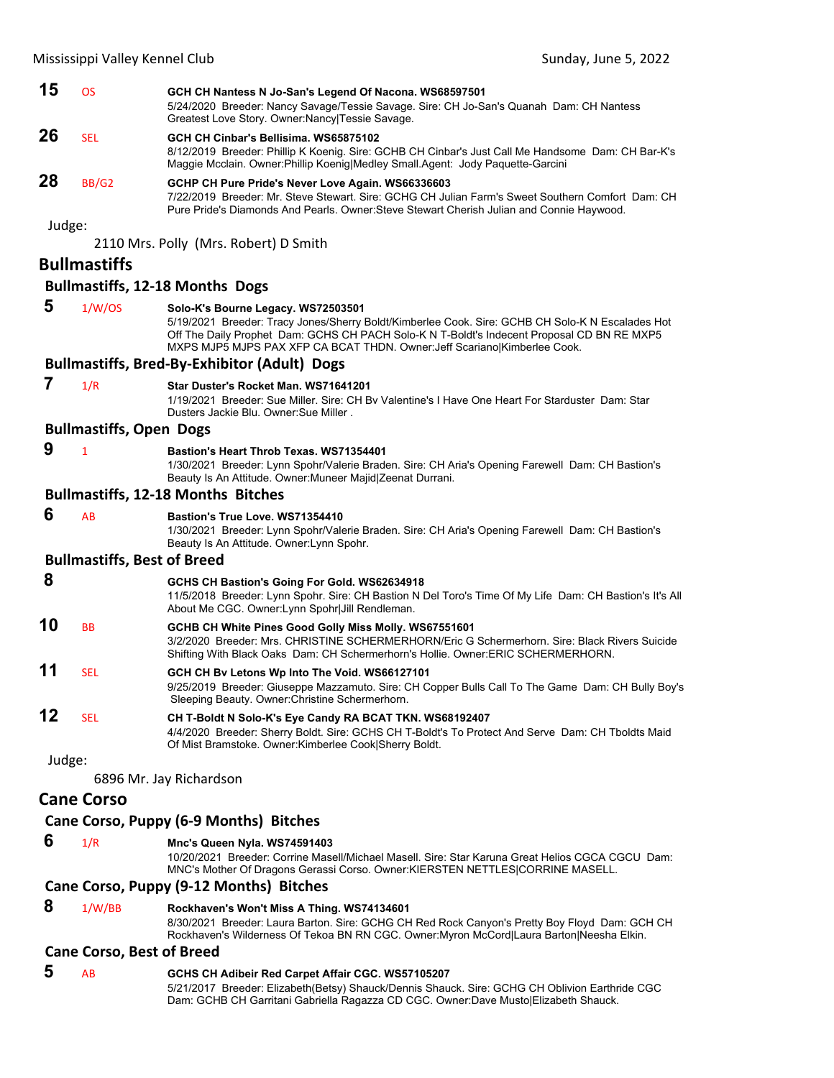| 15     | <b>OS</b>                          | GCH CH Nantess N Jo-San's Legend Of Nacona. WS68597501<br>5/24/2020 Breeder: Nancy Savage/Tessie Savage. Sire: CH Jo-San's Quanah Dam: CH Nantess<br>Greatest Love Story. Owner: Nancy   Tessie Savage.                                                                                                           |
|--------|------------------------------------|-------------------------------------------------------------------------------------------------------------------------------------------------------------------------------------------------------------------------------------------------------------------------------------------------------------------|
| 26     | <b>SEL</b>                         | GCH CH Cinbar's Bellisima. WS65875102<br>8/12/2019 Breeder: Phillip K Koenig. Sire: GCHB CH Cinbar's Just Call Me Handsome Dam: CH Bar-K's<br>Maggie Mcclain. Owner: Phillip Koenig Medley Small.Agent: Jody Paquette-Garcini                                                                                     |
| 28     | BB/G2                              | GCHP CH Pure Pride's Never Love Again. WS66336603<br>7/22/2019 Breeder: Mr. Steve Stewart. Sire: GCHG CH Julian Farm's Sweet Southern Comfort Dam: CH<br>Pure Pride's Diamonds And Pearls. Owner: Steve Stewart Cherish Julian and Connie Haywood.                                                                |
| Judge: |                                    | 2110 Mrs. Polly (Mrs. Robert) D Smith                                                                                                                                                                                                                                                                             |
|        | <b>Bullmastiffs</b>                |                                                                                                                                                                                                                                                                                                                   |
|        |                                    | <b>Bullmastiffs, 12-18 Months Dogs</b>                                                                                                                                                                                                                                                                            |
| 5      | 1/W/OS                             | Solo-K's Bourne Legacy. WS72503501<br>5/19/2021 Breeder: Tracy Jones/Sherry Boldt/Kimberlee Cook. Sire: GCHB CH Solo-K N Escalades Hot<br>Off The Daily Prophet Dam: GCHS CH PACH Solo-K N T-Boldt's Indecent Proposal CD BN RE MXP5<br>MXPS MJP5 MJPS PAX XFP CA BCAT THDN. Owner: Jeff Scariano Kimberlee Cook. |
|        |                                    | <b>Bullmastiffs, Bred-By-Exhibitor (Adult) Dogs</b>                                                                                                                                                                                                                                                               |
| 7      | 1/R                                | Star Duster's Rocket Man. WS71641201<br>1/19/2021 Breeder: Sue Miller, Sire: CH By Valentine's I Have One Heart For Starduster Dam: Star<br>Dusters Jackie Blu. Owner: Sue Miller.                                                                                                                                |
|        | <b>Bullmastiffs, Open Dogs</b>     |                                                                                                                                                                                                                                                                                                                   |
| 9      | $\mathbf{1}$                       | Bastion's Heart Throb Texas, WS71354401<br>1/30/2021 Breeder: Lynn Spohr/Valerie Braden. Sire: CH Aria's Opening Farewell Dam: CH Bastion's<br>Beauty Is An Attitude. Owner: Muneer Majid Zeenat Durrani.                                                                                                         |
|        |                                    | <b>Bullmastiffs, 12-18 Months Bitches</b>                                                                                                                                                                                                                                                                         |
| 6      | AB                                 | Bastion's True Love, WS71354410<br>1/30/2021 Breeder: Lynn Spohr/Valerie Braden. Sire: CH Aria's Opening Farewell Dam: CH Bastion's<br>Beauty Is An Attitude. Owner: Lynn Spohr.                                                                                                                                  |
|        | <b>Bullmastiffs, Best of Breed</b> |                                                                                                                                                                                                                                                                                                                   |
| 8      |                                    | GCHS CH Bastion's Going For Gold. WS62634918<br>11/5/2018 Breeder: Lynn Spohr. Sire: CH Bastion N Del Toro's Time Of My Life Dam: CH Bastion's It's All<br>About Me CGC. Owner: Lynn Spohr Jill Rendleman.                                                                                                        |
| 10     | BB                                 | GCHB CH White Pines Good Golly Miss Molly. WS67551601<br>3/2/2020 Breeder: Mrs. CHRISTINE SCHERMERHORN/Eric G Schermerhorn. Sire: Black Rivers Suicide<br>Shifting With Black Oaks Dam: CH Schermerhorn's Hollie. Owner: ERIC SCHERMERHORN.                                                                       |
| 11     | SEL                                | GCH CH Bv Letons Wp Into The Void. WS66127101<br>9/25/2019 Breeder: Giuseppe Mazzamuto. Sire: CH Copper Bulls Call To The Game Dam: CH Bully Boy's<br>Sleeping Beauty. Owner: Christine Schermerhorn.                                                                                                             |
| 12     | <b>SEL</b>                         | CH T-Boldt N Solo-K's Eye Candy RA BCAT TKN. WS68192407<br>4/4/2020 Breeder: Sherry Boldt. Sire: GCHS CH T-Boldt's To Protect And Serve Dam: CH Tboldts Maid<br>Of Mist Bramstoke. Owner: Kimberlee Cook Sherry Boldt.                                                                                            |
| Judge: |                                    | 6896 Mr. Jay Richardson                                                                                                                                                                                                                                                                                           |
|        | <b>Cane Corso</b>                  |                                                                                                                                                                                                                                                                                                                   |
|        |                                    | Cane Corso, Puppy (6-9 Months) Bitches                                                                                                                                                                                                                                                                            |
| 6      | 1/R                                | Mnc's Queen Nyla. WS74591403<br>10/20/2021 Breeder: Corrine Masell/Michael Masell. Sire: Star Karuna Great Helios CGCA CGCU Dam:<br>MNC's Mother Of Dragons Gerassi Corso. Owner: KIERSTEN NETTLES CORRINE MASELL.                                                                                                |

### **Cane Corso, Puppy (9‐12 Months) Bitches**

### **8** 1/W/BB **Rockhaven's Won't Miss A Thing. WS74134601**

8/30/2021 Breeder: Laura Barton. Sire: GCHG CH Red Rock Canyon's Pretty Boy Floyd Dam: GCH CH Rockhaven's Wilderness Of Tekoa BN RN CGC. Owner:Myron McCord|Laura Barton|Neesha Elkin.

### **Cane Corso, Best of Breed**

 **5** AB **GCHS CH Adibeir Red Carpet Affair CGC. WS57105207** 5/21/2017 Breeder: Elizabeth(Betsy) Shauck/Dennis Shauck. Sire: GCHG CH Oblivion Earthride CGC Dam: GCHB CH Garritani Gabriella Ragazza CD CGC. Owner:Dave Musto|Elizabeth Shauck.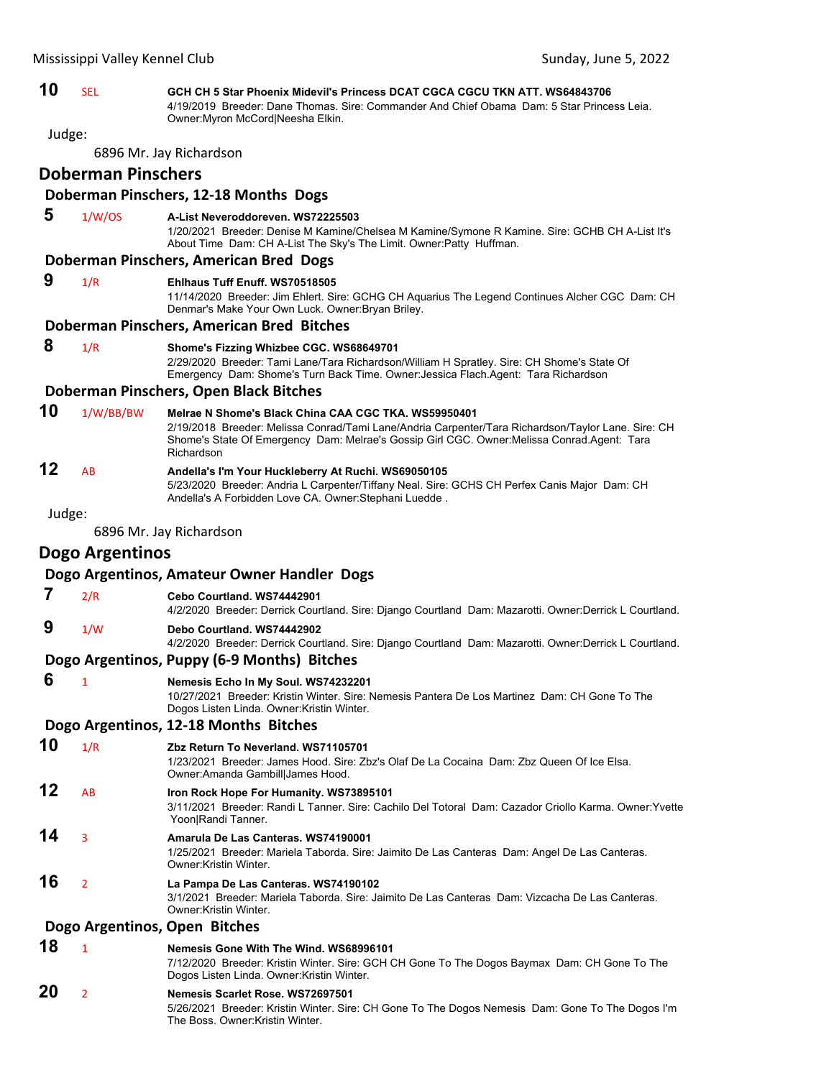**10** SEL **GCH CH 5 Star Phoenix Midevil's Princess DCAT CGCA CGCU TKN ATT. WS64843706** 4/19/2019 Breeder: Dane Thomas. Sire: Commander And Chief Obama Dam: 5 Star Princess Leia. Owner:Myron McCord|Neesha Elkin.

Judge:

6896 Mr. Jay Richardson

### **Doberman Pinschers**

#### **Doberman Pinschers, 12‐18 Months Dogs**

 **5** 1/W/OS **A-List Neveroddoreven. WS72225503**

1/20/2021 Breeder: Denise M Kamine/Chelsea M Kamine/Symone R Kamine. Sire: GCHB CH A-List It's About Time Dam: CH A-List The Sky's The Limit. Owner:Patty Huffman.

### **Doberman Pinschers, American Bred Dogs**

### **9** 1/R **Ehlhaus Tuff Enuff. WS70518505**

11/14/2020 Breeder: Jim Ehlert. Sire: GCHG CH Aquarius The Legend Continues Alcher CGC Dam: CH Denmar's Make Your Own Luck. Owner:Bryan Briley.

#### **Doberman Pinschers, American Bred Bitches**

 **8** 1/R **Shome's Fizzing Whizbee CGC. WS68649701** 2/29/2020 Breeder: Tami Lane/Tara Richardson/William H Spratley. Sire: CH Shome's State Of Emergency Dam: Shome's Turn Back Time. Owner:Jessica Flach.Agent: Tara Richardson

#### **Doberman Pinschers, Open Black Bitches**

### **10** 1/W/BB/BW **Melrae N Shome's Black China CAA CGC TKA. WS59950401**

2/19/2018 Breeder: Melissa Conrad/Tami Lane/Andria Carpenter/Tara Richardson/Taylor Lane. Sire: CH Shome's State Of Emergency Dam: Melrae's Gossip Girl CGC. Owner:Melissa Conrad.Agent: Tara Richardson

### **12** AB **Andella's I'm Your Huckleberry At Ruchi. WS69050105**

5/23/2020 Breeder: Andria L Carpenter/Tiffany Neal. Sire: GCHS CH Perfex Canis Major Dam: CH Andella's A Forbidden Love CA. Owner:Stephani Luedde .

Judge:

6896 Mr. Jay Richardson

### **Dogo Argentinos**

#### **Dogo Argentinos, Amateur Owner Handler Dogs**

- **7** 2/R **Cebo Courtland. WS74442901** 4/2/2020 Breeder: Derrick Courtland. Sire: Django Courtland Dam: Mazarotti. Owner:Derrick L Courtland.
- **9** 1/W **Debo Courtland. WS74442902**

4/2/2020 Breeder: Derrick Courtland. Sire: Django Courtland Dam: Mazarotti. Owner:Derrick L Courtland.

#### **Dogo Argentinos, Puppy (6‐9 Months) Bitches**

 **6** <sup>1</sup> **Nemesis Echo In My Soul. WS74232201**

10/27/2021 Breeder: Kristin Winter. Sire: Nemesis Pantera De Los Martinez Dam: CH Gone To The Dogos Listen Linda. Owner:Kristin Winter.

#### **Dogo Argentinos, 12‐18 Months Bitches**

**10** 1/R **Zbz Return To Neverland. WS71105701**

1/23/2021 Breeder: James Hood. Sire: Zbz's Olaf De La Cocaina Dam: Zbz Queen Of Ice Elsa. Owner:Amanda Gambill|James Hood.

### **12** AB **Iron Rock Hope For Humanity. WS73895101**

3/11/2021 Breeder: Randi L Tanner. Sire: Cachilo Del Totoral Dam: Cazador Criollo Karma. Owner:Yvette Yoon|Randi Tanner.

#### **14** <sup>3</sup> **Amarula De Las Canteras. WS74190001**

1/25/2021 Breeder: Mariela Taborda. Sire: Jaimito De Las Canteras Dam: Angel De Las Canteras. Owner:Kristin Winter.

### **16** <sup>2</sup> **La Pampa De Las Canteras. WS74190102**

3/1/2021 Breeder: Mariela Taborda. Sire: Jaimito De Las Canteras Dam: Vizcacha De Las Canteras. Owner:Kristin Winter.

#### **Dogo Argentinos, Open Bitches**

### **18** <sup>1</sup> **Nemesis Gone With The Wind. WS68996101**

7/12/2020 Breeder: Kristin Winter. Sire: GCH CH Gone To The Dogos Baymax Dam: CH Gone To The Dogos Listen Linda. Owner:Kristin Winter.

### **20** <sup>2</sup> **Nemesis Scarlet Rose. WS72697501**

5/26/2021 Breeder: Kristin Winter. Sire: CH Gone To The Dogos Nemesis Dam: Gone To The Dogos I'm The Boss. Owner:Kristin Winter.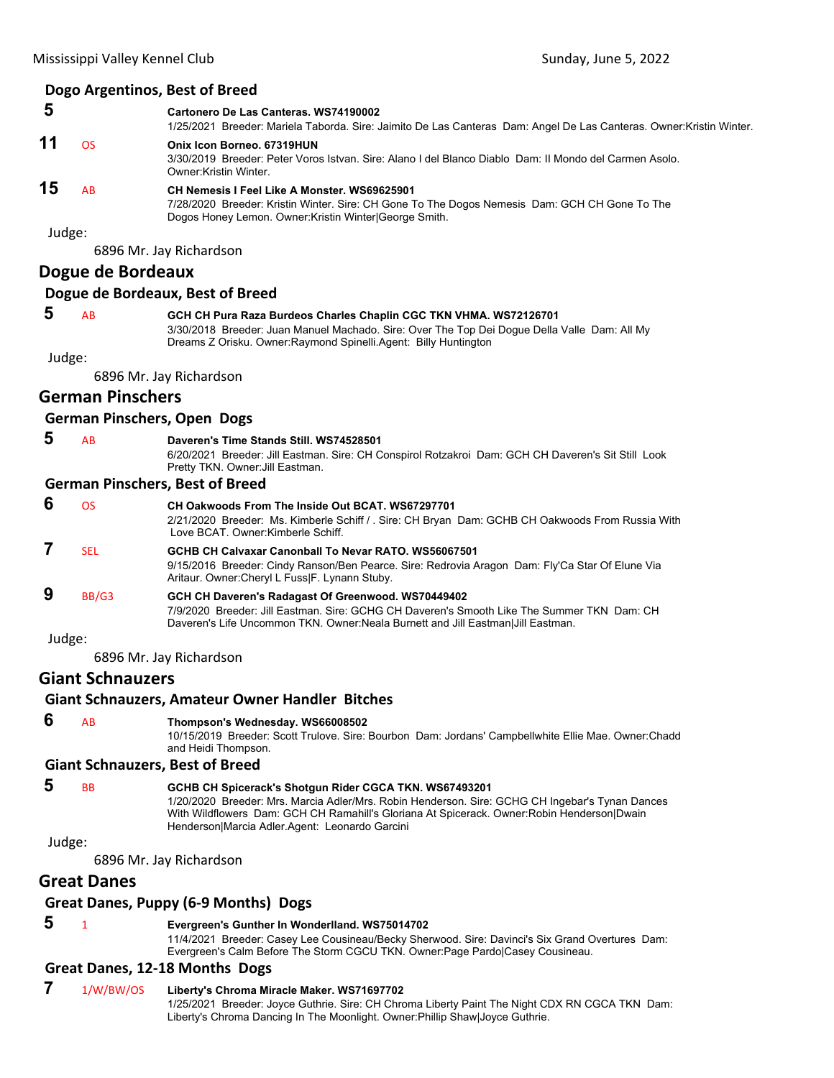### **Dogo Argentinos, Best of Breed**

#### **5 Cartonero De Las Canteras. WS74190002**

|    |           | 1/25/2021 Breeder: Mariela Taborda. Sire: Jaimito De Las Canteras Dam: Angel De Las Canteras. Owner: Kristin Winter.                                                                                    |
|----|-----------|---------------------------------------------------------------------------------------------------------------------------------------------------------------------------------------------------------|
| 11 | OS        | Onix Icon Borneo, 67319HUN<br>3/30/2019 Breeder: Peter Voros Istvan. Sire: Alano I del Blanco Diablo Dam: Il Mondo del Carmen Asolo.<br>Owner: Kristin Winter.                                          |
| 15 | <b>AB</b> | CH Nemesis I Feel Like A Monster, WS69625901<br>7/28/2020 Breeder: Kristin Winter. Sire: CH Gone To The Dogos Nemesis Dam: GCH CH Gone To The<br>Dogos Honey Lemon. Owner: Kristin Winter George Smith. |

Judge:

6896 Mr. Jay Richardson

### **Dogue de Bordeaux**

#### **Dogue de Bordeaux, Best of Breed**

### **5** AB **GCH CH Pura Raza Burdeos Charles Chaplin CGC TKN VHMA. WS72126701**

3/30/2018 Breeder: Juan Manuel Machado. Sire: Over The Top Dei Dogue Della Valle Dam: All My Dreams Z Orisku. Owner:Raymond Spinelli.Agent: Billy Huntington

Judge:

6896 Mr. Jay Richardson

### **German Pinschers**

### **German Pinschers, Open Dogs**

 **5** AB **Daveren's Time Stands Still. WS74528501**

6/20/2021 Breeder: Jill Eastman. Sire: CH Conspirol Rotzakroi Dam: GCH CH Daveren's Sit Still Look Pretty TKN. Owner:Jill Eastman.

#### **German Pinschers, Best of Breed**

| 6      | ΩS         | CH Oakwoods From The Inside Out BCAT, WS67297701<br>2/21/2020 Breeder: Ms. Kimberle Schiff / . Sire: CH Bryan Dam: GCHB CH Oakwoods From Russia With<br>Love BCAT, Owner:Kimberle Schiff,                                           |
|--------|------------|-------------------------------------------------------------------------------------------------------------------------------------------------------------------------------------------------------------------------------------|
|        | <b>SEL</b> | GCHB CH Calvaxar Canonball To Nevar RATO, WS56067501<br>9/15/2016 Breeder: Cindy Ranson/Ben Pearce. Sire: Redrovia Aragon Dam: Fly'Ca Star Of Elune Via<br>Aritaur. Owner: Cheryl L Fuss F. Lynann Stuby.                           |
| 9      | BB/G3      | GCH CH Daveren's Radagast Of Greenwood. WS70449402<br>7/9/2020 Breeder: Jill Eastman, Sire: GCHG CH Daveren's Smooth Like The Summer TKN Dam: CH<br>Daveren's Life Uncommon TKN. Owner:Neala Burnett and Jill Eastman Jill Eastman. |
| Judge: |            |                                                                                                                                                                                                                                     |

6896 Mr. Jay Richardson

### **Giant Schnauzers**

### **Giant Schnauzers, Amateur Owner Handler Bitches**

 **6** AB **Thompson's Wednesday. WS66008502**

10/15/2019 Breeder: Scott Trulove. Sire: Bourbon Dam: Jordans' Campbellwhite Ellie Mae. Owner:Chadd and Heidi Thompson.

#### **Giant Schnauzers, Best of Breed**

 **5** BB **GCHB CH Spicerack's Shotgun Rider CGCA TKN. WS67493201**

1/20/2020 Breeder: Mrs. Marcia Adler/Mrs. Robin Henderson. Sire: GCHG CH Ingebar's Tynan Dances With Wildflowers Dam: GCH CH Ramahill's Gloriana At Spicerack. Owner:Robin Henderson|Dwain Henderson|Marcia Adler.Agent: Leonardo Garcini

Judge:

6896 Mr. Jay Richardson

### **Great Danes**

### **Great Danes, Puppy (6‐9 Months) Dogs**

### **5** <sup>1</sup> **Evergreen's Gunther In Wonderlland. WS75014702**

11/4/2021 Breeder: Casey Lee Cousineau/Becky Sherwood. Sire: Davinci's Six Grand Overtures Dam: Evergreen's Calm Before The Storm CGCU TKN. Owner:Page Pardo|Casey Cousineau.

### **Great Danes, 12‐18 Months Dogs**

### **7** 1/W/BW/OS **Liberty's Chroma Miracle Maker. WS71697702**

1/25/2021 Breeder: Joyce Guthrie. Sire: CH Chroma Liberty Paint The Night CDX RN CGCA TKN Dam: Liberty's Chroma Dancing In The Moonlight. Owner:Phillip Shaw|Joyce Guthrie.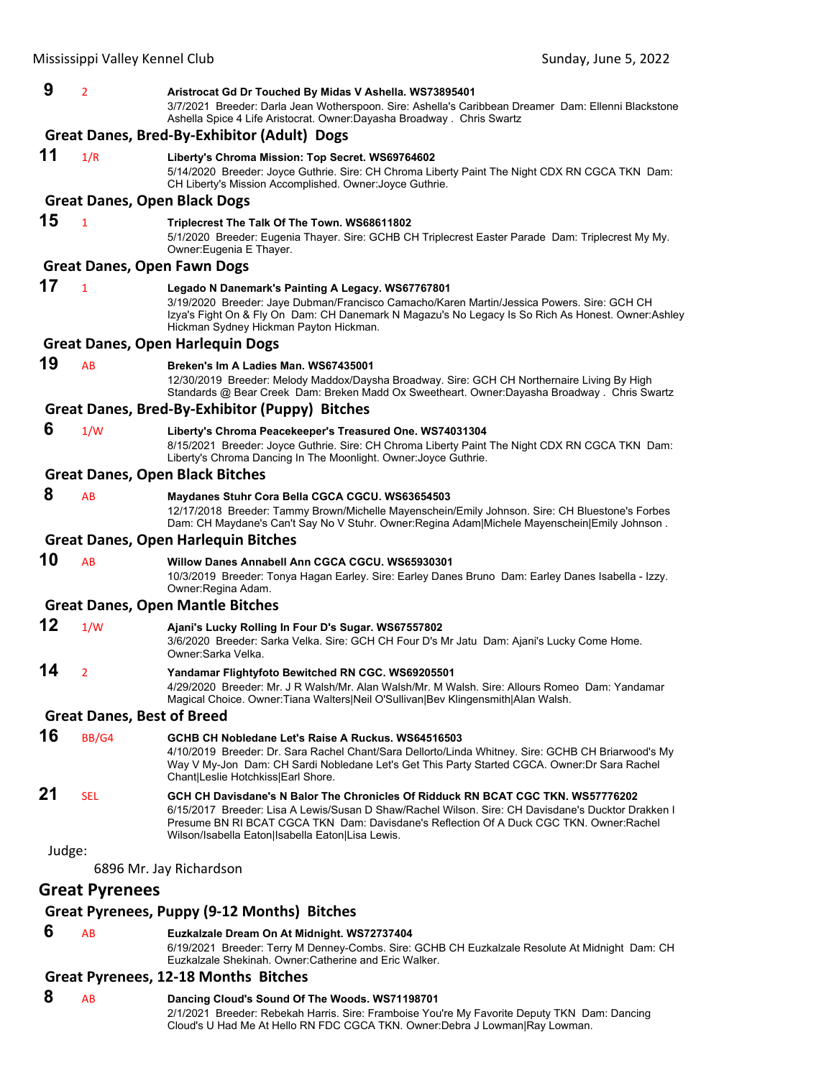| 9      | 2                                 | Aristrocat Gd Dr Touched By Midas V Ashella. WS73895401<br>3/7/2021 Breeder: Darla Jean Wotherspoon. Sire: Ashella's Caribbean Dreamer Dam: Ellenni Blackstone<br>Ashella Spice 4 Life Aristocrat. Owner: Dayasha Broadway. Chris Swartz                                                                                              |
|--------|-----------------------------------|---------------------------------------------------------------------------------------------------------------------------------------------------------------------------------------------------------------------------------------------------------------------------------------------------------------------------------------|
|        |                                   | Great Danes, Bred-By-Exhibitor (Adult) Dogs                                                                                                                                                                                                                                                                                           |
| 11     | 1/R                               | Liberty's Chroma Mission: Top Secret. WS69764602<br>5/14/2020 Breeder: Joyce Guthrie. Sire: CH Chroma Liberty Paint The Night CDX RN CGCA TKN Dam:<br>CH Liberty's Mission Accomplished. Owner: Joyce Guthrie.                                                                                                                        |
|        |                                   | <b>Great Danes, Open Black Dogs</b>                                                                                                                                                                                                                                                                                                   |
| 15     | $\mathbf{1}$                      | Triplecrest The Talk Of The Town. WS68611802<br>5/1/2020 Breeder: Eugenia Thayer. Sire: GCHB CH Triplecrest Easter Parade Dam: Triplecrest My My.<br>Owner: Eugenia E Thayer.                                                                                                                                                         |
|        |                                   | <b>Great Danes, Open Fawn Dogs</b>                                                                                                                                                                                                                                                                                                    |
| 17     | $\mathbf{1}$                      | Legado N Danemark's Painting A Legacy. WS67767801<br>3/19/2020 Breeder: Jaye Dubman/Francisco Camacho/Karen Martin/Jessica Powers. Sire: GCH CH<br>Izya's Fight On & Fly On Dam: CH Danemark N Magazu's No Legacy Is So Rich As Honest. Owner:Ashley<br>Hickman Sydney Hickman Payton Hickman.                                        |
|        |                                   | <b>Great Danes, Open Harlequin Dogs</b>                                                                                                                                                                                                                                                                                               |
| 19     | AB                                | Breken's Im A Ladies Man. WS67435001<br>12/30/2019 Breeder: Melody Maddox/Daysha Broadway. Sire: GCH CH Northernaire Living By High<br>Standards @ Bear Creek Dam: Breken Madd Ox Sweetheart. Owner:Dayasha Broadway . Chris Swartz                                                                                                   |
|        |                                   | Great Danes, Bred-By-Exhibitor (Puppy) Bitches                                                                                                                                                                                                                                                                                        |
| 6      | 1/W                               | Liberty's Chroma Peacekeeper's Treasured One. WS74031304<br>8/15/2021 Breeder: Joyce Guthrie. Sire: CH Chroma Liberty Paint The Night CDX RN CGCA TKN Dam:<br>Liberty's Chroma Dancing In The Moonlight. Owner: Joyce Guthrie.                                                                                                        |
|        |                                   | <b>Great Danes, Open Black Bitches</b>                                                                                                                                                                                                                                                                                                |
| 8      | AB                                | Maydanes Stuhr Cora Bella CGCA CGCU. WS63654503<br>12/17/2018 Breeder: Tammy Brown/Michelle Mayenschein/Emily Johnson. Sire: CH Bluestone's Forbes<br>Dam: CH Maydane's Can't Say No V Stuhr. Owner: Regina Adam Michele Mayenschein Emily Johnson.                                                                                   |
|        |                                   | <b>Great Danes, Open Harlequin Bitches</b>                                                                                                                                                                                                                                                                                            |
| 10     | AB                                | Willow Danes Annabell Ann CGCA CGCU. WS65930301<br>10/3/2019 Breeder: Tonya Hagan Earley. Sire: Earley Danes Bruno Dam: Earley Danes Isabella - Izzy.<br>Owner: Regina Adam.                                                                                                                                                          |
|        |                                   | <b>Great Danes, Open Mantle Bitches</b>                                                                                                                                                                                                                                                                                               |
| 12     | 1/W                               | Ajani's Lucky Rolling In Four D's Sugar. WS67557802<br>3/6/2020 Breeder: Sarka Velka. Sire: GCH CH Four D's Mr Jatu Dam: Ajani's Lucky Come Home.<br>Owner:Sarka Velka.                                                                                                                                                               |
| 14     | $\overline{2}$                    | Yandamar Flightyfoto Bewitched RN CGC. WS69205501                                                                                                                                                                                                                                                                                     |
|        |                                   | 4/29/2020 Breeder: Mr. J R Walsh/Mr. Alan Walsh/Mr. M Walsh. Sire: Allours Romeo Dam: Yandamar<br>Magical Choice. Owner: Tiana Walters Neil O'Sullivan Bev Klingensmith Alan Walsh.                                                                                                                                                   |
|        | <b>Great Danes, Best of Breed</b> |                                                                                                                                                                                                                                                                                                                                       |
| 16     | BB/G4                             | GCHB CH Nobledane Let's Raise A Ruckus, WS64516503<br>4/10/2019 Breeder: Dr. Sara Rachel Chant/Sara Dellorto/Linda Whitney. Sire: GCHB CH Briarwood's My<br>Way V My-Jon Dam: CH Sardi Nobledane Let's Get This Party Started CGCA. Owner: Dr Sara Rachel<br>Chant Leslie Hotchkiss Earl Shore.                                       |
| 21     | <b>SEL</b>                        | GCH CH Davisdane's N Balor The Chronicles Of Ridduck RN BCAT CGC TKN. WS57776202<br>6/15/2017 Breeder: Lisa A Lewis/Susan D Shaw/Rachel Wilson. Sire: CH Davisdane's Ducktor Drakken I<br>Presume BN RI BCAT CGCA TKN Dam: Davisdane's Reflection Of A Duck CGC TKN. Owner:Rachel<br>Wilson/Isabella Eaton Isabella Eaton Lisa Lewis. |
| Judge: |                                   |                                                                                                                                                                                                                                                                                                                                       |
|        | <b>Great Pyrenees</b>             | 6896 Mr. Jay Richardson                                                                                                                                                                                                                                                                                                               |

# **Great Pyrenees, Puppy (9‐12 Months) Bitches**

### **6** AB **Euzkalzale Dream On At Midnight. WS72737404**

6/19/2021 Breeder: Terry M Denney-Combs. Sire: GCHB CH Euzkalzale Resolute At Midnight Dam: CH Euzkalzale Shekinah. Owner:Catherine and Eric Walker.

### **Great Pyrenees, 12‐18 Months Bitches**

| 8 | AB | Dancing Cloud's Sound Of The Woods. WS71198701                                               |
|---|----|----------------------------------------------------------------------------------------------|
|   |    | 2/1/2021 Breeder: Rebekah Harris. Sire: Framboise You're My Favorite Deputy TKN Dam: Dancing |
|   |    | Cloud's U Had Me At Hello RN FDC CGCA TKN, Owner:Debra J Lowman Ray Lowman,                  |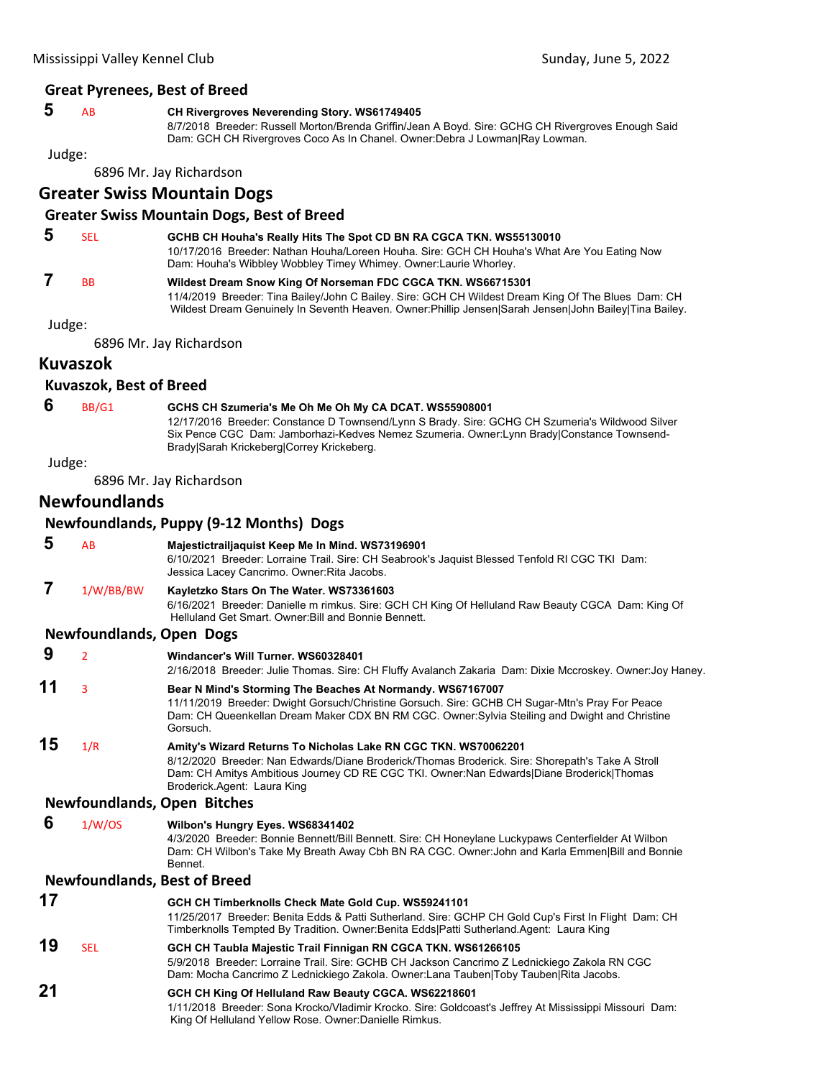#### **Great Pyrenees, Best of Breed**

### **5** AB **CH Rivergroves Neverending Story. WS61749405**

8/7/2018 Breeder: Russell Morton/Brenda Griffin/Jean A Boyd. Sire: GCHG CH Rivergroves Enough Said Dam: GCH CH Rivergroves Coco As In Chanel. Owner:Debra J Lowman|Ray Lowman.

Judge:

6896 Mr. Jay Richardson

### **Greater Swiss Mountain Dogs**

#### **Greater Swiss Mountain Dogs, Best of Breed**

#### **5** SEL **GCHB CH Houha's Really Hits The Spot CD BN RA CGCA TKN. WS55130010** 10/17/2016 Breeder: Nathan Houha/Loreen Houha. Sire: GCH CH Houha's What Are You Eating Now Dam: Houha's Wibbley Wobbley Timey Whimey. Owner:Laurie Whorley.  **7** BB **Wildest Dream Snow King Of Norseman FDC CGCA TKN. WS66715301** 11/4/2019 Breeder: Tina Bailey/John C Bailey. Sire: GCH CH Wildest Dream King Of The Blues Dam: CH

Judge:

6896 Mr. Jay Richardson

### **Kuvaszok**

### **Kuvaszok, Best of Breed**

### **6** BB/G1 **GCHS CH Szumeria's Me Oh Me Oh My CA DCAT. WS55908001**

12/17/2016 Breeder: Constance D Townsend/Lynn S Brady. Sire: GCHG CH Szumeria's Wildwood Silver Six Pence CGC Dam: Jamborhazi-Kedves Nemez Szumeria. Owner:Lynn Brady|Constance Townsend-Brady|Sarah Krickeberg|Correy Krickeberg.

Wildest Dream Genuinely In Seventh Heaven. Owner: Phillip Jensen|Sarah Jensen|John Bailey|Tina Bailey.

### Judge:

6896 Mr. Jay Richardson

### **Newfoundlands**

## **Newfoundlands, Puppy (9‐12 Months) Dogs 5** AB **Majestictrailjaquist Keep Me In Mind. WS73196901**

6/10/2021 Breeder: Lorraine Trail. Sire: CH Seabrook's Jaquist Blessed Tenfold RI CGC TKI Dam: Jessica Lacey Cancrimo. Owner:Rita Jacobs.

 **7** 1/W/BB/BW **Kayletzko Stars On The Water. WS73361603**

6/16/2021 Breeder: Danielle m rimkus. Sire: GCH CH King Of Helluland Raw Beauty CGCA Dam: King Of Helluland Get Smart. Owner:Bill and Bonnie Bennett.

### **Newfoundlands, Open Dogs**

| 9  | $\overline{2}$ | Windancer's Will Turner, WS60328401                                                                                                                                                                                                                                                           |
|----|----------------|-----------------------------------------------------------------------------------------------------------------------------------------------------------------------------------------------------------------------------------------------------------------------------------------------|
|    |                | 2/16/2018 Breeder: Julie Thomas. Sire: CH Fluffy Avalanch Zakaria Dam: Dixie Mccroskey. Owner: Joy Haney.                                                                                                                                                                                     |
| 11 | 3              | Bear N Mind's Storming The Beaches At Normandy. WS67167007<br>11/11/2019 Breeder: Dwight Gorsuch/Christine Gorsuch. Sire: GCHB CH Sugar-Mtn's Pray For Peace<br>Dam: CH Queenkellan Dream Maker CDX BN RM CGC. Owner:Sylvia Steiling and Dwight and Christine<br>Gorsuch.                     |
| 15 | 1/R            | Amity's Wizard Returns To Nicholas Lake RN CGC TKN. WS70062201<br>8/12/2020 Breeder: Nan Edwards/Diane Broderick/Thomas Broderick. Sire: Shorepath's Take A Stroll<br>Dam: CH Amitys Ambitious Journey CD RE CGC TKI. Owner:Nan Edwards Diane Broderick Thomas<br>Broderick.Agent: Laura King |
|    |                | <b>Newfoundlands, Open Bitches</b>                                                                                                                                                                                                                                                            |
| 6  | 1/W/OS         | Wilbon's Hungry Eyes. WS68341402<br>4/3/2020 Breeder: Bonnie Bennett/Bill Bennett. Sire: CH Honeylane Luckypaws Centerfielder At Wilbon<br>Dam: CH Wilbon's Take My Breath Away Cbh BN RA CGC. Owner: John and Karla Emmen [Bill and Bonnie<br>Bennet.                                        |
|    |                | <b>Newfoundlands, Best of Breed</b>                                                                                                                                                                                                                                                           |
| 17 |                | GCH CH Timberknolls Check Mate Gold Cup. WS59241101<br>11/25/2017 Breeder: Benita Edds & Patti Sutherland. Sire: GCHP CH Gold Cup's First In Flight Dam: CH<br>Timberknolls Tempted By Tradition. Owner: Benita Edds Patti Sutherland. Agent: Laura King                                      |
| 19 | <b>SEL</b>     | GCH CH Taubla Majestic Trail Finnigan RN CGCA TKN. WS61266105<br>5/9/2018 Breeder: Lorraine Trail. Sire: GCHB CH Jackson Cancrimo Z Lednickiego Zakola RN CGC<br>Dam: Mocha Cancrimo Z Lednickiego Zakola. Owner:Lana Tauben Toby Tauben Rita Jacobs.                                         |
| 21 |                | GCH CH King Of Helluland Raw Beauty CGCA. WS62218601<br>1/11/2018 Breeder: Sona Krocko/Vladimir Krocko, Sire: Goldcoast's Jeffrey At Mississippi Missouri, Dam:                                                                                                                               |

1/11/2018 Breeder: Sona Krocko/Vladimir Krocko. Sire: Goldcoast's Jeffrey At Mississippi Missouri Dam: King Of Helluland Yellow Rose. Owner:Danielle Rimkus.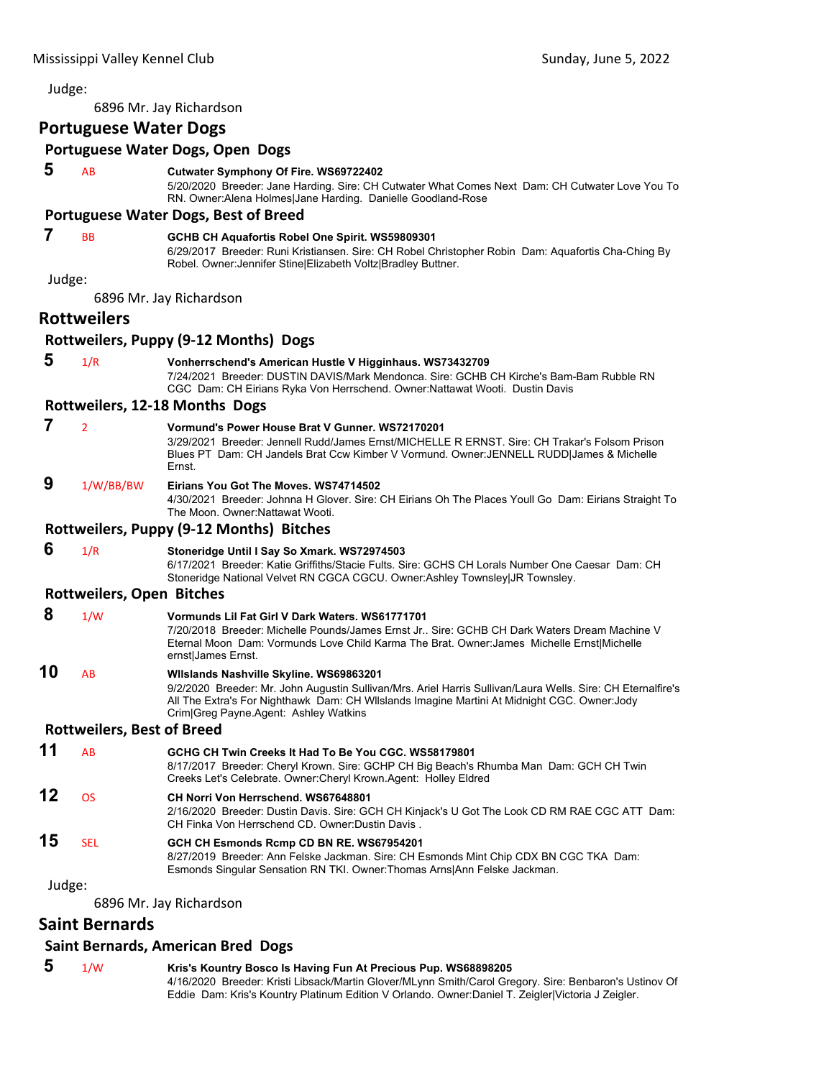### Judge: 6896 Mr. Jay Richardson **Portuguese Water Dogs Portuguese Water Dogs, Open Dogs 5** AB **Cutwater Symphony Of Fire. WS69722402** 5/20/2020 Breeder: Jane Harding. Sire: CH Cutwater What Comes Next Dam: CH Cutwater Love You To RN. Owner:Alena Holmes|Jane Harding. Danielle Goodland-Rose **Portuguese Water Dogs, Best of Breed 7** BB **GCHB CH Aquafortis Robel One Spirit. WS59809301** 6/29/2017 Breeder: Runi Kristiansen. Sire: CH Robel Christopher Robin Dam: Aquafortis Cha-Ching By Robel. Owner:Jennifer Stine|Elizabeth Voltz|Bradley Buttner. Judge: 6896 Mr. Jay Richardson **Rottweilers Rottweilers, Puppy (9‐12 Months) Dogs 5** 1/R **Vonherrschend's American Hustle V Higginhaus. WS73432709** 7/24/2021 Breeder: DUSTIN DAVIS/Mark Mendonca. Sire: GCHB CH Kirche's Bam-Bam Rubble RN CGC Dam: CH Eirians Ryka Von Herrschend. Owner:Nattawat Wooti. Dustin Davis **Rottweilers, 12‐18 Months Dogs 7** <sup>2</sup> **Vormund's Power House Brat V Gunner. WS72170201** 3/29/2021 Breeder: Jennell Rudd/James Ernst/MICHELLE R ERNST. Sire: CH Trakar's Folsom Prison Blues PT Dam: CH Jandels Brat Ccw Kimber V Vormund. Owner:JENNELL RUDD|James & Michelle Ernst.  **9** 1/W/BB/BW **Eirians You Got The Moves. WS74714502** 4/30/2021 Breeder: Johnna H Glover. Sire: CH Eirians Oh The Places Youll Go Dam: Eirians Straight To The Moon. Owner:Nattawat Wooti. **Rottweilers, Puppy (9‐12 Months) Bitches 6** 1/R **Stoneridge Until I Say So Xmark. WS72974503** 6/17/2021 Breeder: Katie Griffiths/Stacie Fults. Sire: GCHS CH Lorals Number One Caesar Dam: CH Stoneridge National Velvet RN CGCA CGCU. Owner:Ashley Townsley|JR Townsley. **Rottweilers, Open Bitches 8** 1/W **Vormunds Lil Fat Girl V Dark Waters. WS61771701** 7/20/2018 Breeder: Michelle Pounds/James Ernst Jr.. Sire: GCHB CH Dark Waters Dream Machine V Eternal Moon Dam: Vormunds Love Child Karma The Brat. Owner:James Michelle Ernst|Michelle ernstlJames Ernst. **10** AB **Wllslands Nashville Skyline. WS69863201** 9/2/2020 Breeder: Mr. John Augustin Sullivan/Mrs. Ariel Harris Sullivan/Laura Wells. Sire: CH Eternalfire's All The Extra's For Nighthawk Dam: CH Wllslands Imagine Martini At Midnight CGC. Owner:Jody Crim|Greg Payne.Agent: Ashley Watkins **Rottweilers, Best of Breed 11** AB **GCHG CH Twin Creeks It Had To Be You CGC. WS58179801** 8/17/2017 Breeder: Cheryl Krown. Sire: GCHP CH Big Beach's Rhumba Man Dam: GCH CH Twin Creeks Let's Celebrate. Owner:Cheryl Krown.Agent: Holley Eldred **12** OS **CH Norri Von Herrschend. WS67648801** 2/16/2020 Breeder: Dustin Davis. Sire: GCH CH Kinjack's U Got The Look CD RM RAE CGC ATT Dam: CH Finka Von Herrschend CD. Owner:Dustin Davis . **15** SEL **GCH CH Esmonds Rcmp CD BN RE. WS67954201** 8/27/2019 Breeder: Ann Felske Jackman. Sire: CH Esmonds Mint Chip CDX BN CGC TKA Dam: Esmonds Singular Sensation RN TKI. Owner:Thomas Arns|Ann Felske Jackman. Judge: 6896 Mr. Jay Richardson

### **Saint Bernards**

### **Saint Bernards, American Bred Dogs**

### **5** 1/W **Kris's Kountry Bosco Is Having Fun At Precious Pup. WS68898205**

4/16/2020 Breeder: Kristi Libsack/Martin Glover/MLynn Smith/Carol Gregory. Sire: Benbaron's Ustinov Of Eddie Dam: Kris's Kountry Platinum Edition V Orlando. Owner:Daniel T. Zeigler|Victoria J Zeigler.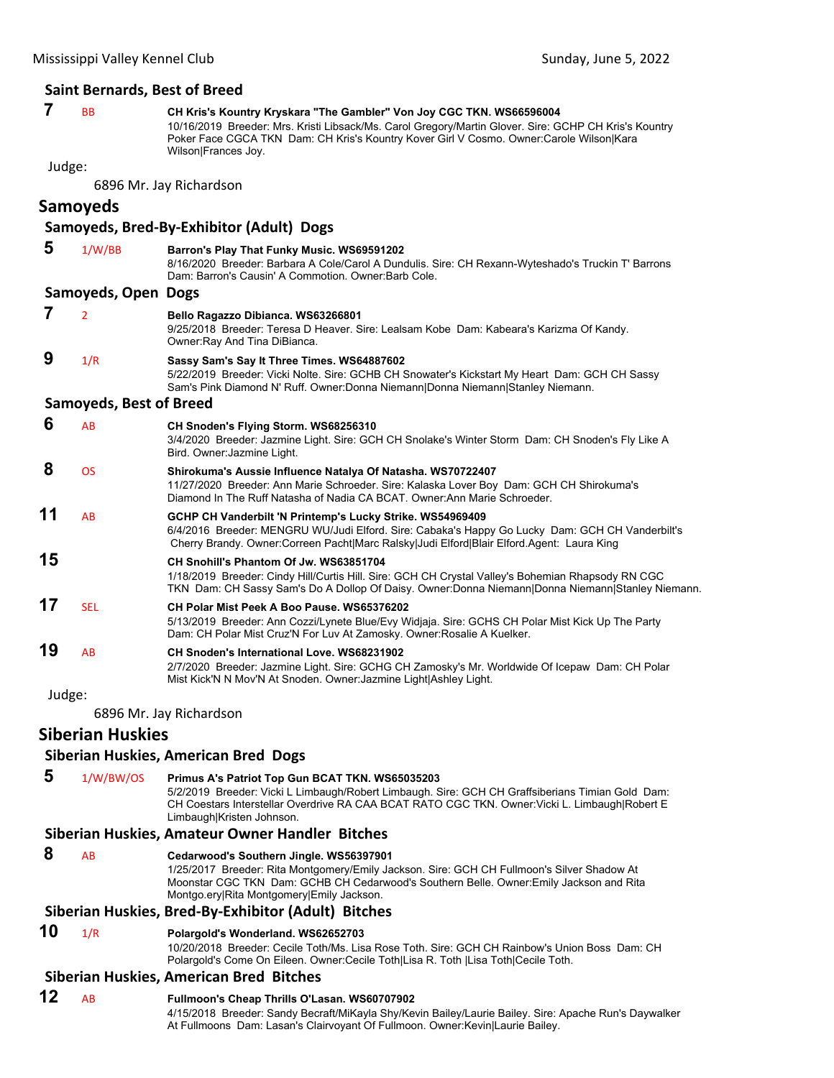### **Saint Bernards, Best of Breed**

### **7** BB **CH Kris's Kountry Kryskara "The Gambler" Von Joy CGC TKN. WS66596004**

10/16/2019 Breeder: Mrs. Kristi Libsack/Ms. Carol Gregory/Martin Glover. Sire: GCHP CH Kris's Kountry Poker Face CGCA TKN Dam: CH Kris's Kountry Kover Girl V Cosmo. Owner:Carole Wilson|Kara Wilson|Frances Joy.

Judge:

6896 Mr. Jay Richardson

### **Samoyeds**

## **Samoyeds, Bred‐By‐Exhibitor (Adult) Dogs**

 **5** 1/W/BB **Barron's Play That Funky Music. WS69591202** 8/16/2020 Breeder: Barbara A Cole/Carol A Dundulis. Sire: CH Rexann-Wyteshado's Truckin T' Barrons Dam: Barron's Causin' A Commotion. Owner:Barb Cole. **Samoyeds, Open Dogs 7** <sup>2</sup> **Bello Ragazzo Dibianca. WS63266801** 9/25/2018 Breeder: Teresa D Heaver. Sire: Lealsam Kobe Dam: Kabeara's Karizma Of Kandy. Owner:Ray And Tina DiBianca.  **9** 1/R **Sassy Sam's Say It Three Times. WS64887602** 5/22/2019 Breeder: Vicki Nolte. Sire: GCHB CH Snowater's Kickstart My Heart Dam: GCH CH Sassy Sam's Pink Diamond N' Ruff. Owner:Donna Niemann|Donna Niemann|Stanley Niemann. **Samoyeds, Best of Breed 6** AB **CH Snoden's Flying Storm. WS68256310** 3/4/2020 Breeder: Jazmine Light. Sire: GCH CH Snolake's Winter Storm Dam: CH Snoden's Fly Like A Bird. Owner:Jazmine Light.  **8** OS **Shirokuma's Aussie Influence Natalya Of Natasha. WS70722407** 11/27/2020 Breeder: Ann Marie Schroeder. Sire: Kalaska Lover Boy Dam: GCH CH Shirokuma's Diamond In The Ruff Natasha of Nadia CA BCAT. Owner:Ann Marie Schroeder. **11** AB **GCHP CH Vanderbilt 'N Printemp's Lucky Strike. WS54969409** 6/4/2016 Breeder: MENGRU WU/Judi Elford. Sire: Cabaka's Happy Go Lucky Dam: GCH CH Vanderbilt's Cherry Brandy. Owner:Correen Pacht|Marc Ralsky|Judi Elford|Blair Elford.Agent: Laura King **15 CH Snohill's Phantom Of Jw. WS63851704** 1/18/2019 Breeder: Cindy Hill/Curtis Hill. Sire: GCH CH Crystal Valley's Bohemian Rhapsody RN CGC TKN Dam: CH Sassy Sam's Do A Dollop Of Daisy. Owner:Donna Niemann|Donna Niemann|Stanley Niemann. **17** SEL **CH Polar Mist Peek A Boo Pause. WS65376202** 5/13/2019 Breeder: Ann Cozzi/Lynete Blue/Evy Widjaja. Sire: GCHS CH Polar Mist Kick Up The Party Dam: CH Polar Mist Cruz'N For Luv At Zamosky. Owner:Rosalie A Kuelker. **19** AB **CH Snoden's International Love. WS68231902** 2/7/2020 Breeder: Jazmine Light. Sire: GCHG CH Zamosky's Mr. Worldwide Of Icepaw Dam: CH Polar

Judge:

6896 Mr. Jay Richardson

### **Siberian Huskies**

### **Siberian Huskies, American Bred Dogs**

 **5** 1/W/BW/OS **Primus A's Patriot Top Gun BCAT TKN. WS65035203** 5/2/2019 Breeder: Vicki L Limbaugh/Robert Limbaugh. Sire: GCH CH Graffsiberians Timian Gold Dam: CH Coestars Interstellar Overdrive RA CAA BCAT RATO CGC TKN. Owner:Vicki L. Limbaugh|Robert E Limbaugh|Kristen Johnson.

Mist Kick'N N Mov'N At Snoden. Owner:Jazmine Light|Ashley Light.

### **Siberian Huskies, Amateur Owner Handler Bitches**

 **8** AB **Cedarwood's Southern Jingle. WS56397901**

1/25/2017 Breeder: Rita Montgomery/Emily Jackson. Sire: GCH CH Fullmoon's Silver Shadow At Moonstar CGC TKN Dam: GCHB CH Cedarwood's Southern Belle. Owner:Emily Jackson and Rita Montgo.ery|Rita Montgomery|Emily Jackson.

### **Siberian Huskies, Bred‐By‐Exhibitor (Adult) Bitches**

### **10** 1/R **Polargold's Wonderland. WS62652703**

10/20/2018 Breeder: Cecile Toth/Ms. Lisa Rose Toth. Sire: GCH CH Rainbow's Union Boss Dam: CH Polargold's Come On Eileen. Owner:Cecile Toth|Lisa R. Toth |Lisa Toth|Cecile Toth.

### **Siberian Huskies, American Bred Bitches**

**12** AB **Fullmoon's Cheap Thrills O'Lasan. WS60707902** 4/15/2018 Breeder: Sandy Becraft/MiKayla Shy/Kevin Bailey/Laurie Bailey. Sire: Apache Run's Daywalker At Fullmoons Dam: Lasan's Clairvoyant Of Fullmoon. Owner:Kevin|Laurie Bailey.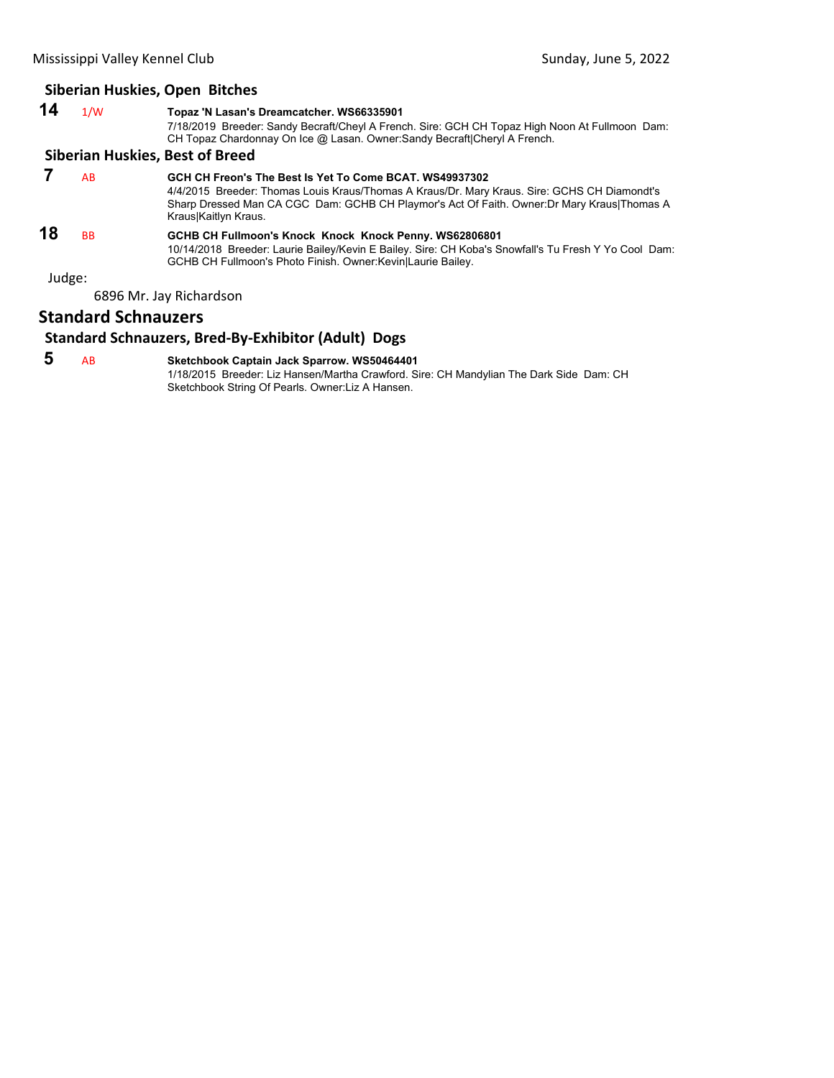### **Siberian Huskies, Open Bitches**

| 14     | 1/W       | Topaz 'N Lasan's Dreamcatcher. WS66335901<br>7/18/2019 Breeder: Sandy Becraft/Cheyl A French. Sire: GCH CH Topaz High Noon At Fullmoon Dam:<br>CH Topaz Chardonnay On Ice @ Lasan. Owner: Sandy Becraft Cheryl A French.                                                       |
|--------|-----------|--------------------------------------------------------------------------------------------------------------------------------------------------------------------------------------------------------------------------------------------------------------------------------|
|        |           | <b>Siberian Huskies, Best of Breed</b>                                                                                                                                                                                                                                         |
|        | AB        | GCH CH Freon's The Best Is Yet To Come BCAT, WS49937302<br>4/4/2015 Breeder: Thomas Louis Kraus/Thomas A Kraus/Dr. Mary Kraus. Sire: GCHS CH Diamondt's<br>Sharp Dressed Man CA CGC Dam: GCHB CH Playmor's Act Of Faith. Owner: Dr Mary Kraus Thomas A<br>Kraus Kaitlyn Kraus. |
| 18     | <b>BB</b> | GCHB CH Fullmoon's Knock Knock Knock Penny. WS62806801<br>10/14/2018 Breeder: Laurie Bailey/Kevin E Bailey. Sire: CH Koba's Snowfall's Tu Fresh Y Yo Cool Dam:<br>GCHB CH Fullmoon's Photo Finish. Owner: Kevin Laurie Bailey.                                                 |
| Judge: |           |                                                                                                                                                                                                                                                                                |
|        |           | 6896 Mr. Jay Richardson                                                                                                                                                                                                                                                        |

### **Standard Schnauzers**

### **Standard Schnauzers, Bred‐By‐Exhibitor (Adult) Dogs**

 **5** AB **Sketchbook Captain Jack Sparrow. WS50464401**

1/18/2015 Breeder: Liz Hansen/Martha Crawford. Sire: CH Mandylian The Dark Side Dam: CH Sketchbook String Of Pearls. Owner:Liz A Hansen.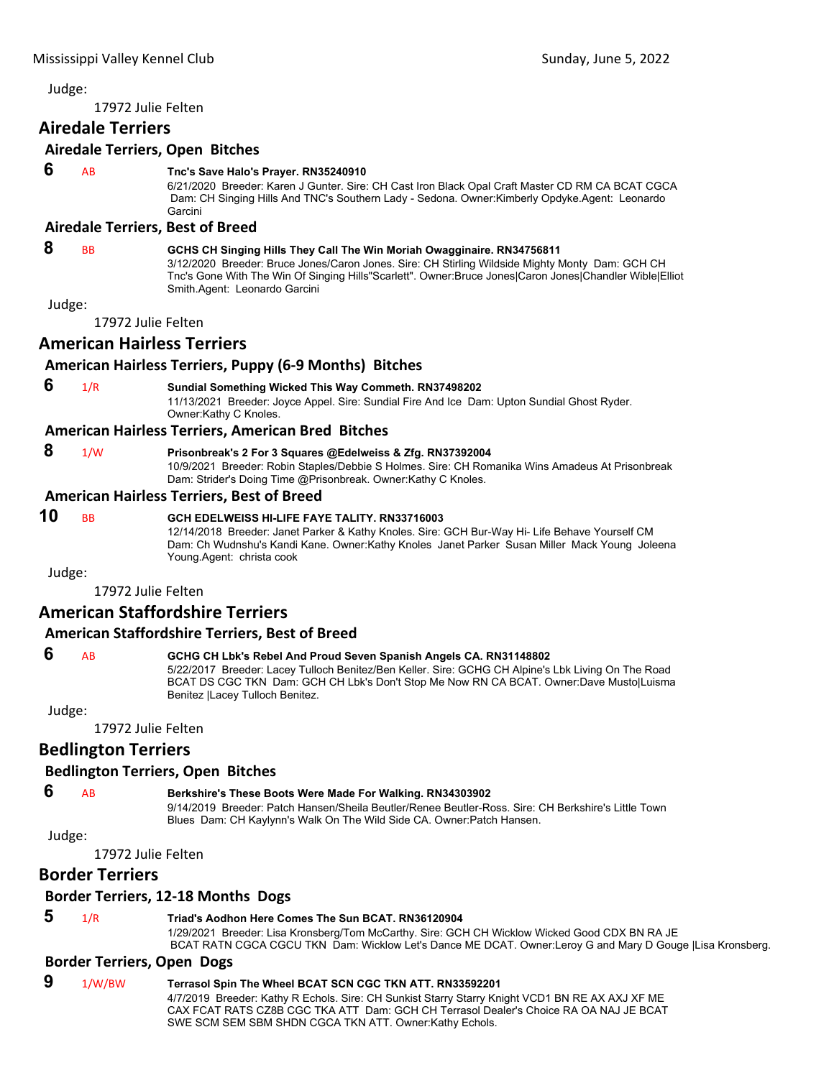17972 Julie Felten

# **Airedale Terriers**

#### **Airedale Terriers, Open Bitches**

#### **6** AB **Tnc's Save Halo's Prayer. RN35240910**

6/21/2020 Breeder: Karen J Gunter. Sire: CH Cast Iron Black Opal Craft Master CD RM CA BCAT CGCA Dam: CH Singing Hills And TNC's Southern Lady - Sedona. Owner:Kimberly Opdyke.Agent: Leonardo Garcini

#### **Airedale Terriers, Best of Breed**

#### **8** BB **GCHS CH Singing Hills They Call The Win Moriah Owagginaire. RN34756811**

3/12/2020 Breeder: Bruce Jones/Caron Jones. Sire: CH Stirling Wildside Mighty Monty Dam: GCH CH Tnc's Gone With The Win Of Singing Hills"Scarlett". Owner:Bruce Jones|Caron Jones|Chandler Wible|Elliot Smith.Agent: Leonardo Garcini

Judge:

17972 Julie Felten

# **American Hairless Terriers**

# **American Hairless Terriers, Puppy (6‐9 Months) Bitches**

#### **6** 1/R **Sundial Something Wicked This Way Commeth. RN37498202** 11/13/2021 Breeder: Joyce Appel. Sire: Sundial Fire And Ice Dam: Upton Sundial Ghost Ryder. Owner:Kathy C Knoles.

#### **American Hairless Terriers, American Bred Bitches**

# **8** 1/W **Prisonbreak's 2 For 3 Squares @Edelweiss & Zfg. RN37392004**

10/9/2021 Breeder: Robin Staples/Debbie S Holmes. Sire: CH Romanika Wins Amadeus At Prisonbreak Dam: Strider's Doing Time @Prisonbreak. Owner:Kathy C Knoles.

#### **American Hairless Terriers, Best of Breed**

#### **10** BB **GCH EDELWEISS HI-LIFE FAYE TALITY. RN33716003** 12/14/2018 Breeder: Janet Parker & Kathy Knoles. Sire: GCH Bur-Way Hi- Life Behave Yourself CM Dam: Ch Wudnshu's Kandi Kane. Owner:Kathy Knoles Janet Parker Susan Miller Mack Young Joleena Young.Agent: christa cook

Judge:

17972 Julie Felten

# **American Staffordshire Terriers**

# **American Staffordshire Terriers, Best of Breed**

# **6** AB **GCHG CH Lbk's Rebel And Proud Seven Spanish Angels CA. RN31148802**

5/22/2017 Breeder: Lacey Tulloch Benitez/Ben Keller. Sire: GCHG CH Alpine's Lbk Living On The Road BCAT DS CGC TKN Dam: GCH CH Lbk's Don't Stop Me Now RN CA BCAT. Owner:Dave Musto|Luisma Benitez |Lacey Tulloch Benitez.

Judge:

17972 Julie Felten

# **Bedlington Terriers**

#### **Bedlington Terriers, Open Bitches**

# **6** AB **Berkshire's These Boots Were Made For Walking. RN34303902**

9/14/2019 Breeder: Patch Hansen/Sheila Beutler/Renee Beutler-Ross. Sire: CH Berkshire's Little Town Blues Dam: CH Kaylynn's Walk On The Wild Side CA. Owner:Patch Hansen.

Judge:

17972 Julie Felten

# **Border Terriers**

#### **Border Terriers, 12‐18 Months Dogs**

# **5** 1/R **Triad's Aodhon Here Comes The Sun BCAT. RN36120904**

1/29/2021 Breeder: Lisa Kronsberg/Tom McCarthy. Sire: GCH CH Wicklow Wicked Good CDX BN RA JE BCAT RATN CGCA CGCU TKN Dam: Wicklow Let's Dance ME DCAT. Owner:Leroy G and Mary D Gouge |Lisa Kronsberg.

# **Border Terriers, Open Dogs**

# **9** 1/W/BW **Terrasol Spin The Wheel BCAT SCN CGC TKN ATT. RN33592201**

4/7/2019 Breeder: Kathy R Echols. Sire: CH Sunkist Starry Starry Knight VCD1 BN RE AX AXJ XF ME CAX FCAT RATS CZ8B CGC TKA ATT Dam: GCH CH Terrasol Dealer's Choice RA OA NAJ JE BCAT SWE SCM SEM SBM SHDN CGCA TKN ATT. Owner:Kathy Echols.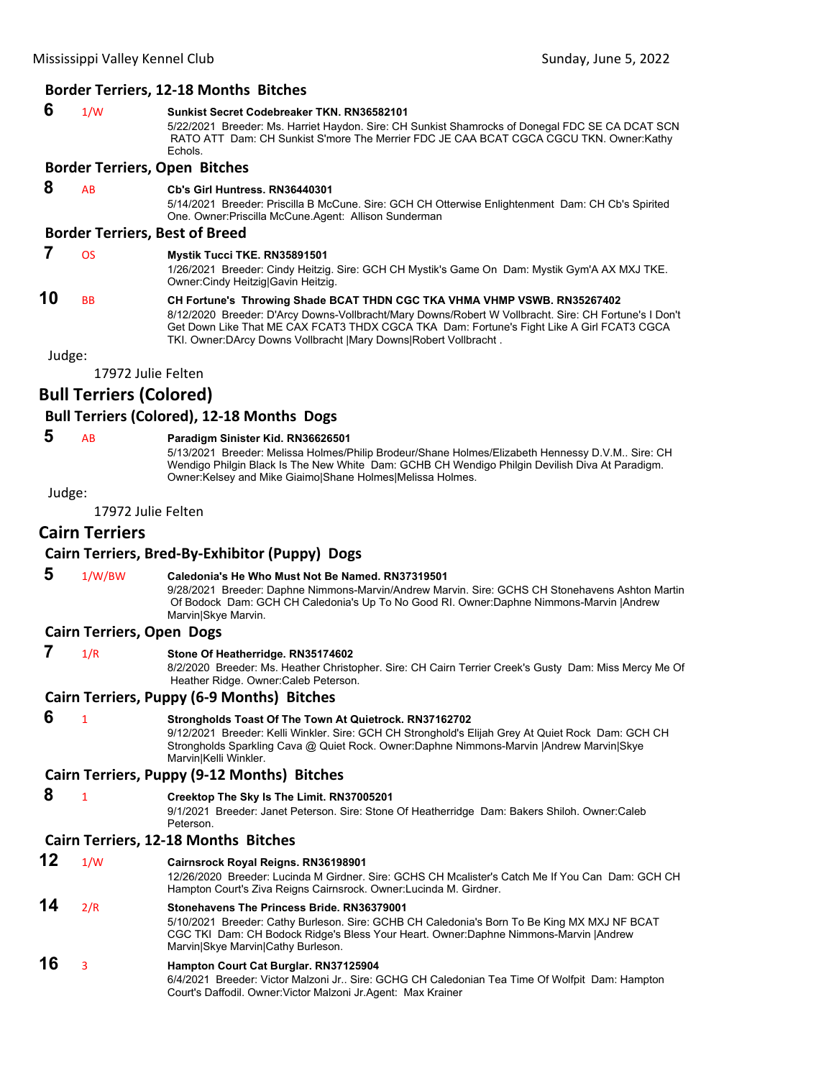#### **Border Terriers, 12‐18 Months Bitches**

# **6** 1/W **Sunkist Secret Codebreaker TKN. RN36582101**

5/22/2021 Breeder: Ms. Harriet Haydon. Sire: CH Sunkist Shamrocks of Donegal FDC SE CA DCAT SCN RATO ATT Dam: CH Sunkist S'more The Merrier FDC JE CAA BCAT CGCA CGCU TKN. Owner:Kathy **Echols** 

#### **Border Terriers, Open Bitches**

# **8** AB **Cb's Girl Huntress. RN36440301**

5/14/2021 Breeder: Priscilla B McCune. Sire: GCH CH Otterwise Enlightenment Dam: CH Cb's Spirited One. Owner:Priscilla McCune.Agent: Allison Sunderman

#### **Border Terriers, Best of Breed**

#### **7** OS **Mystik Tucci TKE. RN35891501**

1/26/2021 Breeder: Cindy Heitzig. Sire: GCH CH Mystik's Game On Dam: Mystik Gym'A AX MXJ TKE. Owner:Cindy Heitzig|Gavin Heitzig.

#### **10** BB **CH Fortune's Throwing Shade BCAT THDN CGC TKA VHMA VHMP VSWB. RN35267402** 8/12/2020 Breeder: D'Arcy Downs-Vollbracht/Mary Downs/Robert W Vollbracht. Sire: CH Fortune's I Don't Get Down Like That ME CAX FCAT3 THDX CGCA TKA Dam: Fortune's Fight Like A Girl FCAT3 CGCA TKI. Owner:DArcy Downs Vollbracht |Mary Downs|Robert Vollbracht .

Judge:

17972 Julie Felten

#### **Bull Terriers (Colored)**

#### **Bull Terriers (Colored), 12‐18 Months Dogs**

 **5** AB **Paradigm Sinister Kid. RN36626501**

5/13/2021 Breeder: Melissa Holmes/Philip Brodeur/Shane Holmes/Elizabeth Hennessy D.V.M.. Sire: CH Wendigo Philgin Black Is The New White Dam: GCHB CH Wendigo Philgin Devilish Diva At Paradigm. Owner:Kelsey and Mike Giaimo|Shane Holmes|Melissa Holmes.

Judge:

17972 Julie Felten

# **Cairn Terriers**

# **Cairn Terriers, Bred‐By‐Exhibitor (Puppy) Dogs**

 **5** 1/W/BW **Caledonia's He Who Must Not Be Named. RN37319501** 9/28/2021 Breeder: Daphne Nimmons-Marvin/Andrew Marvin. Sire: GCHS CH Stonehavens Ashton Martin Of Bodock Dam: GCH CH Caledonia's Up To No Good RI. Owner:Daphne Nimmons-Marvin |Andrew Marvin|Skye Marvin.

#### **Cairn Terriers, Open Dogs**

 **7** 1/R **Stone Of Heatherridge. RN35174602**

8/2/2020 Breeder: Ms. Heather Christopher. Sire: CH Cairn Terrier Creek's Gusty Dam: Miss Mercy Me Of Heather Ridge. Owner:Caleb Peterson.

#### **Cairn Terriers, Puppy (6‐9 Months) Bitches**

 **6** <sup>1</sup> **Strongholds Toast Of The Town At Quietrock. RN37162702** 9/12/2021 Breeder: Kelli Winkler. Sire: GCH CH Stronghold's Elijah Grey At Quiet Rock Dam: GCH CH Strongholds Sparkling Cava @ Quiet Rock. Owner:Daphne Nimmons-Marvin |Andrew Marvin|Skye Marvin|Kelli Winkler.

#### **Cairn Terriers, Puppy (9‐12 Months) Bitches**

 **8** <sup>1</sup> **Creektop The Sky Is The Limit. RN37005201**

9/1/2021 Breeder: Janet Peterson. Sire: Stone Of Heatherridge Dam: Bakers Shiloh. Owner:Caleb Peterson.

#### **Cairn Terriers, 12‐18 Months Bitches**

**12** 1/W **Cairnsrock Royal Reigns. RN36198901** 12/26/2020 Breeder: Lucinda M Girdner. Sire: GCHS CH Mcalister's Catch Me If You Can Dam: GCH CH Hampton Court's Ziva Reigns Cairnsrock. Owner:Lucinda M. Girdner. **14** 2/R **Stonehavens The Princess Bride. RN36379001**

#### 5/10/2021 Breeder: Cathy Burleson. Sire: GCHB CH Caledonia's Born To Be King MX MXJ NF BCAT CGC TKI Dam: CH Bodock Ridge's Bless Your Heart. Owner:Daphne Nimmons-Marvin |Andrew Marvin|Skye Marvin|Cathy Burleson.

#### **16** <sup>3</sup> **Hampton Court Cat Burglar. RN37125904**

6/4/2021 Breeder: Victor Malzoni Jr.. Sire: GCHG CH Caledonian Tea Time Of Wolfpit Dam: Hampton Court's Daffodil. Owner:Victor Malzoni Jr.Agent: Max Krainer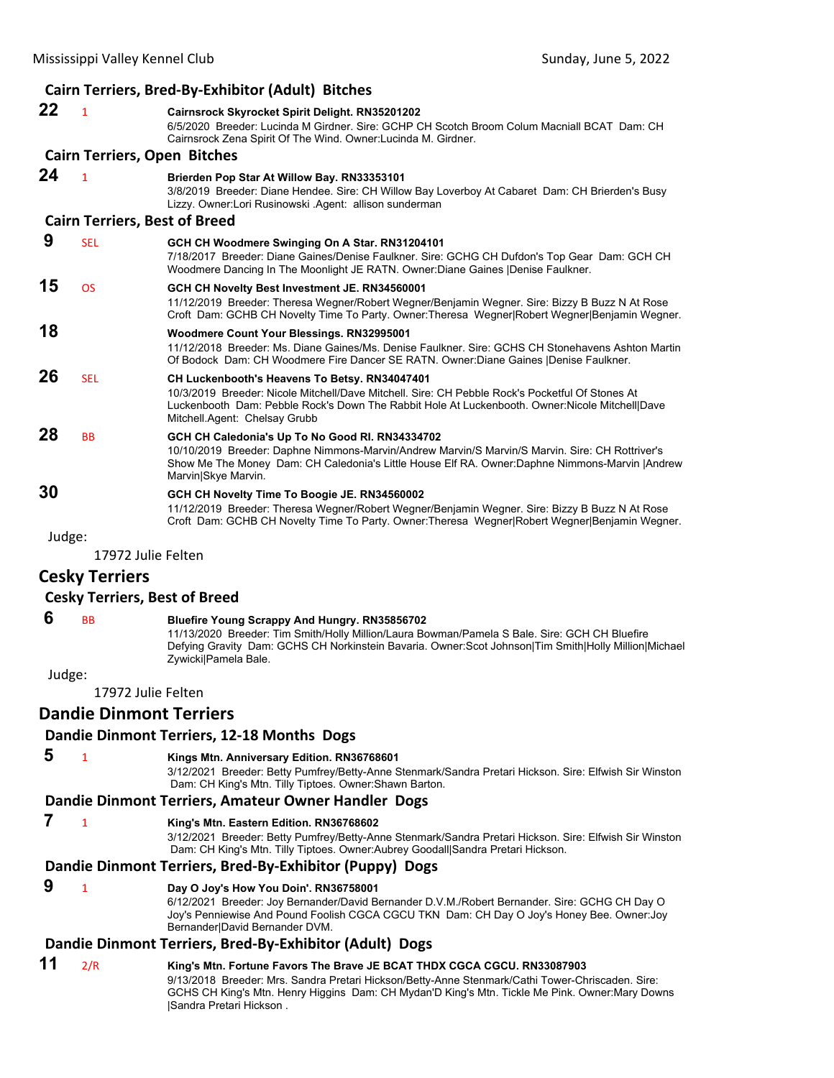|        |                                      | Cairn Terriers, Bred-By-Exhibitor (Adult) Bitches                                                                                                                                                                                                                                     |
|--------|--------------------------------------|---------------------------------------------------------------------------------------------------------------------------------------------------------------------------------------------------------------------------------------------------------------------------------------|
| 22     | $\mathbf{1}$                         | Cairnsrock Skyrocket Spirit Delight. RN35201202<br>6/5/2020 Breeder: Lucinda M Girdner. Sire: GCHP CH Scotch Broom Colum Macniall BCAT Dam: CH<br>Cairnsrock Zena Spirit Of The Wind. Owner: Lucinda M. Girdner.                                                                      |
|        | <b>Cairn Terriers, Open Bitches</b>  |                                                                                                                                                                                                                                                                                       |
| 24     | $\mathbf{1}$                         | Brierden Pop Star At Willow Bay. RN33353101<br>3/8/2019 Breeder: Diane Hendee. Sire: CH Willow Bay Loverboy At Cabaret Dam: CH Brierden's Busy<br>Lizzy. Owner:Lori Rusinowski .Agent: allison sunderman                                                                              |
|        | <b>Cairn Terriers, Best of Breed</b> |                                                                                                                                                                                                                                                                                       |
| 9      | <b>SEL</b>                           | GCH CH Woodmere Swinging On A Star. RN31204101<br>7/18/2017 Breeder: Diane Gaines/Denise Faulkner. Sire: GCHG CH Dufdon's Top Gear Dam: GCH CH<br>Woodmere Dancing In The Moonlight JE RATN. Owner:Diane Gaines  Denise Faulkner.                                                     |
| 15     | <b>OS</b>                            | GCH CH Novelty Best Investment JE. RN34560001<br>11/12/2019 Breeder: Theresa Wegner/Robert Wegner/Benjamin Wegner. Sire: Bizzy B Buzz N At Rose<br>Croft Dam: GCHB CH Novelty Time To Party. Owner: Theresa Wegner Robert Wegner Benjamin Wegner.                                     |
| 18     |                                      | Woodmere Count Your Blessings. RN32995001<br>11/12/2018 Breeder: Ms. Diane Gaines/Ms. Denise Faulkner. Sire: GCHS CH Stonehavens Ashton Martin<br>Of Bodock Dam: CH Woodmere Fire Dancer SE RATN. Owner: Diane Gaines   Denise Faulkner.                                              |
| 26     | <b>SEL</b>                           | CH Luckenbooth's Heavens To Betsy. RN34047401<br>10/3/2019 Breeder: Nicole Mitchell/Dave Mitchell. Sire: CH Pebble Rock's Pocketful Of Stones At<br>Luckenbooth Dam: Pebble Rock's Down The Rabbit Hole At Luckenbooth. Owner:Nicole Mitchell Dave<br>Mitchell.Agent: Chelsay Grubb   |
| 28     | <b>BB</b>                            | GCH CH Caledonia's Up To No Good RI. RN34334702<br>10/10/2019 Breeder: Daphne Nimmons-Marvin/Andrew Marvin/S Marvin/S Marvin. Sire: CH Rottriver's<br>Show Me The Money Dam: CH Caledonia's Little House Elf RA. Owner:Daphne Nimmons-Marvin   Andrew<br>Marvin Skye Marvin.          |
| 30     |                                      | GCH CH Novelty Time To Boogie JE. RN34560002<br>11/12/2019 Breeder: Theresa Wegner/Robert Wegner/Benjamin Wegner. Sire: Bizzy B Buzz N At Rose<br>Croft Dam: GCHB CH Novelty Time To Party. Owner: Theresa Wegner Robert Wegner Benjamin Wegner.                                      |
| Judge: |                                      |                                                                                                                                                                                                                                                                                       |
|        | 17972 Julie Felten                   |                                                                                                                                                                                                                                                                                       |
|        | <b>Cesky Terriers</b>                |                                                                                                                                                                                                                                                                                       |
|        | <b>Cesky Terriers, Best of Breed</b> |                                                                                                                                                                                                                                                                                       |
| 6      | <b>BB</b>                            | <b>Bluefire Young Scrappy And Hungry. RN35856702</b><br>11/13/2020 Breeder: Tim Smith/Holly Million/Laura Bowman/Pamela S Bale. Sire: GCH CH Bluefire<br>Defying Gravity Dam: GCHS CH Norkinstein Bavaria. Owner:Scot Johnson Tim Smith Holly Million Michael<br>Zywicki Pamela Bale. |
| Judge: |                                      |                                                                                                                                                                                                                                                                                       |
|        | 17972 Julie Felten                   |                                                                                                                                                                                                                                                                                       |
|        | <b>Dandie Dinmont Terriers</b>       |                                                                                                                                                                                                                                                                                       |
|        |                                      | Dandie Dinmont Terriers, 12-18 Months Dogs                                                                                                                                                                                                                                            |

 **5** <sup>1</sup> **Kings Mtn. Anniversary Edition. RN36768601**

3/12/2021 Breeder: Betty Pumfrey/Betty-Anne Stenmark/Sandra Pretari Hickson. Sire: Elfwish Sir Winston Dam: CH King's Mtn. Tilly Tiptoes. Owner:Shawn Barton.

#### **Dandie Dinmont Terriers, Amateur Owner Handler Dogs**

 **7** <sup>1</sup> **King's Mtn. Eastern Edition. RN36768602**

3/12/2021 Breeder: Betty Pumfrey/Betty-Anne Stenmark/Sandra Pretari Hickson. Sire: Elfwish Sir Winston Dam: CH King's Mtn. Tilly Tiptoes. Owner:Aubrey Goodall|Sandra Pretari Hickson.

# **Dandie Dinmont Terriers, Bred‐By‐Exhibitor (Puppy) Dogs**

# **9** <sup>1</sup> **Day O Joy's How You Doin'. RN36758001**

6/12/2021 Breeder: Joy Bernander/David Bernander D.V.M./Robert Bernander. Sire: GCHG CH Day O Joy's Penniewise And Pound Foolish CGCA CGCU TKN Dam: CH Day O Joy's Honey Bee. Owner: Joy Bernander|David Bernander DVM.

# **Dandie Dinmont Terriers, Bred‐By‐Exhibitor (Adult) Dogs**

**11** 2/R **King's Mtn. Fortune Favors The Brave JE BCAT THDX CGCA CGCU. RN33087903** 9/13/2018 Breeder: Mrs. Sandra Pretari Hickson/Betty-Anne Stenmark/Cathi Tower-Chriscaden. Sire: GCHS CH King's Mtn. Henry Higgins Dam: CH Mydan'D King's Mtn. Tickle Me Pink. Owner:Mary Downs |Sandra Pretari Hickson .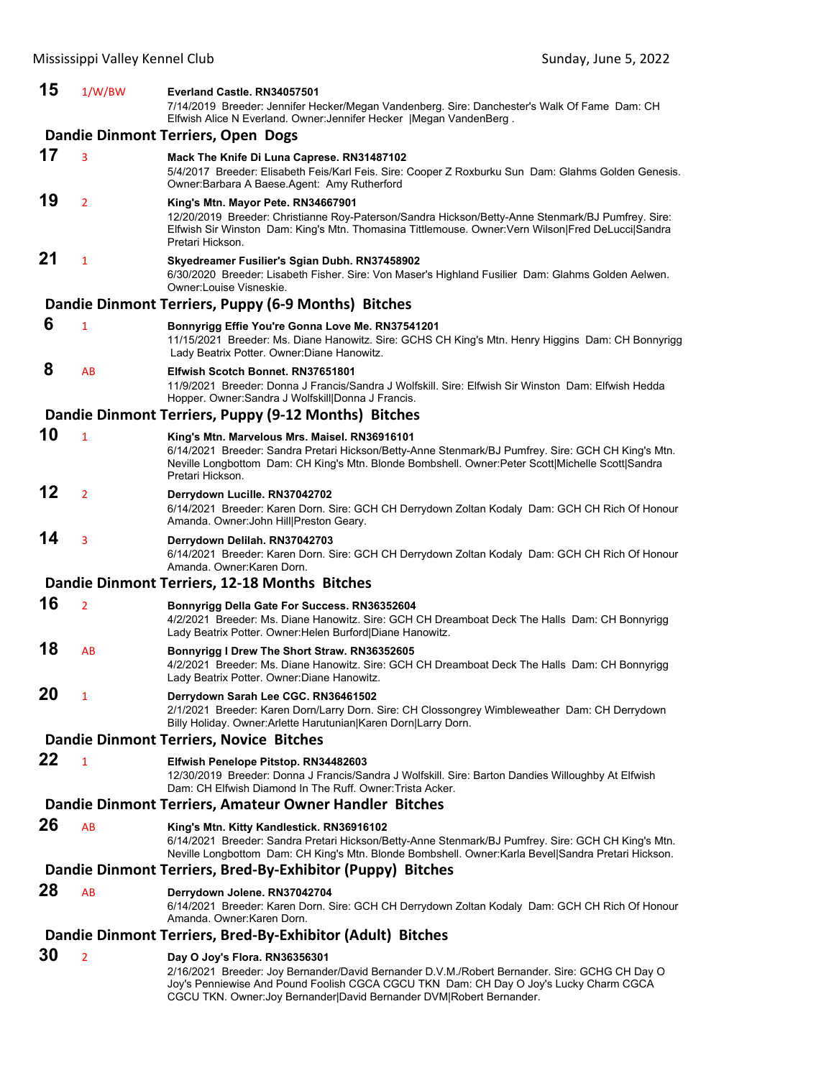| 15 | 1/W/BW         | Everland Castle. RN34057501<br>7/14/2019 Breeder: Jennifer Hecker/Megan Vandenberg. Sire: Danchester's Walk Of Fame Dam: CH<br>Elfwish Alice N Everland. Owner: Jennifer Hecker   Megan VandenBerg.                                                                                             |
|----|----------------|-------------------------------------------------------------------------------------------------------------------------------------------------------------------------------------------------------------------------------------------------------------------------------------------------|
|    |                | Dandie Dinmont Terriers, Open Dogs                                                                                                                                                                                                                                                              |
| 17 | 3              | Mack The Knife Di Luna Caprese. RN31487102<br>5/4/2017 Breeder: Elisabeth Feis/Karl Feis. Sire: Cooper Z Roxburku Sun Dam: Glahms Golden Genesis.<br>Owner: Barbara A Baese Agent: Amy Rutherford                                                                                               |
| 19 | $\overline{2}$ | King's Mtn. Mayor Pete. RN34667901<br>12/20/2019 Breeder: Christianne Roy-Paterson/Sandra Hickson/Betty-Anne Stenmark/BJ Pumfrey. Sire:<br>Elfwish Sir Winston Dam: King's Mtn. Thomasina Tittlemouse. Owner: Vern Wilson Fred DeLucci Sandra<br>Pretari Hickson.                               |
| 21 | $\mathbf{1}$   | Skyedreamer Fusilier's Sgian Dubh. RN37458902<br>6/30/2020 Breeder: Lisabeth Fisher. Sire: Von Maser's Highland Fusilier Dam: Glahms Golden Aelwen.<br>Owner:Louise Visneskie.                                                                                                                  |
|    |                | Dandie Dinmont Terriers, Puppy (6-9 Months) Bitches                                                                                                                                                                                                                                             |
| 6  | $\mathbf{1}$   | Bonnyrigg Effie You're Gonna Love Me. RN37541201<br>11/15/2021 Breeder: Ms. Diane Hanowitz. Sire: GCHS CH King's Mtn. Henry Higgins Dam: CH Bonnyrigg<br>Lady Beatrix Potter. Owner: Diane Hanowitz.                                                                                            |
| 8  | AB             | Elfwish Scotch Bonnet, RN37651801<br>11/9/2021 Breeder: Donna J Francis/Sandra J Wolfskill. Sire: Elfwish Sir Winston Dam: Elfwish Hedda<br>Hopper. Owner: Sandra J Wolfskill Donna J Francis.                                                                                                  |
|    |                | Dandie Dinmont Terriers, Puppy (9-12 Months) Bitches                                                                                                                                                                                                                                            |
| 10 | 1              | King's Mtn. Marvelous Mrs. Maisel. RN36916101<br>6/14/2021 Breeder: Sandra Pretari Hickson/Betty-Anne Stenmark/BJ Pumfrey. Sire: GCH CH King's Mtn.<br>Neville Longbottom Dam: CH King's Mtn. Blonde Bombshell. Owner:Peter Scott Michelle Scott Sandra<br>Pretari Hickson.                     |
| 12 | $\overline{2}$ | Derrydown Lucille. RN37042702<br>6/14/2021 Breeder: Karen Dorn. Sire: GCH CH Derrydown Zoltan Kodaly Dam: GCH CH Rich Of Honour<br>Amanda. Owner: John Hill Preston Geary.                                                                                                                      |
| 14 | 3              | Derrydown Delilah. RN37042703<br>6/14/2021 Breeder: Karen Dorn. Sire: GCH CH Derrydown Zoltan Kodaly Dam: GCH CH Rich Of Honour<br>Amanda, Owner: Karen Dorn.                                                                                                                                   |
|    |                | Dandie Dinmont Terriers, 12-18 Months Bitches                                                                                                                                                                                                                                                   |
| 16 | $\overline{2}$ | Bonnyrigg Della Gate For Success. RN36352604<br>4/2/2021 Breeder: Ms. Diane Hanowitz. Sire: GCH CH Dreamboat Deck The Halls Dam: CH Bonnyrigg<br>Lady Beatrix Potter. Owner: Helen Burford Diane Hanowitz.                                                                                      |
| 18 | AB             | Bonnyrigg I Drew The Short Straw. RN36352605<br>4/2/2021 Breeder: Ms. Diane Hanowitz. Sire: GCH CH Dreamboat Deck The Halls Dam: CH Bonnyrigg<br>Lady Beatrix Potter. Owner: Diane Hanowitz.                                                                                                    |
| 20 | 1              | Derrydown Sarah Lee CGC. RN36461502<br>2/1/2021 Breeder: Karen Dorn/Larry Dorn. Sire: CH Clossongrey Wimbleweather Dam: CH Derrydown<br>Billy Holiday. Owner: Arlette Harutunian Karen Dorn Larry Dorn.                                                                                         |
|    |                | Dandie Dinmont Terriers, Novice Bitches                                                                                                                                                                                                                                                         |
| 22 | $\mathbf{1}$   | Elfwish Penelope Pitstop. RN34482603<br>12/30/2019 Breeder: Donna J Francis/Sandra J Wolfskill. Sire: Barton Dandies Willoughby At Elfwish<br>Dam: CH Elfwish Diamond In The Ruff. Owner: Trista Acker.                                                                                         |
|    |                | Dandie Dinmont Terriers, Amateur Owner Handler Bitches                                                                                                                                                                                                                                          |
| 26 | AB             | King's Mtn. Kitty Kandlestick. RN36916102<br>6/14/2021 Breeder: Sandra Pretari Hickson/Betty-Anne Stenmark/BJ Pumfrey. Sire: GCH CH King's Mtn.<br>Neville Longbottom Dam: CH King's Mtn. Blonde Bombshell. Owner: Karla Bevel Sandra Pretari Hickson.                                          |
|    |                | Dandie Dinmont Terriers, Bred-By-Exhibitor (Puppy) Bitches                                                                                                                                                                                                                                      |
| 28 | AB             | Derrydown Jolene. RN37042704<br>6/14/2021 Breeder: Karen Dorn. Sire: GCH CH Derrydown Zoltan Kodaly Dam: GCH CH Rich Of Honour<br>Amanda, Owner:Karen Dorn.                                                                                                                                     |
|    |                | Dandie Dinmont Terriers, Bred-By-Exhibitor (Adult) Bitches                                                                                                                                                                                                                                      |
| 30 | 2              | Day O Joy's Flora. RN36356301<br>2/16/2021 Breeder: Joy Bernander/David Bernander D.V.M./Robert Bernander. Sire: GCHG CH Day O<br>Joy's Penniewise And Pound Foolish CGCA CGCU TKN Dam: CH Day O Joy's Lucky Charm CGCA<br>CGCU TKN. Owner: Joy Bernander David Bernander DVM Robert Bernander. |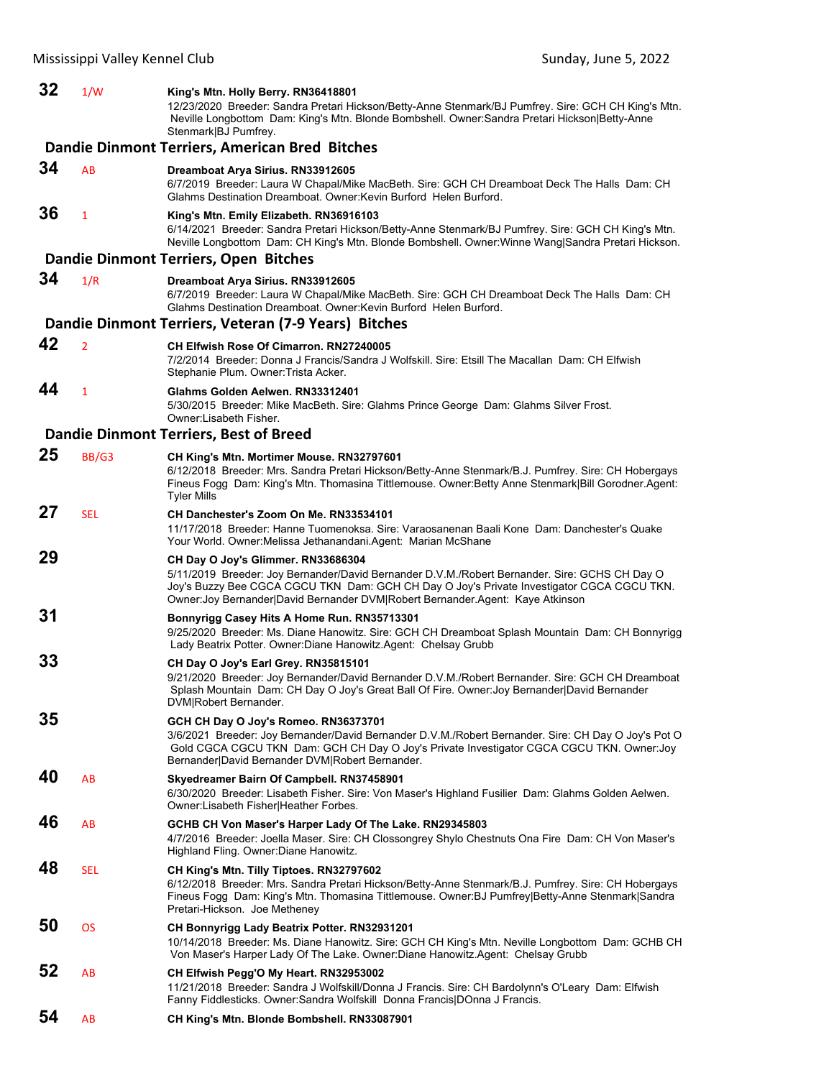# **32** 1/W **King's Mtn. Holly Berry. RN36418801**

12/23/2020 Breeder: Sandra Pretari Hickson/Betty-Anne Stenmark/BJ Pumfrey. Sire: GCH CH King's Mtn. Neville Longbottom Dam: King's Mtn. Blonde Bombshell. Owner:Sandra Pretari Hickson|Betty-Anne Stenmark|BJ Pumfrey.

|    |                | Dandie Dinmont Terriers, American Bred Bitches                                                                                                                                                                                                                                                                      |
|----|----------------|---------------------------------------------------------------------------------------------------------------------------------------------------------------------------------------------------------------------------------------------------------------------------------------------------------------------|
| 34 | AB             | Dreamboat Arya Sirius. RN33912605<br>6/7/2019 Breeder: Laura W Chapal/Mike MacBeth. Sire: GCH CH Dreamboat Deck The Halls Dam: CH<br>Glahms Destination Dreamboat. Owner: Kevin Burford Helen Burford.                                                                                                              |
| 36 | $\mathbf{1}$   | King's Mtn. Emily Elizabeth. RN36916103<br>6/14/2021 Breeder: Sandra Pretari Hickson/Betty-Anne Stenmark/BJ Pumfrey. Sire: GCH CH King's Mtn.<br>Neville Longbottom Dam: CH King's Mtn. Blonde Bombshell. Owner: Winne Wang Sandra Pretari Hickson.                                                                 |
|    |                | Dandie Dinmont Terriers, Open Bitches                                                                                                                                                                                                                                                                               |
| 34 | 1/R            | Dreamboat Arya Sirius. RN33912605<br>6/7/2019 Breeder: Laura W Chapal/Mike MacBeth. Sire: GCH CH Dreamboat Deck The Halls Dam: CH<br>Glahms Destination Dreamboat. Owner: Kevin Burford Helen Burford.                                                                                                              |
|    |                | Dandie Dinmont Terriers, Veteran (7-9 Years) Bitches                                                                                                                                                                                                                                                                |
| 42 | $\overline{2}$ | CH Elfwish Rose Of Cimarron. RN27240005<br>7/2/2014 Breeder: Donna J Francis/Sandra J Wolfskill. Sire: Etsill The Macallan Dam: CH Elfwish<br>Stephanie Plum. Owner: Trista Acker.                                                                                                                                  |
| 44 | $\mathbf{1}$   | Glahms Golden Aelwen. RN33312401<br>5/30/2015 Breeder: Mike MacBeth. Sire: Glahms Prince George Dam: Glahms Silver Frost.<br>Owner:Lisabeth Fisher.                                                                                                                                                                 |
|    |                | <b>Dandie Dinmont Terriers, Best of Breed</b>                                                                                                                                                                                                                                                                       |
| 25 | BB/G3          | CH King's Mtn. Mortimer Mouse. RN32797601<br>6/12/2018 Breeder: Mrs. Sandra Pretari Hickson/Betty-Anne Stenmark/B.J. Pumfrey. Sire: CH Hobergays<br>Fineus Fogg Dam: King's Mtn. Thomasina Tittlemouse. Owner: Betty Anne Stenmark Bill Gorodner. Agent:<br><b>Tyler Mills</b>                                      |
| 27 | <b>SEL</b>     | CH Danchester's Zoom On Me. RN33534101<br>11/17/2018 Breeder: Hanne Tuomenoksa. Sire: Varaosanenan Baali Kone Dam: Danchester's Quake<br>Your World. Owner: Melissa Jethanandani. Agent: Marian McShane                                                                                                             |
| 29 |                | CH Day O Joy's Glimmer. RN33686304<br>5/11/2019 Breeder: Joy Bernander/David Bernander D.V.M./Robert Bernander. Sire: GCHS CH Day O<br>Joy's Buzzy Bee CGCA CGCU TKN Dam: GCH CH Day O Joy's Private Investigator CGCA CGCU TKN.<br>Owner: Joy Bernander David Bernander DVM Robert Bernander. Agent: Kaye Atkinson |
| 31 |                | Bonnyrigg Casey Hits A Home Run. RN35713301<br>9/25/2020 Breeder: Ms. Diane Hanowitz. Sire: GCH CH Dreamboat Splash Mountain Dam: CH Bonnyrigg<br>Lady Beatrix Potter. Owner: Diane Hanowitz. Agent: Chelsay Grubb                                                                                                  |
| 33 |                | CH Day O Joy's Earl Grey. RN35815101<br>9/21/2020 Breeder: Joy Bernander/David Bernander D.V.M./Robert Bernander. Sire: GCH CH Dreamboat<br>Splash Mountain Dam: CH Day O Joy's Great Ball Of Fire. Owner: Joy Bernander David Bernander<br>DVM Robert Bernander.                                                   |
| 35 |                | GCH CH Day O Joy's Romeo. RN36373701<br>3/6/2021 Breeder: Joy Bernander/David Bernander D.V.M./Robert Bernander. Sire: CH Day O Joy's Pot O<br>Gold CGCA CGCU TKN Dam: GCH CH Day O Joy's Private Investigator CGCA CGCU TKN. Owner: Joy<br>Bernander David Bernander DVM Robert Bernander.                         |
| 40 | AB             | Skyedreamer Bairn Of Campbell. RN37458901<br>6/30/2020 Breeder: Lisabeth Fisher. Sire: Von Maser's Highland Fusilier Dam: Glahms Golden Aelwen.<br>Owner: Lisabeth Fisher Heather Forbes.                                                                                                                           |
| 46 | AB             | GCHB CH Von Maser's Harper Lady Of The Lake. RN29345803<br>4/7/2016 Breeder: Joella Maser. Sire: CH Clossongrey Shylo Chestnuts Ona Fire Dam: CH Von Maser's<br>Highland Fling. Owner: Diane Hanowitz.                                                                                                              |
| 48 | <b>SEL</b>     | CH King's Mtn. Tilly Tiptoes. RN32797602<br>6/12/2018 Breeder: Mrs. Sandra Pretari Hickson/Betty-Anne Stenmark/B.J. Pumfrey. Sire: CH Hobergays<br>Fineus Fogg Dam: King's Mtn. Thomasina Tittlemouse. Owner: BJ Pumfrey Betty-Anne Stenmark Sandra<br>Pretari-Hickson. Joe Metheney                                |
| 50 | <b>OS</b>      | CH Bonnyrigg Lady Beatrix Potter. RN32931201<br>10/14/2018 Breeder: Ms. Diane Hanowitz. Sire: GCH CH King's Mtn. Neville Longbottom Dam: GCHB CH<br>Von Maser's Harper Lady Of The Lake. Owner:Diane Hanowitz.Agent: Chelsay Grubb                                                                                  |
| 52 | AB             | CH Elfwish Pegg'O My Heart. RN32953002<br>11/21/2018 Breeder: Sandra J Wolfskill/Donna J Francis. Sire: CH Bardolynn's O'Leary Dam: Elfwish<br>Fanny Fiddlesticks. Owner: Sandra Wolfskill Donna Francis DOnna J Francis.                                                                                           |
| 54 | AB             | CH King's Mtn. Blonde Bombshell. RN33087901                                                                                                                                                                                                                                                                         |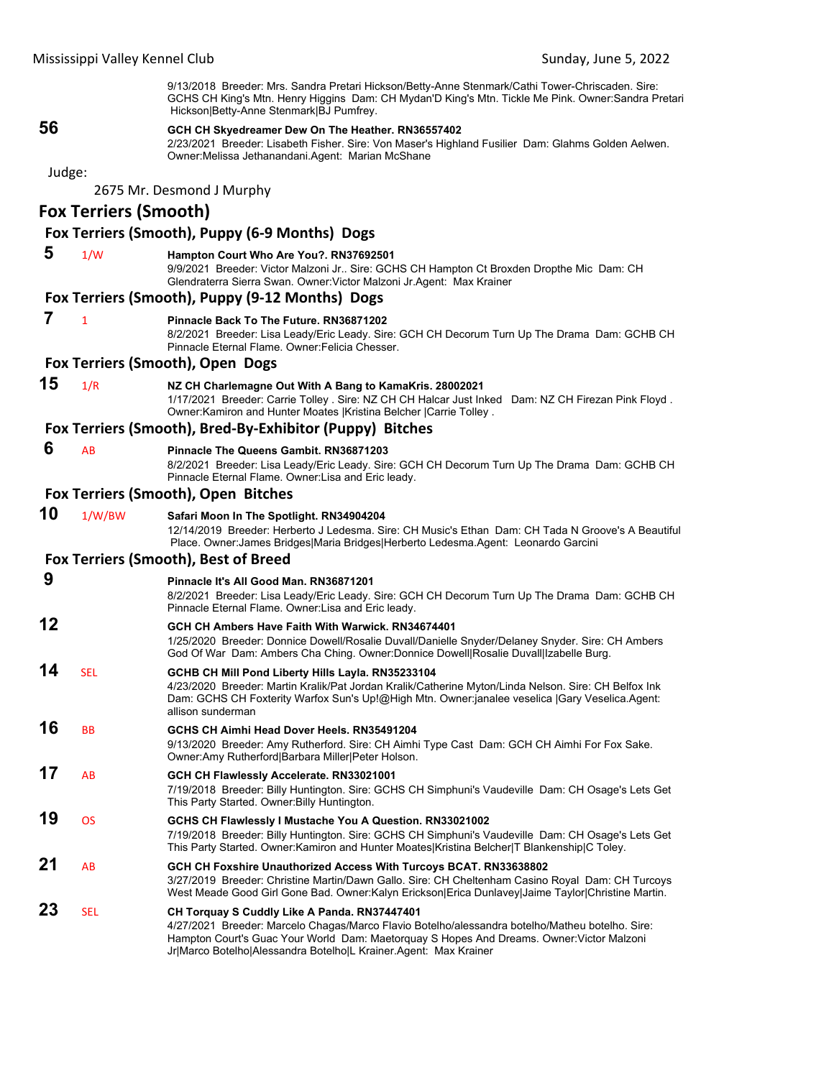9/13/2018 Breeder: Mrs. Sandra Pretari Hickson/Betty-Anne Stenmark/Cathi Tower-Chriscaden. Sire: GCHS CH King's Mtn. Henry Higgins Dam: CH Mydan'D King's Mtn. Tickle Me Pink. Owner:Sandra Pretari Hickson|Betty-Anne Stenmark|BJ Pumfrey.

# **56 GCH CH Skyedreamer Dew On The Heather. RN36557402**

2/23/2021 Breeder: Lisabeth Fisher. Sire: Von Maser's Highland Fusilier Dam: Glahms Golden Aelwen. Owner:Melissa Jethanandani.Agent: Marian McShane

#### Judge:

2675 Mr. Desmond J Murphy

# **Fox Terriers (Smooth)**

**Fox Terriers (Smooth), Puppy (6‐9 Months) Dogs**

#### **5** 1/W **Hampton Court Who Are You?. RN37692501**

9/9/2021 Breeder: Victor Malzoni Jr.. Sire: GCHS CH Hampton Ct Broxden Dropthe Mic Dam: CH Glendraterra Sierra Swan. Owner:Victor Malzoni Jr.Agent: Max Krainer

#### **Fox Terriers (Smooth), Puppy (9‐12 Months) Dogs**

#### **7** <sup>1</sup> **Pinnacle Back To The Future. RN36871202**

8/2/2021 Breeder: Lisa Leady/Eric Leady. Sire: GCH CH Decorum Turn Up The Drama Dam: GCHB CH Pinnacle Eternal Flame. Owner:Felicia Chesser.

#### **Fox Terriers (Smooth), Open Dogs**

# **15** 1/R **NZ CH Charlemagne Out With A Bang to KamaKris. 28002021**

1/17/2021 Breeder: Carrie Tolley . Sire: NZ CH CH Halcar Just Inked Dam: NZ CH Firezan Pink Floyd . Owner:Kamiron and Hunter Moates |Kristina Belcher |Carrie Tolley .

#### **Fox Terriers (Smooth), Bred‐By‐Exhibitor (Puppy) Bitches**

 **6** AB **Pinnacle The Queens Gambit. RN36871203**

8/2/2021 Breeder: Lisa Leady/Eric Leady. Sire: GCH CH Decorum Turn Up The Drama Dam: GCHB CH Pinnacle Eternal Flame. Owner:Lisa and Eric leady.

#### **Fox Terriers (Smooth), Open Bitches**

**10** 1/W/BW **Safari Moon In The Spotlight. RN34904204** 12/14/2019 Breeder: Herberto J Ledesma. Sire: CH Music's Ethan Dam: CH Tada N Groove's A Beautiful Place. Owner:James Bridges|Maria Bridges|Herberto Ledesma.Agent: Leonardo Garcini

# **Fox Terriers (Smooth), Best of Breed**

# **9 Pinnacle It's All Good Man. RN36871201**

8/2/2021 Breeder: Lisa Leady/Eric Leady. Sire: GCH CH Decorum Turn Up The Drama Dam: GCHB CH Pinnacle Eternal Flame. Owner:Lisa and Eric leady.

# **12 GCH CH Ambers Have Faith With Warwick. RN34674401**

1/25/2020 Breeder: Donnice Dowell/Rosalie Duvall/Danielle Snyder/Delaney Snyder. Sire: CH Ambers God Of War Dam: Ambers Cha Ching. Owner:Donnice Dowell|Rosalie Duvall|Izabelle Burg.

- **14** SEL **GCHB CH Mill Pond Liberty Hills Layla. RN35233104** 4/23/2020 Breeder: Martin Kralik/Pat Jordan Kralik/Catherine Myton/Linda Nelson. Sire: CH Belfox Ink
	- Dam: GCHS CH Foxterity Warfox Sun's Up!@High Mtn. Owner:janalee veselica |Gary Veselica.Agent: allison sunderman

# **16** BB **GCHS CH Aimhi Head Dover Heels. RN35491204**

9/13/2020 Breeder: Amy Rutherford. Sire: CH Aimhi Type Cast Dam: GCH CH Aimhi For Fox Sake. Owner:Amy Rutherford|Barbara Miller|Peter Holson.

# **17** AB **GCH CH Flawlessly Accelerate. RN33021001**

7/19/2018 Breeder: Billy Huntington. Sire: GCHS CH Simphuni's Vaudeville Dam: CH Osage's Lets Get This Party Started. Owner:Billy Huntington.

# **19** OS **GCHS CH Flawlessly I Mustache You A Question. RN33021002** 7/19/2018 Breeder: Billy Huntington. Sire: GCHS CH Simphuni's Vaudeville Dam: CH Osage's Lets Get

This Party Started. Owner:Kamiron and Hunter Moates|Kristina Belcher|T Blankenship|C Toley. **21** AB **GCH CH Foxshire Unauthorized Access With Turcoys BCAT. RN33638802** 3/27/2019 Breeder: Christine Martin/Dawn Gallo. Sire: CH Cheltenham Casino Royal Dam: CH Turcoys

# West Meade Good Girl Gone Bad. Owner:Kalyn Erickson|Erica Dunlavey|Jaime Taylor|Christine Martin. **23** SEL **CH Torquay S Cuddly Like A Panda. RN37447401**

4/27/2021 Breeder: Marcelo Chagas/Marco Flavio Botelho/alessandra botelho/Matheu botelho. Sire: Hampton Court's Guac Your World Dam: Maetorquay S Hopes And Dreams. Owner:Victor Malzoni Jr|Marco Botelho|Alessandra Botelho|L Krainer.Agent: Max Krainer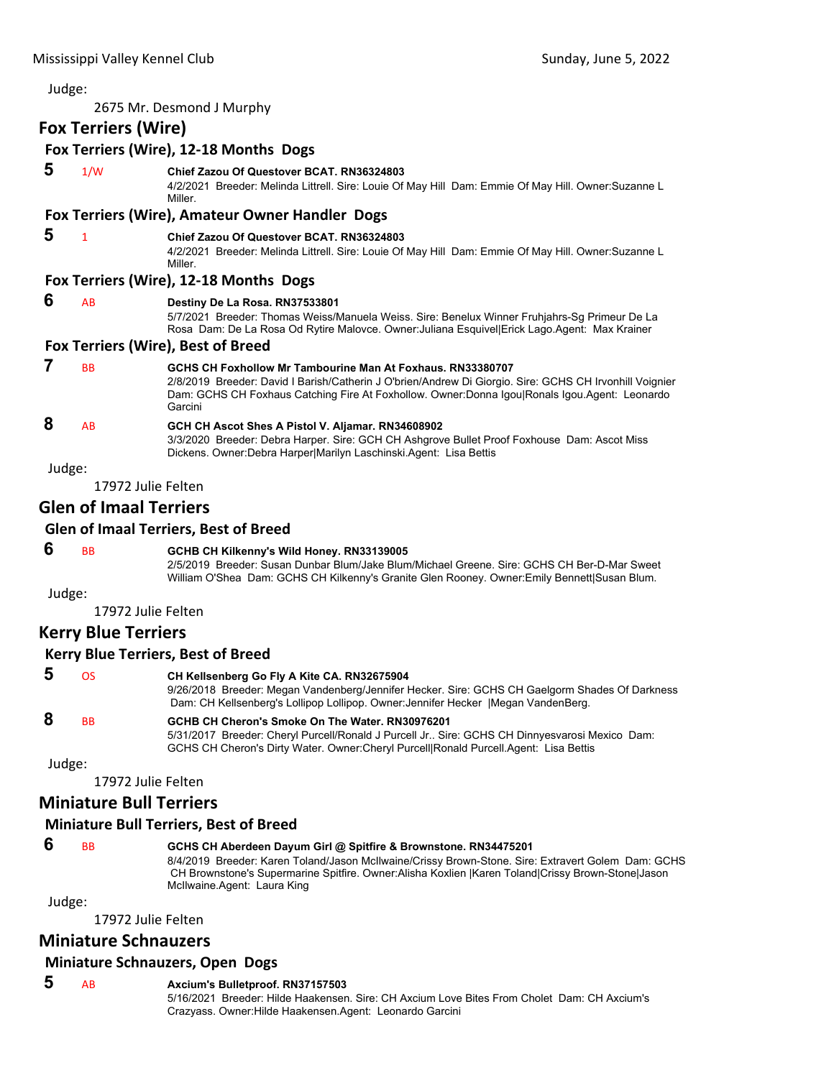| Judge: |                                |                                                                                                                                                                                                                                                                                   |
|--------|--------------------------------|-----------------------------------------------------------------------------------------------------------------------------------------------------------------------------------------------------------------------------------------------------------------------------------|
|        |                                | 2675 Mr. Desmond J Murphy                                                                                                                                                                                                                                                         |
|        | <b>Fox Terriers (Wire)</b>     |                                                                                                                                                                                                                                                                                   |
|        |                                | Fox Terriers (Wire), 12-18 Months Dogs                                                                                                                                                                                                                                            |
| 5      | 1/W                            | <b>Chief Zazou Of Questover BCAT. RN36324803</b><br>4/2/2021 Breeder: Melinda Littrell. Sire: Louie Of May Hill Dam: Emmie Of May Hill. Owner:Suzanne L<br>Miller.                                                                                                                |
|        |                                | Fox Terriers (Wire), Amateur Owner Handler Dogs                                                                                                                                                                                                                                   |
| 5      | $\mathbf{1}$                   | Chief Zazou Of Questover BCAT. RN36324803<br>4/2/2021 Breeder: Melinda Littrell. Sire: Louie Of May Hill Dam: Emmie Of May Hill. Owner:Suzanne L<br>Miller.                                                                                                                       |
|        |                                | Fox Terriers (Wire), 12-18 Months Dogs                                                                                                                                                                                                                                            |
| 6      | AB                             | Destiny De La Rosa. RN37533801<br>5/7/2021 Breeder: Thomas Weiss/Manuela Weiss. Sire: Benelux Winner Fruhjahrs-Sg Primeur De La<br>Rosa Dam: De La Rosa Od Rytire Malovce. Owner: Juliana Esquivel Erick Lago. Agent: Max Krainer                                                 |
|        |                                | Fox Terriers (Wire), Best of Breed                                                                                                                                                                                                                                                |
| 7      | <b>BB</b>                      | GCHS CH Foxhollow Mr Tambourine Man At Foxhaus, RN33380707<br>2/8/2019 Breeder: David I Barish/Catherin J O'brien/Andrew Di Giorgio. Sire: GCHS CH Irvonhill Voignier<br>Dam: GCHS CH Foxhaus Catching Fire At Foxhollow. Owner:Donna Igou Ronals Igou.Agent: Leonardo<br>Garcini |
| 8      | AB                             | GCH CH Ascot Shes A Pistol V. Aljamar. RN34608902<br>3/3/2020 Breeder: Debra Harper. Sire: GCH CH Ashgrove Bullet Proof Foxhouse Dam: Ascot Miss<br>Dickens. Owner: Debra Harper Marilyn Laschinski. Agent: Lisa Bettis                                                           |
| Judge: |                                |                                                                                                                                                                                                                                                                                   |
|        | 17972 Julie Felten             |                                                                                                                                                                                                                                                                                   |
|        | <b>Glen of Imaal Terriers</b>  |                                                                                                                                                                                                                                                                                   |
|        |                                | <b>Glen of Imaal Terriers, Best of Breed</b>                                                                                                                                                                                                                                      |
| 6      | <b>BB</b>                      | GCHB CH Kilkenny's Wild Honey. RN33139005<br>2/5/2019 Breeder: Susan Dunbar Blum/Jake Blum/Michael Greene. Sire: GCHS CH Ber-D-Mar Sweet<br>William O'Shea Dam: GCHS CH Kilkenny's Granite Glen Rooney. Owner: Emily Bennett Susan Blum.                                          |
| Judge: |                                |                                                                                                                                                                                                                                                                                   |
|        | 17972 Julie Felten             |                                                                                                                                                                                                                                                                                   |
|        | <b>Kerry Blue Terriers</b>     |                                                                                                                                                                                                                                                                                   |
|        |                                | <b>Kerry Blue Terriers, Best of Breed</b>                                                                                                                                                                                                                                         |
| 5      | OS                             | CH Kellsenberg Go Fly A Kite CA. RN32675904<br>9/26/2018 Breeder: Megan Vandenberg/Jennifer Hecker. Sire: GCHS CH Gaelgorm Shades Of Darkness<br>Dam: CH Kellsenberg's Lollipop Lollipop. Owner: Jennifer Hecker   Megan VandenBerg.                                              |
| 8      | BB                             | GCHB CH Cheron's Smoke On The Water. RN30976201<br>5/31/2017 Breeder: Cheryl Purcell/Ronald J Purcell Jr Sire: GCHS CH Dinnyesvarosi Mexico Dam:<br>GCHS CH Cheron's Dirty Water. Owner: Cheryl Purcell Ronald Purcell.Agent: Lisa Bettis                                         |
| Judge: |                                |                                                                                                                                                                                                                                                                                   |
|        | 17972 Julie Felten             |                                                                                                                                                                                                                                                                                   |
|        | <b>Miniature Bull Terriers</b> |                                                                                                                                                                                                                                                                                   |

# **Miniature Bull Terriers, Best of Breed**

# **6** BB **GCHS CH Aberdeen Dayum Girl @ Spitfire & Brownstone. RN34475201**

8/4/2019 Breeder: Karen Toland/Jason McIlwaine/Crissy Brown-Stone. Sire: Extravert Golem Dam: GCHS CH Brownstone's Supermarine Spitfire. Owner:Alisha Koxlien |Karen Toland|Crissy Brown-Stone|Jason McIlwaine.Agent: Laura King

Judge:

17972 Julie Felten

# **Miniature Schnauzers**

# **Miniature Schnauzers, Open Dogs**

 **5** AB **Axcium's Bulletproof. RN37157503** 5/16/2021 Breeder: Hilde Haakensen. Sire: CH Axcium Love Bites From Cholet Dam: CH Axcium's Crazyass. Owner:Hilde Haakensen.Agent: Leonardo Garcini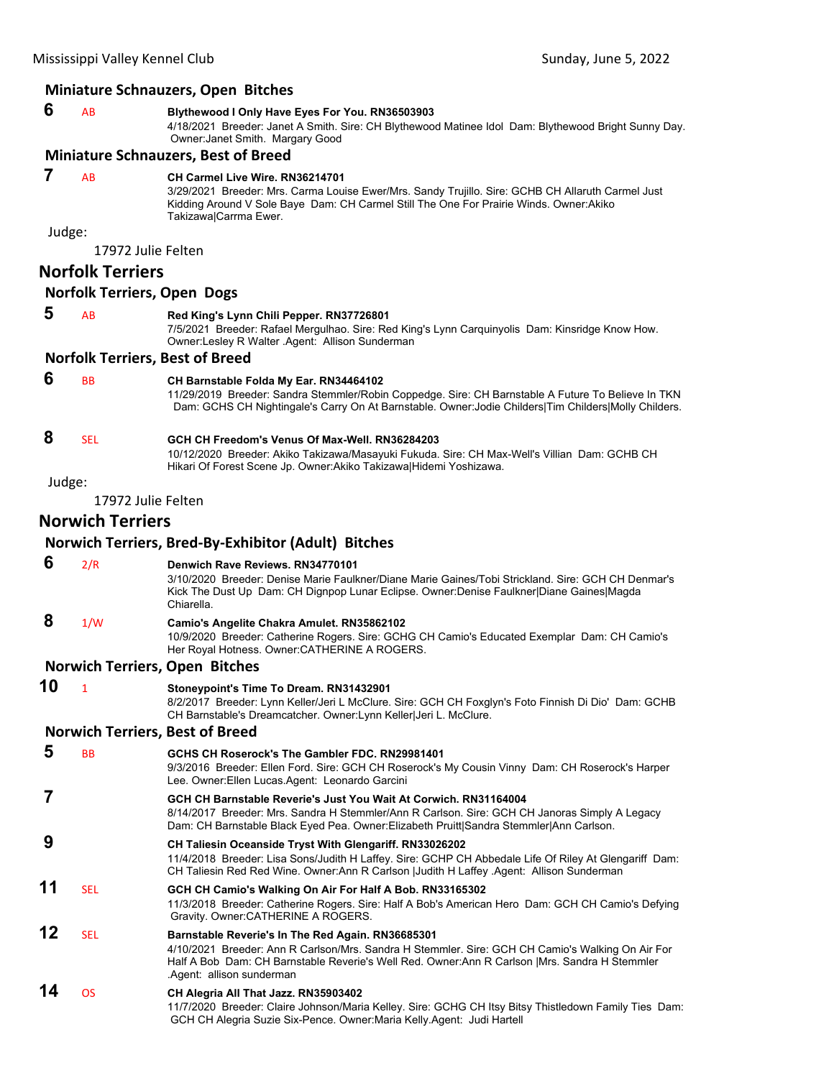#### **Miniature Schnauzers, Open Bitches**

#### **6** AB **Blythewood I Only Have Eyes For You. RN36503903**

4/18/2021 Breeder: Janet A Smith. Sire: CH Blythewood Matinee Idol Dam: Blythewood Bright Sunny Day. Owner:Janet Smith. Margary Good

#### **Miniature Schnauzers, Best of Breed**

#### **7** AB **CH Carmel Live Wire. RN36214701**

3/29/2021 Breeder: Mrs. Carma Louise Ewer/Mrs. Sandy Trujillo. Sire: GCHB CH Allaruth Carmel Just Kidding Around V Sole Baye Dam: CH Carmel Still The One For Prairie Winds. Owner:Akiko Takizawa|Carrma Ewer.

Judge:

17972 Julie Felten

# **Norfolk Terriers**

#### **Norfolk Terriers, Open Dogs**

# **5** AB **Red King's Lynn Chili Pepper. RN37726801**

7/5/2021 Breeder: Rafael Mergulhao. Sire: Red King's Lynn Carquinyolis Dam: Kinsridge Know How. Owner:Lesley R Walter .Agent: Allison Sunderman

#### **Norfolk Terriers, Best of Breed**

# **6** BB **CH Barnstable Folda My Ear. RN34464102**

11/29/2019 Breeder: Sandra Stemmler/Robin Coppedge. Sire: CH Barnstable A Future To Believe In TKN Dam: GCHS CH Nightingale's Carry On At Barnstable. Owner:Jodie Childers|Tim Childers|Molly Childers.

# **8** SEL **GCH CH Freedom's Venus Of Max-Well. RN36284203**

10/12/2020 Breeder: Akiko Takizawa/Masayuki Fukuda. Sire: CH Max-Well's Villian Dam: GCHB CH Hikari Of Forest Scene Jp. Owner:Akiko Takizawa|Hidemi Yoshizawa.

# Judge:

17972 Julie Felten

# **Norwich Terriers**

**Norwich Terriers, Bred‐By‐Exhibitor (Adult) Bitches**

#### **6** 2/R **Denwich Rave Reviews. RN34770101**

3/10/2020 Breeder: Denise Marie Faulkner/Diane Marie Gaines/Tobi Strickland. Sire: GCH CH Denmar's Kick The Dust Up Dam: CH Dignpop Lunar Eclipse. Owner:Denise Faulkner|Diane Gaines|Magda Chiarella.

# **8** 1/W **Camio's Angelite Chakra Amulet. RN35862102**

10/9/2020 Breeder: Catherine Rogers. Sire: GCHG CH Camio's Educated Exemplar Dam: CH Camio's Her Royal Hotness. Owner:CATHERINE A ROGERS.

#### **Norwich Terriers, Open Bitches**

**10** <sup>1</sup> **Stoneypoint's Time To Dream. RN31432901** 8/2/2017 Breeder: Lynn Keller/Jeri L McClure. Sire: GCH CH Foxglyn's Foto Finnish Di Dio' Dam: GCHB CH Barnstable's Dreamcatcher. Owner:Lynn Keller|Jeri L. McClure.

# **Norwich Terriers, Best of Breed**

| 5  | <b>BB</b>  | GCHS CH Roserock's The Gambler FDC, RN29981401<br>9/3/2016 Breeder: Ellen Ford. Sire: GCH CH Roserock's My Cousin Vinny Dam: CH Roserock's Harper<br>Lee. Owner:Ellen Lucas.Agent: Leonardo Garcini                                                                                  |
|----|------------|--------------------------------------------------------------------------------------------------------------------------------------------------------------------------------------------------------------------------------------------------------------------------------------|
|    |            | GCH CH Barnstable Reverie's Just You Wait At Corwich, RN31164004<br>8/14/2017 Breeder: Mrs. Sandra H Stemmler/Ann R Carlson. Sire: GCH CH Janoras Simply A Legacy<br>Dam: CH Barnstable Black Eyed Pea. Owner: Elizabeth Pruitt Sandra Stemmler Ann Carlson.                         |
| 9  |            | CH Taliesin Oceanside Tryst With Glengariff. RN33026202<br>11/4/2018 Breeder: Lisa Sons/Judith H Laffey. Sire: GCHP CH Abbedale Life Of Riley At Glengariff Dam:<br>CH Taliesin Red Red Wine. Owner: Ann R Carlson JJudith H Laffey Agent: Allison Sunderman                         |
| 11 | <b>SEL</b> | GCH CH Camio's Walking On Air For Half A Bob. RN33165302<br>11/3/2018 Breeder: Catherine Rogers. Sire: Half A Bob's American Hero Dam: GCH CH Camio's Defying<br>Gravity. Owner: CATHERINE A ROGERS.                                                                                 |
| 12 | <b>SEL</b> | Barnstable Reverie's In The Red Again. RN36685301<br>4/10/2021 Breeder: Ann R Carlson/Mrs. Sandra H Stemmler. Sire: GCH CH Camio's Walking On Air For<br>Half A Bob Dam: CH Barnstable Reverie's Well Red. Owner: Ann R Carlson   Mrs. Sandra H Stemmler<br>Agent: allison sunderman |
| 14 | ΩS         | CH Alegria All That Jazz. RN35903402<br>11/7/0000 Dreader: Claire, Johnson/Marie Kelley, Circ, CCUC CU Itay Ditoy Thietladewn Eamily Ties, Damy                                                                                                                                      |

11/7/2020 Breeder: Claire Johnson/Maria Kelley. Sire: GCHG CH Itsy Bitsy Thistledown Family Ties Dam: GCH CH Alegria Suzie Six-Pence. Owner:Maria Kelly.Agent: Judi Hartell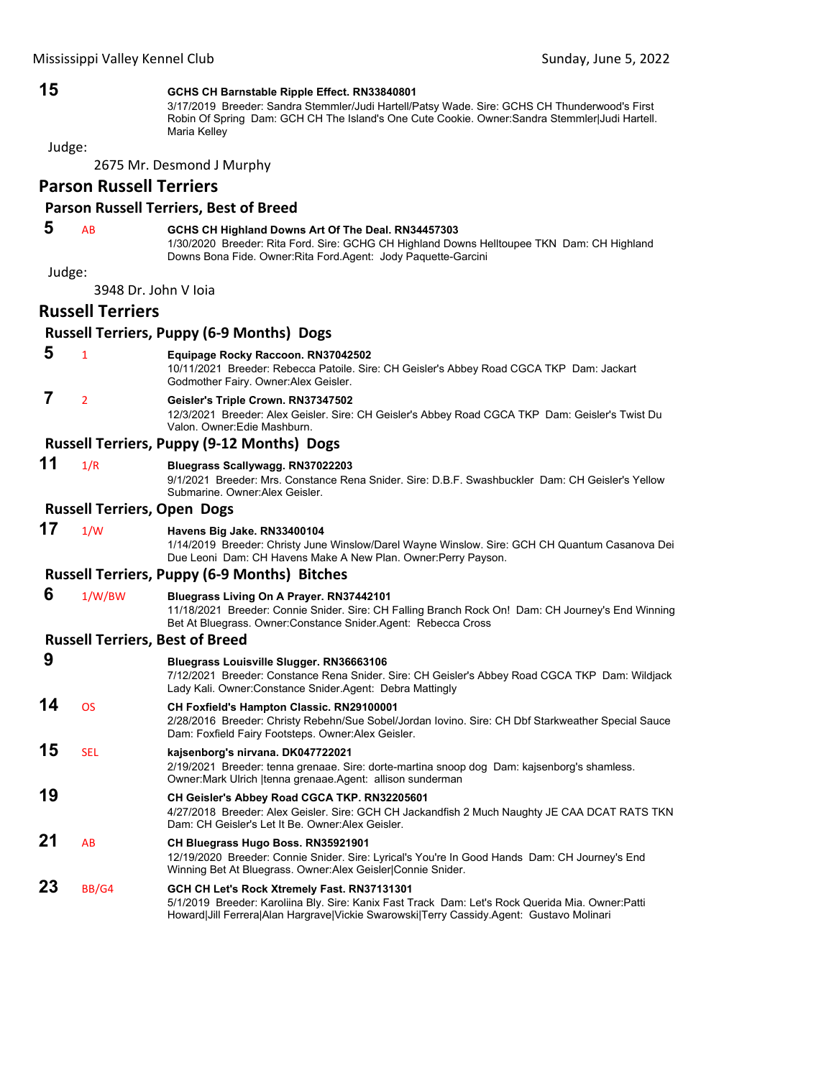#### **15 GCHS CH Barnstable Ripple Effect. RN33840801**

3/17/2019 Breeder: Sandra Stemmler/Judi Hartell/Patsy Wade. Sire: GCHS CH Thunderwood's First Robin Of Spring Dam: GCH CH The Island's One Cute Cookie. Owner:Sandra Stemmler|Judi Hartell. Maria Kelley

Judge:

2675 Mr. Desmond J Murphy

# **Parson Russell Terriers**

#### **Parson Russell Terriers, Best of Breed**

# **5** AB **GCHS CH Highland Downs Art Of The Deal. RN34457303**

1/30/2020 Breeder: Rita Ford. Sire: GCHG CH Highland Downs Helltoupee TKN Dam: CH Highland Downs Bona Fide. Owner:Rita Ford.Agent: Jody Paquette-Garcini

Judge:

3948 Dr. John V Ioia

# **Russell Terriers**

# **Russell Terriers, Puppy (6‐9 Months) Dogs**

- **5** <sup>1</sup> **Equipage Rocky Raccoon. RN37042502**
	- 10/11/2021 Breeder: Rebecca Patoile. Sire: CH Geisler's Abbey Road CGCA TKP Dam: Jackart Godmother Fairy. Owner:Alex Geisler.

# **7** <sup>2</sup> **Geisler's Triple Crown. RN37347502**

12/3/2021 Breeder: Alex Geisler. Sire: CH Geisler's Abbey Road CGCA TKP Dam: Geisler's Twist Du Valon. Owner:Edie Mashburn.

# **Russell Terriers, Puppy (9‐12 Months) Dogs**

# **11** 1/R **Bluegrass Scallywagg. RN37022203**

9/1/2021 Breeder: Mrs. Constance Rena Snider. Sire: D.B.F. Swashbuckler Dam: CH Geisler's Yellow Submarine. Owner:Alex Geisler.

#### **Russell Terriers, Open Dogs**

# **17** 1/W **Havens Big Jake. RN33400104**

1/14/2019 Breeder: Christy June Winslow/Darel Wayne Winslow. Sire: GCH CH Quantum Casanova Dei Due Leoni Dam: CH Havens Make A New Plan. Owner:Perry Payson.

#### **Russell Terriers, Puppy (6‐9 Months) Bitches**

#### **6** 1/W/BW **Bluegrass Living On A Prayer. RN37442101**

11/18/2021 Breeder: Connie Snider. Sire: CH Falling Branch Rock On! Dam: CH Journey's End Winning Bet At Bluegrass. Owner:Constance Snider.Agent: Rebecca Cross

#### **Russell Terriers, Best of Breed**

| 9  |            | <b>Bluegrass Louisville Slugger. RN36663106</b><br>7/12/2021 Breeder: Constance Rena Snider. Sire: CH Geisler's Abbey Road CGCA TKP Dam: Wildjack<br>Lady Kali. Owner: Constance Snider. Agent: Debra Mattingly                              |
|----|------------|----------------------------------------------------------------------------------------------------------------------------------------------------------------------------------------------------------------------------------------------|
| 14 | <b>OS</b>  | <b>CH Foxfield's Hampton Classic. RN29100001</b><br>2/28/2016 Breeder: Christy Rebehn/Sue Sobel/Jordan lovino. Sire: CH Dbf Starkweather Special Sauce<br>Dam: Foxfield Fairy Footsteps. Owner: Alex Geisler.                                |
| 15 | <b>SEL</b> | kaisenborg's nirvana. DK047722021<br>2/19/2021 Breeder: tenna grenaae. Sire: dorte-martina snoop dog Dam: kajsenborg's shamless.<br>Owner: Mark Ulrich   tenna grenaae. Agent: allison sunderman                                             |
| 19 |            | CH Geisler's Abbey Road CGCA TKP. RN32205601<br>4/27/2018 Breeder: Alex Geisler. Sire: GCH CH Jackandfish 2 Much Naughty JE CAA DCAT RATS TKN<br>Dam: CH Geisler's Let It Be. Owner Alex Geisler.                                            |
| 21 | AB         | CH Bluegrass Hugo Boss. RN35921901<br>12/19/2020 Breeder: Connie Snider. Sire: Lyrical's You're In Good Hands Dam: CH Journey's End<br>Winning Bet At Bluegrass. Owner: Alex Geisler Connie Snider.                                          |
| 23 | BB/G4      | GCH CH Let's Rock Xtremely Fast. RN37131301<br>5/1/2019 Breeder: Karoliina Bly. Sire: Kanix Fast Track Dam: Let's Rock Querida Mia. Owner: Patti<br>Howard Jill Ferrera Alan Hargrave Vickie Swarowski Terry Cassidy.Agent: Gustavo Molinari |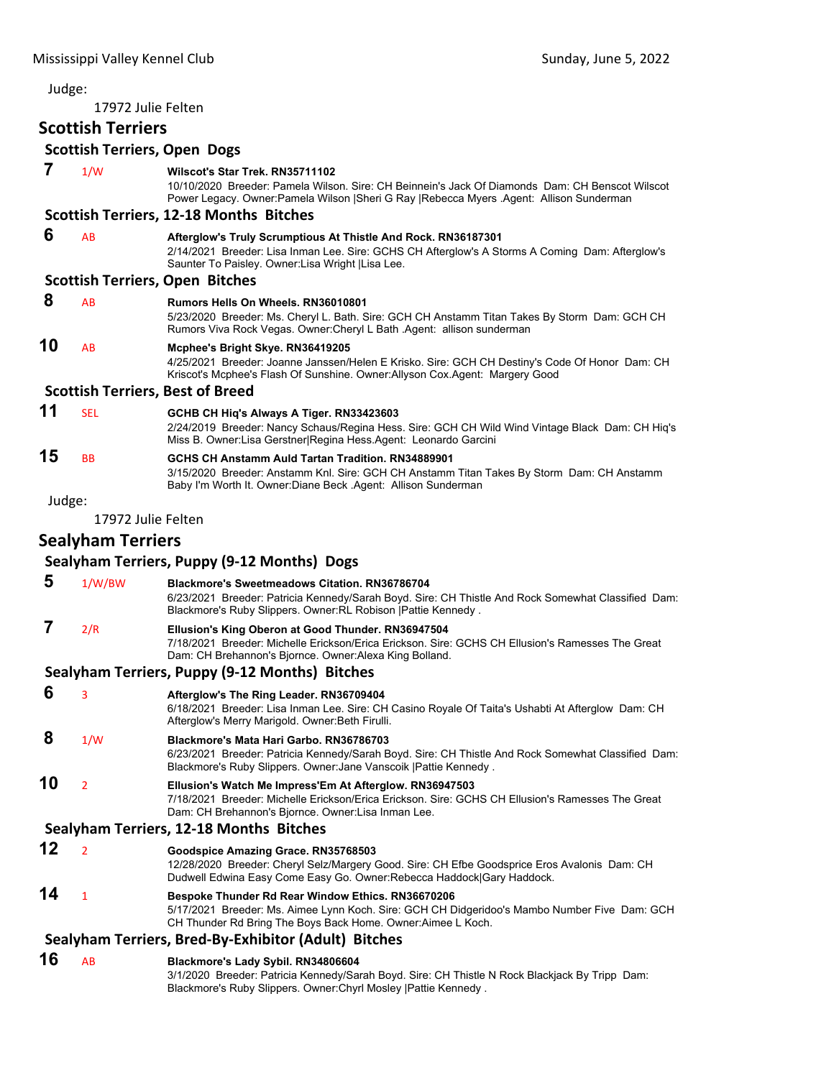17972 Julie Felten

# **Scottish Terriers**

# **Scottish Terriers, Open Dogs**

| 7      | 1/W                      | Wilscot's Star Trek. RN35711102<br>10/10/2020 Breeder: Pamela Wilson. Sire: CH Beinnein's Jack Of Diamonds Dam: CH Benscot Wilscot<br>Power Legacy. Owner: Pamela Wilson   Sheri G Ray   Rebecca Myers Agent: Allison Sunderman |
|--------|--------------------------|---------------------------------------------------------------------------------------------------------------------------------------------------------------------------------------------------------------------------------|
|        |                          | <b>Scottish Terriers, 12-18 Months Bitches</b>                                                                                                                                                                                  |
| 6      | AB                       | Afterglow's Truly Scrumptious At Thistle And Rock. RN36187301<br>2/14/2021 Breeder: Lisa Inman Lee. Sire: GCHS CH Afterglow's A Storms A Coming Dam: Afterglow's<br>Saunter To Paisley. Owner: Lisa Wright   Lisa Lee.          |
|        |                          | <b>Scottish Terriers, Open Bitches</b>                                                                                                                                                                                          |
| 8      | AB                       | <b>Rumors Hells On Wheels, RN36010801</b><br>5/23/2020 Breeder: Ms. Cheryl L. Bath. Sire: GCH CH Anstamm Titan Takes By Storm Dam: GCH CH<br>Rumors Viva Rock Vegas. Owner: Cheryl L Bath . Agent: allison sunderman            |
| 10     | AB                       | Mcphee's Bright Skye. RN36419205<br>4/25/2021 Breeder: Joanne Janssen/Helen E Krisko. Sire: GCH CH Destiny's Code Of Honor Dam: CH<br>Kriscot's Mcphee's Flash Of Sunshine. Owner:Allyson Cox.Agent: Margery Good               |
|        |                          | <b>Scottish Terriers, Best of Breed</b>                                                                                                                                                                                         |
| 11     | <b>SEL</b>               | GCHB CH Hiq's Always A Tiger. RN33423603<br>2/24/2019 Breeder: Nancy Schaus/Regina Hess. Sire: GCH CH Wild Wind Vintage Black Dam: CH Hiq's<br>Miss B. Owner: Lisa Gerstner Regina Hess. Agent: Leonardo Garcini                |
| 15     | ВB                       | GCHS CH Anstamm Auld Tartan Tradition. RN34889901<br>3/15/2020 Breeder: Anstamm Knl. Sire: GCH CH Anstamm Titan Takes By Storm Dam: CH Anstamm<br>Baby I'm Worth It. Owner: Diane Beck . Agent: Allison Sunderman               |
| Judge: |                          |                                                                                                                                                                                                                                 |
|        | 17972 Julie Felten       |                                                                                                                                                                                                                                 |
|        | <b>Sealyham Terriers</b> |                                                                                                                                                                                                                                 |
|        |                          | Sealyham Terriers, Puppy (9-12 Months) Dogs                                                                                                                                                                                     |
| 5      | 1/W/BW                   | <b>Blackmore's Sweetmeadows Citation. RN36786704</b><br>6/23/2021 Breeder: Patricia Kennedy/Sarah Boyd. Sire: CH Thistle And Rock Somewhat Classified Dam:<br>Blackmore's Ruby Slippers. Owner: RL Robison   Pattie Kennedy.    |
| 7      | 2/R                      | Ellusion's King Oberon at Good Thunder. RN36947504<br>7/18/2021 Breeder: Michelle Erickson/Erica Erickson. Sire: GCHS CH Ellusion's Ramesses The Great<br>Dam: CH Brehannon's Bjornce. Owner: Alexa King Bolland.               |
|        |                          | Sealyham Terriers, Puppy (9-12 Months) Bitches                                                                                                                                                                                  |
| 6      | 3                        | Afterglow's The Ring Leader. RN36709404<br>6/18/2021 Breeder: Lisa Inman Lee. Sire: CH Casino Royale Of Taita's Ushabti At Afterglow Dam: CH<br>Afterglow's Merry Marigold. Owner: Beth Firulli.                                |
| 8      | 1/W                      | Blackmore's Mata Hari Garbo. RN36786703<br>6/23/2021 Breeder: Patricia Kennedy/Sarah Boyd. Sire: CH Thistle And Rock Somewhat Classified Dam:<br>Blackmore's Ruby Slippers. Owner: Jane Vanscoik   Pattie Kennedy.              |
| 10     | $\overline{2}$           | Ellusion's Watch Me Impress'Em At Afterglow. RN36947503<br>7/18/2021 Breeder: Michelle Erickson/Erica Erickson. Sire: GCHS CH Ellusion's Ramesses The Great<br>Dam: CH Brehannon's Bjornce. Owner: Lisa Inman Lee.              |
|        |                          | Sealyham Terriers, 12-18 Months Bitches                                                                                                                                                                                         |
| 12     | $\overline{2}$           | Goodspice Amazing Grace. RN35768503<br>12/28/2020 Breeder: Cheryl Selz/Margery Good. Sire: CH Efbe Goodsprice Eros Avalonis Dam: CH<br>Dudwell Edwina Easy Come Easy Go. Owner: Rebecca Haddock Gary Haddock.                   |
| 14     | $\mathbf{1}$             | Bespoke Thunder Rd Rear Window Ethics. RN36670206<br>5/17/2021 Breeder: Ms. Aimee Lynn Koch. Sire: GCH CH Didgeridoo's Mambo Number Five Dam: GCH<br>CH Thunder Rd Bring The Boys Back Home. Owner: Aimee L Koch.               |
|        |                          | Sealyham Terriers, Bred-By-Exhibitor (Adult) Bitches                                                                                                                                                                            |
| 16     | AB                       | Blackmore's Lady Sybil. RN34806604                                                                                                                                                                                              |
|        |                          | 3/1/2020 Breeder: Patricia Kennedy/Sarah Boyd. Sire: CH Thistle N Rock Blackjack By Tripp Dam:<br>Blackmore's Ruby Slippers. Owner: Chyrl Mosley   Pattie Kennedy.                                                              |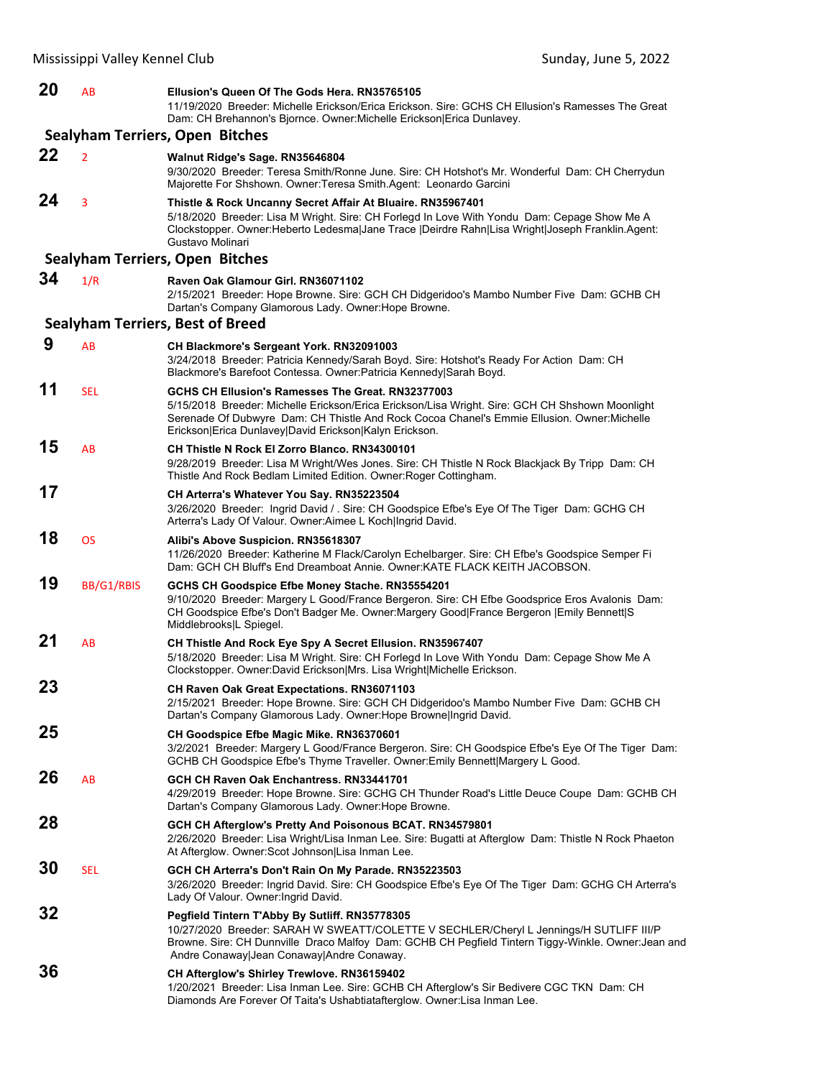| 20 | AB             | Ellusion's Queen Of The Gods Hera. RN35765105<br>11/19/2020 Breeder: Michelle Erickson/Erica Erickson. Sire: GCHS CH Ellusion's Ramesses The Great<br>Dam: CH Brehannon's Bjornce. Owner: Michelle Erickson Erica Dunlavey.                                                                                   |
|----|----------------|---------------------------------------------------------------------------------------------------------------------------------------------------------------------------------------------------------------------------------------------------------------------------------------------------------------|
|    |                | Sealyham Terriers, Open Bitches                                                                                                                                                                                                                                                                               |
| 22 | $\overline{2}$ | Walnut Ridge's Sage. RN35646804<br>9/30/2020 Breeder: Teresa Smith/Ronne June. Sire: CH Hotshot's Mr. Wonderful Dam: CH Cherrydun<br>Majorette For Shshown. Owner: Teresa Smith. Agent: Leonardo Garcini                                                                                                      |
| 24 | 3              | Thistle & Rock Uncanny Secret Affair At Bluaire. RN35967401<br>5/18/2020 Breeder: Lisa M Wright. Sire: CH Forlegd In Love With Yondu Dam: Cepage Show Me A<br>Clockstopper. Owner: Heberto Ledesma Jane Trace   Deirdre Rahn Lisa Wright Joseph Franklin. Agent:<br>Gustavo Molinari                          |
|    |                | <b>Sealyham Terriers, Open Bitches</b>                                                                                                                                                                                                                                                                        |
| 34 | 1/R            | Raven Oak Glamour Girl. RN36071102<br>2/15/2021 Breeder: Hope Browne. Sire: GCH CH Didgeridoo's Mambo Number Five Dam: GCHB CH<br>Dartan's Company Glamorous Lady. Owner: Hope Browne.                                                                                                                        |
|    |                | <b>Sealyham Terriers, Best of Breed</b>                                                                                                                                                                                                                                                                       |
| 9  | AB             | CH Blackmore's Sergeant York. RN32091003<br>3/24/2018  Breeder: Patricia Kennedy/Sarah Boyd. Sire: Hotshot's Ready For Action  Dam: CH<br>Blackmore's Barefoot Contessa. Owner: Patricia Kennedy Sarah Boyd.                                                                                                  |
| 11 | <b>SEL</b>     | GCHS CH Ellusion's Ramesses The Great, RN32377003<br>5/15/2018 Breeder: Michelle Erickson/Erica Erickson/Lisa Wright. Sire: GCH CH Shshown Moonlight<br>Serenade Of Dubwyre Dam: CH Thistle And Rock Cocoa Chanel's Emmie Ellusion. Owner: Michelle<br>Erickson Erica Dunlavey David Erickson Kalyn Erickson. |
| 15 | AB             | <b>CH Thistle N Rock El Zorro Blanco, RN34300101</b><br>9/28/2019 Breeder: Lisa M Wright/Wes Jones. Sire: CH Thistle N Rock Blackjack By Tripp Dam: CH<br>Thistle And Rock Bedlam Limited Edition. Owner: Roger Cottingham.                                                                                   |
| 17 |                | <b>CH Arterra's Whatever You Say. RN35223504</b><br>3/26/2020 Breeder: Ingrid David / . Sire: CH Goodspice Efbe's Eye Of The Tiger Dam: GCHG CH<br>Arterra's Lady Of Valour. Owner:Aimee L Koch Ingrid David.                                                                                                 |
| 18 | <b>OS</b>      | Alibi's Above Suspicion. RN35618307<br>11/26/2020 Breeder: Katherine M Flack/Carolyn Echelbarger. Sire: CH Efbe's Goodspice Semper Fi<br>Dam: GCH CH Bluff's End Dreamboat Annie. Owner: KATE FLACK KEITH JACOBSON.                                                                                           |
| 19 | BB/G1/RBIS     | GCHS CH Goodspice Efbe Money Stache. RN35554201<br>9/10/2020 Breeder: Margery L Good/France Bergeron. Sire: CH Efbe Goodsprice Eros Avalonis Dam:<br>CH Goodspice Efbe's Don't Badger Me. Owner:Margery Good France Bergeron  Emily Bennett S<br>Middlebrooks L Spiegel.                                      |
| 21 | AB             | CH Thistle And Rock Eye Spy A Secret Ellusion. RN35967407<br>5/18/2020 Breeder: Lisa M Wright. Sire: CH Forlegd In Love With Yondu Dam: Cepage Show Me A<br>Clockstopper. Owner:David Erickson Mrs. Lisa Wright Michelle Erickson.                                                                            |
| 23 |                | <b>CH Raven Oak Great Expectations. RN36071103</b><br>2/15/2021 Breeder: Hope Browne. Sire: GCH CH Didgeridoo's Mambo Number Five Dam: GCHB CH<br>Dartan's Company Glamorous Lady. Owner: Hope Browne Ingrid David.                                                                                           |
| 25 |                | CH Goodspice Efbe Magic Mike. RN36370601<br>3/2/2021 Breeder: Margery L Good/France Bergeron. Sire: CH Goodspice Efbe's Eye Of The Tiger Dam:<br>GCHB CH Goodspice Efbe's Thyme Traveller. Owner: Emily Bennett Margery L Good.                                                                               |
| 26 | AB             | GCH CH Raven Oak Enchantress, RN33441701<br>4/29/2019 Breeder: Hope Browne. Sire: GCHG CH Thunder Road's Little Deuce Coupe Dam: GCHB CH<br>Dartan's Company Glamorous Lady. Owner: Hope Browne.                                                                                                              |
| 28 |                | GCH CH Afterglow's Pretty And Poisonous BCAT. RN34579801<br>2/26/2020 Breeder: Lisa Wright/Lisa Inman Lee. Sire: Bugatti at Afterglow Dam: Thistle N Rock Phaeton<br>At Afterglow. Owner: Scot Johnson Lisa Inman Lee.                                                                                        |
| 30 | <b>SEL</b>     | GCH CH Arterra's Don't Rain On My Parade. RN35223503<br>3/26/2020 Breeder: Ingrid David. Sire: CH Goodspice Efbe's Eye Of The Tiger Dam: GCHG CH Arterra's<br>Lady Of Valour. Owner: Ingrid David.                                                                                                            |
| 32 |                | Pegfield Tintern T'Abby By Sutliff. RN35778305<br>10/27/2020 Breeder: SARAH W SWEATT/COLETTE V SECHLER/Cheryl L Jennings/H SUTLIFF III/P<br>Browne. Sire: CH Dunnville Draco Malfoy Dam: GCHB CH Pegfield Tintern Tiggy-Winkle. Owner: Jean and<br>Andre Conaway Jean Conaway Andre Conaway.                  |
| 36 |                | CH Afterglow's Shirley Trewlove. RN36159402<br>1/20/2021 Breeder: Lisa Inman Lee. Sire: GCHB CH Afterglow's Sir Bedivere CGC TKN Dam: CH<br>Diamonds Are Forever Of Taita's Ushabtiatafterglow. Owner: Lisa Inman Lee.                                                                                        |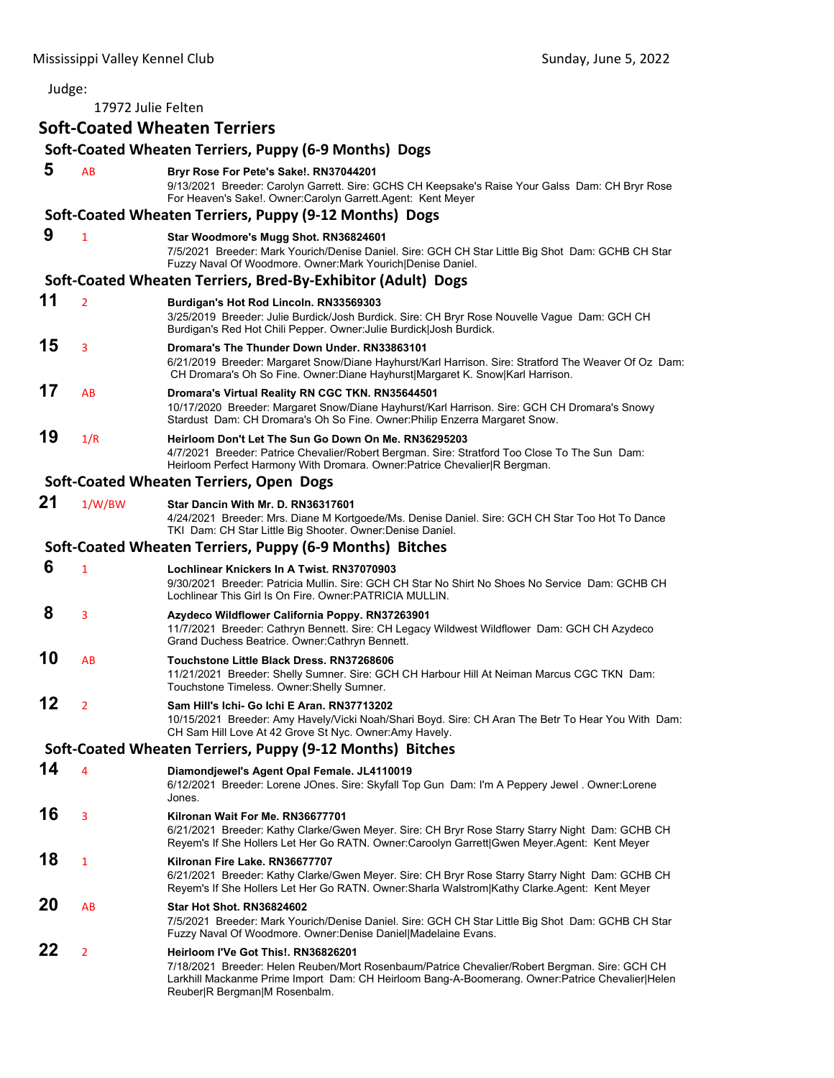17972 Julie Felten

# **Soft‐Coated Wheaten Terriers**

#### **Soft‐Coated Wheaten Terriers, Puppy (6‐9 Months) Dogs 5** AB **Bryr Rose For Pete's Sake!. RN37044201** 9/13/2021 Breeder: Carolyn Garrett. Sire: GCHS CH Keepsake's Raise Your Galss Dam: CH Bryr Rose For Heaven's Sake!. Owner:Carolyn Garrett.Agent: Kent Meyer **Soft‐Coated Wheaten Terriers, Puppy (9‐12 Months) Dogs 9** <sup>1</sup> **Star Woodmore's Mugg Shot. RN36824601** 7/5/2021 Breeder: Mark Yourich/Denise Daniel. Sire: GCH CH Star Little Big Shot Dam: GCHB CH Star Fuzzy Naval Of Woodmore. Owner:Mark Yourich|Denise Daniel. **Soft‐Coated Wheaten Terriers, Bred‐By‐Exhibitor (Adult) Dogs 11** <sup>2</sup> **Burdigan's Hot Rod Lincoln. RN33569303** 3/25/2019 Breeder: Julie Burdick/Josh Burdick. Sire: CH Bryr Rose Nouvelle Vague Dam: GCH CH Burdigan's Red Hot Chili Pepper. Owner:Julie Burdick|Josh Burdick. **15** <sup>3</sup> **Dromara's The Thunder Down Under. RN33863101** 6/21/2019 Breeder: Margaret Snow/Diane Hayhurst/Karl Harrison. Sire: Stratford The Weaver Of Oz Dam: CH Dromara's Oh So Fine. Owner:Diane Hayhurst|Margaret K. Snow|Karl Harrison. **17** AB **Dromara's Virtual Reality RN CGC TKN. RN35644501** 10/17/2020 Breeder: Margaret Snow/Diane Hayhurst/Karl Harrison. Sire: GCH CH Dromara's Snowy Stardust Dam: CH Dromara's Oh So Fine. Owner:Philip Enzerra Margaret Snow. **19** 1/R **Heirloom Don't Let The Sun Go Down On Me. RN36295203** 4/7/2021 Breeder: Patrice Chevalier/Robert Bergman. Sire: Stratford Too Close To The Sun Dam: Heirloom Perfect Harmony With Dromara. Owner:Patrice Chevalier|R Bergman. **Soft‐Coated Wheaten Terriers, Open Dogs 21** 1/W/BW **Star Dancin With Mr. D. RN36317601** 4/24/2021 Breeder: Mrs. Diane M Kortgoede/Ms. Denise Daniel. Sire: GCH CH Star Too Hot To Dance TKI Dam: CH Star Little Big Shooter. Owner:Denise Daniel. **Soft‐Coated Wheaten Terriers, Puppy (6‐9 Months) Bitches 6** <sup>1</sup> **Lochlinear Knickers In A Twist. RN37070903** 9/30/2021 Breeder: Patricia Mullin. Sire: GCH CH Star No Shirt No Shoes No Service Dam: GCHB CH Lochlinear This Girl Is On Fire. Owner:PATRICIA MULLIN.  **8** <sup>3</sup> **Azydeco Wildflower California Poppy. RN37263901** 11/7/2021 Breeder: Cathryn Bennett. Sire: CH Legacy Wildwest Wildflower Dam: GCH CH Azydeco Grand Duchess Beatrice. Owner:Cathryn Bennett. **10** AB **Touchstone Little Black Dress. RN37268606** 11/21/2021 Breeder: Shelly Sumner. Sire: GCH CH Harbour Hill At Neiman Marcus CGC TKN Dam: Touchstone Timeless. Owner:Shelly Sumner. **12** <sup>2</sup> **Sam Hill's Ichi- Go Ichi E Aran. RN37713202** 10/15/2021 Breeder: Amy Havely/Vicki Noah/Shari Boyd. Sire: CH Aran The Betr To Hear You With Dam: CH Sam Hill Love At 42 Grove St Nyc. Owner:Amy Havely. **Soft‐Coated Wheaten Terriers, Puppy (9‐12 Months) Bitches 14** <sup>4</sup> **Diamondjewel's Agent Opal Female. JL4110019** 6/12/2021 Breeder: Lorene JOnes. Sire: Skyfall Top Gun Dam: I'm A Peppery Jewel . Owner:Lorene Jones. **16** <sup>3</sup> **Kilronan Wait For Me. RN36677701** 6/21/2021 Breeder: Kathy Clarke/Gwen Meyer. Sire: CH Bryr Rose Starry Starry Night Dam: GCHB CH Reyem's If She Hollers Let Her Go RATN. Owner:Caroolyn Garrett|Gwen Meyer.Agent: Kent Meyer **18** <sup>1</sup> **Kilronan Fire Lake. RN36677707** 6/21/2021 Breeder: Kathy Clarke/Gwen Meyer. Sire: CH Bryr Rose Starry Starry Night Dam: GCHB CH Reyem's If She Hollers Let Her Go RATN. Owner:Sharla Walstrom|Kathy Clarke.Agent: Kent Meyer **20** AB **Star Hot Shot. RN36824602** 7/5/2021 Breeder: Mark Yourich/Denise Daniel. Sire: GCH CH Star Little Big Shot Dam: GCHB CH Star Fuzzy Naval Of Woodmore. Owner:Denise Daniel|Madelaine Evans. **22** <sup>2</sup> **Heirloom I'Ve Got This!. RN36826201** 7/18/2021 Breeder: Helen Reuben/Mort Rosenbaum/Patrice Chevalier/Robert Bergman. Sire: GCH CH Larkhill Mackanme Prime Import Dam: CH Heirloom Bang-A-Boomerang. Owner:Patrice Chevalier|Helen Reuber|R Bergman|M Rosenbalm.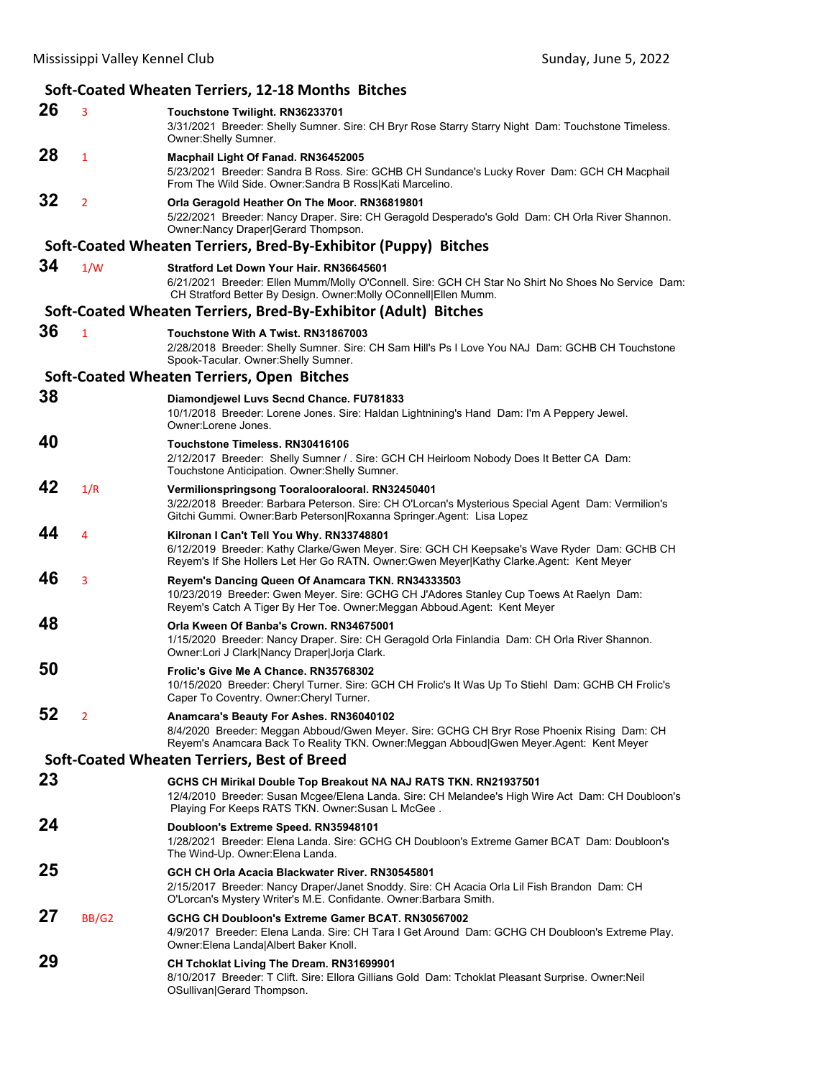#### **Soft‐Coated Wheaten Terriers, 12‐18 Months Bitches 26** <sup>3</sup> **Touchstone Twilight. RN36233701** 3/31/2021 Breeder: Shelly Sumner. Sire: CH Bryr Rose Starry Starry Night Dam: Touchstone Timeless. Owner:Shelly Sumner. **28** <sup>1</sup> **Macphail Light Of Fanad. RN36452005** 5/23/2021 Breeder: Sandra B Ross. Sire: GCHB CH Sundance's Lucky Rover Dam: GCH CH Macphail From The Wild Side. Owner:Sandra B Ross|Kati Marcelino. **32** <sup>2</sup> **Orla Geragold Heather On The Moor. RN36819801** 5/22/2021 Breeder: Nancy Draper. Sire: CH Geragold Desperado's Gold Dam: CH Orla River Shannon. Owner:Nancy Draper|Gerard Thompson. **Soft‐Coated Wheaten Terriers, Bred‐By‐Exhibitor (Puppy) Bitches 34** 1/W **Stratford Let Down Your Hair. RN36645601** 6/21/2021 Breeder: Ellen Mumm/Molly O'Connell. Sire: GCH CH Star No Shirt No Shoes No Service Dam: CH Stratford Better By Design. Owner:Molly OConnell|Ellen Mumm. **Soft‐Coated Wheaten Terriers, Bred‐By‐Exhibitor (Adult) Bitches 36** <sup>1</sup> **Touchstone With A Twist. RN31867003** 2/28/2018 Breeder: Shelly Sumner. Sire: CH Sam Hill's Ps I Love You NAJ Dam: GCHB CH Touchstone Spook-Tacular. Owner:Shelly Sumner. **Soft‐Coated Wheaten Terriers, Open Bitches 38 Diamondjewel Luvs Secnd Chance. FU781833** 10/1/2018 Breeder: Lorene Jones. Sire: Haldan Lightnining's Hand Dam: I'm A Peppery Jewel. Owner:Lorene Jones. **40 Touchstone Timeless. RN30416106** 2/12/2017 Breeder: Shelly Sumner / . Sire: GCH CH Heirloom Nobody Does It Better CA Dam: Touchstone Anticipation. Owner:Shelly Sumner. **42** 1/R **Vermilionspringsong Tooralooralooral. RN32450401** 3/22/2018 Breeder: Barbara Peterson. Sire: CH O'Lorcan's Mysterious Special Agent Dam: Vermilion's Gitchi Gummi. Owner:Barb Peterson|Roxanna Springer.Agent: Lisa Lopez **44** <sup>4</sup> **Kilronan I Can't Tell You Why. RN33748801** 6/12/2019 Breeder: Kathy Clarke/Gwen Meyer. Sire: GCH CH Keepsake's Wave Ryder Dam: GCHB CH Reyem's If She Hollers Let Her Go RATN. Owner:Gwen Meyer|Kathy Clarke.Agent: Kent Meyer **46** <sup>3</sup> **Reyem's Dancing Queen Of Anamcara TKN. RN34333503** 10/23/2019 Breeder: Gwen Meyer. Sire: GCHG CH J'Adores Stanley Cup Toews At Raelyn Dam: Reyem's Catch A Tiger By Her Toe. Owner:Meggan Abboud.Agent: Kent Meyer **48 Orla Kween Of Banba's Crown. RN34675001** 1/15/2020 Breeder: Nancy Draper. Sire: CH Geragold Orla Finlandia Dam: CH Orla River Shannon. Owner:Lori J Clark|Nancy Draper|Jorja Clark. **50 Frolic's Give Me A Chance. RN35768302** 10/15/2020 Breeder: Cheryl Turner. Sire: GCH CH Frolic's It Was Up To Stiehl Dam: GCHB CH Frolic's Caper To Coventry. Owner:Cheryl Turner. **52** <sup>2</sup> **Anamcara's Beauty For Ashes. RN36040102** 8/4/2020 Breeder: Meggan Abboud/Gwen Meyer. Sire: GCHG CH Bryr Rose Phoenix Rising Dam: CH Reyem's Anamcara Back To Reality TKN. Owner:Meggan Abboud|Gwen Meyer.Agent: Kent Meyer **Soft‐Coated Wheaten Terriers, Best of Breed 23 GCHS CH Mirikal Double Top Breakout NA NAJ RATS TKN. RN21937501** 12/4/2010 Breeder: Susan Mcgee/Elena Landa. Sire: CH Melandee's High Wire Act Dam: CH Doubloon's Playing For Keeps RATS TKN. Owner:Susan L McGee . **24 Doubloon's Extreme Speed. RN35948101** 1/28/2021 Breeder: Elena Landa. Sire: GCHG CH Doubloon's Extreme Gamer BCAT Dam: Doubloon's The Wind-Up. Owner:Elena Landa. **25 GCH CH Orla Acacia Blackwater River. RN30545801** 2/15/2017 Breeder: Nancy Draper/Janet Snoddy. Sire: CH Acacia Orla Lil Fish Brandon Dam: CH O'Lorcan's Mystery Writer's M.E. Confidante. Owner:Barbara Smith. **27** BB/G2 **GCHG CH Doubloon's Extreme Gamer BCAT. RN30567002** 4/9/2017 Breeder: Elena Landa. Sire: CH Tara I Get Around Dam: GCHG CH Doubloon's Extreme Play. Owner:Elena Landa|Albert Baker Knoll. **29 CH Tchoklat Living The Dream. RN31699901** 8/10/2017 Breeder: T Clift. Sire: Ellora Gillians Gold Dam: Tchoklat Pleasant Surprise. Owner:Neil OSullivan|Gerard Thompson.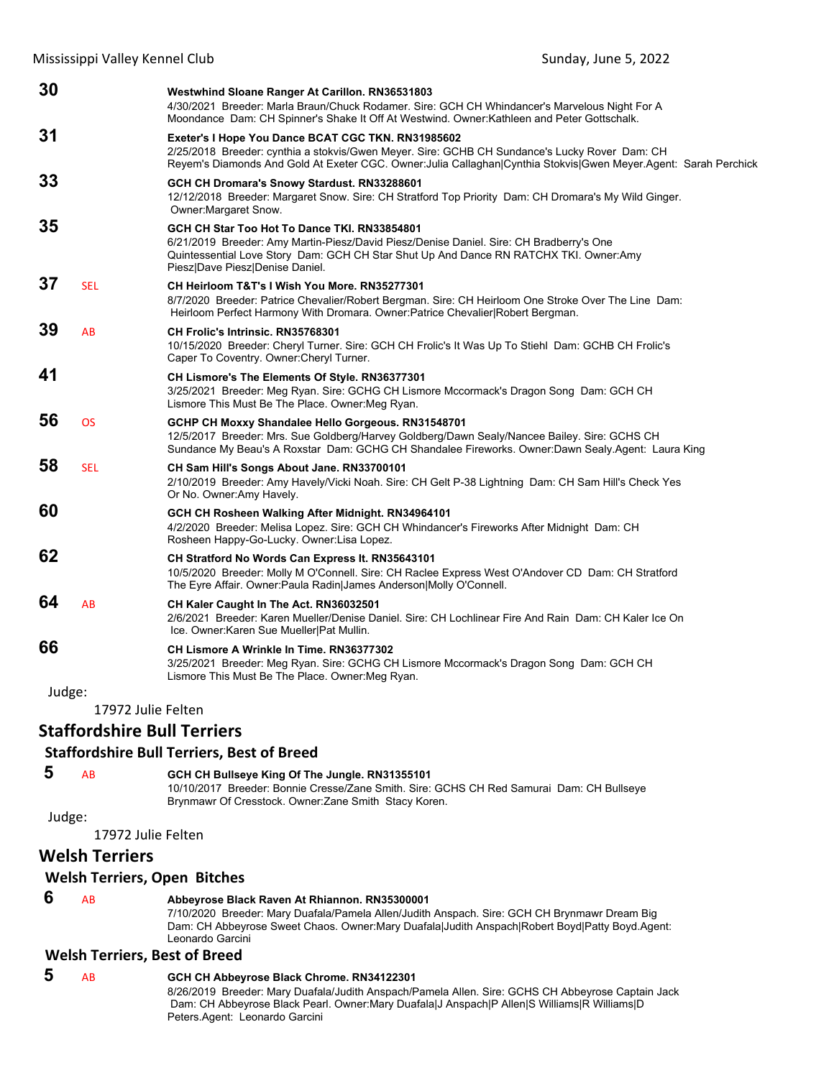| 30     |                    | Westwhind Sloane Ranger At Carillon. RN36531803<br>4/30/2021 Breeder: Marla Braun/Chuck Rodamer. Sire: GCH CH Whindancer's Marvelous Night For A<br>Moondance Dam: CH Spinner's Shake It Off At Westwind. Owner: Kathleen and Peter Gottschalk.                          |
|--------|--------------------|--------------------------------------------------------------------------------------------------------------------------------------------------------------------------------------------------------------------------------------------------------------------------|
| 31     |                    | Exeter's I Hope You Dance BCAT CGC TKN. RN31985602<br>2/25/2018 Breeder: cynthia a stokvis/Gwen Meyer. Sire: GCHB CH Sundance's Lucky Rover Dam: CH<br>Reyem's Diamonds And Gold At Exeter CGC. Owner: Julia Callaghan Cynthia Stokvis Gwen Meyer. Agent: Sarah Perchick |
| 33     |                    | GCH CH Dromara's Snowy Stardust. RN33288601<br>12/12/2018 Breeder: Margaret Snow. Sire: CH Stratford Top Priority Dam: CH Dromara's My Wild Ginger.<br>Owner: Margaret Snow.                                                                                             |
| 35     |                    | GCH CH Star Too Hot To Dance TKI. RN33854801<br>6/21/2019 Breeder: Amy Martin-Piesz/David Piesz/Denise Daniel. Sire: CH Bradberry's One<br>Quintessential Love Story Dam: GCH CH Star Shut Up And Dance RN RATCHX TKI. Owner:Amy<br>Piesz Dave Piesz Denise Daniel.      |
| 37     | <b>SEL</b>         | CH Heirloom T&T's I Wish You More, RN35277301<br>8/7/2020 Breeder: Patrice Chevalier/Robert Bergman. Sire: CH Heirloom One Stroke Over The Line Dam:<br>Heirloom Perfect Harmony With Dromara. Owner:Patrice Chevalier Robert Bergman.                                   |
| 39     | AB                 | CH Frolic's Intrinsic. RN35768301<br>10/15/2020 Breeder: Cheryl Turner. Sire: GCH CH Frolic's It Was Up To Stiehl Dam: GCHB CH Frolic's<br>Caper To Coventry. Owner: Cheryl Turner.                                                                                      |
| 41     |                    | CH Lismore's The Elements Of Style. RN36377301<br>3/25/2021 Breeder: Meg Ryan. Sire: GCHG CH Lismore Mccormack's Dragon Song Dam: GCH CH<br>Lismore This Must Be The Place. Owner: Meg Ryan.                                                                             |
| 56     | <b>OS</b>          | GCHP CH Moxxy Shandalee Hello Gorgeous. RN31548701<br>12/5/2017 Breeder: Mrs. Sue Goldberg/Harvey Goldberg/Dawn Sealy/Nancee Bailey. Sire: GCHS CH<br>Sundance My Beau's A Roxstar Dam: GCHG CH Shandalee Fireworks. Owner:Dawn Sealy.Agent: Laura King                  |
| 58     | <b>SEL</b>         | CH Sam Hill's Songs About Jane. RN33700101<br>2/10/2019 Breeder: Amy Havely/Vicki Noah. Sire: CH Gelt P-38 Lightning Dam: CH Sam Hill's Check Yes<br>Or No. Owner: Amy Havely.                                                                                           |
| 60     |                    | GCH CH Rosheen Walking After Midnight. RN34964101<br>4/2/2020 Breeder: Melisa Lopez. Sire: GCH CH Whindancer's Fireworks After Midnight Dam: CH<br>Rosheen Happy-Go-Lucky. Owner:Lisa Lopez.                                                                             |
| 62     |                    | CH Stratford No Words Can Express It. RN35643101<br>10/5/2020 Breeder: Molly M O'Connell. Sire: CH Raclee Express West O'Andover CD Dam: CH Stratford<br>The Eyre Affair. Owner: Paula Radin James Anderson Molly O'Connell.                                             |
| 64     | AB                 | CH Kaler Caught In The Act. RN36032501<br>2/6/2021 Breeder: Karen Mueller/Denise Daniel. Sire: CH Lochlinear Fire And Rain Dam: CH Kaler Ice On<br>Ice. Owner: Karen Sue Mueller Pat Mullin.                                                                             |
| 66     |                    | CH Lismore A Wrinkle In Time. RN36377302<br>3/25/2021 Breeder: Meg Ryan. Sire: GCHG CH Lismore Mccormack's Dragon Song Dam: GCH CH<br>Lismore This Must Be The Place. Owner: Meg Ryan.                                                                                   |
| Judge: |                    |                                                                                                                                                                                                                                                                          |
|        | 17972 Julie Felten |                                                                                                                                                                                                                                                                          |

# **Staffordshire Bull Terriers**

# **Staffordshire Bull Terriers, Best of Breed**

 **5** AB **GCH CH Bullseye King Of The Jungle. RN31355101**

10/10/2017 Breeder: Bonnie Cresse/Zane Smith. Sire: GCHS CH Red Samurai Dam: CH Bullseye Brynmawr Of Cresstock. Owner:Zane Smith Stacy Koren.

# Judge:

17972 Julie Felten

# **Welsh Terriers**

#### **Welsh Terriers, Open Bitches**

 **6** AB **Abbeyrose Black Raven At Rhiannon. RN35300001**

7/10/2020 Breeder: Mary Duafala/Pamela Allen/Judith Anspach. Sire: GCH CH Brynmawr Dream Big Dam: CH Abbeyrose Sweet Chaos. Owner:Mary Duafala|Judith Anspach|Robert Boyd|Patty Boyd.Agent: Leonardo Garcini

#### **Welsh Terriers, Best of Breed**

#### **5** AB **GCH CH Abbeyrose Black Chrome. RN34122301** 8/26/2019 Breeder: Mary Duafala/Judith Anspach/Pamela Allen. Sire: GCHS CH Abbeyrose Captain Jack Dam: CH Abbeyrose Black Pearl. Owner:Mary Duafala|J Anspach|P Allen|S Williams|R Williams|D Peters.Agent: Leonardo Garcini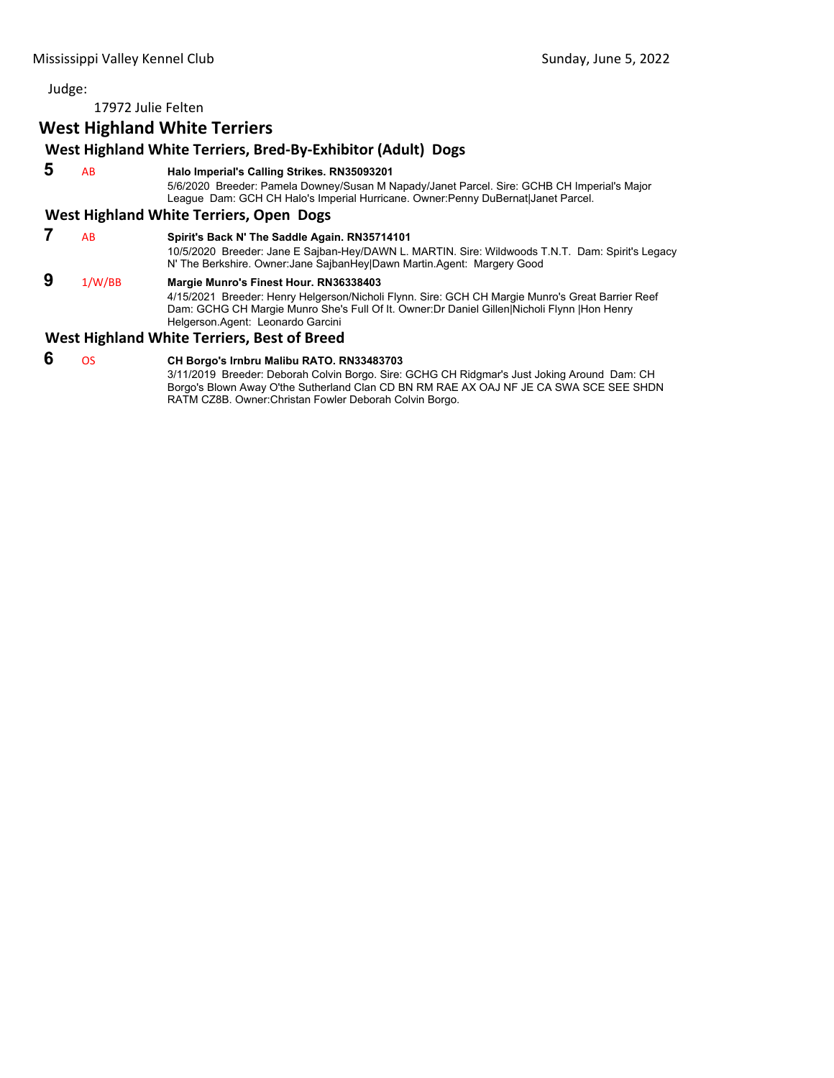17972 Julie Felten

# **West Highland White Terriers**

# **West Highland White Terriers, Bred‐By‐Exhibitor (Adult) Dogs**

 **5** AB **Halo Imperial's Calling Strikes. RN35093201**

5/6/2020 Breeder: Pamela Downey/Susan M Napady/Janet Parcel. Sire: GCHB CH Imperial's Major League Dam: GCH CH Halo's Imperial Hurricane. Owner:Penny DuBernat|Janet Parcel.

# **West Highland White Terriers, Open Dogs**

 **7** AB **Spirit's Back N' The Saddle Again. RN35714101** 10/5/2020 Breeder: Jane E Sajban-Hey/DAWN L. MARTIN. Sire: Wildwoods T.N.T. Dam: Spirit's Legacy N' The Berkshire. Owner:Jane SajbanHey|Dawn Martin.Agent: Margery Good  **9** 1/W/BB **Margie Munro's Finest Hour. RN36338403** 4/15/2021 Breeder: Henry Helgerson/Nicholi Flynn. Sire: GCH CH Margie Munro's Great Barrier Reef Dam: GCHG CH Margie Munro She's Full Of It. Owner:Dr Daniel Gillen|Nicholi Flynn |Hon Henry Helgerson.Agent: Leonardo Garcini

# **West Highland White Terriers, Best of Breed**

# **6** OS **CH Borgo's Irnbru Malibu RATO. RN33483703**

3/11/2019 Breeder: Deborah Colvin Borgo. Sire: GCHG CH Ridgmar's Just Joking Around Dam: CH Borgo's Blown Away O'the Sutherland Clan CD BN RM RAE AX OAJ NF JE CA SWA SCE SEE SHDN RATM CZ8B. Owner:Christan Fowler Deborah Colvin Borgo.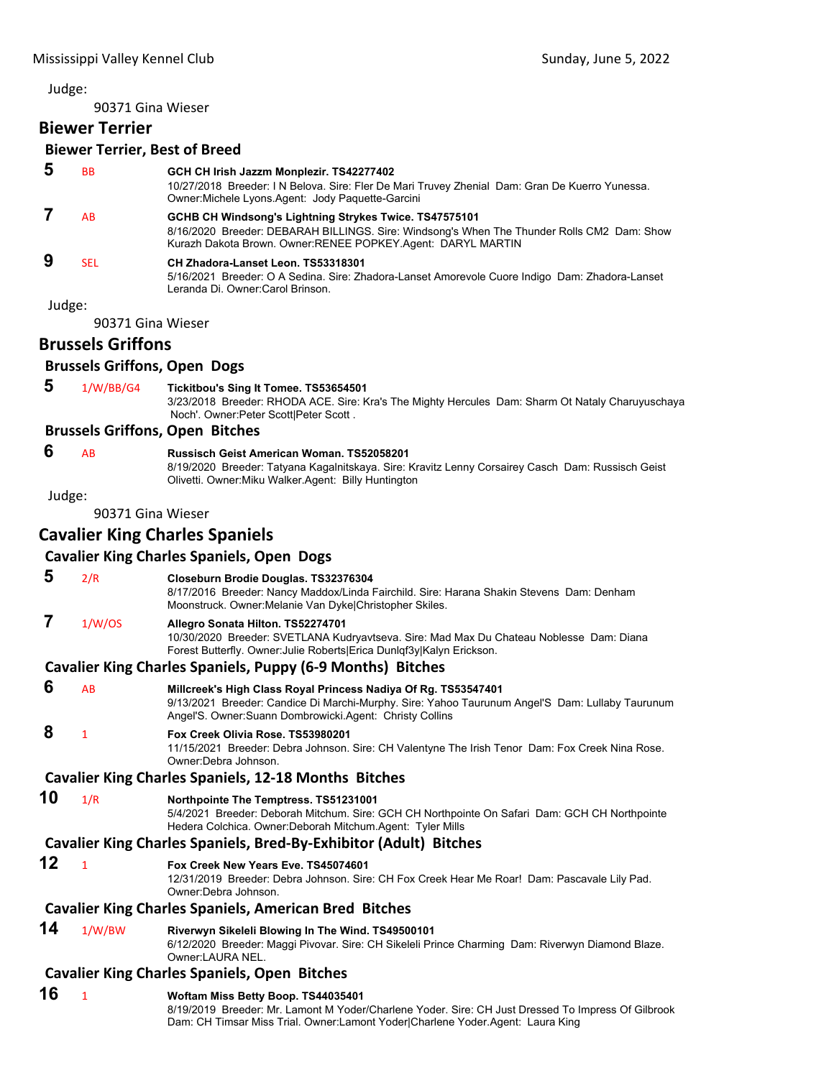90371 Gina Wieser

# **Biewer Terrier**

|        | <b>Biewer Terrier, Best of Breed</b> |                                                                                                                                                                                                                      |
|--------|--------------------------------------|----------------------------------------------------------------------------------------------------------------------------------------------------------------------------------------------------------------------|
| 5      | <b>BB</b>                            | GCH CH Irish Jazzm Monplezir. TS42277402<br>10/27/2018 Breeder: I N Belova. Sire: Fler De Mari Truvey Zhenial Dam: Gran De Kuerro Yunessa.<br>Owner: Michele Lyons. Agent: Jody Paquette-Garcini                     |
| 7      | <b>AB</b>                            | GCHB CH Windsong's Lightning Strykes Twice. TS47575101<br>8/16/2020 Breeder: DEBARAH BILLINGS. Sire: Windsong's When The Thunder Rolls CM2 Dam: Show<br>Kurazh Dakota Brown. Owner: RENEE POPKEY Agent: DARYL MARTIN |
| 9      | <b>SEL</b>                           | CH Zhadora-Lanset Leon. TS53318301<br>5/16/2021 Breeder: O A Sedina. Sire: Zhadora-Lanset Amorevole Cuore Indigo Dam: Zhadora-Lanset<br>Leranda Di, Owner:Carol Brinson.                                             |
| Judge: |                                      |                                                                                                                                                                                                                      |
|        | 90371 Gina Wieser                    |                                                                                                                                                                                                                      |
|        | <b>Brussels Griffons</b>             |                                                                                                                                                                                                                      |
|        | <b>Brussels Griffons, Open Dogs</b>  |                                                                                                                                                                                                                      |
| 5      | 1/W/BB/G4                            | Tickitbou's Sing It Tomee. TS53654501<br>3/23/2018 Breeder: RHODA ACE. Sire: Kra's The Mighty Hercules Dam: Sharm Ot Nataly Charuyuschaya<br>Noch'. Owner: Peter Scott Peter Scott.                                  |
|        |                                      | <b>Brussels Griffons, Open Bitches</b>                                                                                                                                                                               |
| 6      | <b>AB</b>                            | Russisch Geist American Woman, TS52058201<br>8/19/2020 Breeder: Tatyana Kagalnitskaya. Sire: Kravitz Lenny Corsairey Casch Dam: Russisch Geist<br>Olivetti. Owner: Miku Walker. Agent: Billy Huntington              |

Judge:

90371 Gina Wieser

# **Cavalier King Charles Spaniels**

# **Cavalier King Charles Spaniels, Open Dogs**

| 5  | 2/R          | Closeburn Brodie Douglas. TS32376304<br>8/17/2016 Breeder: Nancy Maddox/Linda Fairchild. Sire: Harana Shakin Stevens Dam: Denham<br>Moonstruck. Owner: Melanie Van Dyke Christopher Skiles.                                    |
|----|--------------|--------------------------------------------------------------------------------------------------------------------------------------------------------------------------------------------------------------------------------|
| 7  | 1/W/OS       | Allegro Sonata Hilton. TS52274701<br>10/30/2020 Breeder: SVETLANA Kudryavtseva. Sire: Mad Max Du Chateau Noblesse Dam: Diana<br>Forest Butterfly. Owner: Julie Roberts Erica Dunlqf3y Kalyn Erickson.                          |
|    |              | <b>Cavalier King Charles Spaniels, Puppy (6-9 Months) Bitches</b>                                                                                                                                                              |
| 6  | AB           | Millcreek's High Class Royal Princess Nadiya Of Rg. TS53547401<br>9/13/2021 Breeder: Candice Di Marchi-Murphy. Sire: Yahoo Taurunum Angel'S Dam: Lullaby Taurunum<br>Angel'S. Owner: Suann Dombrowicki. Agent: Christy Collins |
| 8  | $\mathbf{1}$ | Fox Creek Olivia Rose, TS53980201<br>11/15/2021 Breeder: Debra Johnson. Sire: CH Valentyne The Irish Tenor Dam: Fox Creek Nina Rose.<br>Owner:Debra Johnson.                                                                   |
|    |              | <b>Cavalier King Charles Spaniels, 12-18 Months Bitches</b>                                                                                                                                                                    |
| 10 | 1/R          | Northpointe The Temptress. TS51231001<br>5/4/2021 Breeder: Deborah Mitchum. Sire: GCH CH Northpointe On Safari Dam: GCH CH Northpointe<br>Hedera Colchica. Owner:Deborah Mitchum.Agent: Tyler Mills                            |
|    |              | Cavalier King Charles Spaniels, Bred-By-Exhibitor (Adult) Bitches                                                                                                                                                              |
| 12 | $\mathbf{1}$ | Fox Creek New Years Eve. TS45074601<br>12/31/2019 Breeder: Debra Johnson. Sire: CH Fox Creek Hear Me Roar! Dam: Pascavale Lily Pad.<br>Owner:Debra Johnson.                                                                    |
|    |              | <b>Cavalier King Charles Spaniels, American Bred Bitches</b>                                                                                                                                                                   |
| 14 | 1/W/BW       | Riverwyn Sikeleli Blowing In The Wind. TS49500101<br>6/12/2020 Breeder: Maggi Pivovar. Sire: CH Sikeleli Prince Charming Dam: Riverwyn Diamond Blaze.<br>Owner:LAURA NEL.                                                      |
|    |              | <b>Cavalier King Charles Spaniels, Open Bitches</b>                                                                                                                                                                            |
| 16 | $\mathbf{1}$ | Woftam Miss Betty Boop. TS44035401<br>8/19/2019 Breeder: Mr. Lamont M Yoder/Charlene Yoder. Sire: CH Just Dressed To Impress Of Gilbrook<br>Dam: CH Timsar Miss Trial. Owner:Lamont Yoder Charlene Yoder.Agent: Laura King     |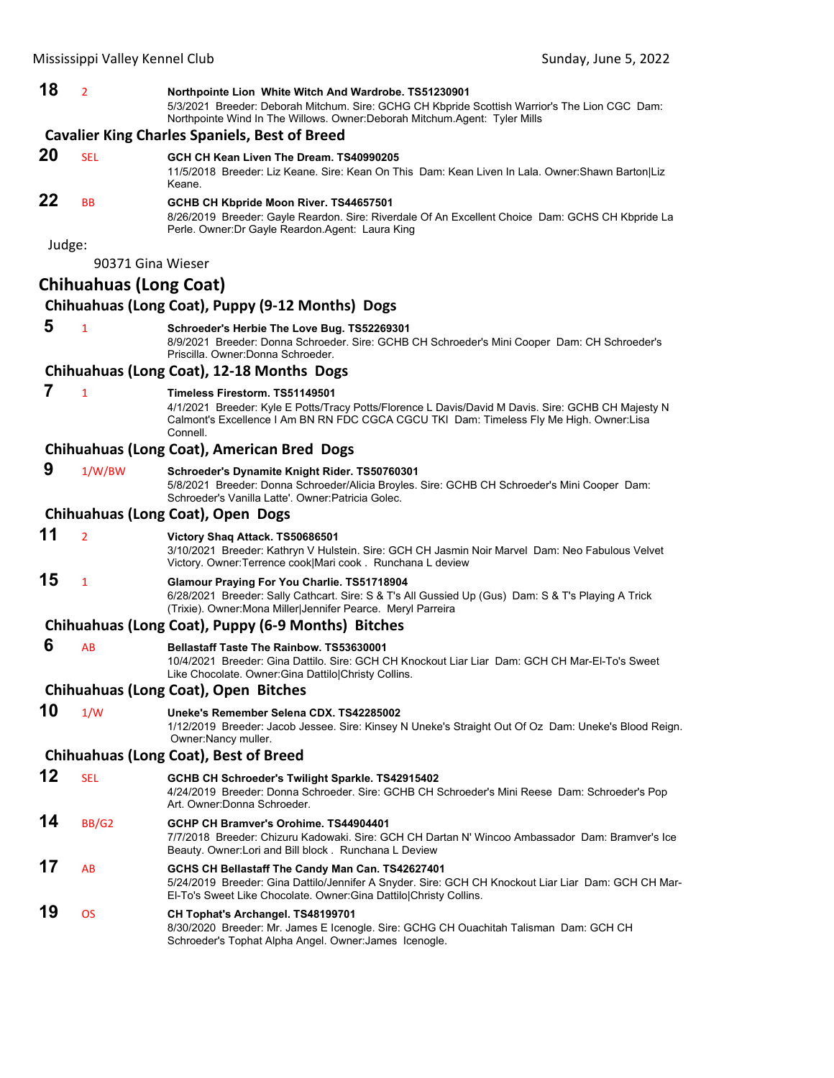| 18     | $\overline{2}$                | Northpointe Lion White Witch And Wardrobe. TS51230901<br>5/3/2021 Breeder: Deborah Mitchum. Sire: GCHG CH Kbpride Scottish Warrior's The Lion CGC Dam:<br>Northpointe Wind In The Willows. Owner: Deborah Mitchum. Agent: Tyler Mills       |
|--------|-------------------------------|---------------------------------------------------------------------------------------------------------------------------------------------------------------------------------------------------------------------------------------------|
|        |                               | <b>Cavalier King Charles Spaniels, Best of Breed</b>                                                                                                                                                                                        |
| 20     | <b>SEL</b>                    | GCH CH Kean Liven The Dream. TS40990205<br>11/5/2018 Breeder: Liz Keane. Sire: Kean On This Dam: Kean Liven In Lala. Owner: Shawn Barton Liz<br>Keane.                                                                                      |
| 22     | <b>BB</b>                     | GCHB CH Kbpride Moon River. TS44657501<br>8/26/2019 Breeder: Gayle Reardon. Sire: Riverdale Of An Excellent Choice Dam: GCHS CH Kbpride La<br>Perle. Owner: Dr Gayle Reardon. Agent: Laura King                                             |
| Judge: | 90371 Gina Wieser             |                                                                                                                                                                                                                                             |
|        | <b>Chihuahuas (Long Coat)</b> |                                                                                                                                                                                                                                             |
|        |                               | Chihuahuas (Long Coat), Puppy (9-12 Months) Dogs                                                                                                                                                                                            |
| 5      | $\mathbf{1}$                  | Schroeder's Herbie The Love Bug. TS52269301<br>8/9/2021 Breeder: Donna Schroeder. Sire: GCHB CH Schroeder's Mini Cooper Dam: CH Schroeder's<br>Priscilla, Owner: Donna Schroeder,                                                           |
|        |                               | Chihuahuas (Long Coat), 12-18 Months Dogs                                                                                                                                                                                                   |
| 7      | $\mathbf{1}$                  | Timeless Firestorm. TS51149501<br>4/1/2021 Breeder: Kyle E Potts/Tracy Potts/Florence L Davis/David M Davis. Sire: GCHB CH Majesty N<br>Calmont's Excellence I Am BN RN FDC CGCA CGCU TKI Dam: Timeless Fly Me High. Owner:Lisa<br>Connell. |
|        |                               | Chihuahuas (Long Coat), American Bred Dogs                                                                                                                                                                                                  |
| 9      | 1/W/BW                        | Schroeder's Dynamite Knight Rider. TS50760301<br>5/8/2021 Breeder: Donna Schroeder/Alicia Broyles. Sire: GCHB CH Schroeder's Mini Cooper Dam:<br>Schroeder's Vanilla Latte'. Owner: Patricia Golec.                                         |
|        |                               | Chihuahuas (Long Coat), Open Dogs                                                                                                                                                                                                           |
| 11     | $\overline{2}$                | Victory Shaq Attack. TS50686501<br>3/10/2021 Breeder: Kathryn V Hulstein. Sire: GCH CH Jasmin Noir Marvel Dam: Neo Fabulous Velvet<br>Victory. Owner: Terrence cook Mari cook. Runchana L deview                                            |
| 15     | $\mathbf{1}$                  | Glamour Praying For You Charlie. TS51718904<br>6/28/2021 Breeder: Sally Cathcart. Sire: S & T's All Gussied Up (Gus) Dam: S & T's Playing A Trick<br>(Trixie). Owner: Mona Miller Jennifer Pearce. Meryl Parreira                           |
|        |                               | Chihuahuas (Long Coat), Puppy (6-9 Months) Bitches                                                                                                                                                                                          |
| 6      | AB                            | <b>Bellastaff Taste The Rainbow, TS53630001</b><br>10/4/2021 Breeder: Gina Dattilo. Sire: GCH CH Knockout Liar Liar Dam: GCH CH Mar-El-To's Sweet<br>Like Chocolate. Owner: Gina Dattilo Christy Collins.                                   |
|        |                               | <b>Chihuahuas (Long Coat), Open Bitches</b>                                                                                                                                                                                                 |
| 10     | 1/W                           | Uneke's Remember Selena CDX. TS42285002<br>1/12/2019 Breeder: Jacob Jessee. Sire: Kinsey N Uneke's Straight Out Of Oz Dam: Uneke's Blood Reign.<br>Owner: Nancy muller.                                                                     |
|        |                               | <b>Chihuahuas (Long Coat), Best of Breed</b>                                                                                                                                                                                                |
| 12     | <b>SEL</b>                    | GCHB CH Schroeder's Twilight Sparkle. TS42915402<br>4/24/2019 Breeder: Donna Schroeder. Sire: GCHB CH Schroeder's Mini Reese Dam: Schroeder's Pop<br>Art. Owner: Donna Schroeder.                                                           |
| 14     | <b>BB/G2</b>                  | GCHP CH Bramver's Orohime. TS44904401<br>7/7/2018 Breeder: Chizuru Kadowaki. Sire: GCH CH Dartan N' Wincoo Ambassador Dam: Bramver's Ice<br>Beauty. Owner:Lori and Bill block. Runchana L Deview                                            |
| 17     | AB                            | GCHS CH Bellastaff The Candy Man Can. TS42627401<br>5/24/2019 Breeder: Gina Dattilo/Jennifer A Snyder. Sire: GCH CH Knockout Liar Liar Dam: GCH CH Mar-<br>El-To's Sweet Like Chocolate. Owner: Gina Dattilo Christy Collins.               |
| 19     | <b>OS</b>                     | CH Tophat's Archangel. TS48199701<br>8/30/2020 Breeder: Mr. James E Icenogle. Sire: GCHG CH Ouachitah Talisman Dam: GCH CH<br>Schroeder's Tophat Alpha Angel. Owner: James Icenogle.                                                        |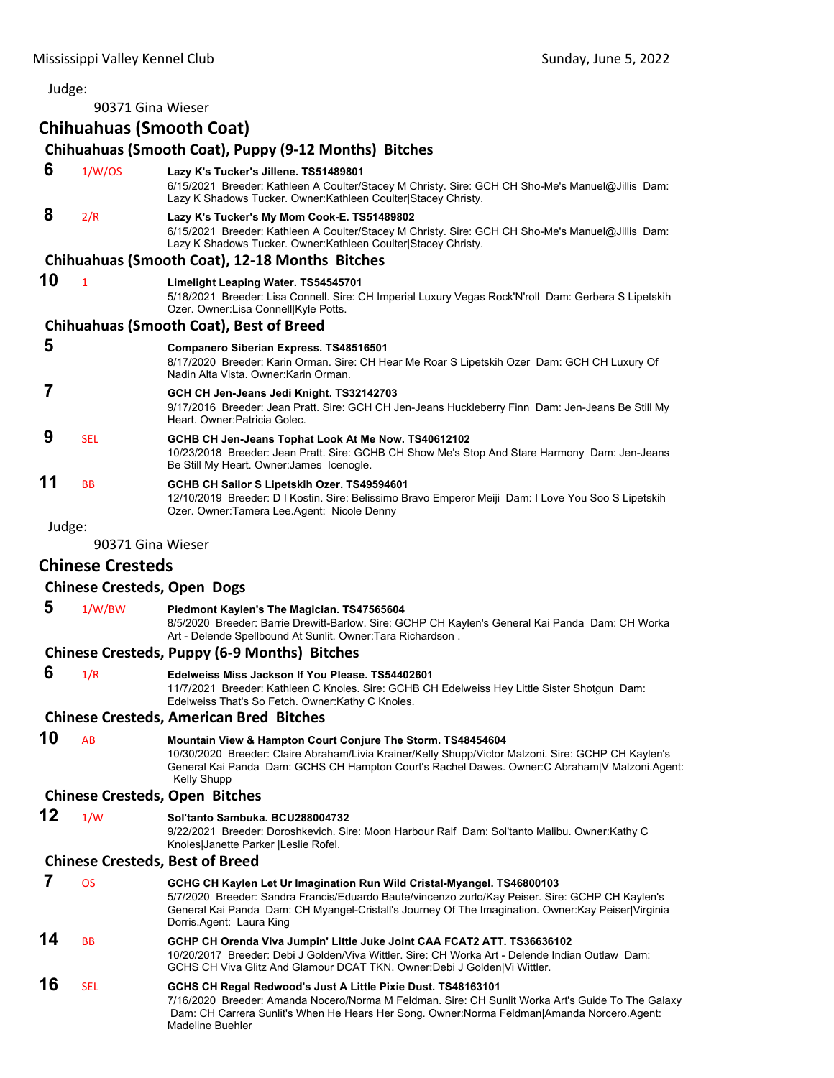90371 Gina Wieser

# **Chihuahuas (Smooth Coat)**

# **Chihuahuas (Smooth Coat), Puppy (9‐12 Months) Bitches**

| 6  | 1/W/OS       | Lazy K's Tucker's Jillene. TS51489801<br>6/15/2021 Breeder: Kathleen A Coulter/Stacey M Christy. Sire: GCH CH Sho-Me's Manuel@Jillis Dam:<br>Lazy K Shadows Tucker. Owner: Kathleen Coulter Stacey Christy.       |
|----|--------------|-------------------------------------------------------------------------------------------------------------------------------------------------------------------------------------------------------------------|
| 8  | 2/R          | Lazy K's Tucker's My Mom Cook-E. TS51489802<br>6/15/2021 Breeder: Kathleen A Coulter/Stacey M Christy. Sire: GCH CH Sho-Me's Manuel@Jillis Dam:<br>Lazy K Shadows Tucker. Owner: Kathleen Coulter Stacey Christy. |
|    |              | Chihuahuas (Smooth Coat), 12-18 Months Bitches                                                                                                                                                                    |
| 10 | $\mathbf{1}$ | Limelight Leaping Water. TS54545701<br>5/18/2021 Breeder: Lisa Connell. Sire: CH Imperial Luxury Vegas Rock'N'roll Dam: Gerbera S Lipetskih<br>Ozer. Owner:Lisa Connell Kyle Potts.                               |
|    |              | <b>Chihuahuas (Smooth Coat), Best of Breed</b>                                                                                                                                                                    |
| 5  |              | <b>Companero Siberian Express. TS48516501</b><br>8/17/2020 Breeder: Karin Orman. Sire: CH Hear Me Roar S Lipetskih Ozer Dam: GCH CH Luxury Of<br>Nadin Alta Vista, Owner Karin Orman.                             |
|    |              | GCH CH Jen-Jeans Jedi Knight. TS32142703<br>9/17/2016 Breeder: Jean Pratt. Sire: GCH CH Jen-Jeans Huckleberry Finn Dam: Jen-Jeans Be Still My<br>Heart, Owner Patricia Golec.                                     |
| 9  | <b>SEL</b>   | GCHB CH Jen-Jeans Tophat Look At Me Now. TS40612102<br>10/23/2018 Breeder: Jean Pratt. Sire: GCHB CH Show Me's Stop And Stare Harmony Dam: Jen-Jeans<br>Be Still My Heart. Owner: James Icenogle.                 |
| 11 | <b>BB</b>    | GCHB CH Sailor S Lipetskih Ozer. TS49594601<br>12/10/2019 Breeder: D I Kostin. Sire: Belissimo Bravo Emperor Meiji Dam: I Love You Soo S Lipetskih<br>Ozer. Owner:Tamera Lee.Agent: Nicole Denny                  |
|    |              |                                                                                                                                                                                                                   |

Judge:

90371 Gina Wieser

# **Chinese Cresteds**

# **Chinese Cresteds, Open Dogs**

| 5 | 1/W/BW | Piedmont Kaylen's The Magician. TS47565604                                                                                                                     |
|---|--------|----------------------------------------------------------------------------------------------------------------------------------------------------------------|
|   |        | 8/5/2020 Breeder: Barrie Drewitt-Barlow. Sire: GCHP CH Kaylen's General Kai Panda Dam: CH Worka<br>Art - Delende Spellbound At Sunlit. Owner: Tara Richardson. |

# **Chinese Cresteds, Puppy (6‐9 Months) Bitches**

 **6** 1/R **Edelweiss Miss Jackson If You Please. TS54402601**

11/7/2021 Breeder: Kathleen C Knoles. Sire: GCHB CH Edelweiss Hey Little Sister Shotgun Dam: Edelweiss That's So Fetch. Owner:Kathy C Knoles.

# **Chinese Cresteds, American Bred Bitches**

# **10** AB **Mountain View & Hampton Court Conjure The Storm. TS48454604**

10/30/2020 Breeder: Claire Abraham/Livia Krainer/Kelly Shupp/Victor Malzoni. Sire: GCHP CH Kaylen's General Kai Panda Dam: GCHS CH Hampton Court's Rachel Dawes. Owner:C Abraham|V Malzoni.Agent: Kelly Shupp

# **Chinese Cresteds, Open Bitches**

# **12** 1/W **Sol'tanto Sambuka. BCU288004732**

9/22/2021 Breeder: Doroshkevich. Sire: Moon Harbour Ralf Dam: Sol'tanto Malibu. Owner:Kathy C Knoles|Janette Parker |Leslie Rofel.

# **Chinese Cresteds, Best of Breed**

|    | OS        | GCHG CH Kaylen Let Ur Imagination Run Wild Cristal-Myangel. TS46800103<br>5/7/2020 Breeder: Sandra Francis/Eduardo Baute/vincenzo zurlo/Kay Peiser. Sire: GCHP CH Kaylen's<br>General Kai Panda Dam: CH Myangel-Cristall's Journey Of The Imagination. Owner: Kay Peiser Virginia<br>Dorris.Agent: Laura King |
|----|-----------|---------------------------------------------------------------------------------------------------------------------------------------------------------------------------------------------------------------------------------------------------------------------------------------------------------------|
| 14 | <b>BB</b> | GCHP CH Orenda Viva Jumpin' Little Juke Joint CAA FCAT2 ATT. TS36636102<br>10/20/2017 Breeder: Debi J Golden/Viva Wittler, Sire: CH Worka Art - Delende Indian Outlaw, Dam:<br>GCHS CH Viva Glitz And Glamour DCAT TKN. Owner:Debi J Golden Vi Wittler.                                                       |
| 16 | SFI.      | GCHS CH Regal Redwood's Just A Little Pixie Dust. TS48163101<br>7/16/2020 Breeder: Amanda Nocero/Norma M Feldman. Sire: CH Sunlit Worka Art's Guide To The Galaxy<br>Dam: CH Carrera Sunlit's When He Hears Her Song. Owner: Norma Feldman Amanda Norcero. Agent:<br>Madeline Buehler                         |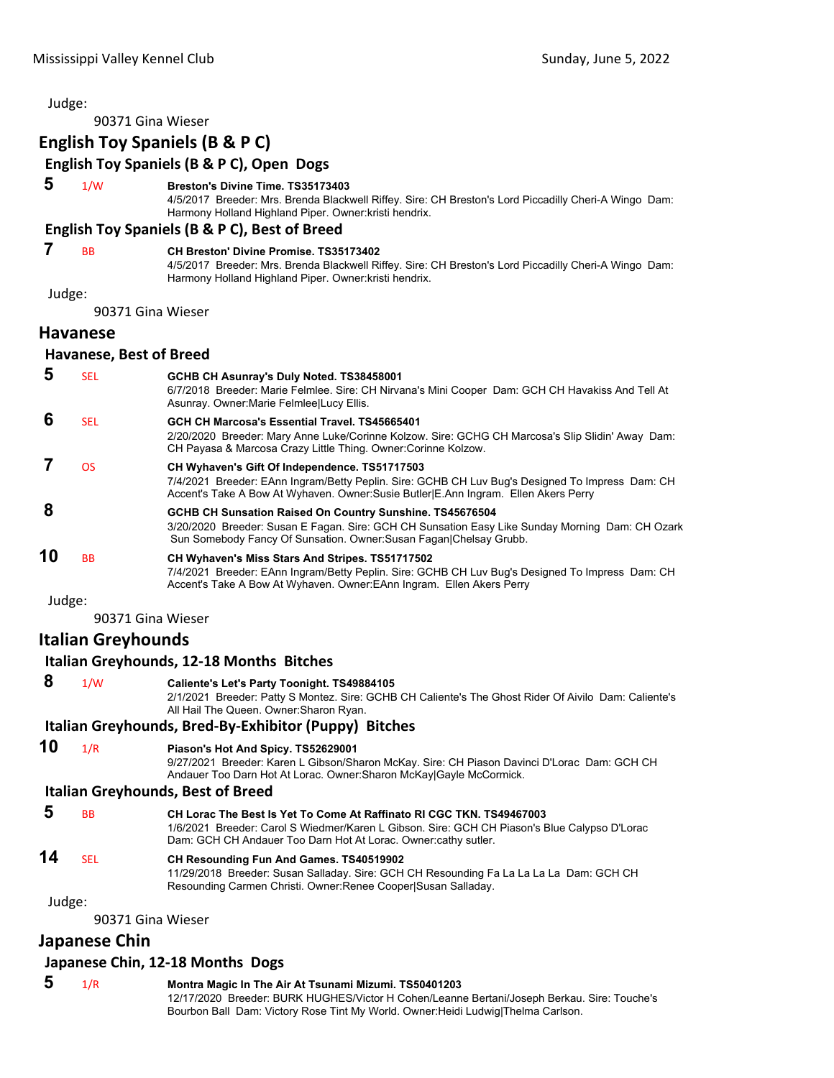| Judge: |                                  |                                                                                                                                                                                                                                        |  |  |
|--------|----------------------------------|----------------------------------------------------------------------------------------------------------------------------------------------------------------------------------------------------------------------------------------|--|--|
|        | 90371 Gina Wieser                |                                                                                                                                                                                                                                        |  |  |
|        |                                  | <b>English Toy Spaniels (B &amp; P C)</b>                                                                                                                                                                                              |  |  |
|        |                                  | English Toy Spaniels (B & P C), Open Dogs                                                                                                                                                                                              |  |  |
| 5      | 1/W                              | Breston's Divine Time. TS35173403<br>4/5/2017 Breeder: Mrs. Brenda Blackwell Riffey. Sire: CH Breston's Lord Piccadilly Cheri-A Wingo Dam:<br>Harmony Holland Highland Piper. Owner: kristi hendrix.                                   |  |  |
|        |                                  | English Toy Spaniels (B & P C), Best of Breed                                                                                                                                                                                          |  |  |
| 7      | <b>BB</b>                        | <b>CH Breston' Divine Promise. TS35173402</b><br>4/5/2017 Breeder: Mrs. Brenda Blackwell Riffey. Sire: CH Breston's Lord Piccadilly Cheri-A Wingo Dam:<br>Harmony Holland Highland Piper. Owner: kristi hendrix.                       |  |  |
| Judge: |                                  |                                                                                                                                                                                                                                        |  |  |
|        | 90371 Gina Wieser                |                                                                                                                                                                                                                                        |  |  |
|        | <b>Havanese</b>                  |                                                                                                                                                                                                                                        |  |  |
|        | Havanese, Best of Breed          |                                                                                                                                                                                                                                        |  |  |
| 5      | <b>SEL</b>                       | GCHB CH Asunray's Duly Noted. TS38458001<br>6/7/2018 Breeder: Marie Felmlee. Sire: CH Nirvana's Mini Cooper Dam: GCH CH Havakiss And Tell At<br>Asunray. Owner: Marie Felmlee Lucy Ellis.                                              |  |  |
| 6      | <b>SEL</b>                       | GCH CH Marcosa's Essential Travel. TS45665401<br>2/20/2020 Breeder: Mary Anne Luke/Corinne Kolzow. Sire: GCHG CH Marcosa's Slip Slidin' Away Dam:<br>CH Payasa & Marcosa Crazy Little Thing. Owner: Corinne Kolzow.                    |  |  |
| 7      | <b>OS</b>                        | CH Wyhaven's Gift Of Independence. TS51717503<br>7/4/2021 Breeder: EAnn Ingram/Betty Peplin. Sire: GCHB CH Luv Bug's Designed To Impress Dam: CH<br>Accent's Take A Bow At Wyhaven. Owner:Susie Butler E.Ann Ingram. Ellen Akers Perry |  |  |
| 8      |                                  | GCHB CH Sunsation Raised On Country Sunshine. TS45676504<br>3/20/2020 Breeder: Susan E Fagan. Sire: GCH CH Sunsation Easy Like Sunday Morning Dam: CH Ozark<br>Sun Somebody Fancy Of Sunsation. Owner: Susan Fagan Chelsay Grubb.      |  |  |
| 10     | BB                               | CH Wyhaven's Miss Stars And Stripes. TS51717502<br>7/4/2021 Breeder: EAnn Ingram/Betty Peplin. Sire: GCHB CH Luv Bug's Designed To Impress Dam: CH<br>Accent's Take A Bow At Wyhaven. Owner: EAnn Ingram. Ellen Akers Perry            |  |  |
| Judge: |                                  |                                                                                                                                                                                                                                        |  |  |
|        | 90371 Gina Wieser                |                                                                                                                                                                                                                                        |  |  |
|        | Italian Greyhounds               |                                                                                                                                                                                                                                        |  |  |
|        |                                  | Italian Greyhounds, 12-18 Months Bitches                                                                                                                                                                                               |  |  |
| 8      | 1/W                              | Caliente's Let's Party Toonight. TS49884105<br>2/1/2021 Breeder: Patty S Montez. Sire: GCHB CH Caliente's The Ghost Rider Of Aivilo Dam: Caliente's<br>All Hail The Queen. Owner: Sharon Ryan.                                         |  |  |
|        |                                  | Italian Greyhounds, Bred-By-Exhibitor (Puppy) Bitches                                                                                                                                                                                  |  |  |
| 10     | 1/R                              | Piason's Hot And Spicy. TS52629001<br>9/27/2021 Breeder: Karen L Gibson/Sharon McKay. Sire: CH Piason Davinci D'Lorac Dam: GCH CH<br>Andauer Too Darn Hot At Lorac. Owner: Sharon McKay Gayle McCormick.                               |  |  |
|        |                                  | <b>Italian Greyhounds, Best of Breed</b>                                                                                                                                                                                               |  |  |
| 5      | <b>BB</b>                        | CH Lorac The Best Is Yet To Come At Raffinato RI CGC TKN. TS49467003<br>1/6/2021 Breeder: Carol S Wiedmer/Karen L Gibson. Sire: GCH CH Piason's Blue Calypso D'Lorac<br>Dam: GCH CH Andauer Too Darn Hot At Lorac. Owner:cathy sutler. |  |  |
| 14     | <b>SEL</b>                       | CH Resounding Fun And Games. TS40519902<br>11/29/2018 Breeder: Susan Salladay. Sire: GCH CH Resounding Fa La La La La Dam: GCH CH<br>Resounding Carmen Christi. Owner: Renee Cooper Susan Salladay.                                    |  |  |
| Judge: |                                  |                                                                                                                                                                                                                                        |  |  |
|        | 90371 Gina Wieser                |                                                                                                                                                                                                                                        |  |  |
|        | Japanese Chin                    |                                                                                                                                                                                                                                        |  |  |
|        | Japanese Chin, 12-18 Months Dogs |                                                                                                                                                                                                                                        |  |  |

 **5** 1/R **Montra Magic In The Air At Tsunami Mizumi. TS50401203** 12/17/2020 Breeder: BURK HUGHES/Victor H Cohen/Leanne Bertani/Joseph Berkau. Sire: Touche's Bourbon Ball Dam: Victory Rose Tint My World. Owner:Heidi Ludwig|Thelma Carlson.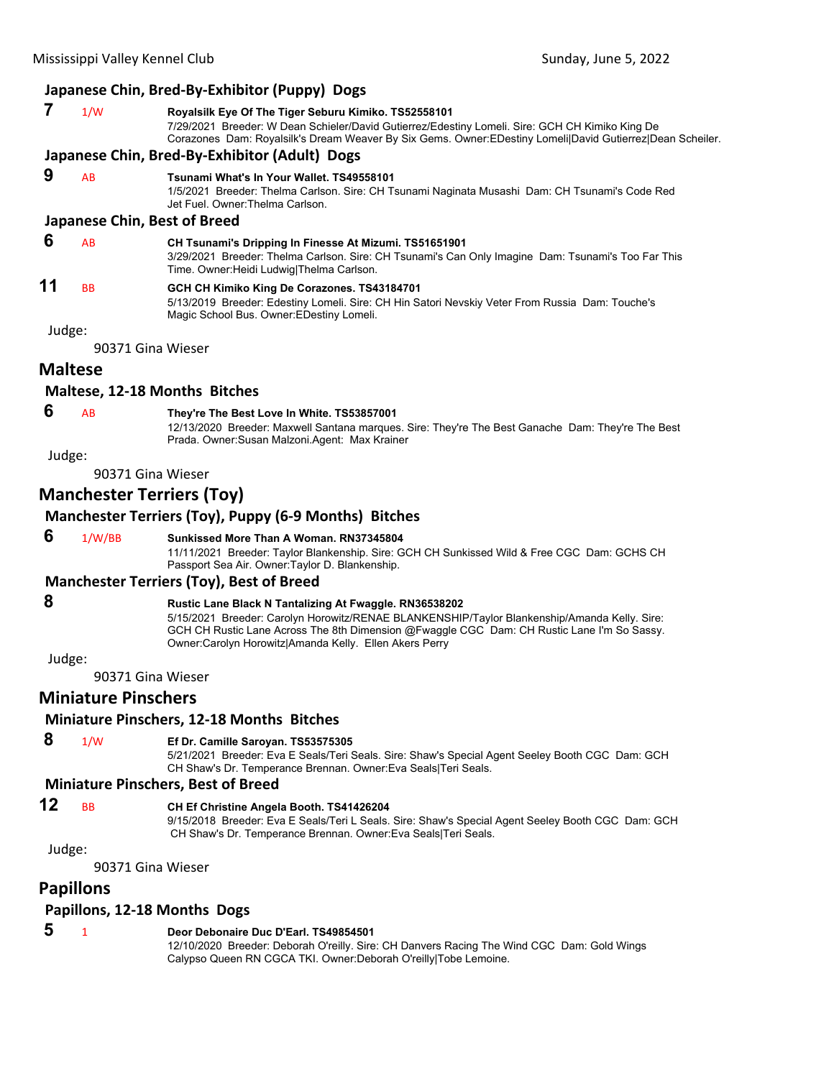# **Japanese Chin, Bred‐By‐Exhibitor (Puppy) Dogs**

| 1/W | Royalsilk Eye Of The Tiger Seburu Kimiko. TS52558101                                                       |
|-----|------------------------------------------------------------------------------------------------------------|
|     | 7/29/2021 Breeder: W Dean Schieler/David Gutierrez/Edestiny Lomeli. Sire: GCH CH Kimiko King De            |
|     | Corazones Dam: Royalsilk's Dream Weaver By Six Gems. Owner: EDestiny Lomeli David Gutierrez Dean Scheiler. |
|     |                                                                                                            |

# **Japanese Chin, Bred‐By‐Exhibitor (Adult) Dogs**

# **9** AB **Tsunami What's In Your Wallet. TS49558101**

1/5/2021 Breeder: Thelma Carlson. Sire: CH Tsunami Naginata Musashi Dam: CH Tsunami's Code Red Jet Fuel. Owner:Thelma Carlson.

#### **Japanese Chin, Best of Breed**

| -6 | <b>AB</b> | CH Tsunami's Dripping In Finesse At Mizumi. TS51651901                                                                                         |
|----|-----------|------------------------------------------------------------------------------------------------------------------------------------------------|
|    |           | 3/29/2021 Breeder: Thelma Carlson. Sire: CH Tsunami's Can Only Imagine Dam: Tsunami's Too Far This<br>Time. Owner:Heidi Ludwig Thelma Carlson. |
| 11 | <b>BB</b> | GCH CH Kimiko King De Corazones. TS43184701                                                                                                    |
|    |           | 5/13/2019 Breeder: Edestiny Lomeli. Sire: CH Hin Satori Nevskiy Veter From Russia Dam: Touche's                                                |

Judge:

90371 Gina Wieser

# **Maltese**

#### **Maltese, 12‐18 Months Bitches**

# **6** AB **They're The Best Love In White. TS53857001**

Magic School Bus. Owner:EDestiny Lomeli.

12/13/2020 Breeder: Maxwell Santana marques. Sire: They're The Best Ganache Dam: They're The Best Prada. Owner:Susan Malzoni.Agent: Max Krainer

Judge:

90371 Gina Wieser

# **Manchester Terriers (Toy)**

# **Manchester Terriers (Toy), Puppy (6‐9 Months) Bitches**

 **6** 1/W/BB **Sunkissed More Than A Woman. RN37345804**

11/11/2021 Breeder: Taylor Blankenship. Sire: GCH CH Sunkissed Wild & Free CGC Dam: GCHS CH Passport Sea Air. Owner:Taylor D. Blankenship.

#### **Manchester Terriers (Toy), Best of Breed**

# **8 Rustic Lane Black N Tantalizing At Fwaggle. RN36538202**

5/15/2021 Breeder: Carolyn Horowitz/RENAE BLANKENSHIP/Taylor Blankenship/Amanda Kelly. Sire: GCH CH Rustic Lane Across The 8th Dimension @Fwaggle CGC Dam: CH Rustic Lane I'm So Sassy. Owner:Carolyn Horowitz|Amanda Kelly. Ellen Akers Perry

Judge:

90371 Gina Wieser

# **Miniature Pinschers**

#### **Miniature Pinschers, 12‐18 Months Bitches**

#### **8** 1/W **Ef Dr. Camille Saroyan. TS53575305**

5/21/2021 Breeder: Eva E Seals/Teri Seals. Sire: Shaw's Special Agent Seeley Booth CGC Dam: GCH CH Shaw's Dr. Temperance Brennan. Owner:Eva Seals|Teri Seals.

#### **Miniature Pinschers, Best of Breed**

# **12** BB **CH Ef Christine Angela Booth. TS41426204**

9/15/2018 Breeder: Eva E Seals/Teri L Seals. Sire: Shaw's Special Agent Seeley Booth CGC Dam: GCH CH Shaw's Dr. Temperance Brennan. Owner:Eva Seals|Teri Seals.

Judge:

90371 Gina Wieser

# **Papillons**

#### **Papillons, 12‐18 Months Dogs**

|  |  | Deor Debonaire Duc D'Earl, TS49854501 |
|--|--|---------------------------------------|
|--|--|---------------------------------------|

12/10/2020 Breeder: Deborah O'reilly. Sire: CH Danvers Racing The Wind CGC Dam: Gold Wings Calypso Queen RN CGCA TKI. Owner:Deborah O'reilly|Tobe Lemoine.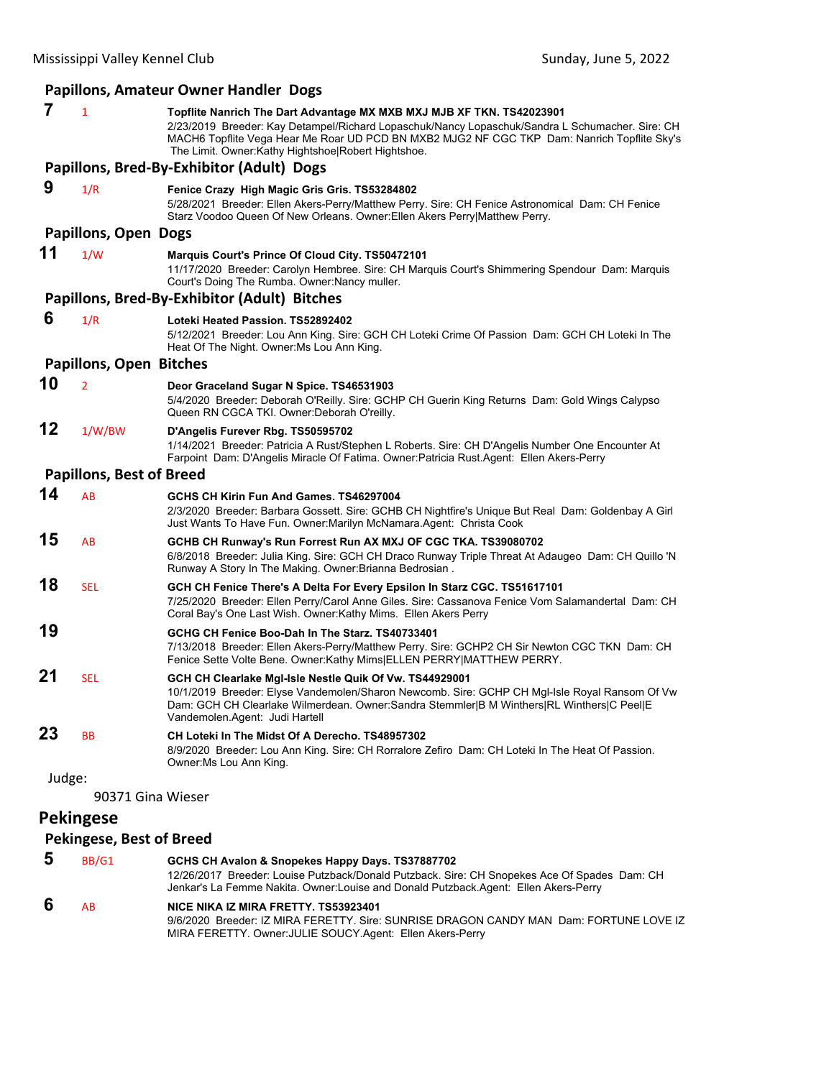| Papillons, Amateur Owner Handler Dogs                                                                                                                                                                                                                                                                                                    |
|------------------------------------------------------------------------------------------------------------------------------------------------------------------------------------------------------------------------------------------------------------------------------------------------------------------------------------------|
| 7<br>1<br>Topflite Nanrich The Dart Advantage MX MXB MXJ MJB XF TKN. TS42023901<br>2/23/2019 Breeder: Kay Detampel/Richard Lopaschuk/Nancy Lopaschuk/Sandra L Schumacher. Sire: CH<br>MACH6 Topflite Vega Hear Me Roar UD PCD BN MXB2 MJG2 NF CGC TKP Dam: Nanrich Topflite Sky's<br>The Limit. Owner: Kathy Hightshoe Robert Hightshoe. |
| Papillons, Bred-By-Exhibitor (Adult) Dogs                                                                                                                                                                                                                                                                                                |
| 9<br>1/R<br>Fenice Crazy High Magic Gris Gris. TS53284802<br>5/28/2021 Breeder: Ellen Akers-Perry/Matthew Perry. Sire: CH Fenice Astronomical Dam: CH Fenice<br>Starz Voodoo Queen Of New Orleans. Owner: Ellen Akers Perry Matthew Perry.                                                                                               |
| <b>Papillons, Open Dogs</b>                                                                                                                                                                                                                                                                                                              |
| 11<br>1/W<br>Marquis Court's Prince Of Cloud City. TS50472101<br>11/17/2020 Breeder: Carolyn Hembree. Sire: CH Marquis Court's Shimmering Spendour Dam: Marquis<br>Court's Doing The Rumba. Owner: Nancy muller.                                                                                                                         |
| Papillons, Bred-By-Exhibitor (Adult) Bitches                                                                                                                                                                                                                                                                                             |
| 6<br>1/R<br>Loteki Heated Passion. TS52892402<br>5/12/2021 Breeder: Lou Ann King. Sire: GCH CH Loteki Crime Of Passion Dam: GCH CH Loteki In The<br>Heat Of The Night. Owner: Ms Lou Ann King.                                                                                                                                           |
| <b>Papillons, Open Bitches</b>                                                                                                                                                                                                                                                                                                           |
| 10<br>$\overline{2}$<br>Deor Graceland Sugar N Spice. TS46531903<br>5/4/2020 Breeder: Deborah O'Reilly. Sire: GCHP CH Guerin King Returns Dam: Gold Wings Calypso<br>Queen RN CGCA TKI. Owner: Deborah O'reilly.                                                                                                                         |
| 12<br>1/W/BW<br>D'Angelis Furever Rbg. TS50595702<br>1/14/2021 Breeder: Patricia A Rust/Stephen L Roberts. Sire: CH D'Angelis Number One Encounter At<br>Farpoint Dam: D'Angelis Miracle Of Fatima. Owner:Patricia Rust.Agent: Ellen Akers-Perry                                                                                         |
| <b>Papillons, Best of Breed</b>                                                                                                                                                                                                                                                                                                          |
| 14<br>AB<br>GCHS CH Kirin Fun And Games. TS46297004<br>2/3/2020 Breeder: Barbara Gossett. Sire: GCHB CH Nightfire's Unique But Real Dam: Goldenbay A Girl<br>Just Wants To Have Fun. Owner: Marilyn McNamara. Agent: Christa Cook                                                                                                        |
| 15<br>AB<br>GCHB CH Runway's Run Forrest Run AX MXJ OF CGC TKA. TS39080702<br>6/8/2018 Breeder: Julia King. Sire: GCH CH Draco Runway Triple Threat At Adaugeo Dam: CH Quillo 'N<br>Runway A Story In The Making. Owner: Brianna Bedrosian.                                                                                              |
| 18<br><b>SEL</b><br>GCH CH Fenice There's A Delta For Every Epsilon In Starz CGC. TS51617101<br>7/25/2020 Breeder: Ellen Perry/Carol Anne Giles. Sire: Cassanova Fenice Vom Salamandertal Dam: CH<br>Coral Bay's One Last Wish. Owner:Kathy Mims. Ellen Akers Perry                                                                      |
| 19<br>GCHG CH Fenice Boo-Dah In The Starz. TS40733401<br>7/13/2018 Breeder: Ellen Akers-Perry/Matthew Perry. Sire: GCHP2 CH Sir Newton CGC TKN Dam: CH<br>Fenice Sette Volte Bene. Owner: Kathy Mims ELLEN PERRY MATTHEW PERRY.                                                                                                          |
| 21<br>SEL<br>GCH CH Clearlake MgI-Isle Nestle Quik Of Vw. TS44929001<br>10/1/2019 Breeder: Elyse Vandemolen/Sharon Newcomb. Sire: GCHP CH Mgl-Isle Royal Ransom Of Vw<br>Dam: GCH CH Clearlake Wilmerdean. Owner:Sandra Stemmler B M Winthers RL Winthers C Peel E<br>Vandemolen.Agent: Judi Hartell                                     |
| 23<br>BB<br>CH Loteki In The Midst Of A Derecho. TS48957302<br>8/9/2020 Breeder: Lou Ann King. Sire: CH Rorralore Zefiro Dam: CH Loteki In The Heat Of Passion.<br>Owner: Ms Lou Ann King.                                                                                                                                               |
| Judge:<br>90371 Gina Wieser                                                                                                                                                                                                                                                                                                              |
| <b>Pekingese</b>                                                                                                                                                                                                                                                                                                                         |

# **Pekingese, Best of Breed**

| $\overline{\mathbf{5}}$ | BB/G1     | GCHS CH Avalon & Snopekes Happy Days. TS37887702<br>12/26/2017 Breeder: Louise Putzback/Donald Putzback. Sire: CH Snopekes Ace Of Spades Dam: CH<br>Jenkar's La Femme Nakita. Owner: Louise and Donald Putzback. Agent: Ellen Akers-Perry |
|-------------------------|-----------|-------------------------------------------------------------------------------------------------------------------------------------------------------------------------------------------------------------------------------------------|
| 6                       | <b>AR</b> | NICE NIKA IZ MIRA FRETTY. TS53923401<br>9/6/2020 Breeder: IZ MIRA FERETTY, Sire: SUNRISE DRAGON CANDY MAN Dam: FORTUNE LOVE IZ<br>MIRA FERETTY. Owner: JULIE SOUCY Agent: Ellen Akers-Perry                                               |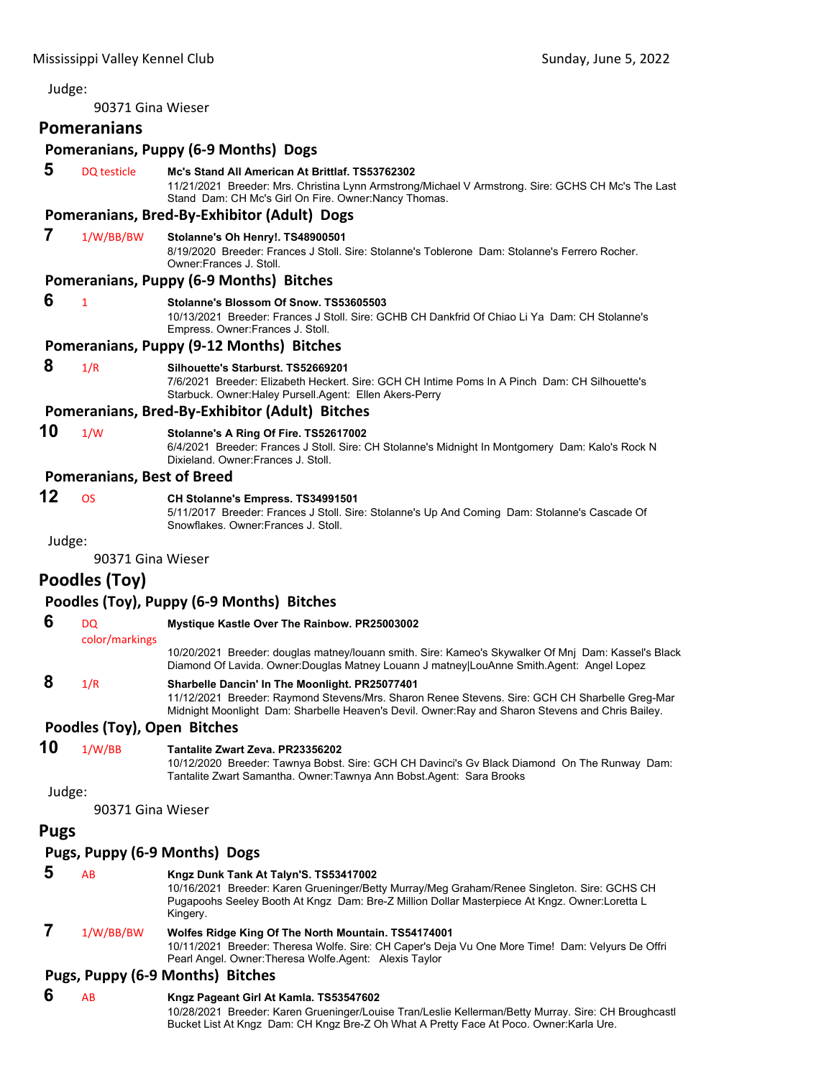# 90371 Gina Wieser **Pomeranians Pomeranians, Puppy (6‐9 Months) Dogs 5** DQ testicle **Mc's Stand All American At Brittlaf. TS53762302** 11/21/2021 Breeder: Mrs. Christina Lynn Armstrong/Michael V Armstrong. Sire: GCHS CH Mc's The Last Stand Dam: CH Mc's Girl On Fire. Owner:Nancy Thomas. **Pomeranians, Bred‐By‐Exhibitor (Adult) Dogs 7** 1/W/BB/BW **Stolanne's Oh Henry!. TS48900501** 8/19/2020 Breeder: Frances J Stoll. Sire: Stolanne's Toblerone Dam: Stolanne's Ferrero Rocher. Owner:Frances J. Stoll. **Pomeranians, Puppy (6‐9 Months) Bitches 6** <sup>1</sup> **Stolanne's Blossom Of Snow. TS53605503** 10/13/2021 Breeder: Frances J Stoll. Sire: GCHB CH Dankfrid Of Chiao Li Ya Dam: CH Stolanne's Empress. Owner:Frances J. Stoll. **Pomeranians, Puppy (9‐12 Months) Bitches 8** 1/R **Silhouette's Starburst. TS52669201** 7/6/2021 Breeder: Elizabeth Heckert. Sire: GCH CH Intime Poms In A Pinch Dam: CH Silhouette's Starbuck. Owner:Haley Pursell.Agent: Ellen Akers-Perry **Pomeranians, Bred‐By‐Exhibitor (Adult) Bitches 10** 1/W **Stolanne's A Ring Of Fire. TS52617002** 6/4/2021 Breeder: Frances J Stoll. Sire: CH Stolanne's Midnight In Montgomery Dam: Kalo's Rock N Dixieland. Owner:Frances J. Stoll. **Pomeranians, Best of Breed 12** OS **CH Stolanne's Empress. TS34991501** 5/11/2017 Breeder: Frances J Stoll. Sire: Stolanne's Up And Coming Dam: Stolanne's Cascade Of Snowflakes. Owner:Frances J. Stoll. Judge: 90371 Gina Wieser **Poodles (Toy) Poodles (Toy), Puppy (6‐9 Months) Bitches 6** DQ **Mystique Kastle Over The Rainbow. PR25003002** color/markings 10/20/2021 Breeder: douglas matney/louann smith. Sire: Kameo's Skywalker Of Mnj Dam: Kassel's Black Diamond Of Lavida. Owner:Douglas Matney Louann J matney|LouAnne Smith.Agent: Angel Lopez  **8** 1/R **Sharbelle Dancin' In The Moonlight. PR25077401** 11/12/2021 Breeder: Raymond Stevens/Mrs. Sharon Renee Stevens. Sire: GCH CH Sharbelle Greg-Mar Midnight Moonlight Dam: Sharbelle Heaven's Devil. Owner:Ray and Sharon Stevens and Chris Bailey. **Poodles (Toy), Open Bitches 10** 1/W/BB **Tantalite Zwart Zeva. PR23356202** 10/12/2020 Breeder: Tawnya Bobst. Sire: GCH CH Davinci's Gv Black Diamond On The Runway Dam: Tantalite Zwart Samantha. Owner:Tawnya Ann Bobst.Agent: Sara Brooks Judge: 90371 Gina Wieser **Pugs Pugs, Puppy (6‐9 Months) Dogs 5** AB **Kngz Dunk Tank At Talyn'S. TS53417002** 10/16/2021 Breeder: Karen Grueninger/Betty Murray/Meg Graham/Renee Singleton. Sire: GCHS CH Pugapoohs Seeley Booth At Kngz Dam: Bre-Z Million Dollar Masterpiece At Kngz. Owner:Loretta L Kingery.  **7** 1/W/BB/BW **Wolfes Ridge King Of The North Mountain. TS54174001** 10/11/2021 Breeder: Theresa Wolfe. Sire: CH Caper's Deja Vu One More Time! Dam: Velyurs De Offri Pearl Angel. Owner:Theresa Wolfe.Agent: Alexis Taylor **Pugs, Puppy (6‐9 Months) Bitches 6** AB **Kngz Pageant Girl At Kamla. TS53547602** 10/28/2021 Breeder: Karen Grueninger/Louise Tran/Leslie Kellerman/Betty Murray. Sire: CH Broughcastl Bucket List At Kngz Dam: CH Kngz Bre-Z Oh What A Pretty Face At Poco. Owner:Karla Ure.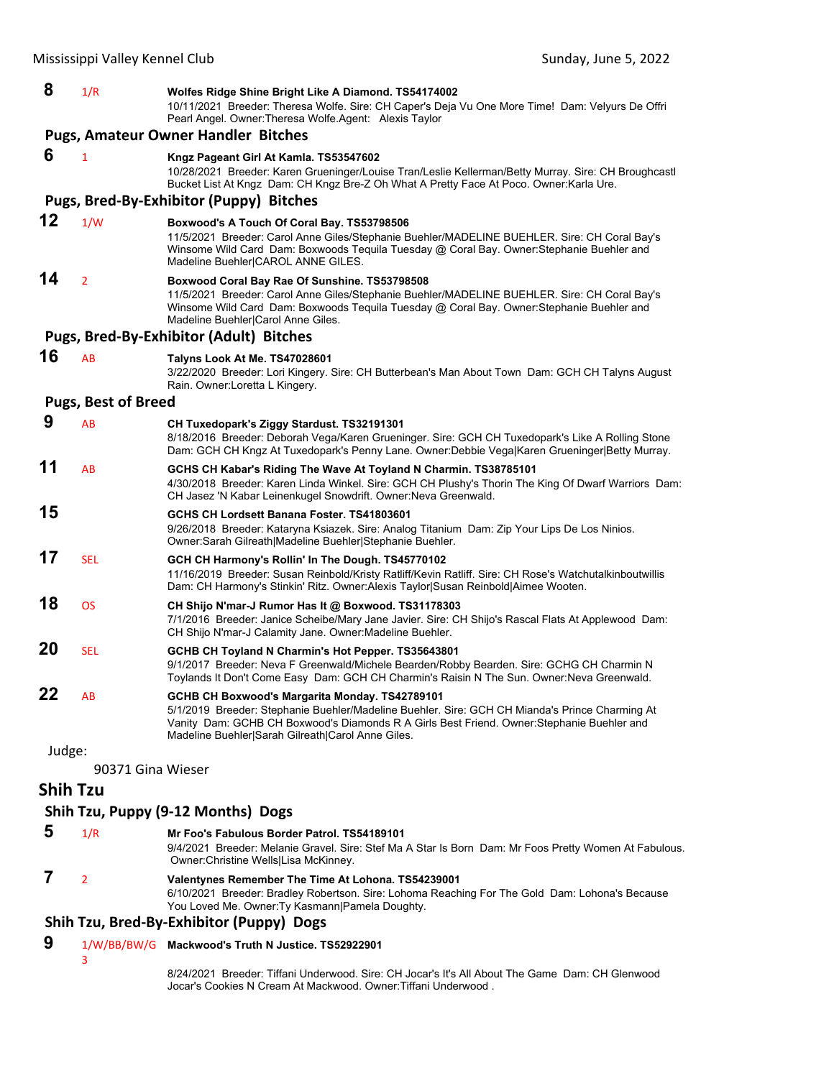| 8      | 1/R                        | Wolfes Ridge Shine Bright Like A Diamond. TS54174002<br>10/11/2021 Breeder: Theresa Wolfe. Sire: CH Caper's Deja Vu One More Time! Dam: Velyurs De Offri<br>Pearl Angel. Owner: Theresa Wolfe. Agent: Alexis Taylor                                                                                 |
|--------|----------------------------|-----------------------------------------------------------------------------------------------------------------------------------------------------------------------------------------------------------------------------------------------------------------------------------------------------|
|        |                            | <b>Pugs, Amateur Owner Handler Bitches</b>                                                                                                                                                                                                                                                          |
| 6      | $\mathbf{1}$               | Kngz Pageant Girl At Kamla. TS53547602<br>10/28/2021 Breeder: Karen Grueninger/Louise Tran/Leslie Kellerman/Betty Murray. Sire: CH Broughcastl<br>Bucket List At Kngz Dam: CH Kngz Bre-Z Oh What A Pretty Face At Poco. Owner: Karla Ure.                                                           |
|        |                            | Pugs, Bred-By-Exhibitor (Puppy) Bitches                                                                                                                                                                                                                                                             |
| 12     | 1/W                        | Boxwood's A Touch Of Coral Bay. TS53798506<br>11/5/2021 Breeder: Carol Anne Giles/Stephanie Buehler/MADELINE BUEHLER. Sire: CH Coral Bay's<br>Winsome Wild Card Dam: Boxwoods Tequila Tuesday @ Coral Bay. Owner:Stephanie Buehler and<br>Madeline Buehler CAROL ANNE GILES.                        |
| 14     | $\overline{2}$             | Boxwood Coral Bay Rae Of Sunshine. TS53798508<br>11/5/2021 Breeder: Carol Anne Giles/Stephanie Buehler/MADELINE BUEHLER. Sire: CH Coral Bay's<br>Winsome Wild Card Dam: Boxwoods Tequila Tuesday @ Coral Bay. Owner: Stephanie Buehler and<br>Madeline Buehler Carol Anne Giles.                    |
|        |                            | <b>Pugs, Bred-By-Exhibitor (Adult) Bitches</b>                                                                                                                                                                                                                                                      |
| 16     | AB                         | Talyns Look At Me. TS47028601<br>3/22/2020 Breeder: Lori Kingery. Sire: CH Butterbean's Man About Town Dam: GCH CH Talyns August<br>Rain. Owner: Loretta L Kingery.                                                                                                                                 |
|        | <b>Pugs, Best of Breed</b> |                                                                                                                                                                                                                                                                                                     |
| 9      | AB                         | CH Tuxedopark's Ziggy Stardust. TS32191301<br>8/18/2016 Breeder: Deborah Vega/Karen Grueninger. Sire: GCH CH Tuxedopark's Like A Rolling Stone<br>Dam: GCH CH Kngz At Tuxedopark's Penny Lane. Owner:Debbie Vega Karen Grueninger Betty Murray.                                                     |
| 11     | AB                         | GCHS CH Kabar's Riding The Wave At Toyland N Charmin. TS38785101<br>4/30/2018 Breeder: Karen Linda Winkel. Sire: GCH CH Plushy's Thorin The King Of Dwarf Warriors Dam:<br>CH Jasez 'N Kabar Leinenkugel Snowdrift. Owner: Neva Greenwald.                                                          |
| 15     |                            | GCHS CH Lordsett Banana Foster, TS41803601<br>9/26/2018 Breeder: Kataryna Ksiazek. Sire: Analog Titanium Dam: Zip Your Lips De Los Ninios.<br>Owner: Sarah Gilreath Madeline Buehler Stephanie Buehler.                                                                                             |
| 17     | <b>SEL</b>                 | GCH CH Harmony's Rollin' In The Dough. TS45770102<br>11/16/2019 Breeder: Susan Reinbold/Kristy Ratliff/Kevin Ratliff. Sire: CH Rose's Watchutalkinboutwillis<br>Dam: CH Harmony's Stinkin' Ritz. Owner:Alexis Taylor Susan Reinbold Aimee Wooten.                                                   |
| 18     | OS                         | CH Shijo N'mar-J Rumor Has It @ Boxwood. TS31178303<br>7/1/2016 Breeder: Janice Scheibe/Mary Jane Javier. Sire: CH Shijo's Rascal Flats At Applewood Dam:<br>CH Shijo N'mar-J Calamity Jane. Owner: Madeline Buehler.                                                                               |
| 20     | <b>SEL</b>                 | GCHB CH Toyland N Charmin's Hot Pepper. TS35643801<br>9/1/2017 Breeder: Neva F Greenwald/Michele Bearden/Robby Bearden. Sire: GCHG CH Charmin N<br>Toylands It Don't Come Easy Dam: GCH CH Charmin's Raisin N The Sun. Owner: Neva Greenwald.                                                       |
| 22     | AB                         | GCHB CH Boxwood's Margarita Monday. TS42789101<br>5/1/2019 Breeder: Stephanie Buehler/Madeline Buehler. Sire: GCH CH Mianda's Prince Charming At<br>Vanity Dam: GCHB CH Boxwood's Diamonds R A Girls Best Friend. Owner: Stephanie Buehler and<br>Madeline Buehler Sarah Gilreath Carol Anne Giles. |
| Judge: |                            |                                                                                                                                                                                                                                                                                                     |

90371 Gina Wieser

# **Shih Tzu**

# **Shih Tzu, Puppy (9‐12 Months) Dogs**

 **5** 1/R **Mr Foo's Fabulous Border Patrol. TS54189101** 9/4/2021 Breeder: Melanie Gravel. Sire: Stef Ma A Star Is Born Dam: Mr Foos Pretty Women At Fabulous. Owner:Christine Wells|Lisa McKinney.  **7** <sup>2</sup> **Valentynes Remember The Time At Lohona. TS54239001** 6/10/2021 Breeder: Bradley Robertson. Sire: Lohoma Reaching For The Gold Dam: Lohona's Because You Loved Me. Owner:Ty Kasmann|Pamela Doughty.

# **Shih Tzu, Bred‐By‐Exhibitor (Puppy) Dogs**

 **9** 1/W/BB/BW/G **Mackwood's Truth N Justice. TS52922901**

3

8/24/2021 Breeder: Tiffani Underwood. Sire: CH Jocar's It's All About The Game Dam: CH Glenwood Jocar's Cookies N Cream At Mackwood. Owner:Tiffani Underwood .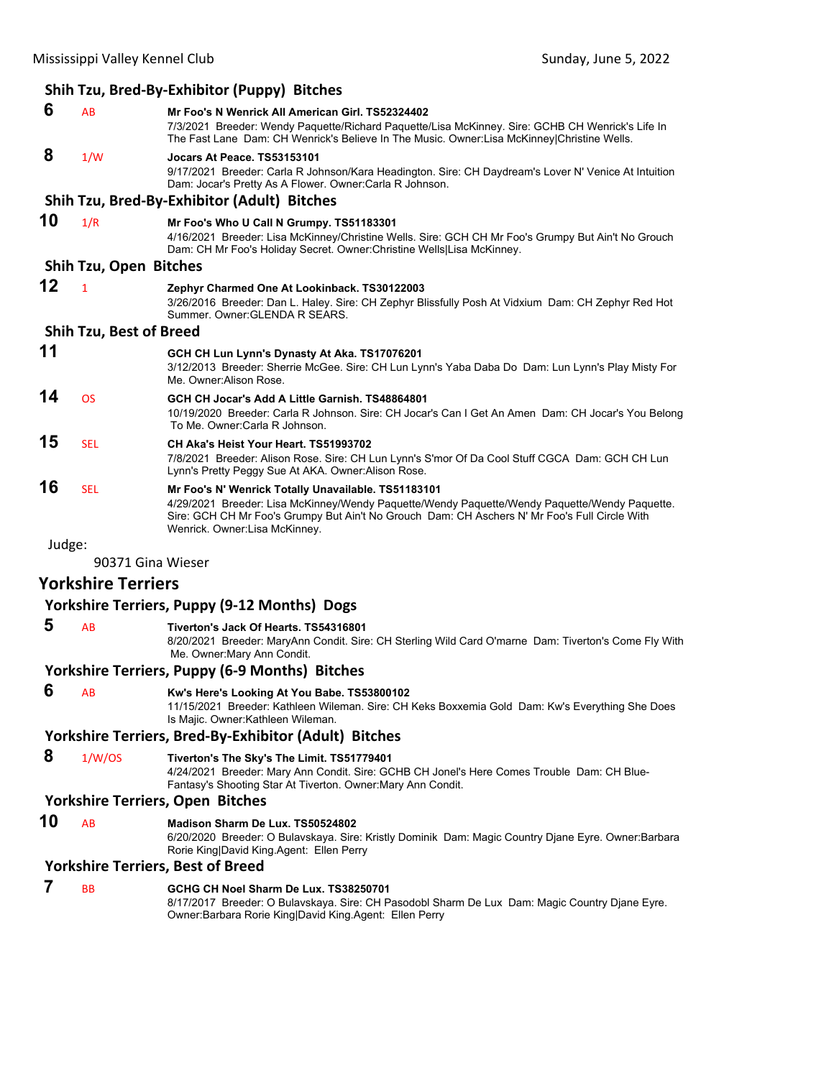|        |                                | Shih Tzu, Bred-By-Exhibitor (Puppy) Bitches                                                                                                                                                                                                                                            |
|--------|--------------------------------|----------------------------------------------------------------------------------------------------------------------------------------------------------------------------------------------------------------------------------------------------------------------------------------|
| 6      | AB                             | Mr Foo's N Wenrick All American Girl, TS52324402<br>7/3/2021 Breeder: Wendy Paquette/Richard Paquette/Lisa McKinney. Sire: GCHB CH Wenrick's Life In<br>The Fast Lane Dam: CH Wenrick's Believe In The Music. Owner:Lisa McKinney Christine Wells.                                     |
| 8      | 1/W                            | Jocars At Peace. TS53153101<br>9/17/2021 Breeder: Carla R Johnson/Kara Headington. Sire: CH Daydream's Lover N' Venice At Intuition<br>Dam: Jocar's Pretty As A Flower. Owner: Carla R Johnson.                                                                                        |
|        |                                | Shih Tzu, Bred-By-Exhibitor (Adult) Bitches                                                                                                                                                                                                                                            |
| 10     | 1/R                            | Mr Foo's Who U Call N Grumpy. TS51183301<br>4/16/2021 Breeder: Lisa McKinney/Christine Wells. Sire: GCH CH Mr Foo's Grumpy But Ain't No Grouch<br>Dam: CH Mr Foo's Holiday Secret. Owner: Christine Wells Lisa McKinney.                                                               |
|        | Shih Tzu, Open Bitches         |                                                                                                                                                                                                                                                                                        |
| 12     | $\mathbf{1}$                   | Zephyr Charmed One At Lookinback. TS30122003<br>3/26/2016 Breeder: Dan L. Haley. Sire: CH Zephyr Blissfully Posh At Vidxium Dam: CH Zephyr Red Hot<br>Summer, Owner: GLENDA R SEARS.                                                                                                   |
|        | <b>Shih Tzu, Best of Breed</b> |                                                                                                                                                                                                                                                                                        |
| 11     |                                | GCH CH Lun Lynn's Dynasty At Aka. TS17076201<br>3/12/2013 Breeder: Sherrie McGee. Sire: CH Lun Lynn's Yaba Daba Do Dam: Lun Lynn's Play Misty For<br>Me. Owner: Alison Rose.                                                                                                           |
| 14     | <b>OS</b>                      | GCH CH Jocar's Add A Little Garnish. TS48864801<br>10/19/2020 Breeder: Carla R Johnson. Sire: CH Jocar's Can I Get An Amen Dam: CH Jocar's You Belong<br>To Me. Owner: Carla R Johnson.                                                                                                |
| 15     | <b>SEL</b>                     | CH Aka's Heist Your Heart. TS51993702<br>7/8/2021 Breeder: Alison Rose. Sire: CH Lun Lynn's S'mor Of Da Cool Stuff CGCA Dam: GCH CH Lun<br>Lynn's Pretty Peggy Sue At AKA. Owner: Alison Rose.                                                                                         |
| 16     | <b>SEL</b>                     | Mr Foo's N' Wenrick Totally Unavailable. TS51183101<br>4/29/2021 Breeder: Lisa McKinney/Wendy Paquette/Wendy Paquette/Wendy Paquette/Wendy Paquette.<br>Sire: GCH CH Mr Foo's Grumpy But Ain't No Grouch Dam: CH Aschers N' Mr Foo's Full Circle With<br>Wenrick. Owner:Lisa McKinney. |
| Judge: |                                |                                                                                                                                                                                                                                                                                        |
|        | 90371 Gina Wieser              |                                                                                                                                                                                                                                                                                        |
|        | <b>Yorkshire Terriers</b>      |                                                                                                                                                                                                                                                                                        |
|        |                                | <b>Yorkshire Terriers, Puppy (9-12 Months) Dogs</b>                                                                                                                                                                                                                                    |
| 5      | AB                             | Tiverton's Jack Of Hearts, TS54316801<br>8/20/2021 Breeder: MaryAnn Condit. Sire: CH Sterling Wild Card O'marne Dam: Tiverton's Come Fly With<br>Me. Owner: Mary Ann Condit.                                                                                                           |
|        |                                | <b>Yorkshire Terriers, Puppy (6-9 Months) Bitches</b>                                                                                                                                                                                                                                  |
| O      | AB                             | Kw's Here's Looking At You Babe. TS53800102<br>11/15/2021 Breeder: Kathleen Wileman. Sire: CH Keks Boxxemia Gold Dam: Kw's Everything She Does<br>Is Majic. Owner: Kathleen Wileman.                                                                                                   |
|        |                                | <b>Yorkshire Terriers, Bred-By-Exhibitor (Adult) Bitches</b>                                                                                                                                                                                                                           |
| 8      | 1/W/OS                         | Tiverton's The Sky's The Limit. TS51779401<br>4/24/2021 Breeder: Mary Ann Condit. Sire: GCHB CH Jonel's Here Comes Trouble Dam: CH Blue-<br>Fantasy's Shooting Star At Tiverton. Owner: Mary Ann Condit.                                                                               |
|        |                                | <b>Yorkshire Terriers, Open Bitches</b>                                                                                                                                                                                                                                                |
| 10     | AB                             | Madison Sharm De Lux. TS50524802<br>6/20/2020 Breeder: O Bulavskaya. Sire: Kristly Dominik Dam: Magic Country Djane Eyre. Owner: Barbara<br>Rorie King David King.Agent: Ellen Perry                                                                                                   |

# **Yorkshire Terriers, Best of Breed**

| <b>RR</b> | GCHG CH Noel Sharm De Lux, TS38250701                                                          |
|-----------|------------------------------------------------------------------------------------------------|
|           | 8/17/2017 Breeder: O Bulavskaya. Sire: CH Pasodobl Sharm De Lux Dam: Magic Country Diane Eyre. |
|           | Owner: Barbara Rorie King David King Agent: Ellen Perry                                        |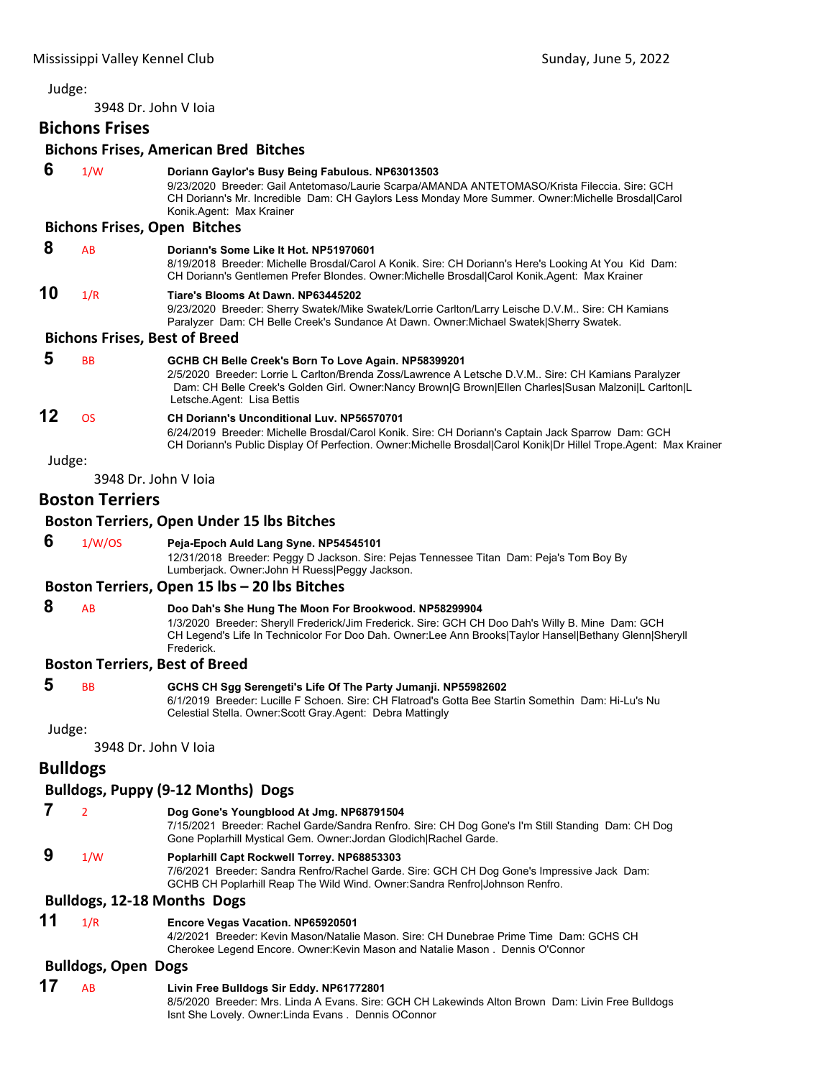3948 Dr. John V Ioia

# **Bichons Frises**

# **Bichons Frises, American Bred Bitches**

|        |                            | DICTIONS FITSES, ANTERICAN DIEU DILCHES                                                                                                                                                                                                                                                          |
|--------|----------------------------|--------------------------------------------------------------------------------------------------------------------------------------------------------------------------------------------------------------------------------------------------------------------------------------------------|
| 6      | 1/W                        | Doriann Gaylor's Busy Being Fabulous. NP63013503<br>9/23/2020 Breeder: Gail Antetomaso/Laurie Scarpa/AMANDA ANTETOMASO/Krista Fileccia. Sire: GCH<br>CH Doriann's Mr. Incredible Dam: CH Gaylors Less Monday More Summer. Owner: Michelle Brosdal Carol<br>Konik.Agent: Max Krainer              |
|        |                            | <b>Bichons Frises, Open Bitches</b>                                                                                                                                                                                                                                                              |
| 8      | AB                         | Doriann's Some Like It Hot, NP51970601<br>8/19/2018 Breeder: Michelle Brosdal/Carol A Konik. Sire: CH Doriann's Here's Looking At You Kid Dam:<br>CH Doriann's Gentlemen Prefer Blondes. Owner: Michelle Brosdal Carol Konik. Agent: Max Krainer                                                 |
| 10     | 1/R                        | Tiare's Blooms At Dawn. NP63445202<br>9/23/2020 Breeder: Sherry Swatek/Mike Swatek/Lorrie Carlton/Larry Leische D.V.M Sire: CH Kamians<br>Paralyzer Dam: CH Belle Creek's Sundance At Dawn. Owner: Michael Swatek Sherry Swatek.                                                                 |
|        |                            | <b>Bichons Frises, Best of Breed</b>                                                                                                                                                                                                                                                             |
| 5      | BB                         | GCHB CH Belle Creek's Born To Love Again. NP58399201<br>2/5/2020 Breeder: Lorrie L Carlton/Brenda Zoss/Lawrence A Letsche D.V.M Sire: CH Kamians Paralyzer<br>Dam: CH Belle Creek's Golden Girl. Owner:Nancy Brown G Brown Ellen Charles Susan Malzoni L Carlton L<br>Letsche Agent: Lisa Bettis |
| 12     | <b>OS</b>                  | <b>CH Doriann's Unconditional Luv. NP56570701</b><br>6/24/2019 Breeder: Michelle Brosdal/Carol Konik. Sire: CH Doriann's Captain Jack Sparrow Dam: GCH<br>CH Doriann's Public Display Of Perfection. Owner:Michelle Brosdal Carol Konik Dr Hillel Trope.Agent: Max Krainer                       |
| Judge: |                            |                                                                                                                                                                                                                                                                                                  |
|        |                            | 3948 Dr. John V Joja                                                                                                                                                                                                                                                                             |
|        | <b>Boston Terriers</b>     |                                                                                                                                                                                                                                                                                                  |
|        |                            | <b>Boston Terriers, Open Under 15 lbs Bitches</b>                                                                                                                                                                                                                                                |
| 6      | 1/W/OS                     | Peja-Epoch Auld Lang Syne. NP54545101                                                                                                                                                                                                                                                            |
|        |                            | 12/31/2018 Breeder: Peggy D Jackson. Sire: Pejas Tennessee Titan Dam: Peja's Tom Boy By<br>Lumberjack. Owner: John H Ruess Peggy Jackson.                                                                                                                                                        |
|        |                            | Boston Terriers, Open 15 lbs - 20 lbs Bitches                                                                                                                                                                                                                                                    |
| 8      | AB                         | Doo Dah's She Hung The Moon For Brookwood. NP58299904<br>1/3/2020 Breeder: Sheryll Frederick/Jim Frederick. Sire: GCH CH Doo Dah's Willy B. Mine Dam: GCH<br>CH Legend's Life In Technicolor For Doo Dah. Owner:Lee Ann Brooks Taylor Hansel Bethany Glenn Sheryll<br>Frederick.                 |
|        |                            | <b>Boston Terriers, Best of Breed</b>                                                                                                                                                                                                                                                            |
| 5      | ВB                         | GCHS CH Sgg Serengeti's Life Of The Party Jumanji. NP55982602<br>6/1/2019 Breeder: Lucille F Schoen. Sire: CH Flatroad's Gotta Bee Startin Somethin Dam: Hi-Lu's Nu<br>Celestial Stella. Owner: Scott Gray. Agent: Debra Mattingly                                                               |
| Judge: |                            |                                                                                                                                                                                                                                                                                                  |
|        |                            | 3948 Dr. John V Joja                                                                                                                                                                                                                                                                             |
|        | <b>Bulldogs</b>            |                                                                                                                                                                                                                                                                                                  |
|        |                            | <b>Bulldogs, Puppy (9-12 Months) Dogs</b>                                                                                                                                                                                                                                                        |
| 7      |                            |                                                                                                                                                                                                                                                                                                  |
|        | $\overline{2}$             | Dog Gone's Youngblood At Jmg. NP68791504<br>7/15/2021 Breeder: Rachel Garde/Sandra Renfro. Sire: CH Dog Gone's I'm Still Standing Dam: CH Dog<br>Gone Poplarhill Mystical Gem. Owner: Jordan Glodich Rachel Garde.                                                                               |
| 9      | 1/W                        | Poplarhill Capt Rockwell Torrey. NP68853303<br>7/6/2021 Breeder: Sandra Renfro/Rachel Garde. Sire: GCH CH Dog Gone's Impressive Jack Dam:<br>GCHB CH Poplarhill Reap The Wild Wind. Owner: Sandra Renfro Johnson Renfro.                                                                         |
|        |                            | <b>Bulldogs, 12-18 Months Dogs</b>                                                                                                                                                                                                                                                               |
| 11     |                            |                                                                                                                                                                                                                                                                                                  |
|        | 1/R                        | Encore Vegas Vacation. NP65920501<br>4/2/2021 Breeder: Kevin Mason/Natalie Mason. Sire: CH Dunebrae Prime Time Dam: GCHS CH<br>Cherokee Legend Encore. Owner: Kevin Mason and Natalie Mason. Dennis O'Connor                                                                                     |
|        | <b>Bulldogs, Open Dogs</b> |                                                                                                                                                                                                                                                                                                  |
| 17     | AB                         | Livin Free Bulldogs Sir Eddy. NP61772801                                                                                                                                                                                                                                                         |
|        |                            | 8/5/2020 Breeder: Mrs. Linda A Evans. Sire: GCH CH Lakewinds Alton Brown Dam: Livin Free Bulldogs<br>Isnt She Lovely. Owner: Linda Evans. Dennis OConnor                                                                                                                                         |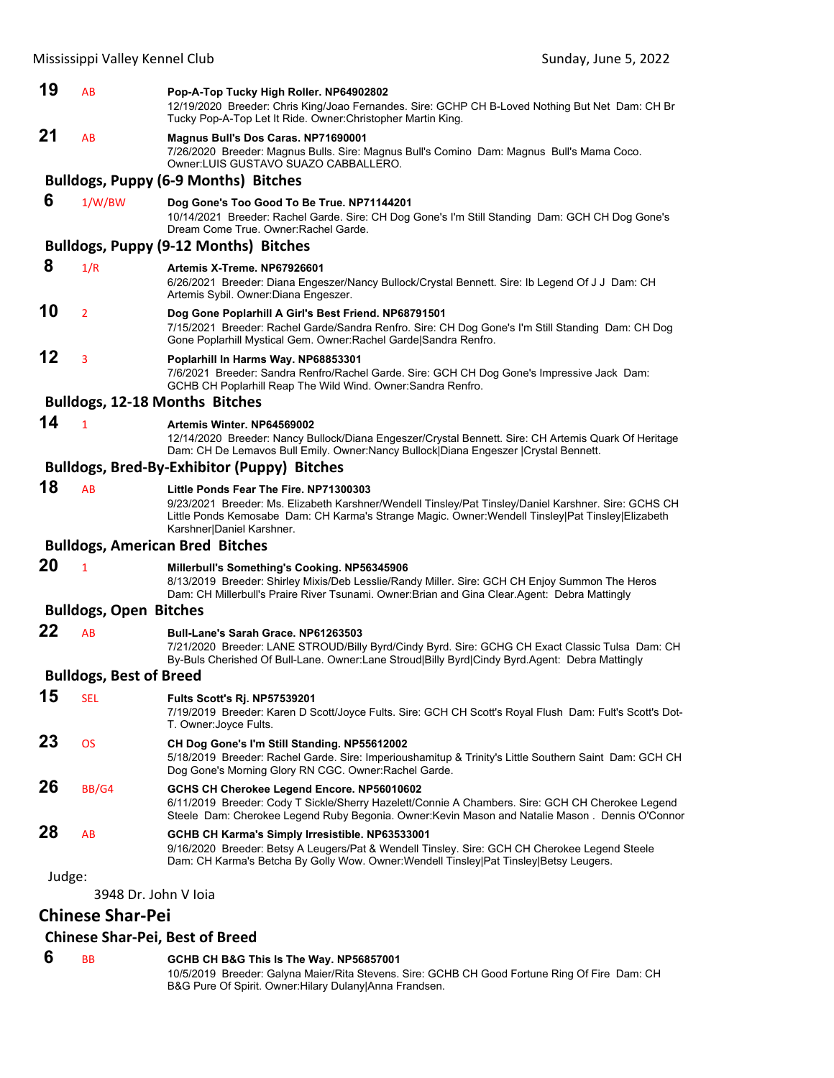| 19     | AB                             | Pop-A-Top Tucky High Roller. NP64902802<br>12/19/2020 Breeder: Chris King/Joao Fernandes. Sire: GCHP CH B-Loved Nothing But Net Dam: CH Br<br>Tucky Pop-A-Top Let It Ride. Owner: Christopher Martin King.                                                                           |
|--------|--------------------------------|--------------------------------------------------------------------------------------------------------------------------------------------------------------------------------------------------------------------------------------------------------------------------------------|
| 21     | AB                             | Magnus Bull's Dos Caras. NP71690001<br>7/26/2020 Breeder: Magnus Bulls. Sire: Magnus Bull's Comino Dam: Magnus Bull's Mama Coco.<br>Owner: LUIS GUSTAVO SUAZO CABBALLERO.                                                                                                            |
|        |                                | <b>Bulldogs, Puppy (6-9 Months) Bitches</b>                                                                                                                                                                                                                                          |
| 6      | 1/W/BW                         | Dog Gone's Too Good To Be True. NP71144201<br>10/14/2021 Breeder: Rachel Garde. Sire: CH Dog Gone's I'm Still Standing Dam: GCH CH Dog Gone's<br>Dream Come True. Owner: Rachel Garde.                                                                                               |
|        |                                | <b>Bulldogs, Puppy (9-12 Months) Bitches</b>                                                                                                                                                                                                                                         |
| 8      | 1/R                            | Artemis X-Treme, NP67926601<br>6/26/2021 Breeder: Diana Engeszer/Nancy Bullock/Crystal Bennett. Sire: Ib Legend Of J J Dam: CH<br>Artemis Sybil. Owner: Diana Engeszer.                                                                                                              |
| 10     | $\overline{2}$                 | Dog Gone Poplarhill A Girl's Best Friend. NP68791501<br>7/15/2021 Breeder: Rachel Garde/Sandra Renfro. Sire: CH Dog Gone's I'm Still Standing Dam: CH Dog<br>Gone Poplarhill Mystical Gem. Owner: Rachel Garde Sandra Renfro.                                                        |
| 12     | 3                              | Poplarhill In Harms Way. NP68853301<br>7/6/2021 Breeder: Sandra Renfro/Rachel Garde. Sire: GCH CH Dog Gone's Impressive Jack Dam:<br>GCHB CH Poplarhill Reap The Wild Wind. Owner: Sandra Renfro.                                                                                    |
|        |                                | <b>Bulldogs, 12-18 Months Bitches</b>                                                                                                                                                                                                                                                |
| 14     | $\mathbf{1}$                   | Artemis Winter, NP64569002<br>12/14/2020 Breeder: Nancy Bullock/Diana Engeszer/Crystal Bennett. Sire: CH Artemis Quark Of Heritage<br>Dam: CH De Lemavos Bull Emily. Owner:Nancy Bullock   Diana Engeszer   Crystal Bennett.                                                         |
|        |                                | <b>Bulldogs, Bred-By-Exhibitor (Puppy) Bitches</b>                                                                                                                                                                                                                                   |
| 18     | <b>AB</b>                      | Little Ponds Fear The Fire. NP71300303<br>9/23/2021 Breeder: Ms. Elizabeth Karshner/Wendell Tinsley/Pat Tinsley/Daniel Karshner. Sire: GCHS CH<br>Little Ponds Kemosabe Dam: CH Karma's Strange Magic. Owner: Wendell Tinsley   Pat Tinsley   Elizabeth<br>Karshner Daniel Karshner. |
|        |                                | <b>Bulldogs, American Bred Bitches</b>                                                                                                                                                                                                                                               |
| 20     | $\mathbf{1}$                   | Millerbull's Something's Cooking. NP56345906<br>8/13/2019 Breeder: Shirley Mixis/Deb Lesslie/Randy Miller. Sire: GCH CH Enjoy Summon The Heros<br>Dam: CH Millerbull's Praire River Tsunami. Owner: Brian and Gina Clear. Agent: Debra Mattingly                                     |
|        | <b>Bulldogs, Open Bitches</b>  |                                                                                                                                                                                                                                                                                      |
| 22     | AB                             | <b>Bull-Lane's Sarah Grace. NP61263503</b><br>7/21/2020 Breeder: LANE STROUD/Billy Byrd/Cindy Byrd. Sire: GCHG CH Exact Classic Tulsa Dam: CH<br>By-Buls Cherished Of Bull-Lane. Owner:Lane Stroud Billy Byrd Cindy Byrd.Agent: Debra Mattingly                                      |
|        | <b>Bulldogs, Best of Breed</b> |                                                                                                                                                                                                                                                                                      |
| 15     | <b>SEL</b>                     | Fults Scott's Rj. NP57539201<br>7/19/2019 Breeder: Karen D Scott/Joyce Fults. Sire: GCH CH Scott's Royal Flush Dam: Fult's Scott's Dot-<br>T. Owner: Joyce Fults.                                                                                                                    |
| 23     | <b>OS</b>                      | CH Dog Gone's I'm Still Standing. NP55612002<br>5/18/2019 Breeder: Rachel Garde. Sire: Imperioushamitup & Trinity's Little Southern Saint Dam: GCH CH<br>Dog Gone's Morning Glory RN CGC. Owner: Rachel Garde.                                                                       |
| 26     | <b>BB/G4</b>                   | GCHS CH Cherokee Legend Encore. NP56010602<br>6/11/2019 Breeder: Cody T Sickle/Sherry Hazelett/Connie A Chambers. Sire: GCH CH Cherokee Legend<br>Steele Dam: Cherokee Legend Ruby Begonia. Owner: Kevin Mason and Natalie Mason. Dennis O'Connor                                    |
| 28     | AB                             | GCHB CH Karma's Simply Irresistible. NP63533001<br>9/16/2020 Breeder: Betsy A Leugers/Pat & Wendell Tinsley. Sire: GCH CH Cherokee Legend Steele<br>Dam: CH Karma's Betcha By Golly Wow. Owner: Wendell Tinsley Pat Tinsley Betsy Leugers.                                           |
| Judge: |                                |                                                                                                                                                                                                                                                                                      |
|        | 3948 Dr. John V Ioia           |                                                                                                                                                                                                                                                                                      |

# **Chinese Shar‐Pei**

# **Chinese Shar‐Pei, Best of Breed**

# **6** BB **GCHB CH B&G This Is The Way. NP56857001**

10/5/2019 Breeder: Galyna Maier/Rita Stevens. Sire: GCHB CH Good Fortune Ring Of Fire Dam: CH B&G Pure Of Spirit. Owner:Hilary Dulany|Anna Frandsen.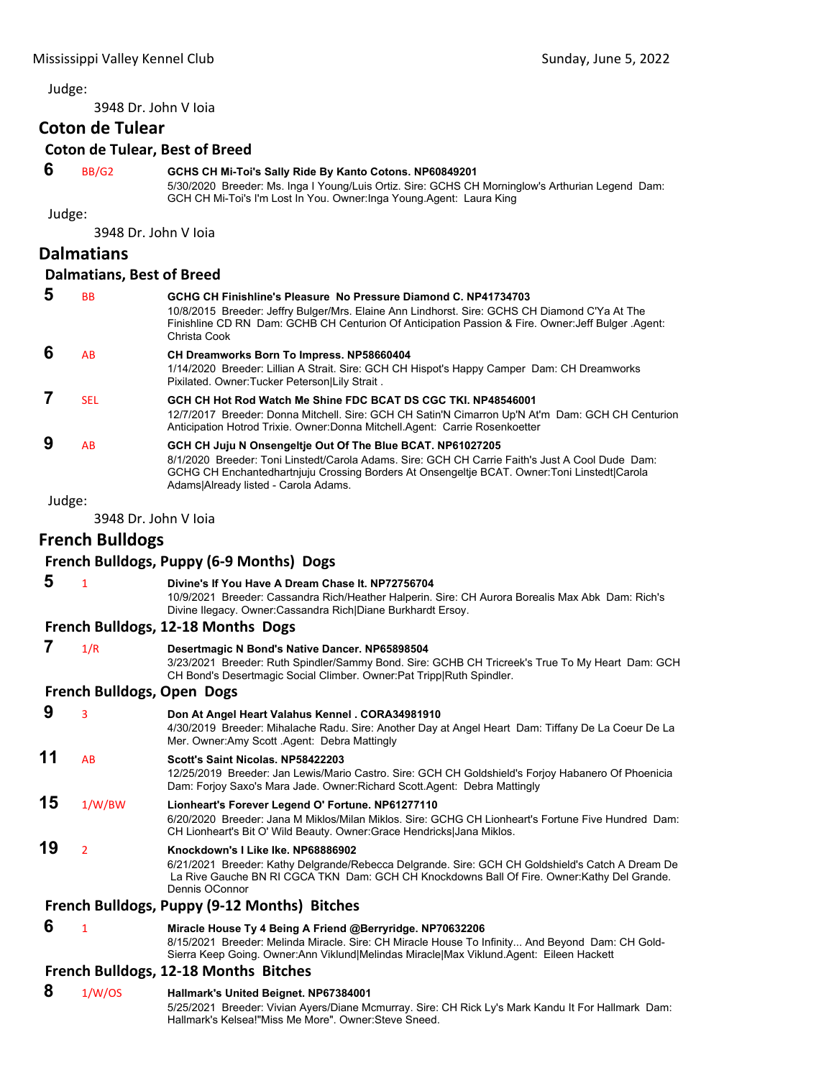3948 Dr. John V Ioia

# **Coton de Tulear**

#### **Coton de Tulear, Best of Breed**

### **6** BB/G2 **GCHS CH Mi-Toi's Sally Ride By Kanto Cotons. NP60849201**

5/30/2020 Breeder: Ms. Inga I Young/Luis Ortiz. Sire: GCHS CH Morninglow's Arthurian Legend Dam: GCH CH Mi-Toi's I'm Lost In You. Owner:Inga Young.Agent: Laura King

Judge:

3948 Dr. John V Ioia

# **Dalmatians**

#### **Dalmatians, Best of Breed**

| 5                 | <b>BB</b>  | GCHG CH Finishline's Pleasure No Pressure Diamond C. NP41734703<br>10/8/2015 Breeder: Jeffry Bulger/Mrs. Elaine Ann Lindhorst. Sire: GCHS CH Diamond C'Ya At The<br>Finishline CD RN Dam: GCHB CH Centurion Of Anticipation Passion & Fire. Owner: Jeff Bulger Agent:<br>Christa Cook                  |
|-------------------|------------|--------------------------------------------------------------------------------------------------------------------------------------------------------------------------------------------------------------------------------------------------------------------------------------------------------|
| 6                 | AB         | CH Dreamworks Born To Impress. NP58660404<br>1/14/2020 Breeder: Lillian A Strait. Sire: GCH CH Hispot's Happy Camper Dam: CH Dreamworks<br>Pixilated. Owner: Tucker Peterson Lily Strait.                                                                                                              |
|                   | <b>SEL</b> | GCH CH Hot Rod Watch Me Shine FDC BCAT DS CGC TKI. NP48546001<br>12/7/2017 Breeder: Donna Mitchell. Sire: GCH CH Satin'N Cimarron Up'N At'm Dam: GCH CH Centurion<br>Anticipation Hotrod Trixie. Owner: Donna Mitchell. Agent: Carrie Rosenkoetter                                                     |
| 9                 | AB         | GCH CH Juju N Onsengeltje Out Of The Blue BCAT. NP61027205<br>8/1/2020 Breeder: Toni Linstedt/Carola Adams, Sire: GCH CH Carrie Faith's Just A Cool Dude, Dam:<br>GCHG CH Enchantedhartnjuju Crossing Borders At Onsengeltje BCAT. Owner: Toni Linstedt Carola<br>Adams Already listed - Carola Adams. |
| المتوسط المستندات |            |                                                                                                                                                                                                                                                                                                        |

Judge:

3948 Dr. John V Ioia

# **French Bulldogs**

# **French Bulldogs, Puppy (6‐9 Months) Dogs**

| 5. | Divine's If You Have A Dream Chase It, NP72756704                                                |
|----|--------------------------------------------------------------------------------------------------|
|    | 10/9/2021 Breeder: Cassandra Rich/Heather Halperin. Sire: CH Aurora Borealis Max Abk Dam: Rich's |
|    | Divine Ilegacy. Owner: Cassandra Rich Diane Burkhardt Ersoy.                                     |
|    | French Bulldogs, 12-18 Months Dogs                                                               |

# **7** 1/R **Desertmagic N Bond's Native Dancer. NP65898504**

3/23/2021 Breeder: Ruth Spindler/Sammy Bond. Sire: GCHB CH Tricreek's True To My Heart Dam: GCH CH Bond's Desertmagic Social Climber. Owner:Pat Tripp|Ruth Spindler.

#### **French Bulldogs, Open Dogs**

 **9** <sup>3</sup> **Don At Angel Heart Valahus Kennel . CORA34981910** 4/30/2019 Breeder: Mihalache Radu. Sire: Another Day at Angel Heart Dam: Tiffany De La Coeur De La Mer. Owner:Amy Scott .Agent: Debra Mattingly **11** AB **Scott's Saint Nicolas. NP58422203** 12/25/2019 Breeder: Jan Lewis/Mario Castro. Sire: GCH CH Goldshield's Forjoy Habanero Of Phoenicia

Dam: Forjoy Saxo's Mara Jade. Owner:Richard Scott.Agent: Debra Mattingly

# **15** 1/W/BW **Lionheart's Forever Legend O' Fortune. NP61277110**

6/20/2020 Breeder: Jana M Miklos/Milan Miklos. Sire: GCHG CH Lionheart's Fortune Five Hundred Dam: CH Lionheart's Bit O' Wild Beauty. Owner:Grace Hendricks|Jana Miklos.

# **19** <sup>2</sup> **Knockdown's I Like Ike. NP68886902**

6/21/2021 Breeder: Kathy Delgrande/Rebecca Delgrande. Sire: GCH CH Goldshield's Catch A Dream De La Rive Gauche BN RI CGCA TKN Dam: GCH CH Knockdowns Ball Of Fire. Owner:Kathy Del Grande. Dennis OConnor

#### **French Bulldogs, Puppy (9‐12 Months) Bitches**

# **6** <sup>1</sup> **Miracle House Ty 4 Being A Friend @Berryridge. NP70632206**

8/15/2021 Breeder: Melinda Miracle. Sire: CH Miracle House To Infinity... And Beyond Dam: CH Gold-Sierra Keep Going. Owner:Ann Viklund|Melindas Miracle|Max Viklund.Agent: Eileen Hackett

# **French Bulldogs, 12‐18 Months Bitches**

# **8** 1/W/OS **Hallmark's United Beignet. NP67384001**

5/25/2021 Breeder: Vivian Ayers/Diane Mcmurray. Sire: CH Rick Ly's Mark Kandu It For Hallmark Dam: Hallmark's Kelsea!"Miss Me More". Owner:Steve Sneed.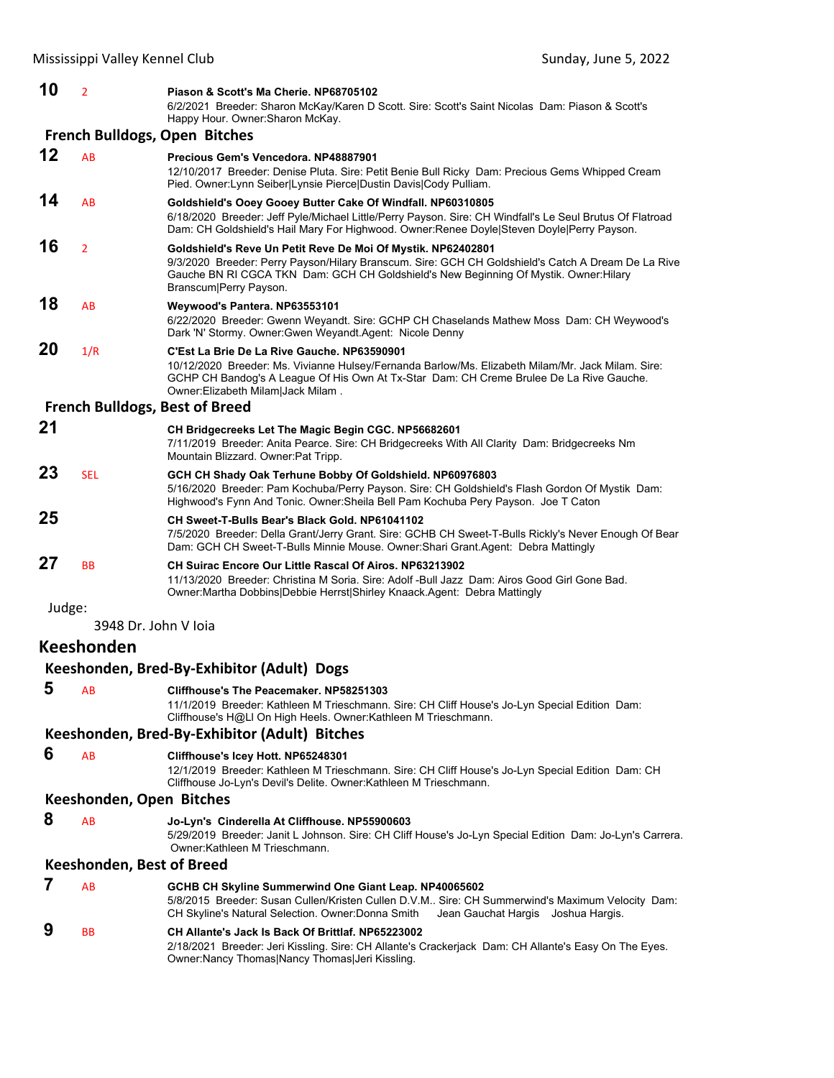|        | Mississippi Valley Kennel Club | Sunday, June 5, 2022                                                                                                                                                                                                                                                                  |  |
|--------|--------------------------------|---------------------------------------------------------------------------------------------------------------------------------------------------------------------------------------------------------------------------------------------------------------------------------------|--|
| 10     | $\overline{2}$                 | Piason & Scott's Ma Cherie, NP68705102<br>6/2/2021 Breeder: Sharon McKay/Karen D Scott. Sire: Scott's Saint Nicolas Dam: Piason & Scott's<br>Happy Hour. Owner: Sharon McKay.                                                                                                         |  |
|        |                                | <b>French Bulldogs, Open Bitches</b>                                                                                                                                                                                                                                                  |  |
| 12     | <b>AB</b>                      | Precious Gem's Vencedora, NP48887901<br>12/10/2017 Breeder: Denise Pluta. Sire: Petit Benie Bull Ricky Dam: Precious Gems Whipped Cream<br>Pied. Owner: Lynn Seiber Lynsie Pierce Dustin Davis Cody Pulliam.                                                                          |  |
| 14     | AB                             | Goldshield's Ooey Gooey Butter Cake Of Windfall. NP60310805<br>6/18/2020 Breeder: Jeff Pyle/Michael Little/Perry Payson. Sire: CH Windfall's Le Seul Brutus Of Flatroad<br>Dam: CH Goldshield's Hail Mary For Highwood. Owner:Renee Doyle Steven Doyle Perry Payson.                  |  |
| 16     | $\overline{2}$                 | Goldshield's Reve Un Petit Reve De Moi Of Mystik. NP62402801<br>9/3/2020 Breeder: Perry Payson/Hilary Branscum. Sire: GCH CH Goldshield's Catch A Dream De La Rive<br>Gauche BN RI CGCA TKN Dam: GCH CH Goldshield's New Beginning Of Mystik. Owner: Hilary<br>Branscum Perry Payson. |  |
| 18     | AB                             | Weywood's Pantera. NP63553101<br>6/22/2020 Breeder: Gwenn Weyandt. Sire: GCHP CH Chaselands Mathew Moss Dam: CH Weywood's<br>Dark 'N' Stormy. Owner: Gwen Weyandt. Agent: Nicole Denny                                                                                                |  |
| 20     | 1/R                            | C'Est La Brie De La Rive Gauche, NP63590901<br>10/12/2020 Breeder: Ms. Vivianne Hulsey/Fernanda Barlow/Ms. Elizabeth Milam/Mr. Jack Milam. Sire:<br>GCHP CH Bandog's A League Of His Own At Tx-Star Dam: CH Creme Brulee De La Rive Gauche.<br>Owner:Elizabeth Milam Jack Milam.      |  |
|        |                                | <b>French Bulldogs, Best of Breed</b>                                                                                                                                                                                                                                                 |  |
| 21     |                                | CH Bridgecreeks Let The Magic Begin CGC. NP56682601<br>7/11/2019 Breeder: Anita Pearce. Sire: CH Bridgecreeks With All Clarity Dam: Bridgecreeks Nm<br>Mountain Blizzard. Owner: Pat Tripp.                                                                                           |  |
| 23     | <b>SEL</b>                     | GCH CH Shady Oak Terhune Bobby Of Goldshield. NP60976803<br>5/16/2020 Breeder: Pam Kochuba/Perry Payson. Sire: CH Goldshield's Flash Gordon Of Mystik Dam:<br>Highwood's Fynn And Tonic. Owner: Sheila Bell Pam Kochuba Pery Payson. Joe T Caton                                      |  |
| 25     |                                | CH Sweet-T-Bulls Bear's Black Gold. NP61041102<br>7/5/2020 Breeder: Della Grant/Jerry Grant. Sire: GCHB CH Sweet-T-Bulls Rickly's Never Enough Of Bear<br>Dam: GCH CH Sweet-T-Bulls Minnie Mouse. Owner: Shari Grant. Agent: Debra Mattingly                                          |  |
| 27     | <b>BB</b>                      | <b>CH Suirac Encore Our Little Rascal Of Airos, NP63213902</b><br>11/13/2020 Breeder: Christina M Soria. Sire: Adolf -Bull Jazz Dam: Airos Good Girl Gone Bad.<br>Owner: Martha Dobbins Debbie Herrst Shirley Knaack. Agent: Debra Mattingly                                          |  |
| Judge: |                                |                                                                                                                                                                                                                                                                                       |  |
|        | 3948 Dr. John V Ioia           |                                                                                                                                                                                                                                                                                       |  |
|        | <b>Keeshonden</b>              |                                                                                                                                                                                                                                                                                       |  |
|        |                                | Keeshonden, Bred-By-Exhibitor (Adult) Dogs                                                                                                                                                                                                                                            |  |
| 5      | AB                             | Cliffhouse's The Peacemaker. NP58251303<br>11/1/2019 Breeder: Kathleen M Trieschmann. Sire: CH Cliff House's Jo-Lyn Special Edition Dam:<br>Cliffhouse's H@LI On High Heels. Owner:Kathleen M Trieschmann.                                                                            |  |
|        |                                | Keeshonden, Bred-By-Exhibitor (Adult) Bitches                                                                                                                                                                                                                                         |  |
| 6      | AB                             | Cliffhouse's Icey Hott. NP65248301<br>12/1/2019 Breeder: Kathleen M Trieschmann. Sire: CH Cliff House's Jo-Lyn Special Edition Dam: CH<br>Cliffhouse Jo-Lyn's Devil's Delite. Owner: Kathleen M Trieschmann.                                                                          |  |
|        | Keeshonden, Open Bitches       |                                                                                                                                                                                                                                                                                       |  |
| 8      | AB                             | Jo-Lyn's Cinderella At Cliffhouse. NP55900603<br>5/29/2019 Breeder: Janit L Johnson. Sire: CH Cliff House's Jo-Lyn Special Edition Dam: Jo-Lyn's Carrera.<br>Owner: Kathleen M Trieschmann.                                                                                           |  |
|        | Keeshonden, Best of Breed      |                                                                                                                                                                                                                                                                                       |  |
| 7      | AB                             | GCHB CH Skyline Summerwind One Giant Leap. NP40065602<br>5/8/2015 Breeder: Susan Cullen/Kristen Cullen D.V.M Sire: CH Summerwind's Maximum Velocity Dam:<br>CH Skyline's Natural Selection. Owner: Donna Smith<br>Jean Gauchat Hargis<br>Joshua Hargis.                               |  |
| 9      | <b>BB</b>                      | CH Allante's Jack Is Back Of Brittlaf. NP65223002                                                                                                                                                                                                                                     |  |

2/18/2021 Breeder: Jeri Kissling. Sire: CH Allante's Crackerjack Dam: CH Allante's Easy On The Eyes. Owner:Nancy Thomas|Nancy Thomas|Jeri Kissling.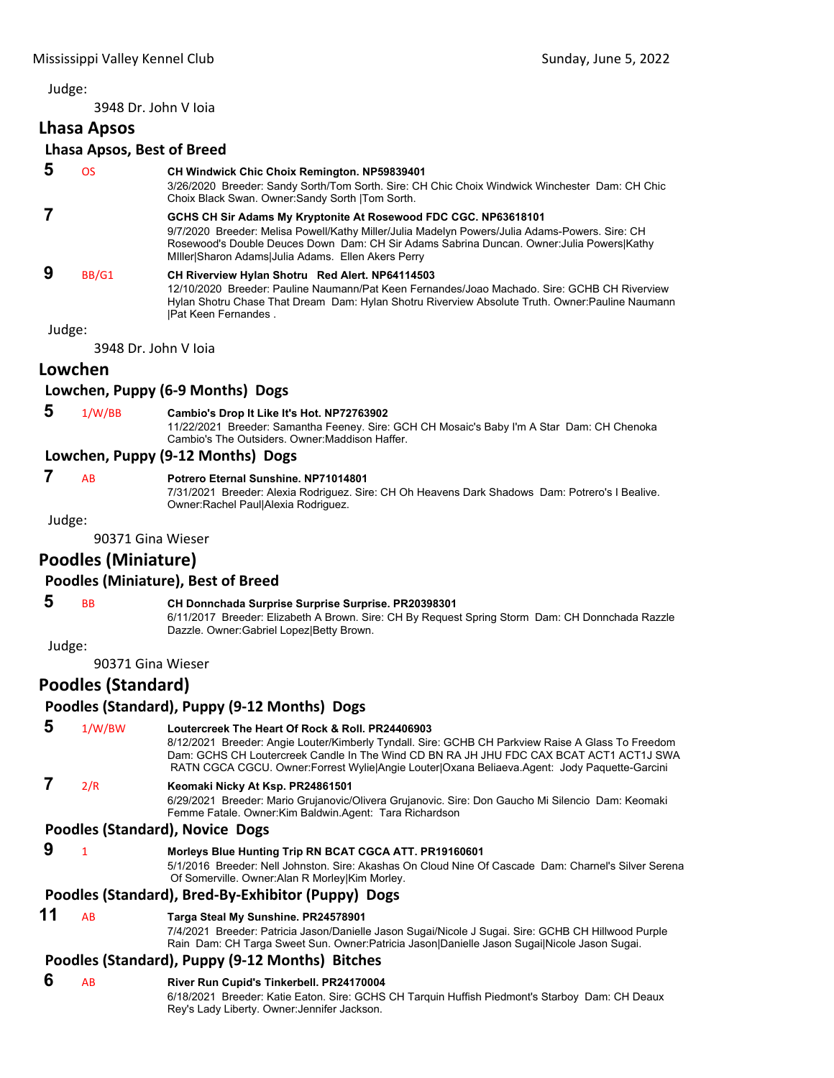3948 Dr. John V Ioia

# **Lhasa Apsos**

### **Lhasa Apsos, Best of Breed**

# **5** OS **CH Windwick Chic Choix Remington. NP59839401**

3/26/2020 Breeder: Sandy Sorth/Tom Sorth. Sire: CH Chic Choix Windwick Winchester Dam: CH Chic Choix Black Swan. Owner:Sandy Sorth |Tom Sorth.

#### **7 GCHS CH Sir Adams My Kryptonite At Rosewood FDC CGC. NP63618101** 9/7/2020 Breeder: Melisa Powell/Kathy Miller/Julia Madelyn Powers/Julia Adams-Powers. Sire: CH Rosewood's Double Deuces Down Dam: CH Sir Adams Sabrina Duncan. Owner:Julia Powers|Kathy MIller|Sharon Adams|Julia Adams. Ellen Akers Perry  **9** BB/G1 **CH Riverview Hylan Shotru Red Alert. NP64114503**

12/10/2020 Breeder: Pauline Naumann/Pat Keen Fernandes/Joao Machado. Sire: GCHB CH Riverview Hylan Shotru Chase That Dream Dam: Hylan Shotru Riverview Absolute Truth. Owner:Pauline Naumann |Pat Keen Fernandes .

Judge:

3948 Dr. John V Ioia

# **Lowchen**

# **Lowchen, Puppy (6‐9 Months) Dogs**

 **5** 1/W/BB **Cambio's Drop It Like It's Hot. NP72763902**

11/22/2021 Breeder: Samantha Feeney. Sire: GCH CH Mosaic's Baby I'm A Star Dam: CH Chenoka Cambio's The Outsiders. Owner:Maddison Haffer.

# **Lowchen, Puppy (9‐12 Months) Dogs**

# **7** AB **Potrero Eternal Sunshine. NP71014801**

7/31/2021 Breeder: Alexia Rodriguez. Sire: CH Oh Heavens Dark Shadows Dam: Potrero's I Bealive. Owner:Rachel Paul|Alexia Rodriguez.

Judge:

90371 Gina Wieser

# **Poodles (Miniature)**

#### **Poodles (Miniature), Best of Breed**

# **5** BB **CH Donnchada Surprise Surprise Surprise. PR20398301**

6/11/2017 Breeder: Elizabeth A Brown. Sire: CH By Request Spring Storm Dam: CH Donnchada Razzle Dazzle. Owner:Gabriel Lopez|Betty Brown.

Judge:

90371 Gina Wieser

# **Poodles (Standard)**

# **Poodles (Standard), Puppy (9‐12 Months) Dogs**

 **5** 1/W/BW **Loutercreek The Heart Of Rock & Roll. PR24406903** 8/12/2021 Breeder: Angie Louter/Kimberly Tyndall. Sire: GCHB CH Parkview Raise A Glass To Freedom Dam: GCHS CH Loutercreek Candle In The Wind CD BN RA JH JHU FDC CAX BCAT ACT1 ACT1J SWA RATN CGCA CGCU. Owner:Forrest Wylie|Angie Louter|Oxana Beliaeva.Agent: Jody Paquette-Garcini  **7** 2/R **Keomaki Nicky At Ksp. PR24861501** 6/29/2021 Breeder: Mario Grujanovic/Olivera Grujanovic. Sire: Don Gaucho Mi Silencio Dam: Keomaki Femme Fatale. Owner:Kim Baldwin.Agent: Tara Richardson **Poodles (Standard), Novice Dogs 9** <sup>1</sup> **Morleys Blue Hunting Trip RN BCAT CGCA ATT. PR19160601**

#### 5/1/2016 Breeder: Nell Johnston. Sire: Akashas On Cloud Nine Of Cascade Dam: Charnel's Silver Serena Of Somerville. Owner:Alan R Morley|Kim Morley.

#### **Poodles (Standard), Bred‐By‐Exhibitor (Puppy) Dogs**

# **11** AB **Targa Steal My Sunshine. PR24578901**

7/4/2021 Breeder: Patricia Jason/Danielle Jason Sugai/Nicole J Sugai. Sire: GCHB CH Hillwood Purple Rain Dam: CH Targa Sweet Sun. Owner:Patricia Jason|Danielle Jason Sugai|Nicole Jason Sugai.

# **Poodles (Standard), Puppy (9‐12 Months) Bitches**

- **6** AB **River Run Cupid's Tinkerbell. PR24170004**
	- 6/18/2021 Breeder: Katie Eaton. Sire: GCHS CH Tarquin Huffish Piedmont's Starboy Dam: CH Deaux Rey's Lady Liberty. Owner:Jennifer Jackson.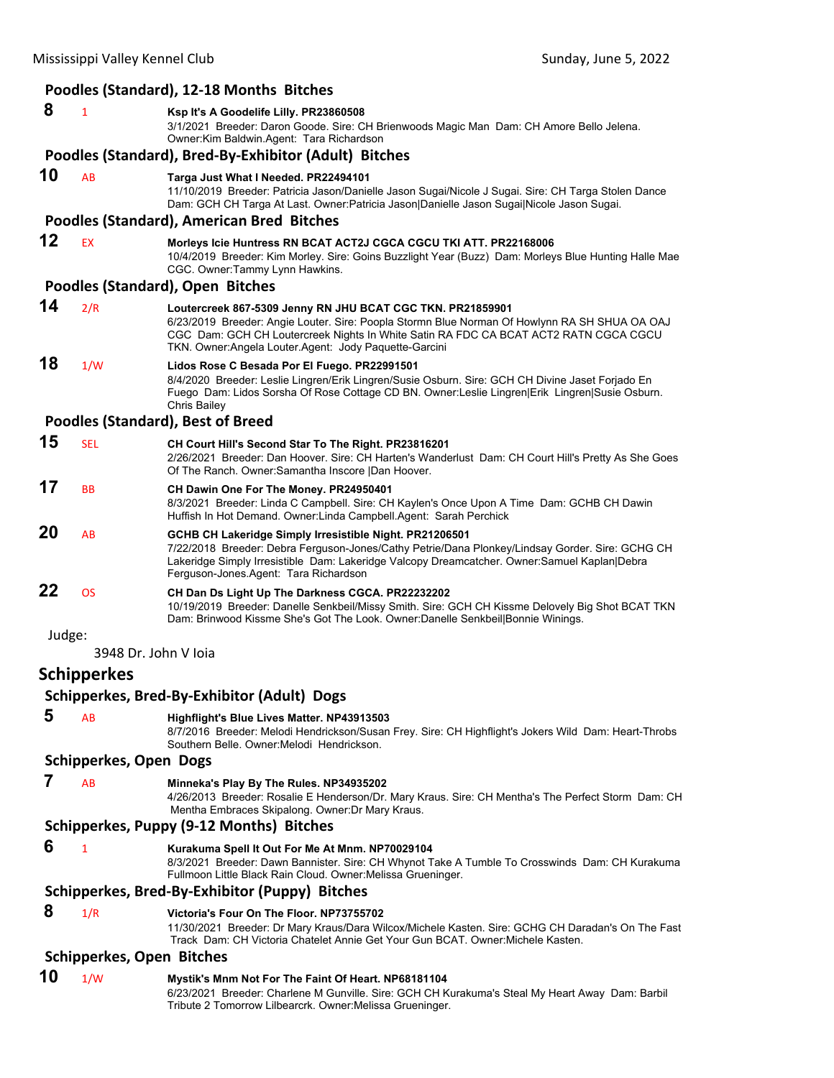|        |                                  | Poodles (Standard), 12-18 Months Bitches                                                                                                                                                                                                                                                                       |
|--------|----------------------------------|----------------------------------------------------------------------------------------------------------------------------------------------------------------------------------------------------------------------------------------------------------------------------------------------------------------|
| 8      | 1                                | Ksp It's A Goodelife Lilly. PR23860508<br>3/1/2021 Breeder: Daron Goode. Sire: CH Brienwoods Magic Man Dam: CH Amore Bello Jelena.<br>Owner: Kim Baldwin. Agent: Tara Richardson                                                                                                                               |
|        |                                  | Poodles (Standard), Bred-By-Exhibitor (Adult) Bitches                                                                                                                                                                                                                                                          |
| 10     | AB                               | Targa Just What I Needed. PR22494101<br>11/10/2019 Breeder: Patricia Jason/Danielle Jason Sugai/Nicole J Sugai. Sire: CH Targa Stolen Dance<br>Dam: GCH CH Targa At Last. Owner:Patricia Jason Danielle Jason Sugai Nicole Jason Sugai.                                                                        |
|        |                                  | Poodles (Standard), American Bred Bitches                                                                                                                                                                                                                                                                      |
| 12     | <b>EX</b>                        | Morleys Icie Huntress RN BCAT ACT2J CGCA CGCU TKI ATT. PR22168006<br>10/4/2019 Breeder: Kim Morley. Sire: Goins Buzzlight Year (Buzz) Dam: Morleys Blue Hunting Halle Mae<br>CGC. Owner:Tammy Lynn Hawkins.                                                                                                    |
|        |                                  | Poodles (Standard), Open Bitches                                                                                                                                                                                                                                                                               |
| 14     | 2/R                              | Loutercreek 867-5309 Jenny RN JHU BCAT CGC TKN. PR21859901<br>6/23/2019 Breeder: Angie Louter. Sire: Poopla Stormn Blue Norman Of Howlynn RA SH SHUA OA OAJ<br>CGC Dam: GCH CH Loutercreek Nights In White Satin RA FDC CA BCAT ACT2 RATN CGCA CGCU<br>TKN. Owner: Angela Louter. Agent: Jody Paquette-Garcini |
| 18     | 1/W                              | Lidos Rose C Besada Por El Fuego. PR22991501<br>8/4/2020 Breeder: Leslie Lingren/Erik Lingren/Susie Osburn. Sire: GCH CH Divine Jaset Forjado En<br>Fuego Dam: Lidos Sorsha Of Rose Cottage CD BN. Owner:Leslie Lingren Erik Lingren Susie Osburn.<br>Chris Bailey                                             |
|        |                                  | <b>Poodles (Standard), Best of Breed</b>                                                                                                                                                                                                                                                                       |
| 15     | <b>SEL</b>                       | CH Court Hill's Second Star To The Right. PR23816201<br>2/26/2021 Breeder: Dan Hoover. Sire: CH Harten's Wanderlust Dam: CH Court Hill's Pretty As She Goes<br>Of The Ranch. Owner: Samantha Inscore   Dan Hoover.                                                                                             |
| 17     | <b>BB</b>                        | CH Dawin One For The Money. PR24950401<br>8/3/2021 Breeder: Linda C Campbell. Sire: CH Kaylen's Once Upon A Time Dam: GCHB CH Dawin<br>Huffish In Hot Demand. Owner:Linda Campbell.Agent: Sarah Perchick                                                                                                       |
| 20     | AB                               | GCHB CH Lakeridge Simply Irresistible Night. PR21206501<br>7/22/2018 Breeder: Debra Ferguson-Jones/Cathy Petrie/Dana Plonkey/Lindsay Gorder. Sire: GCHG CH<br>Lakeridge Simply Irresistible Dam: Lakeridge Valcopy Dreamcatcher. Owner:Samuel Kaplan Debra<br>Ferguson-Jones Agent: Tara Richardson            |
| 22     | <b>OS</b>                        | CH Dan Ds Light Up The Darkness CGCA. PR22232202<br>10/19/2019 Breeder: Danelle Senkbeil/Missy Smith. Sire: GCH CH Kissme Delovely Big Shot BCAT TKN<br>Dam: Brinwood Kissme She's Got The Look. Owner:Danelle Senkbeil Bonnie Winings.                                                                        |
| Judge: |                                  |                                                                                                                                                                                                                                                                                                                |
|        | 3948 Dr. John V Ioia             |                                                                                                                                                                                                                                                                                                                |
|        | <b>Schipperkes</b>               |                                                                                                                                                                                                                                                                                                                |
|        |                                  | Schipperkes, Bred-By-Exhibitor (Adult) Dogs                                                                                                                                                                                                                                                                    |
| 5      | AB                               | Highflight's Blue Lives Matter. NP43913503<br>8/7/2016 Breeder: Melodi Hendrickson/Susan Frey. Sire: CH Highflight's Jokers Wild Dam: Heart-Throbs<br>Southern Belle. Owner: Melodi Hendrickson.                                                                                                               |
|        | <b>Schipperkes, Open Dogs</b>    |                                                                                                                                                                                                                                                                                                                |
| 7      | AB                               | Minneka's Play By The Rules. NP34935202<br>4/26/2013 Breeder: Rosalie E Henderson/Dr. Mary Kraus. Sire: CH Mentha's The Perfect Storm Dam: CH<br>Mentha Embraces Skipalong. Owner: Dr Mary Kraus.                                                                                                              |
|        |                                  | Schipperkes, Puppy (9-12 Months) Bitches                                                                                                                                                                                                                                                                       |
| 6      | 1                                | Kurakuma Spell It Out For Me At Mnm. NP70029104<br>8/3/2021 Breeder: Dawn Bannister. Sire: CH Whynot Take A Tumble To Crosswinds Dam: CH Kurakuma<br>Fullmoon Little Black Rain Cloud. Owner: Melissa Grueninger.                                                                                              |
|        |                                  | Schipperkes, Bred-By-Exhibitor (Puppy) Bitches                                                                                                                                                                                                                                                                 |
| 8      | 1/R                              | Victoria's Four On The Floor. NP73755702<br>11/30/2021 Breeder: Dr Mary Kraus/Dara Wilcox/Michele Kasten. Sire: GCHG CH Daradan's On The Fast<br>Track Dam: CH Victoria Chatelet Annie Get Your Gun BCAT. Owner: Michele Kasten.                                                                               |
|        | <b>Schipperkes, Open Bitches</b> |                                                                                                                                                                                                                                                                                                                |
| 10     | 1/W                              | Mystik's Mnm Not For The Faint Of Heart. NP68181104<br>6/23/2021 Breeder: Charlene M Gunville. Sire: GCH CH Kurakuma's Steal My Heart Away Dam: Barbil<br>Tribute 2 Tomorrow Lilbearcrk. Owner: Melissa Grueninger.                                                                                            |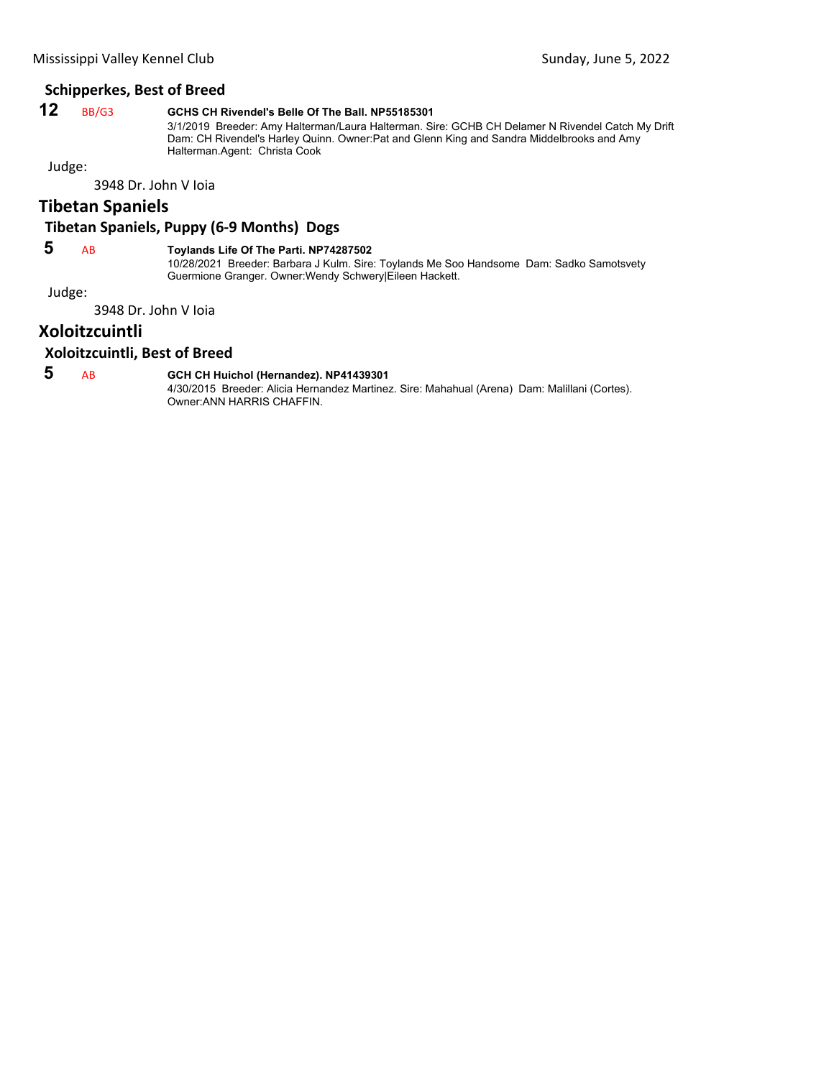# **Schipperkes, Best of Breed**

# **12** BB/G3 **GCHS CH Rivendel's Belle Of The Ball. NP55185301**

3/1/2019 Breeder: Amy Halterman/Laura Halterman. Sire: GCHB CH Delamer N Rivendel Catch My Drift Dam: CH Rivendel's Harley Quinn. Owner:Pat and Glenn King and Sandra Middelbrooks and Amy Halterman.Agent: Christa Cook

Judge:

3948 Dr. John V Ioia

# **Tibetan Spaniels**

# **Tibetan Spaniels, Puppy (6‐9 Months) Dogs**

# **5** AB **Toylands Life Of The Parti. NP74287502**

10/28/2021 Breeder: Barbara J Kulm. Sire: Toylands Me Soo Handsome Dam: Sadko Samotsvety Guermione Granger. Owner:Wendy Schwery|Eileen Hackett.

Judge:

3948 Dr. John V Ioia

# **Xoloitzcuintli**

#### **Xoloitzcuintli, Best of Breed**

# **5** AB **GCH CH Huichol (Hernandez). NP41439301**

4/30/2015 Breeder: Alicia Hernandez Martinez. Sire: Mahahual (Arena) Dam: Malillani (Cortes). Owner:ANN HARRIS CHAFFIN.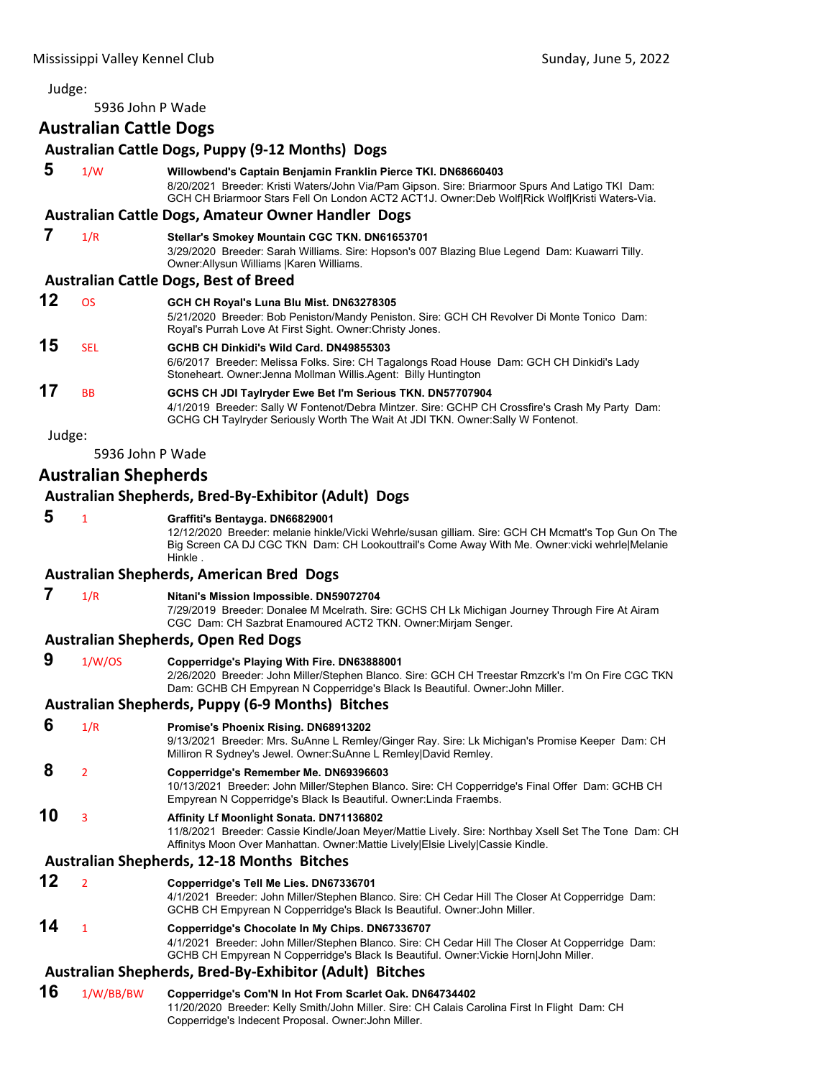5936 John P Wade

# **Australian Cattle Dogs Australian Cattle Dogs, Puppy (9‐12 Months) Dogs 5** 1/W **Willowbend's Captain Benjamin Franklin Pierce TKI. DN68660403** 8/20/2021 Breeder: Kristi Waters/John Via/Pam Gipson. Sire: Briarmoor Spurs And Latigo TKI Dam: GCH CH Briarmoor Stars Fell On London ACT2 ACT1J. Owner:Deb Wolf|Rick Wolf|Kristi Waters-Via. **Australian Cattle Dogs, Amateur Owner Handler Dogs 7** 1/R **Stellar's Smokey Mountain CGC TKN. DN61653701** 3/29/2020 Breeder: Sarah Williams. Sire: Hopson's 007 Blazing Blue Legend Dam: Kuawarri Tilly. Owner:Allysun Williams |Karen Williams. **Australian Cattle Dogs, Best of Breed 12** OS **GCH CH Royal's Luna Blu Mist. DN63278305** 5/21/2020 Breeder: Bob Peniston/Mandy Peniston. Sire: GCH CH Revolver Di Monte Tonico Dam: Royal's Purrah Love At First Sight. Owner:Christy Jones. **15** SEL **GCHB CH Dinkidi's Wild Card. DN49855303** 6/6/2017 Breeder: Melissa Folks. Sire: CH Tagalongs Road House Dam: GCH CH Dinkidi's Lady Stoneheart. Owner:Jenna Mollman Willis.Agent: Billy Huntington **17** BB **GCHS CH JDI Taylryder Ewe Bet I'm Serious TKN. DN57707904** 4/1/2019 Breeder: Sally W Fontenot/Debra Mintzer. Sire: GCHP CH Crossfire's Crash My Party Dam: GCHG CH Taylryder Seriously Worth The Wait At JDI TKN. Owner:Sally W Fontenot. Judge: 5936 John P Wade

# **Australian Shepherds**

#### **Australian Shepherds, Bred‐By‐Exhibitor (Adult) Dogs**

# **5** <sup>1</sup> **Graffiti's Bentayga. DN66829001**

12/12/2020 Breeder: melanie hinkle/Vicki Wehrle/susan gilliam. Sire: GCH CH Mcmatt's Top Gun On The Big Screen CA DJ CGC TKN Dam: CH Lookouttrail's Come Away With Me. Owner:vicki wehrle|Melanie Hinkle .

#### **Australian Shepherds, American Bred Dogs**

#### **7** 1/R **Nitani's Mission Impossible. DN59072704**

7/29/2019 Breeder: Donalee M Mcelrath. Sire: GCHS CH Lk Michigan Journey Through Fire At Airam CGC Dam: CH Sazbrat Enamoured ACT2 TKN. Owner:Mirjam Senger.

#### **Australian Shepherds, Open Red Dogs**

 **9** 1/W/OS **Copperridge's Playing With Fire. DN63888001** 2/26/2020 Breeder: John Miller/Stephen Blanco. Sire: GCH CH Treestar Rmzcrk's I'm On Fire CGC TKN Dam: GCHB CH Empyrean N Copperridge's Black Is Beautiful. Owner:John Miller.

#### **Australian Shepherds, Puppy (6‐9 Months) Bitches**

# **6** 1/R **Promise's Phoenix Rising. DN68913202**

9/13/2021 Breeder: Mrs. SuAnne L Remley/Ginger Ray. Sire: Lk Michigan's Promise Keeper Dam: CH Milliron R Sydney's Jewel. Owner:SuAnne L Remley|David Remley.

# **8** <sup>2</sup> **Copperridge's Remember Me. DN69396603**

10/13/2021 Breeder: John Miller/Stephen Blanco. Sire: CH Copperridge's Final Offer Dam: GCHB CH Empyrean N Copperridge's Black Is Beautiful. Owner:Linda Fraembs.

# **10** <sup>3</sup> **Affinity Lf Moonlight Sonata. DN71136802**

11/8/2021 Breeder: Cassie Kindle/Joan Meyer/Mattie Lively. Sire: Northbay Xsell Set The Tone Dam: CH Affinitys Moon Over Manhattan. Owner:Mattie Lively|Elsie Lively|Cassie Kindle.

# **Australian Shepherds, 12‐18 Months Bitches**

- **12** <sup>2</sup> **Copperridge's Tell Me Lies. DN67336701** 4/1/2021 Breeder: John Miller/Stephen Blanco. Sire: CH Cedar Hill The Closer At Copperridge Dam:
	- GCHB CH Empyrean N Copperridge's Black Is Beautiful. Owner:John Miller.

# **14** <sup>1</sup> **Copperridge's Chocolate In My Chips. DN67336707**

4/1/2021 Breeder: John Miller/Stephen Blanco. Sire: CH Cedar Hill The Closer At Copperridge Dam: GCHB CH Empyrean N Copperridge's Black Is Beautiful. Owner:Vickie Horn|John Miller.

# **Australian Shepherds, Bred‐By‐Exhibitor (Adult) Bitches**

**16** 1/W/BB/BW **Copperridge's Com'N In Hot From Scarlet Oak. DN64734402** 11/20/2020 Breeder: Kelly Smith/John Miller. Sire: CH Calais Carolina First In Flight Dam: CH Copperridge's Indecent Proposal. Owner:John Miller.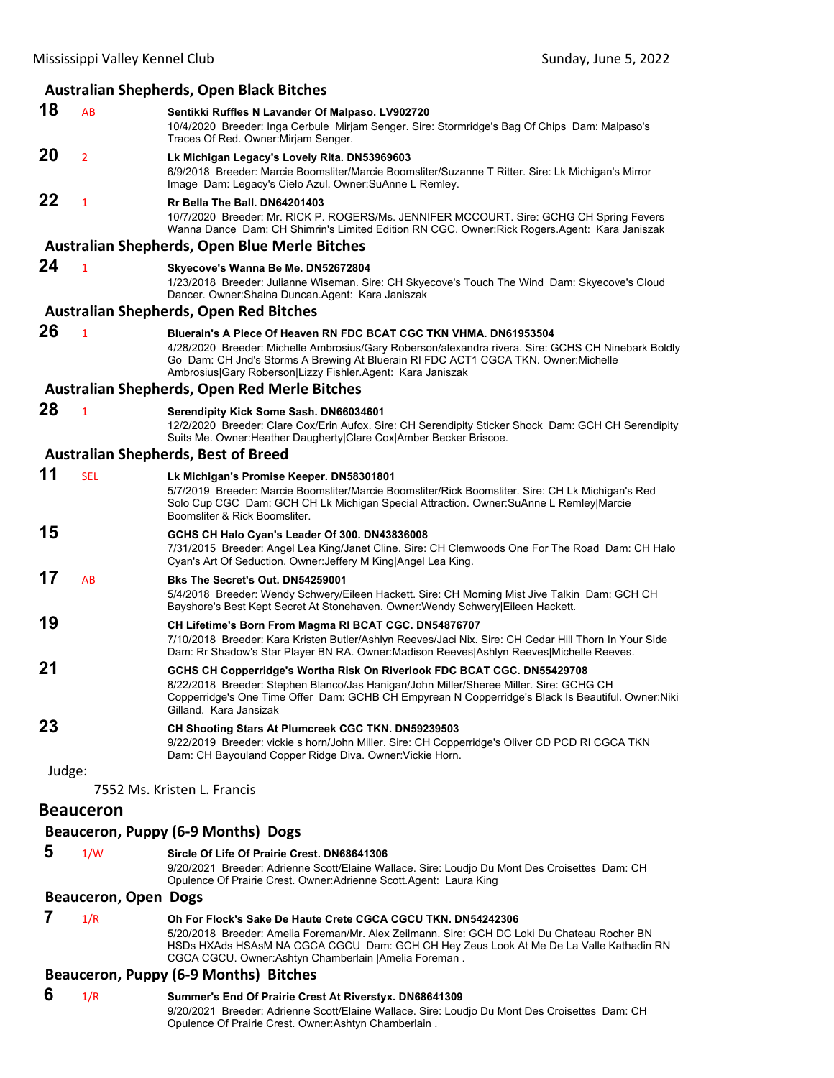#### **Australian Shepherds, Open Black Bitches**

**18** AB **Sentikki Ruffles N Lavander Of Malpaso. LV902720** 10/4/2020 Breeder: Inga Cerbule Mirjam Senger. Sire: Stormridge's Bag Of Chips Dam: Malpaso's Traces Of Red. Owner:Mirjam Senger. **20** <sup>2</sup> **Lk Michigan Legacy's Lovely Rita. DN53969603** 6/9/2018 Breeder: Marcie Boomsliter/Marcie Boomsliter/Suzanne T Ritter. Sire: Lk Michigan's Mirror Image Dam: Legacy's Cielo Azul. Owner:SuAnne L Remley. **22** <sup>1</sup> **Rr Bella The Ball. DN64201403**

10/7/2020 Breeder: Mr. RICK P. ROGERS/Ms. JENNIFER MCCOURT. Sire: GCHG CH Spring Fevers Wanna Dance Dam: CH Shimrin's Limited Edition RN CGC. Owner:Rick Rogers.Agent: Kara Janiszak

#### **Australian Shepherds, Open Blue Merle Bitches**

#### **24** <sup>1</sup> **Skyecove's Wanna Be Me. DN52672804**

1/23/2018 Breeder: Julianne Wiseman. Sire: CH Skyecove's Touch The Wind Dam: Skyecove's Cloud Dancer. Owner:Shaina Duncan.Agent: Kara Janiszak

#### **Australian Shepherds, Open Red Bitches**

**26** <sup>1</sup> **Bluerain's A Piece Of Heaven RN FDC BCAT CGC TKN VHMA. DN61953504** 4/28/2020 Breeder: Michelle Ambrosius/Gary Roberson/alexandra rivera. Sire: GCHS CH Ninebark Boldly Go Dam: CH Jnd's Storms A Brewing At Bluerain RI FDC ACT1 CGCA TKN. Owner:Michelle Ambrosius|Gary Roberson|Lizzy Fishler.Agent: Kara Janiszak

#### **Australian Shepherds, Open Red Merle Bitches**

# **28** <sup>1</sup> **Serendipity Kick Some Sash. DN66034601**

12/2/2020 Breeder: Clare Cox/Erin Aufox. Sire: CH Serendipity Sticker Shock Dam: GCH CH Serendipity Suits Me. Owner:Heather Daugherty|Clare Cox|Amber Becker Briscoe.

#### **Australian Shepherds, Best of Breed**

| 11 | <b>SEL</b> | Lk Michigan's Promise Keeper. DN58301801<br>5/7/2019 Breeder: Marcie Boomsliter/Marcie Boomsliter/Rick Boomsliter. Sire: CH Lk Michigan's Red<br>Solo Cup CGC Dam: GCH CH Lk Michigan Special Attraction. Owner: SuAnne L Remley Marcie<br>Boomsliter & Rick Boomsliter.                          |
|----|------------|---------------------------------------------------------------------------------------------------------------------------------------------------------------------------------------------------------------------------------------------------------------------------------------------------|
| 15 |            | GCHS CH Halo Cyan's Leader Of 300. DN43836008<br>7/31/2015 Breeder: Angel Lea King/Janet Cline. Sire: CH Clemwoods One For The Road Dam: CH Halo<br>Cyan's Art Of Seduction. Owner: Jeffery M King Angel Lea King.                                                                                |
| 17 | <b>AB</b>  | Bks The Secret's Out. DN54259001<br>5/4/2018 Breeder: Wendy Schwery/Eileen Hackett. Sire: CH Morning Mist Jive Talkin Dam: GCH CH<br>Bayshore's Best Kept Secret At Stonehaven. Owner: Wendy Schwery Eileen Hackett.                                                                              |
| 19 |            | CH Lifetime's Born From Magma RI BCAT CGC. DN54876707<br>7/10/2018 Breeder: Kara Kristen Butler/Ashlyn Reeves/Jaci Nix. Sire: CH Cedar Hill Thorn In Your Side<br>Dam: Rr Shadow's Star Player BN RA. Owner: Madison Reeves Ashlyn Reeves Michelle Reeves.                                        |
| 21 |            | GCHS CH Copperridge's Wortha Risk On Riverlook FDC BCAT CGC. DN55429708<br>8/22/2018 Breeder: Stephen Blanco/Jas Hanigan/John Miller/Sheree Miller. Sire: GCHG CH<br>Copperridge's One Time Offer Dam: GCHB CH Empyrean N Copperridge's Black Is Beautiful. Owner: Niki<br>Gilland, Kara Jansizak |
| 23 |            | CH Shooting Stars At Plumcreek CGC TKN. DN59239503<br>9/22/2019 Breeder: vickie s horn/John Miller. Sire: CH Copperridge's Oliver CD PCD RI CGCA TKN<br>Dam: CH Bayouland Copper Ridge Diva. Owner: Vickie Horn.                                                                                  |

Judge:

7552 Ms. Kristen L. Francis

#### **Beauceron**

#### **Beauceron, Puppy (6‐9 Months) Dogs**

 **5** 1/W **Sircle Of Life Of Prairie Crest. DN68641306**

9/20/2021 Breeder: Adrienne Scott/Elaine Wallace. Sire: Loudjo Du Mont Des Croisettes Dam: CH Opulence Of Prairie Crest. Owner:Adrienne Scott.Agent: Laura King

# **Beauceron, Open Dogs**

#### **7** 1/R **Oh For Flock's Sake De Haute Crete CGCA CGCU TKN. DN54242306** 5/20/2018 Breeder: Amelia Foreman/Mr. Alex Zeilmann. Sire: GCH DC Loki Du Chateau Rocher BN HSDs HXAds HSAsM NA CGCA CGCU Dam: GCH CH Hey Zeus Look At Me De La Valle Kathadin RN CGCA CGCU. Owner:Ashtyn Chamberlain |Amelia Foreman .

#### **Beauceron, Puppy (6‐9 Months) Bitches**

 **6** 1/R **Summer's End Of Prairie Crest At Riverstyx. DN68641309** 9/20/2021 Breeder: Adrienne Scott/Elaine Wallace. Sire: Loudjo Du Mont Des Croisettes Dam: CH Opulence Of Prairie Crest. Owner:Ashtyn Chamberlain .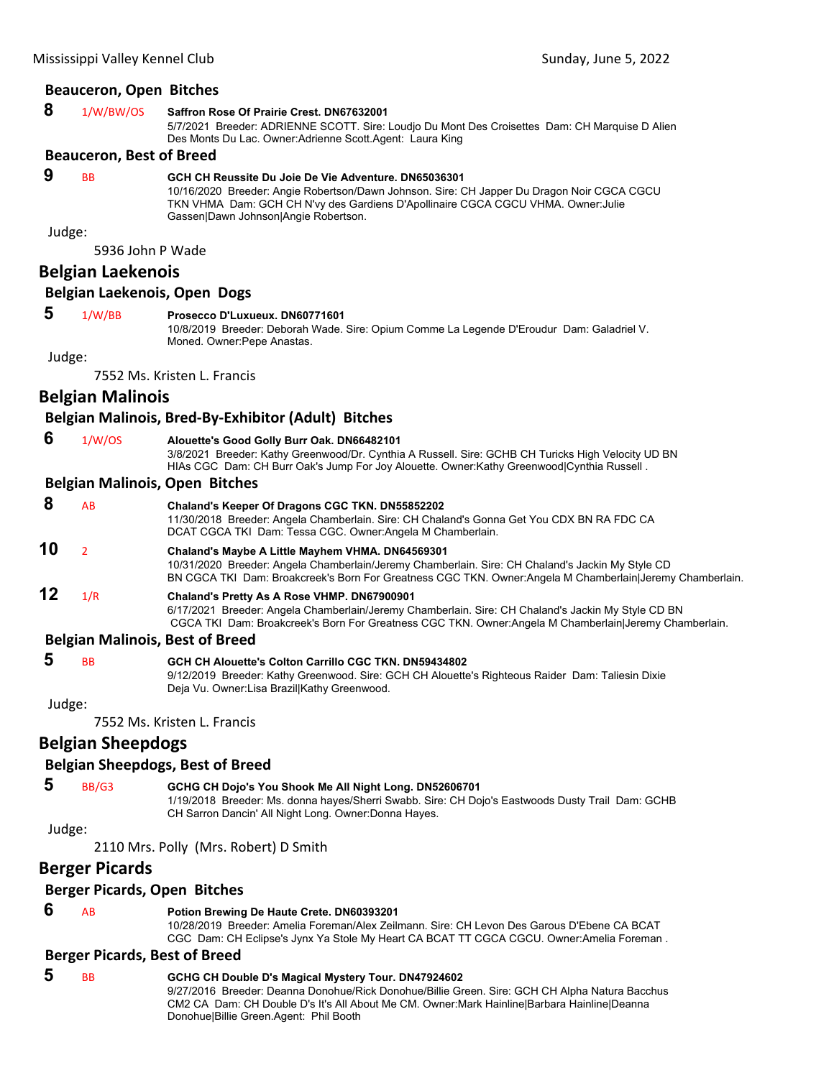# **Beauceron, Open Bitches**

| 8 | 1/W/BW/OS                       | Saffron Rose Of Prairie Crest, DN67632001                                                                                                                    |
|---|---------------------------------|--------------------------------------------------------------------------------------------------------------------------------------------------------------|
|   |                                 | 5/7/2021 Breeder: ADRIENNE SCOTT. Sire: Loudjo Du Mont Des Croisettes Dam: CH Marquise D Alien<br>Des Monts Du Lac. Owner: Adrienne Scott. Agent: Laura King |
|   | <b>Roquearon, Rost of Broad</b> |                                                                                                                                                              |

#### **Beauceron, Best of Breed**

 **9** BB **GCH CH Reussite Du Joie De Vie Adventure. DN65036301**

10/16/2020 Breeder: Angie Robertson/Dawn Johnson. Sire: CH Japper Du Dragon Noir CGCA CGCU TKN VHMA Dam: GCH CH N'vy des Gardiens D'Apollinaire CGCA CGCU VHMA. Owner:Julie Gassen|Dawn Johnson|Angie Robertson.

Judge:

5936 John P Wade

# **Belgian Laekenois**

# **Belgian Laekenois, Open Dogs**

 **5** 1/W/BB **Prosecco D'Luxueux. DN60771601**

10/8/2019 Breeder: Deborah Wade. Sire: Opium Comme La Legende D'Eroudur Dam: Galadriel V. Moned. Owner:Pepe Anastas.

Judge:

7552 Ms. Kristen L. Francis

# **Belgian Malinois**

#### **Belgian Malinois, Bred‐By‐Exhibitor (Adult) Bitches**

 **6** 1/W/OS **Alouette's Good Golly Burr Oak. DN66482101**

3/8/2021 Breeder: Kathy Greenwood/Dr. Cynthia A Russell. Sire: GCHB CH Turicks High Velocity UD BN HIAs CGC Dam: CH Burr Oak's Jump For Joy Alouette. Owner:Kathy Greenwood|Cynthia Russell .

#### **Belgian Malinois, Open Bitches**

| 8  | AB  | Chaland's Keeper Of Dragons CGC TKN. DN55852202                                                                                                                                                                                                                  |
|----|-----|------------------------------------------------------------------------------------------------------------------------------------------------------------------------------------------------------------------------------------------------------------------|
|    |     | 11/30/2018 Breeder: Angela Chamberlain. Sire: CH Chaland's Gonna Get You CDX BN RA FDC CA<br>DCAT CGCA TKI Dam: Tessa CGC. Owner: Angela M Chamberlain.                                                                                                          |
| 10 |     | Chaland's Maybe A Little Mayhem VHMA. DN64569301<br>10/31/2020 Breeder: Angela Chamberlain/Jeremy Chamberlain. Sire: CH Chaland's Jackin My Style CD<br>BN CGCA TKI Dam: Broakcreek's Born For Greatness CGC TKN. Owner:Angela M Chamberlain Jeremy Chamberlain. |
| 12 | 1/R | Chaland's Pretty As A Rose VHMP. DN67900901<br>6/17/2021 Breeder: Angela Chamberlain/Jeremy Chamberlain. Sire: CH Chaland's Jackin My Style CD BN                                                                                                                |

#### CGCA TKI Dam: Broakcreek's Born For Greatness CGC TKN. Owner:Angela M Chamberlain|Jeremy Chamberlain. **Belgian Malinois, Best of Breed**

| -5 | <b>RR</b> | <b>GCH CH Alouette's Colton Carrillo CGC TKN, DN59434802</b>                                     |
|----|-----------|--------------------------------------------------------------------------------------------------|
|    |           | 9/12/2019 Breeder: Kathy Greenwood. Sire: GCH CH Alouette's Righteous Raider Dam: Taliesin Dixie |
|    |           | Deja Vu. Owner:Lisa BrazillKathy Greenwood.                                                      |

Judge:

7552 Ms. Kristen L. Francis

# **Belgian Sheepdogs**

#### **Belgian Sheepdogs, Best of Breed**

 **5** BB/G3 **GCHG CH Dojo's You Shook Me All Night Long. DN52606701**

1/19/2018 Breeder: Ms. donna hayes/Sherri Swabb. Sire: CH Dojo's Eastwoods Dusty Trail Dam: GCHB CH Sarron Dancin' All Night Long. Owner:Donna Hayes.

Judge:

2110 Mrs. Polly (Mrs. Robert) D Smith

# **Berger Picards**

# **Berger Picards, Open Bitches**

# **6** AB **Potion Brewing De Haute Crete. DN60393201**

10/28/2019 Breeder: Amelia Foreman/Alex Zeilmann. Sire: CH Levon Des Garous D'Ebene CA BCAT CGC Dam: CH Eclipse's Jynx Ya Stole My Heart CA BCAT TT CGCA CGCU. Owner:Amelia Foreman .

### **Berger Picards, Best of Breed**

 **5** BB **GCHG CH Double D's Magical Mystery Tour. DN47924602** 9/27/2016 Breeder: Deanna Donohue/Rick Donohue/Billie Green. Sire: GCH CH Alpha Natura Bacchus CM2 CA Dam: CH Double D's It's All About Me CM. Owner:Mark Hainline|Barbara Hainline|Deanna Donohue|Billie Green.Agent: Phil Booth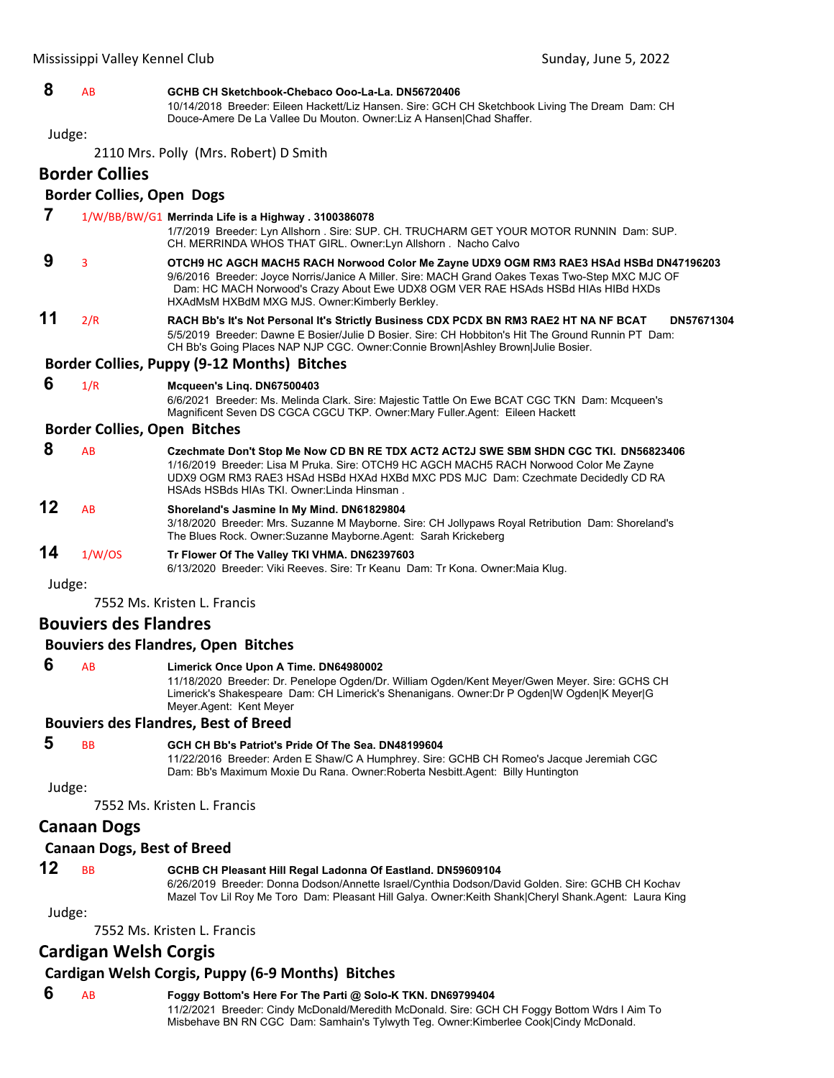# **8** AB **GCHB CH Sketchbook-Chebaco Ooo-La-La. DN56720406**

10/14/2018 Breeder: Eileen Hackett/Liz Hansen. Sire: GCH CH Sketchbook Living The Dream Dam: CH Douce-Amere De La Vallee Du Mouton. Owner:Liz A Hansen|Chad Shaffer.

Judge:

2110 Mrs. Polly (Mrs. Robert) D Smith

# **Border Collies**

# **Border Collies, Open Dogs**

| 7      |                                     | $1/W/BB/BW/G1$ Merrinda Life is a Highway . 3100386078<br>1/7/2019 Breeder: Lyn Allshorn . Sire: SUP. CH. TRUCHARM GET YOUR MOTOR RUNNIN Dam: SUP.<br>CH. MERRINDA WHOS THAT GIRL. Owner: Lyn Allshorn . Nacho Calvo                                                                                                               |
|--------|-------------------------------------|------------------------------------------------------------------------------------------------------------------------------------------------------------------------------------------------------------------------------------------------------------------------------------------------------------------------------------|
| 9      | 3                                   | OTCH9 HC AGCH MACH5 RACH Norwood Color Me Zayne UDX9 OGM RM3 RAE3 HSAd HSBd DN47196203<br>9/6/2016 Breeder: Joyce Norris/Janice A Miller. Sire: MACH Grand Oakes Texas Two-Step MXC MJC OF<br>Dam: HC MACH Norwood's Crazy About Ewe UDX8 OGM VER RAE HSAds HSBd HIAs HIBd HXDs<br>HXAdMsM HXBdM MXG MJS. Owner: Kimberly Berkley. |
| 11     | 2/R                                 | RACH Bb's It's Not Personal It's Strictly Business CDX PCDX BN RM3 RAE2 HT NA NF BCAT<br>DN57671304<br>5/5/2019 Breeder: Dawne E Bosier/Julie D Bosier, Sire: CH Hobbiton's Hit The Ground Runnin PT Dam:<br>CH Bb's Going Places NAP NJP CGC. Owner:Connie Brown Ashley Brown Julie Bosier.                                       |
|        |                                     | Border Collies, Puppy (9-12 Months) Bitches                                                                                                                                                                                                                                                                                        |
| 6      | 1/R                                 | Mcqueen's Ling. DN67500403<br>6/6/2021 Breeder: Ms. Melinda Clark. Sire: Majestic Tattle On Ewe BCAT CGC TKN Dam: Mcqueen's<br>Magnificent Seven DS CGCA CGCU TKP. Owner: Mary Fuller. Agent: Eileen Hackett                                                                                                                       |
|        | <b>Border Collies, Open Bitches</b> |                                                                                                                                                                                                                                                                                                                                    |
| 8      | <b>AB</b>                           | Czechmate Don't Stop Me Now CD BN RE TDX ACT2 ACT2J SWE SBM SHDN CGC TKI. DN56823406<br>1/16/2019 Breeder: Lisa M Pruka. Sire: OTCH9 HC AGCH MACH5 RACH Norwood Color Me Zayne<br>UDX9 OGM RM3 RAE3 HSAd HSBd HXAd HXBd MXC PDS MJC Dam: Czechmate Decidedly CD RA<br>HSAds HSBds HIAs TKI, Owner: Linda Hinsman,                  |
| 12     | <b>AB</b>                           | Shoreland's Jasmine In My Mind. DN61829804<br>3/18/2020 Breeder: Mrs. Suzanne M Mayborne. Sire: CH Jollypaws Royal Retribution Dam: Shoreland's<br>The Blues Rock. Owner: Suzanne Mayborne. Agent: Sarah Krickeberg                                                                                                                |
| 14     | 1/W/OS                              | Tr Flower Of The Valley TKI VHMA. DN62397603<br>6/13/2020 Breeder: Viki Reeves. Sire: Tr Keanu Dam: Tr Kona. Owner: Maia Klug.                                                                                                                                                                                                     |
| Judge: |                                     |                                                                                                                                                                                                                                                                                                                                    |
|        |                                     | 7552 Ms. Kristen L. Francis                                                                                                                                                                                                                                                                                                        |
|        | <b>Bouviers des Flandres</b>        |                                                                                                                                                                                                                                                                                                                                    |
|        |                                     | <b>Bouviers des Flandres, Open Bitches</b>                                                                                                                                                                                                                                                                                         |
| 6      | <b>AB</b>                           | Limerick Once Upon A Time. DN64980002<br>11/18/2020 Breeder: Dr. Penelope Ogden/Dr. William Ogden/Kent Meyer/Gwen Meyer. Sire: GCHS CH<br>Limerick's Shakespeare Dam: CH Limerick's Shenanigans. Owner:Dr P Ogden W Ogden K Meyer G<br>Meyer Agent: Kent Meyer                                                                     |
|        |                                     | <b>Bouviers des Flandres, Best of Breed</b>                                                                                                                                                                                                                                                                                        |
|        |                                     |                                                                                                                                                                                                                                                                                                                                    |

#### **5** BB **GCH CH Bb's Patriot's Pride Of The Sea. DN48199604**

11/22/2016 Breeder: Arden E Shaw/C A Humphrey. Sire: GCHB CH Romeo's Jacque Jeremiah CGC Dam: Bb's Maximum Moxie Du Rana. Owner:Roberta Nesbitt.Agent: Billy Huntington

# Judge:

7552 Ms. Kristen L. Francis

# **Canaan Dogs**

# **Canaan Dogs, Best of Breed**

# **12** BB **GCHB CH Pleasant Hill Regal Ladonna Of Eastland. DN59609104**

6/26/2019 Breeder: Donna Dodson/Annette Israel/Cynthia Dodson/David Golden. Sire: GCHB CH Kochav Mazel Tov Lil Roy Me Toro Dam: Pleasant Hill Galya. Owner:Keith Shank|Cheryl Shank.Agent: Laura King

Judge:

7552 Ms. Kristen L. Francis

# **Cardigan Welsh Corgis**

# **Cardigan Welsh Corgis, Puppy (6‐9 Months) Bitches**

 **6** AB **Foggy Bottom's Here For The Parti @ Solo-K TKN. DN69799404** 11/2/2021 Breeder: Cindy McDonald/Meredith McDonald. Sire: GCH CH Foggy Bottom Wdrs I Aim To Misbehave BN RN CGC Dam: Samhain's Tylwyth Teg. Owner:Kimberlee Cook|Cindy McDonald.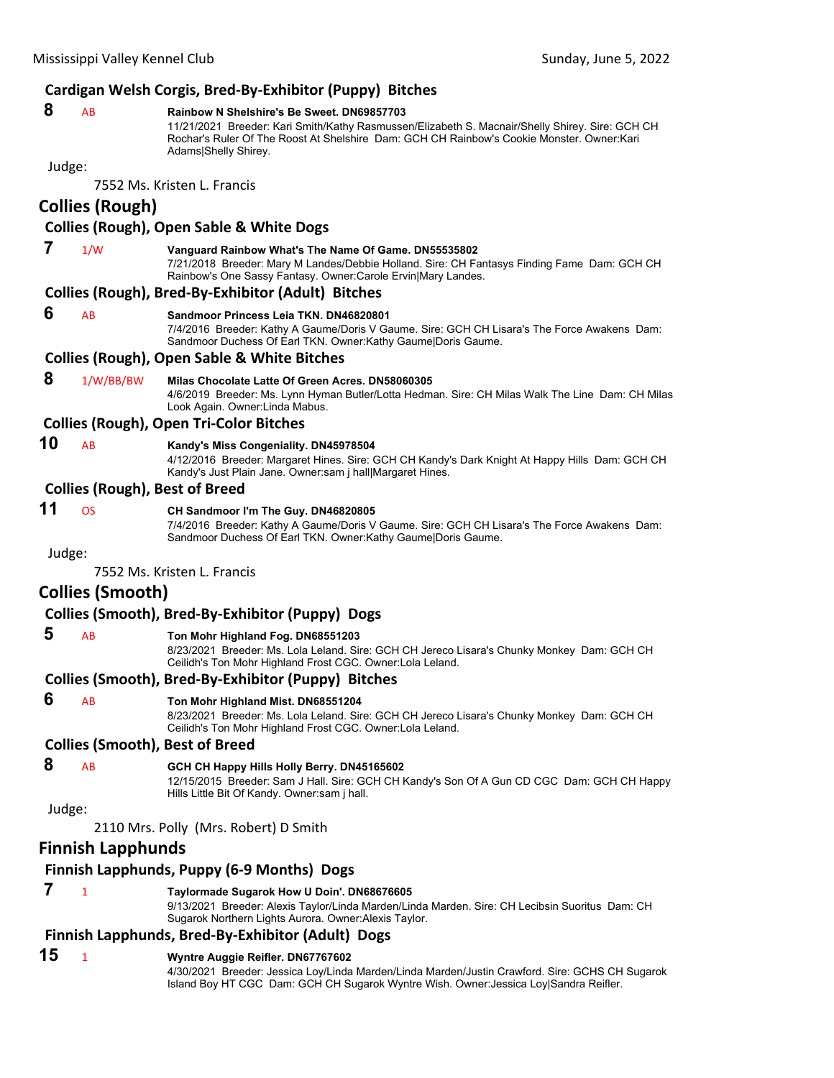# **Cardigan Welsh Corgis, Bred‐By‐Exhibitor (Puppy) Bitches**

#### **8** AB **Rainbow N Shelshire's Be Sweet. DN69857703**

11/21/2021 Breeder: Kari Smith/Kathy Rasmussen/Elizabeth S. Macnair/Shelly Shirey. Sire: GCH CH Rochar's Ruler Of The Roost At Shelshire Dam: GCH CH Rainbow's Cookie Monster. Owner:Kari Adams|Shelly Shirey.

Judge:

7552 Ms. Kristen L. Francis

# **Collies (Rough)**

# **Collies (Rough), Open Sable & White Dogs 7** 1/W **Vanguard Rainbow What's The Name Of Game. DN55535802** 7/21/2018 Breeder: Mary M Landes/Debbie Holland. Sire: CH Fantasys Finding Fame Dam: GCH CH Rainbow's One Sassy Fantasy. Owner:Carole Ervin|Mary Landes. **Collies (Rough), Bred‐By‐Exhibitor (Adult) Bitches 6** AB **Sandmoor Princess Leia TKN. DN46820801** 7/4/2016 Breeder: Kathy A Gaume/Doris V Gaume. Sire: GCH CH Lisara's The Force Awakens Dam: Sandmoor Duchess Of Earl TKN. Owner:Kathy Gaume|Doris Gaume. **Collies (Rough), Open Sable & White Bitches 8** 1/W/BB/BW **Milas Chocolate Latte Of Green Acres. DN58060305** 4/6/2019 Breeder: Ms. Lynn Hyman Butler/Lotta Hedman. Sire: CH Milas Walk The Line Dam: CH Milas Look Again. Owner:Linda Mabus. **Collies (Rough), Open Tri‐Color Bitches 10** AB **Kandy's Miss Congeniality. DN45978504** 4/12/2016 Breeder: Margaret Hines. Sire: GCH CH Kandy's Dark Knight At Happy Hills Dam: GCH CH Kandy's Just Plain Jane. Owner:sam j hall|Margaret Hines. **Collies (Rough), Best of Breed 11** OS **CH Sandmoor I'm The Guy. DN46820805** 7/4/2016 Breeder: Kathy A Gaume/Doris V Gaume. Sire: GCH CH Lisara's The Force Awakens Dam: Sandmoor Duchess Of Earl TKN. Owner:Kathy Gaume|Doris Gaume. Judge: 7552 Ms. Kristen L. Francis **Collies (Smooth) Collies (Smooth), Bred‐By‐Exhibitor (Puppy) Dogs**

# **5** AB **Ton Mohr Highland Fog. DN68551203**

8/23/2021 Breeder: Ms. Lola Leland. Sire: GCH CH Jereco Lisara's Chunky Monkey Dam: GCH CH Ceilidh's Ton Mohr Highland Frost CGC. Owner:Lola Leland.

#### **Collies (Smooth), Bred‐By‐Exhibitor (Puppy) Bitches**

#### **6** AB **Ton Mohr Highland Mist. DN68551204**

8/23/2021 Breeder: Ms. Lola Leland. Sire: GCH CH Jereco Lisara's Chunky Monkey Dam: GCH CH Ceilidh's Ton Mohr Highland Frost CGC. Owner:Lola Leland.

#### **Collies (Smooth), Best of Breed**

#### **8** AB **GCH CH Happy Hills Holly Berry. DN45165602**

12/15/2015 Breeder: Sam J Hall. Sire: GCH CH Kandy's Son Of A Gun CD CGC Dam: GCH CH Happy Hills Little Bit Of Kandy. Owner:sam j hall.

Judge:

#### 2110 Mrs. Polly (Mrs. Robert) D Smith

# **Finnish Lapphunds**

#### **Finnish Lapphunds, Puppy (6‐9 Months) Dogs**

#### **7** <sup>1</sup> **Taylormade Sugarok How U Doin'. DN68676605**

9/13/2021 Breeder: Alexis Taylor/Linda Marden/Linda Marden. Sire: CH Lecibsin Suoritus Dam: CH Sugarok Northern Lights Aurora. Owner:Alexis Taylor.

# **Finnish Lapphunds, Bred‐By‐Exhibitor (Adult) Dogs**

#### **15** <sup>1</sup> **Wyntre Auggie Reifler. DN67767602** 4/30/2021 Breeder: Jessica Loy/Linda Marden/Linda Marden/Justin Crawford. Sire: GCHS CH Sugarok Island Boy HT CGC Dam: GCH CH Sugarok Wyntre Wish. Owner:Jessica Loy|Sandra Reifler.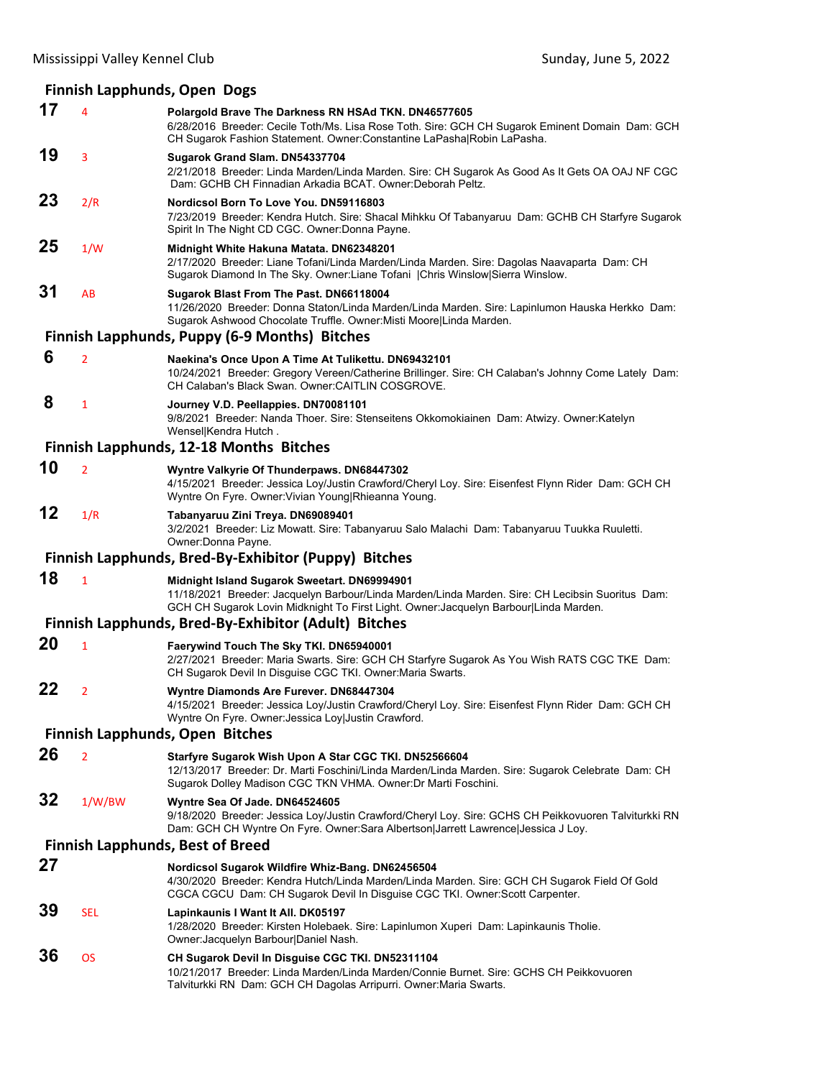## **Finnish Lapphunds, Open Dogs**

|    |                | THINGH Lapphanas, Open Dogs                                                                                                                                                                                                               |  |  |  |
|----|----------------|-------------------------------------------------------------------------------------------------------------------------------------------------------------------------------------------------------------------------------------------|--|--|--|
| 17 | $\overline{4}$ | Polargold Brave The Darkness RN HSAd TKN. DN46577605<br>6/28/2016 Breeder: Cecile Toth/Ms. Lisa Rose Toth. Sire: GCH CH Sugarok Eminent Domain Dam: GCH<br>CH Sugarok Fashion Statement. Owner: Constantine LaPasha Robin LaPasha.        |  |  |  |
| 19 | 3              | Sugarok Grand Slam. DN54337704<br>2/21/2018 Breeder: Linda Marden/Linda Marden. Sire: CH Sugarok As Good As It Gets OA OAJ NF CGC<br>Dam: GCHB CH Finnadian Arkadia BCAT. Owner: Deborah Peltz.                                           |  |  |  |
| 23 | 2/R            | Nordicsol Born To Love You, DN59116803<br>7/23/2019 Breeder: Kendra Hutch. Sire: Shacal Mihkku Of Tabanyaruu Dam: GCHB CH Starfyre Sugarok<br>Spirit In The Night CD CGC. Owner: Donna Payne.                                             |  |  |  |
| 25 | 1/W            | Midnight White Hakuna Matata. DN62348201<br>2/17/2020 Breeder: Liane Tofani/Linda Marden/Linda Marden. Sire: Dagolas Naavaparta Dam: CH<br>Sugarok Diamond In The Sky. Owner:Liane Tofani   Chris Winslow Sierra Winslow.                 |  |  |  |
| 31 | AB             | Sugarok Blast From The Past. DN66118004<br>11/26/2020 Breeder: Donna Staton/Linda Marden/Linda Marden. Sire: Lapinlumon Hauska Herkko Dam:<br>Sugarok Ashwood Chocolate Truffle. Owner: Misti Moore Linda Marden.                         |  |  |  |
|    |                | <b>Finnish Lapphunds, Puppy (6-9 Months) Bitches</b>                                                                                                                                                                                      |  |  |  |
| 6  | $\overline{2}$ | Naekina's Once Upon A Time At Tulikettu. DN69432101<br>10/24/2021 Breeder: Gregory Vereen/Catherine Brillinger. Sire: CH Calaban's Johnny Come Lately Dam:<br>CH Calaban's Black Swan, Owner: CAITLIN COSGROVE.                           |  |  |  |
| 8  | $\mathbf{1}$   | Journey V.D. Peellappies. DN70081101<br>9/8/2021 Breeder: Nanda Thoer. Sire: Stenseitens Okkomokiainen Dam: Atwizy. Owner: Katelyn<br>Wensel Kendra Hutch.                                                                                |  |  |  |
|    |                | Finnish Lapphunds, 12-18 Months Bitches                                                                                                                                                                                                   |  |  |  |
| 10 | $\overline{2}$ | Wyntre Valkyrie Of Thunderpaws. DN68447302<br>4/15/2021 Breeder: Jessica Loy/Justin Crawford/Cheryl Loy. Sire: Eisenfest Flynn Rider Dam: GCH CH<br>Wyntre On Fyre. Owner: Vivian Young Rhieanna Young.                                   |  |  |  |
| 12 | 1/R            | Tabanyaruu Zini Treya. DN69089401<br>3/2/2021 Breeder: Liz Mowatt. Sire: Tabanyaruu Salo Malachi Dam: Tabanyaruu Tuukka Ruuletti.<br>Owner: Donna Payne.                                                                                  |  |  |  |
|    |                | Finnish Lapphunds, Bred-By-Exhibitor (Puppy) Bitches                                                                                                                                                                                      |  |  |  |
| 18 | $\mathbf{1}$   | Midnight Island Sugarok Sweetart. DN69994901<br>11/18/2021 Breeder: Jacquelyn Barbour/Linda Marden/Linda Marden. Sire: CH Lecibsin Suoritus Dam:<br>GCH CH Sugarok Lovin Midknight To First Light. Owner: Jacquelyn Barbour Linda Marden. |  |  |  |
|    |                | Finnish Lapphunds, Bred-By-Exhibitor (Adult) Bitches                                                                                                                                                                                      |  |  |  |
| 20 | $\mathbf{1}$   | Faerywind Touch The Sky TKI. DN65940001<br>2/27/2021 Breeder: Maria Swarts. Sire: GCH CH Starfyre Sugarok As You Wish RATS CGC TKE Dam:<br>CH Sugarok Devil In Disguise CGC TKI. Owner: Maria Swarts.                                     |  |  |  |
| 22 | $\overline{2}$ | Wyntre Diamonds Are Furever. DN68447304<br>4/15/2021 Breeder: Jessica Loy/Justin Crawford/Cheryl Loy. Sire: Eisenfest Flynn Rider Dam: GCH CH<br>Wyntre On Fyre. Owner: Jessica Loy Justin Crawford.                                      |  |  |  |
|    |                | <b>Finnish Lapphunds, Open Bitches</b>                                                                                                                                                                                                    |  |  |  |
| 26 | $\overline{2}$ | Starfyre Sugarok Wish Upon A Star CGC TKI. DN52566604<br>12/13/2017 Breeder: Dr. Marti Foschini/Linda Marden/Linda Marden. Sire: Sugarok Celebrate Dam: CH<br>Sugarok Dolley Madison CGC TKN VHMA. Owner: Dr Marti Foschini.              |  |  |  |
| 32 | 1/W/BW         | Wyntre Sea Of Jade. DN64524605<br>9/18/2020 Breeder: Jessica Loy/Justin Crawford/Cheryl Loy. Sire: GCHS CH Peikkovuoren Talviturkki RN<br>Dam: GCH CH Wyntre On Fyre. Owner:Sara Albertson Jarrett Lawrence Jessica J Loy.                |  |  |  |
|    |                | <b>Finnish Lapphunds, Best of Breed</b>                                                                                                                                                                                                   |  |  |  |
| 27 |                | Nordicsol Sugarok Wildfire Whiz-Bang. DN62456504<br>4/30/2020 Breeder: Kendra Hutch/Linda Marden/Linda Marden. Sire: GCH CH Sugarok Field Of Gold<br>CGCA CGCU Dam: CH Sugarok Devil In Disguise CGC TKI. Owner:Scott Carpenter.          |  |  |  |
| 39 | <b>SEL</b>     | Lapinkaunis I Want It All. DK05197<br>1/28/2020 Breeder: Kirsten Holebaek. Sire: Lapinlumon Xuperi Dam: Lapinkaunis Tholie.<br>Owner: Jacquelyn Barbour Daniel Nash.                                                                      |  |  |  |
| 36 | <b>OS</b>      | CH Sugarok Devil In Disguise CGC TKI. DN52311104<br>10/21/2017 Breeder: Linda Marden/Linda Marden/Connie Burnet. Sire: GCHS CH Peikkovuoren<br>Talviturkki RN Dam: GCH CH Dagolas Arripurri. Owner: Maria Swarts.                         |  |  |  |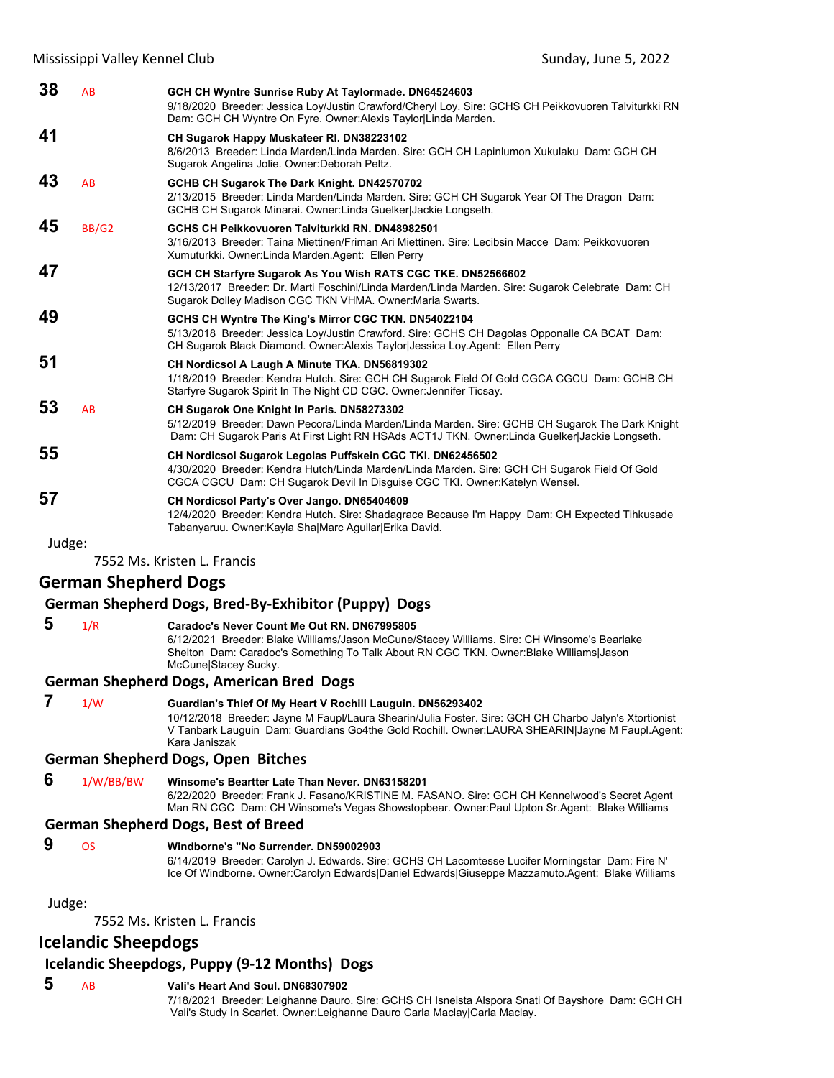| 38 | AB           | GCH CH Wyntre Sunrise Ruby At Taylormade. DN64524603<br>9/18/2020 Breeder: Jessica Loy/Justin Crawford/Cheryl Loy. Sire: GCHS CH Peikkovuoren Talviturkki RN<br>Dam: GCH CH Wyntre On Fyre. Owner: Alexis Taylor Linda Marden.                  |
|----|--------------|-------------------------------------------------------------------------------------------------------------------------------------------------------------------------------------------------------------------------------------------------|
| 41 |              | CH Sugarok Happy Muskateer RI. DN38223102<br>8/6/2013 Breeder: Linda Marden/Linda Marden. Sire: GCH CH Lapinlumon Xukulaku Dam: GCH CH<br>Sugarok Angelina Jolie. Owner: Deborah Peltz.                                                         |
| 43 | <b>AB</b>    | GCHB CH Sugarok The Dark Knight. DN42570702<br>2/13/2015 Breeder: Linda Marden/Linda Marden. Sire: GCH CH Sugarok Year Of The Dragon Dam:<br>GCHB CH Sugarok Minarai. Owner: Linda Guelker Jackie Longseth.                                     |
| 45 | <b>BB/G2</b> | GCHS CH Peikkovuoren Talviturkki RN. DN48982501<br>3/16/2013 Breeder: Taina Miettinen/Friman Ari Miettinen, Sire: Lecibsin Macce Dam: Peikkovuoren<br>Xumuturkki. Owner: Linda Marden. Agent: Ellen Perry                                       |
| 47 |              | GCH CH Starfyre Sugarok As You Wish RATS CGC TKE. DN52566602<br>12/13/2017 Breeder: Dr. Marti Foschini/Linda Marden/Linda Marden. Sire: Sugarok Celebrate Dam: CH<br>Sugarok Dolley Madison CGC TKN VHMA. Owner: Maria Swarts.                  |
| 49 |              | GCHS CH Wyntre The King's Mirror CGC TKN. DN54022104<br>5/13/2018 Breeder: Jessica Loy/Justin Crawford. Sire: GCHS CH Dagolas Opponalle CA BCAT Dam:<br>CH Sugarok Black Diamond. Owner: Alexis Taylor Jessica Loy. Agent: Ellen Perry          |
| 51 |              | CH Nordicsol A Laugh A Minute TKA. DN56819302<br>1/18/2019 Breeder: Kendra Hutch. Sire: GCH CH Sugarok Field Of Gold CGCA CGCU Dam: GCHB CH<br>Starfyre Sugarok Spirit In The Night CD CGC. Owner: Jennifer Ticsay.                             |
| 53 | AB           | CH Sugarok One Knight In Paris. DN58273302<br>5/12/2019 Breeder: Dawn Pecora/Linda Marden/Linda Marden. Sire: GCHB CH Sugarok The Dark Knight<br>Dam: CH Sugarok Paris At First Light RN HSAds ACT1J TKN. Owner: Linda Guelker Jackie Longseth. |
| 55 |              | CH Nordicsol Sugarok Legolas Puffskein CGC TKI. DN62456502<br>4/30/2020 Breeder: Kendra Hutch/Linda Marden/Linda Marden. Sire: GCH CH Sugarok Field Of Gold<br>CGCA CGCU Dam: CH Sugarok Devil In Disguise CGC TKI. Owner:Katelyn Wensel.       |
| 57 |              | CH Nordicsol Party's Over Jango. DN65404609<br>12/4/2020 Breeder: Kendra Hutch, Sire: Shadagrace Because I'm Happy Dam: CH Expected Tihkusade<br>Tabanvaruu. Owner:Kavla ShalMarc AquilarlErika David.                                          |

Judge:

7552 Ms. Kristen L. Francis

## **German Shepherd Dogs**

#### **German Shepherd Dogs, Bred‐By‐Exhibitor (Puppy) Dogs**

## **5** 1/R **Caradoc's Never Count Me Out RN. DN67995805**

6/12/2021 Breeder: Blake Williams/Jason McCune/Stacey Williams. Sire: CH Winsome's Bearlake Shelton Dam: Caradoc's Something To Talk About RN CGC TKN. Owner:Blake Williams|Jason McCune|Stacey Sucky.

#### **German Shepherd Dogs, American Bred Dogs**

 **7** 1/W **Guardian's Thief Of My Heart V Rochill Lauguin. DN56293402** 10/12/2018 Breeder: Jayne M Faupl/Laura Shearin/Julia Foster. Sire: GCH CH Charbo Jalyn's Xtortionist V Tanbark Lauguin Dam: Guardians Go4the Gold Rochill. Owner:LAURA SHEARIN|Jayne M Faupl.Agent: Kara Janiszak

### **German Shepherd Dogs, Open Bitches**

 **6** 1/W/BB/BW **Winsome's Beartter Late Than Never. DN63158201**

6/22/2020 Breeder: Frank J. Fasano/KRISTINE M. FASANO. Sire: GCH CH Kennelwood's Secret Agent Man RN CGC Dam: CH Winsome's Vegas Showstopbear. Owner:Paul Upton Sr.Agent: Blake Williams

#### **German Shepherd Dogs, Best of Breed**

 **9** OS **Windborne's "No Surrender. DN59002903**

6/14/2019 Breeder: Carolyn J. Edwards. Sire: GCHS CH Lacomtesse Lucifer Morningstar Dam: Fire N' Ice Of Windborne. Owner:Carolyn Edwards|Daniel Edwards|Giuseppe Mazzamuto.Agent: Blake Williams

Judge:

7552 Ms. Kristen L. Francis

## **Icelandic Sheepdogs**

## **Icelandic Sheepdogs, Puppy (9‐12 Months) Dogs**

## **5** AB **Vali's Heart And Soul. DN68307902**

7/18/2021 Breeder: Leighanne Dauro. Sire: GCHS CH Isneista Alspora Snati Of Bayshore Dam: GCH CH Vali's Study In Scarlet. Owner:Leighanne Dauro Carla Maclay|Carla Maclay.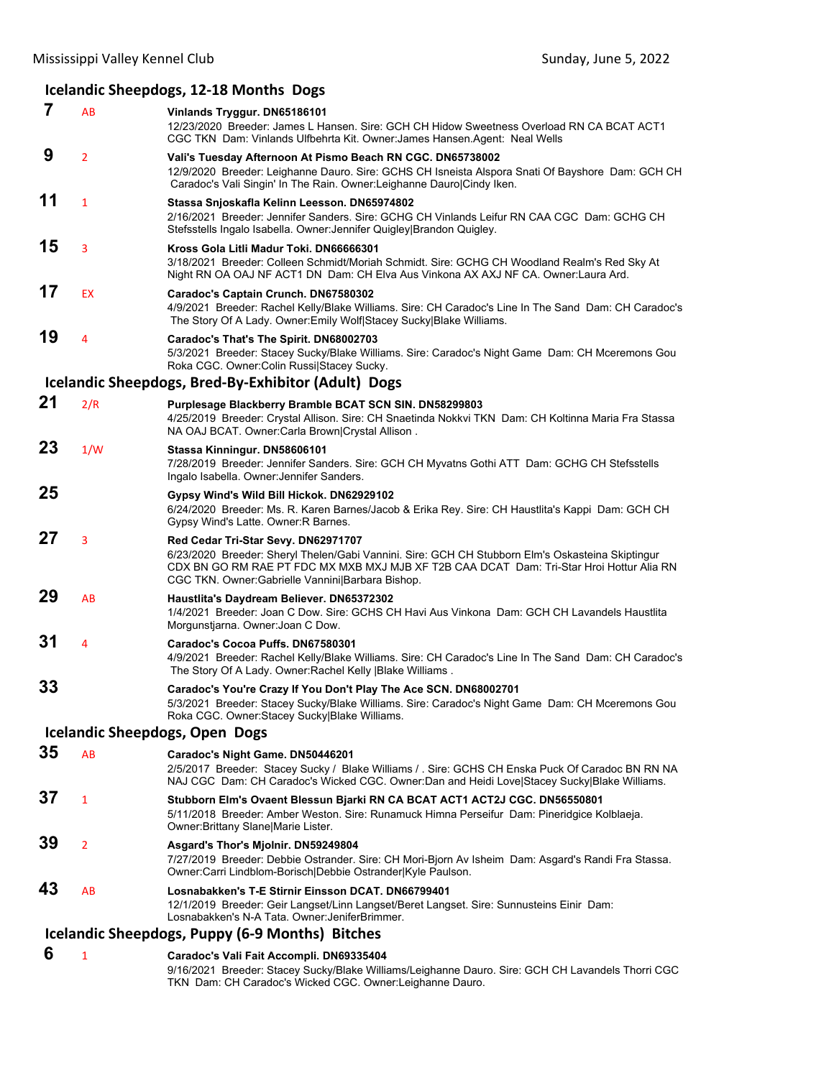## **Icelandic Sheepdogs, 12‐18 Months Dogs**

| 7  | AB             | Vinlands Tryggur. DN65186101<br>12/23/2020 Breeder: James L Hansen. Sire: GCH CH Hidow Sweetness Overload RN CA BCAT ACT1<br>CGC TKN Dam: Vinlands Ulfbehrta Kit. Owner: James Hansen. Agent: Neal Wells                                                                                |  |  |
|----|----------------|-----------------------------------------------------------------------------------------------------------------------------------------------------------------------------------------------------------------------------------------------------------------------------------------|--|--|
| 9  | $\overline{2}$ | Vali's Tuesday Afternoon At Pismo Beach RN CGC. DN65738002<br>12/9/2020 Breeder: Leighanne Dauro. Sire: GCHS CH Isneista Alspora Snati Of Bayshore Dam: GCH CH<br>Caradoc's Vali Singin' In The Rain. Owner: Leighanne Dauro Cindy Iken.                                                |  |  |
| 11 | $\mathbf{1}$   | Stassa Snjoskafla Kelinn Leesson. DN65974802<br>2/16/2021 Breeder: Jennifer Sanders. Sire: GCHG CH Vinlands Leifur RN CAA CGC Dam: GCHG CH<br>Stefsstells Ingalo Isabella. Owner: Jennifer Quigley Brandon Quigley.                                                                     |  |  |
| 15 | 3              | Kross Gola Litli Madur Toki, DN66666301<br>3/18/2021 Breeder: Colleen Schmidt/Moriah Schmidt. Sire: GCHG CH Woodland Realm's Red Sky At<br>Night RN OA OAJ NF ACT1 DN Dam: CH Elva Aus Vinkona AX AXJ NF CA. Owner: Laura Ard.                                                          |  |  |
| 17 | <b>EX</b>      | Caradoc's Captain Crunch. DN67580302<br>4/9/2021 Breeder: Rachel Kelly/Blake Williams. Sire: CH Caradoc's Line In The Sand Dam: CH Caradoc's<br>The Story Of A Lady. Owner: Emily Wolf Stacey Sucky Blake Williams.                                                                     |  |  |
| 19 | 4              | Caradoc's That's The Spirit. DN68002703<br>5/3/2021 Breeder: Stacey Sucky/Blake Williams. Sire: Caradoc's Night Game Dam: CH Mceremons Gou<br>Roka CGC. Owner: Colin Russi Stacey Sucky.                                                                                                |  |  |
|    |                | Icelandic Sheepdogs, Bred-By-Exhibitor (Adult) Dogs                                                                                                                                                                                                                                     |  |  |
| 21 | 2/R            | Purplesage Blackberry Bramble BCAT SCN SIN. DN58299803<br>4/25/2019 Breeder: Crystal Allison. Sire: CH Snaetinda Nokkvi TKN Dam: CH Koltinna Maria Fra Stassa<br>NA OAJ BCAT. Owner:Carla Brown Crystal Allison.                                                                        |  |  |
| 23 | 1/W            | Stassa Kinningur. DN58606101<br>7/28/2019 Breeder: Jennifer Sanders. Sire: GCH CH Myvatns Gothi ATT Dam: GCHG CH Stefsstells<br>Ingalo Isabella. Owner: Jennifer Sanders.                                                                                                               |  |  |
| 25 |                | Gypsy Wind's Wild Bill Hickok. DN62929102<br>6/24/2020 Breeder: Ms. R. Karen Barnes/Jacob & Erika Rey. Sire: CH Haustlita's Kappi Dam: GCH CH<br>Gypsy Wind's Latte. Owner: R Barnes.                                                                                                   |  |  |
| 27 | 3              | Red Cedar Tri-Star Sevy. DN62971707<br>6/23/2020 Breeder: Sheryl Thelen/Gabi Vannini. Sire: GCH CH Stubborn Elm's Oskasteina Skiptingur<br>CDX BN GO RM RAE PT FDC MX MXB MXJ MJB XF T2B CAA DCAT Dam: Tri-Star Hroi Hottur Alia RN<br>CGC TKN. Owner:Gabrielle Vannini Barbara Bishop. |  |  |
| 29 | AB             | Haustlita's Daydream Believer. DN65372302<br>1/4/2021 Breeder: Joan C Dow. Sire: GCHS CH Havi Aus Vinkona Dam: GCH CH Lavandels Haustlita<br>Morgunstjarna. Owner: Joan C Dow.                                                                                                          |  |  |
| 31 | 4              | Caradoc's Cocoa Puffs. DN67580301<br>4/9/2021 Breeder: Rachel Kelly/Blake Williams. Sire: CH Caradoc's Line In The Sand Dam: CH Caradoc's<br>The Story Of A Lady. Owner: Rachel Kelly   Blake Williams.                                                                                 |  |  |
| 33 |                | Caradoc's You're Crazy If You Don't Play The Ace SCN. DN68002701<br>5/3/2021 Breeder: Stacey Sucky/Blake Williams. Sire: Caradoc's Night Game Dam: CH Mceremons Gou<br>Roka CGC. Owner:Stacey Sucky Blake Williams.                                                                     |  |  |
|    |                | <b>Icelandic Sheepdogs, Open Dogs</b>                                                                                                                                                                                                                                                   |  |  |
| 35 | AB             | Caradoc's Night Game. DN50446201<br>2/5/2017 Breeder: Stacey Sucky / Blake Williams / Sire: GCHS CH Enska Puck Of Caradoc BN RN NA<br>NAJ CGC Dam: CH Caradoc's Wicked CGC. Owner:Dan and Heidi Love Stacey Sucky Blake Williams.                                                       |  |  |
| 37 | $\mathbf{1}$   | Stubborn Elm's Ovaent Blessun Bjarki RN CA BCAT ACT1 ACT2J CGC. DN56550801<br>5/11/2018 Breeder: Amber Weston. Sire: Runamuck Himna Perseifur Dam: Pineridgice Kolblaeja.<br>Owner: Brittany Slane   Marie Lister.                                                                      |  |  |
| 39 | $\overline{2}$ | Asgard's Thor's Mjolnir. DN59249804<br>7/27/2019 Breeder: Debbie Ostrander. Sire: CH Mori-Bjorn Av Isheim Dam: Asgard's Randi Fra Stassa.<br>Owner:Carri Lindblom-Borisch Debbie Ostrander Kyle Paulson.                                                                                |  |  |
| 43 | AB             | Losnabakken's T-E Stirnir Einsson DCAT, DN66799401<br>12/1/2019 Breeder: Geir Langset/Linn Langset/Beret Langset. Sire: Sunnusteins Einir Dam:<br>Losnabakken's N-A Tata. Owner: JeniferBrimmer.                                                                                        |  |  |
|    |                | Icelandic Sheepdogs, Puppy (6-9 Months) Bitches                                                                                                                                                                                                                                         |  |  |
| 6  | $\mathbf{1}$   | Caradoc's Vali Fait Accompli. DN69335404                                                                                                                                                                                                                                                |  |  |

9/16/2021 Breeder: Stacey Sucky/Blake Williams/Leighanne Dauro. Sire: GCH CH Lavandels Thorri CGC TKN Dam: CH Caradoc's Wicked CGC. Owner:Leighanne Dauro.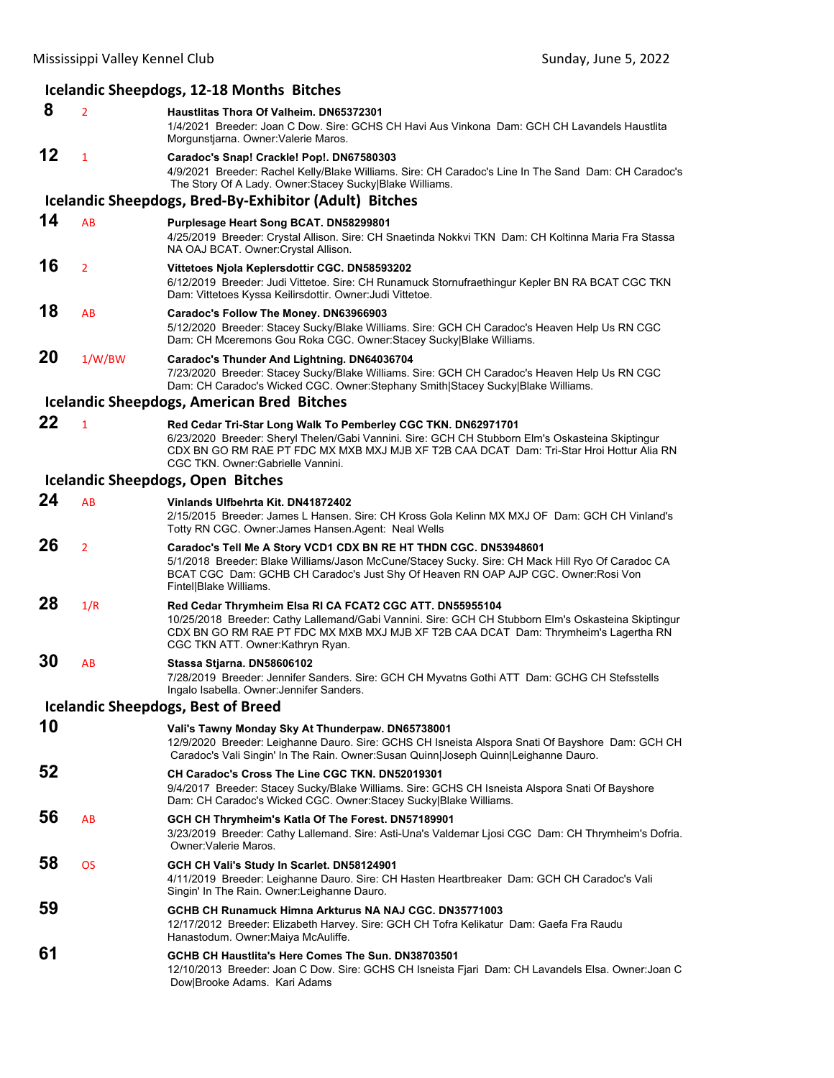#### **Icelandic Sheepdogs, 12‐18 Months Bitches 8** <sup>2</sup> **Haustlitas Thora Of Valheim. DN65372301** 1/4/2021 Breeder: Joan C Dow. Sire: GCHS CH Havi Aus Vinkona Dam: GCH CH Lavandels Haustlita Morgunstjarna. Owner:Valerie Maros. **12** <sup>1</sup> **Caradoc's Snap! Crackle! Pop!. DN67580303** 4/9/2021 Breeder: Rachel Kelly/Blake Williams. Sire: CH Caradoc's Line In The Sand Dam: CH Caradoc's The Story Of A Lady. Owner:Stacey Sucky|Blake Williams. **Icelandic Sheepdogs, Bred‐By‐Exhibitor (Adult) Bitches 14** AB **Purplesage Heart Song BCAT. DN58299801** 4/25/2019 Breeder: Crystal Allison. Sire: CH Snaetinda Nokkvi TKN Dam: CH Koltinna Maria Fra Stassa NA OAJ BCAT. Owner:Crystal Allison. **16** <sup>2</sup> **Vittetoes Njola Keplersdottir CGC. DN58593202** 6/12/2019 Breeder: Judi Vittetoe. Sire: CH Runamuck Stornufraethingur Kepler BN RA BCAT CGC TKN Dam: Vittetoes Kyssa Keilirsdottir. Owner:Judi Vittetoe. **18** AB **Caradoc's Follow The Money. DN63966903** 5/12/2020 Breeder: Stacey Sucky/Blake Williams. Sire: GCH CH Caradoc's Heaven Help Us RN CGC Dam: CH Mceremons Gou Roka CGC. Owner:Stacey Sucky|Blake Williams. **20** 1/W/BW **Caradoc's Thunder And Lightning. DN64036704** 7/23/2020 Breeder: Stacey Sucky/Blake Williams. Sire: GCH CH Caradoc's Heaven Help Us RN CGC Dam: CH Caradoc's Wicked CGC. Owner:Stephany Smith|Stacey Sucky|Blake Williams. **Icelandic Sheepdogs, American Bred Bitches 22** <sup>1</sup> **Red Cedar Tri-Star Long Walk To Pemberley CGC TKN. DN62971701** 6/23/2020 Breeder: Sheryl Thelen/Gabi Vannini. Sire: GCH CH Stubborn Elm's Oskasteina Skiptingur CDX BN GO RM RAE PT FDC MX MXB MXJ MJB XF T2B CAA DCAT Dam: Tri-Star Hroi Hottur Alia RN CGC TKN. Owner:Gabrielle Vannini. **Icelandic Sheepdogs, Open Bitches 24** AB **Vinlands Ulfbehrta Kit. DN41872402** 2/15/2015 Breeder: James L Hansen. Sire: CH Kross Gola Kelinn MX MXJ OF Dam: GCH CH Vinland's Totty RN CGC. Owner:James Hansen.Agent: Neal Wells **26** <sup>2</sup> **Caradoc's Tell Me A Story VCD1 CDX BN RE HT THDN CGC. DN53948601** 5/1/2018 Breeder: Blake Williams/Jason McCune/Stacey Sucky. Sire: CH Mack Hill Ryo Of Caradoc CA BCAT CGC Dam: GCHB CH Caradoc's Just Shy Of Heaven RN OAP AJP CGC. Owner:Rosi Von Fintel|Blake Williams. **28** 1/R **Red Cedar Thrymheim Elsa RI CA FCAT2 CGC ATT. DN55955104** 10/25/2018 Breeder: Cathy Lallemand/Gabi Vannini. Sire: GCH CH Stubborn Elm's Oskasteina Skiptingur CDX BN GO RM RAE PT FDC MX MXB MXJ MJB XF T2B CAA DCAT Dam: Thrymheim's Lagertha RN CGC TKN ATT. Owner:Kathryn Ryan. **30** AB **Stassa Stjarna. DN58606102** 7/28/2019 Breeder: Jennifer Sanders. Sire: GCH CH Myvatns Gothi ATT Dam: GCHG CH Stefsstells Ingalo Isabella. Owner:Jennifer Sanders. **Icelandic Sheepdogs, Best of Breed 10 Vali's Tawny Monday Sky At Thunderpaw. DN65738001** 12/9/2020 Breeder: Leighanne Dauro. Sire: GCHS CH Isneista Alspora Snati Of Bayshore Dam: GCH CH Caradoc's Vali Singin' In The Rain. Owner:Susan Quinn|Joseph Quinn|Leighanne Dauro. **52 CH Caradoc's Cross The Line CGC TKN. DN52019301** 9/4/2017 Breeder: Stacey Sucky/Blake Williams. Sire: GCHS CH Isneista Alspora Snati Of Bayshore Dam: CH Caradoc's Wicked CGC. Owner:Stacey Sucky|Blake Williams. **56** AB **GCH CH Thrymheim's Katla Of The Forest. DN57189901** 3/23/2019 Breeder: Cathy Lallemand. Sire: Asti-Una's Valdemar Ljosi CGC Dam: CH Thrymheim's Dofria. Owner:Valerie Maros. **58** OS **GCH CH Vali's Study In Scarlet. DN58124901** 4/11/2019 Breeder: Leighanne Dauro. Sire: CH Hasten Heartbreaker Dam: GCH CH Caradoc's Vali Singin' In The Rain. Owner:Leighanne Dauro. **59 GCHB CH Runamuck Himna Arkturus NA NAJ CGC. DN35771003** 12/17/2012 Breeder: Elizabeth Harvey. Sire: GCH CH Tofra Kelikatur Dam: Gaefa Fra Raudu Hanastodum. Owner:Maiya McAuliffe. **61 GCHB CH Haustlita's Here Comes The Sun. DN38703501** 12/10/2013 Breeder: Joan C Dow. Sire: GCHS CH Isneista Fjari Dam: CH Lavandels Elsa. Owner:Joan C Dow|Brooke Adams. Kari Adams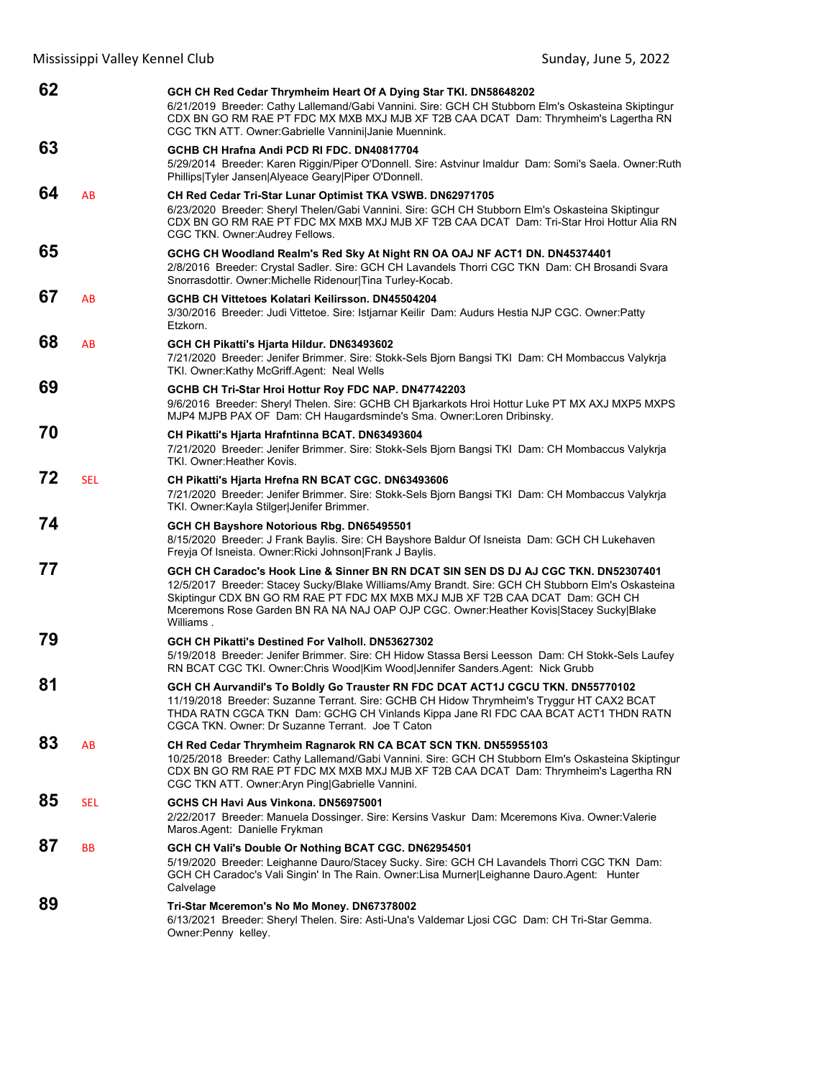| 62 |            | GCH CH Red Cedar Thrymheim Heart Of A Dying Star TKI. DN58648202<br>6/21/2019 Breeder: Cathy Lallemand/Gabi Vannini. Sire: GCH CH Stubborn Elm's Oskasteina Skiptingur<br>CDX BN GO RM RAE PT FDC MX MXB MXJ MJB XF T2B CAA DCAT Dam: Thrymheim's Lagertha RN<br>CGC TKN ATT. Owner: Gabrielle Vannini Janie Muennink.                                                            |
|----|------------|-----------------------------------------------------------------------------------------------------------------------------------------------------------------------------------------------------------------------------------------------------------------------------------------------------------------------------------------------------------------------------------|
| 63 |            | GCHB CH Hrafna Andi PCD RI FDC, DN40817704<br>5/29/2014 Breeder: Karen Riggin/Piper O'Donnell. Sire: Astvinur Imaldur Dam: Somi's Saela. Owner:Ruth<br>Phillips Tyler Jansen Alyeace Geary Piper O'Donnell.                                                                                                                                                                       |
| 64 | AB         | CH Red Cedar Tri-Star Lunar Optimist TKA VSWB. DN62971705<br>6/23/2020 Breeder: Sheryl Thelen/Gabi Vannini. Sire: GCH CH Stubborn Elm's Oskasteina Skiptingur<br>CDX BN GO RM RAE PT FDC MX MXB MXJ MJB XF T2B CAA DCAT Dam: Tri-Star Hroi Hottur Alia RN<br>CGC TKN. Owner: Audrey Fellows.                                                                                      |
| 65 |            | GCHG CH Woodland Realm's Red Sky At Night RN OA OAJ NF ACT1 DN. DN45374401<br>2/8/2016 Breeder: Crystal Sadler. Sire: GCH CH Lavandels Thorri CGC TKN Dam: CH Brosandi Svara<br>Snorrasdottir. Owner: Michelle Ridenour Tina Turley-Kocab.                                                                                                                                        |
| 67 | AB         | GCHB CH Vittetoes Kolatari Keilirsson, DN45504204<br>3/30/2016 Breeder: Judi Vittetoe. Sire: Istjarnar Keilir Dam: Audurs Hestia NJP CGC. Owner:Patty<br>Etzkorn.                                                                                                                                                                                                                 |
| 68 | AB         | GCH CH Pikatti's Hjarta Hildur. DN63493602<br>7/21/2020 Breeder: Jenifer Brimmer. Sire: Stokk-Sels Bjorn Bangsi TKI Dam: CH Mombaccus Valykrja<br>TKI. Owner:Kathy McGriff.Agent: Neal Wells                                                                                                                                                                                      |
| 69 |            | GCHB CH Tri-Star Hroi Hottur Roy FDC NAP. DN47742203<br>9/6/2016 Breeder: Sheryl Thelen. Sire: GCHB CH Bjarkarkots Hroi Hottur Luke PT MX AXJ MXP5 MXPS<br>MJP4 MJPB PAX OF Dam: CH Haugardsminde's Sma. Owner:Loren Dribinsky.                                                                                                                                                   |
| 70 |            | CH Pikatti's Hjarta Hrafntinna BCAT. DN63493604<br>7/21/2020 Breeder: Jenifer Brimmer. Sire: Stokk-Sels Bjorn Bangsi TKI Dam: CH Mombaccus Valykrja<br>TKI. Owner: Heather Kovis.                                                                                                                                                                                                 |
| 72 | <b>SEL</b> | CH Pikatti's Hjarta Hrefna RN BCAT CGC. DN63493606<br>7/21/2020 Breeder: Jenifer Brimmer. Sire: Stokk-Sels Bjorn Bangsi TKI Dam: CH Mombaccus Valykrja<br>TKI. Owner: Kayla Stilger Jenifer Brimmer.                                                                                                                                                                              |
| 74 |            | GCH CH Bayshore Notorious Rbg. DN65495501<br>8/15/2020 Breeder: J Frank Baylis. Sire: CH Bayshore Baldur Of Isneista Dam: GCH CH Lukehaven<br>Freyja Of Isneista. Owner: Ricki Johnson Frank J Baylis.                                                                                                                                                                            |
| 77 |            | GCH CH Caradoc's Hook Line & Sinner BN RN DCAT SIN SEN DS DJ AJ CGC TKN. DN52307401<br>12/5/2017 Breeder: Stacey Sucky/Blake Williams/Amy Brandt. Sire: GCH CH Stubborn Elm's Oskasteina<br>Skiptingur CDX BN GO RM RAE PT FDC MX MXB MXJ MJB XF T2B CAA DCAT Dam: GCH CH<br>Mceremons Rose Garden BN RA NA NAJ OAP OJP CGC. Owner: Heather Kovis Stacey Sucky Blake<br>Williams. |
| 79 |            | GCH CH Pikatti's Destined For Valholl, DN53627302<br>5/19/2018 Breeder: Jenifer Brimmer. Sire: CH Hidow Stassa Bersi Leesson Dam: CH Stokk-Sels Laufey<br>RN BCAT CGC TKI. Owner:Chris Wood Kim Wood Jennifer Sanders.Agent: Nick Grubb                                                                                                                                           |
| 81 |            | GCH CH Aurvandil's To Boldly Go Trauster RN FDC DCAT ACT1J CGCU TKN. DN55770102<br>11/19/2018 Breeder: Suzanne Terrant. Sire: GCHB CH Hidow Thrymheim's Tryggur HT CAX2 BCAT<br>THDA RATN CGCA TKN Dam: GCHG CH Vinlands Kippa Jane RI FDC CAA BCAT ACT1 THDN RATN<br>CGCA TKN, Owner: Dr Suzanne Terrant, Joe T Caton                                                            |
| 83 | AB         | CH Red Cedar Thrymheim Ragnarok RN CA BCAT SCN TKN. DN55955103<br>10/25/2018 Breeder: Cathy Lallemand/Gabi Vannini. Sire: GCH CH Stubborn Elm's Oskasteina Skiptingur<br>CDX BN GO RM RAE PT FDC MX MXB MXJ MJB XF T2B CAA DCAT Dam: Thrymheim's Lagertha RN<br>CGC TKN ATT. Owner: Aryn Ping Gabrielle Vannini.                                                                  |
| 85 | SEL        | GCHS CH Havi Aus Vinkona. DN56975001<br>2/22/2017 Breeder: Manuela Dossinger. Sire: Kersins Vaskur Dam: Mceremons Kiva. Owner: Valerie<br>Maros Agent: Danielle Frykman                                                                                                                                                                                                           |
| 87 | <b>BB</b>  | GCH CH Vali's Double Or Nothing BCAT CGC. DN62954501<br>5/19/2020 Breeder: Leighanne Dauro/Stacey Sucky. Sire: GCH CH Lavandels Thorri CGC TKN Dam:<br>GCH CH Caradoc's Vali Singin' In The Rain. Owner: Lisa Murner Leighanne Dauro. Agent: Hunter<br>Calvelage                                                                                                                  |
| 89 |            | Tri-Star Mceremon's No Mo Money. DN67378002<br>6/13/2021 Breeder: Sheryl Thelen. Sire: Asti-Una's Valdemar Ljosi CGC Dam: CH Tri-Star Gemma.<br>Owner: Penny kelley.                                                                                                                                                                                                              |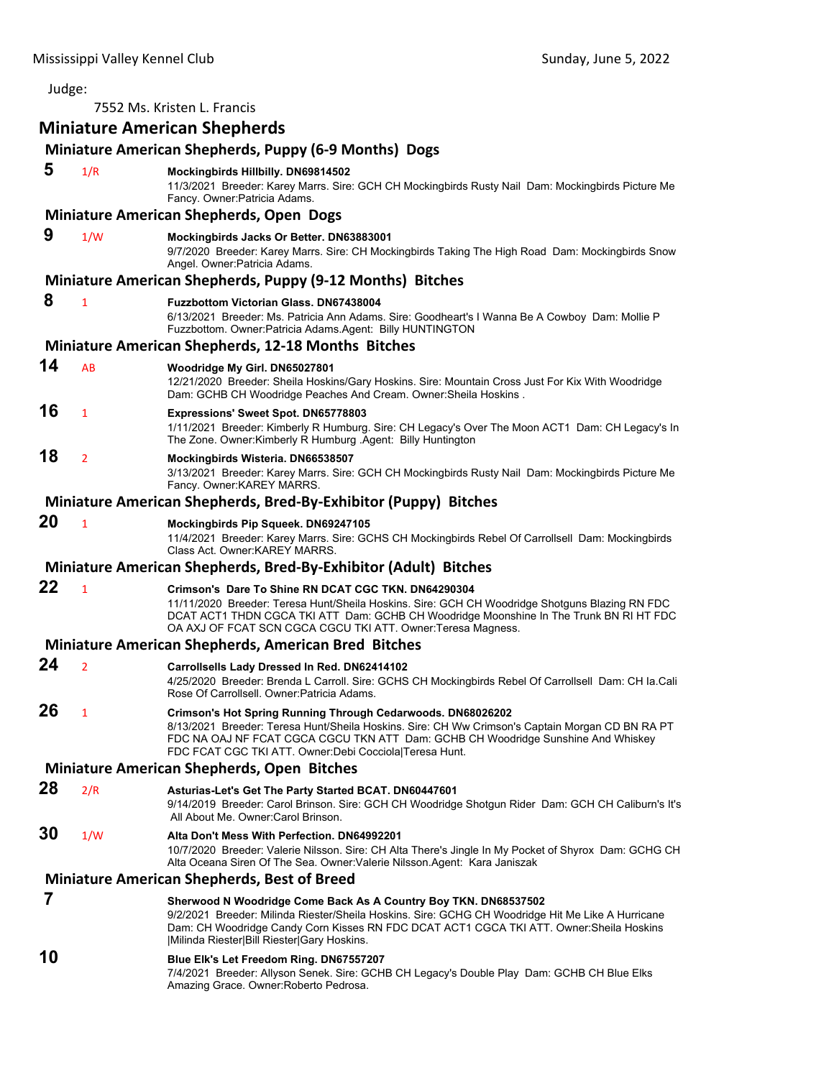| Judge: |                |                                                                                                                                                                                                                                                                                                                 |
|--------|----------------|-----------------------------------------------------------------------------------------------------------------------------------------------------------------------------------------------------------------------------------------------------------------------------------------------------------------|
|        |                | 7552 Ms. Kristen L. Francis                                                                                                                                                                                                                                                                                     |
|        |                | <b>Miniature American Shepherds</b>                                                                                                                                                                                                                                                                             |
|        |                | Miniature American Shepherds, Puppy (6-9 Months) Dogs                                                                                                                                                                                                                                                           |
| 5      | 1/R            | Mockingbirds Hillbilly. DN69814502<br>11/3/2021 Breeder: Karey Marrs. Sire: GCH CH Mockingbirds Rusty Nail Dam: Mockingbirds Picture Me<br>Fancy. Owner: Patricia Adams.                                                                                                                                        |
|        |                | <b>Miniature American Shepherds, Open Dogs</b>                                                                                                                                                                                                                                                                  |
| 9      | 1/W            | Mockingbirds Jacks Or Better. DN63883001<br>9/7/2020 Breeder: Karey Marrs. Sire: CH Mockingbirds Taking The High Road Dam: Mockingbirds Snow<br>Angel. Owner: Patricia Adams.                                                                                                                                   |
|        |                | Miniature American Shepherds, Puppy (9-12 Months) Bitches                                                                                                                                                                                                                                                       |
| 8      | 1              | <b>Fuzzbottom Victorian Glass, DN67438004</b><br>6/13/2021 Breeder: Ms. Patricia Ann Adams. Sire: Goodheart's I Wanna Be A Cowboy Dam: Mollie P<br>Fuzzbottom. Owner: Patricia Adams. Agent: Billy HUNTINGTON                                                                                                   |
|        |                | <b>Miniature American Shepherds, 12-18 Months Bitches</b>                                                                                                                                                                                                                                                       |
| 14     | AB             | Woodridge My Girl. DN65027801<br>12/21/2020 Breeder: Sheila Hoskins/Gary Hoskins. Sire: Mountain Cross Just For Kix With Woodridge<br>Dam: GCHB CH Woodridge Peaches And Cream. Owner: Sheila Hoskins.                                                                                                          |
| 16     | 1              | <b>Expressions' Sweet Spot. DN65778803</b><br>1/11/2021 Breeder: Kimberly R Humburg. Sire: CH Legacy's Over The Moon ACT1 Dam: CH Legacy's In<br>The Zone. Owner:Kimberly R Humburg .Agent: Billy Huntington                                                                                                    |
| 18     | 2              | Mockingbirds Wisteria. DN66538507<br>3/13/2021 Breeder: Karey Marrs. Sire: GCH CH Mockingbirds Rusty Nail Dam: Mockingbirds Picture Me<br>Fancy. Owner: KAREY MARRS.                                                                                                                                            |
|        |                | Miniature American Shepherds, Bred-By-Exhibitor (Puppy) Bitches                                                                                                                                                                                                                                                 |
| 20     | $\mathbf{1}$   | Mockingbirds Pip Squeek. DN69247105<br>11/4/2021 Breeder: Karey Marrs. Sire: GCHS CH Mockingbirds Rebel Of Carrollsell Dam: Mockingbirds<br>Class Act. Owner: KAREY MARRS.                                                                                                                                      |
|        |                | Miniature American Shepherds, Bred-By-Exhibitor (Adult) Bitches                                                                                                                                                                                                                                                 |
| 22     | 1              | Crimson's Dare To Shine RN DCAT CGC TKN. DN64290304<br>11/11/2020 Breeder: Teresa Hunt/Sheila Hoskins. Sire: GCH CH Woodridge Shotguns Blazing RN FDC<br>DCAT ACT1 THDN CGCA TKI ATT Dam: GCHB CH Woodridge Moonshine In The Trunk BN RI HT FDC<br>OA AXJ OF FCAT SCN CGCA CGCU TKI ATT. Owner: Teresa Magness. |
|        |                | <b>Miniature American Shepherds, American Bred Bitches</b>                                                                                                                                                                                                                                                      |
| 24     | $\overline{2}$ | Carrollsells Lady Dressed In Red. DN62414102<br>4/25/2020 Breeder: Brenda L Carroll. Sire: GCHS CH Mockingbirds Rebel Of Carrollsell Dam: CH la.Cali<br>Rose Of Carrollsell. Owner: Patricia Adams.                                                                                                             |
| 26     | 1              | Crimson's Hot Spring Running Through Cedarwoods. DN68026202<br>8/13/2021 Breeder: Teresa Hunt/Sheila Hoskins. Sire: CH Ww Crimson's Captain Morgan CD BN RA PT<br>FDC NA OAJ NF FCAT CGCA CGCU TKN ATT Dam: GCHB CH Woodridge Sunshine And Whiskey<br>FDC FCAT CGC TKI ATT. Owner:Debi Cocciola Teresa Hunt.    |
|        |                | Miniature American Shepherds, Open Bitches                                                                                                                                                                                                                                                                      |
| 28     | 2/R            | Asturias-Let's Get The Party Started BCAT. DN60447601                                                                                                                                                                                                                                                           |
|        |                | 9/14/2019 Breeder: Carol Brinson. Sire: GCH CH Woodridge Shotgun Rider Dam: GCH CH Caliburn's It's<br>All About Me. Owner: Carol Brinson.                                                                                                                                                                       |
| 30     | 1/W            | Alta Don't Mess With Perfection. DN64992201<br>10/7/2020 Breeder: Valerie Nilsson. Sire: CH Alta There's Jingle In My Pocket of Shyrox Dam: GCHG CH<br>Alta Oceana Siren Of The Sea. Owner: Valerie Nilsson. Agent: Kara Janiszak                                                                               |
|        |                | <b>Miniature American Shepherds, Best of Breed</b>                                                                                                                                                                                                                                                              |
| 7      |                | Sherwood N Woodridge Come Back As A Country Boy TKN. DN68537502                                                                                                                                                                                                                                                 |
|        |                | 9/2/2021 Breeder: Milinda Riester/Sheila Hoskins. Sire: GCHG CH Woodridge Hit Me Like A Hurricane<br>Dam: CH Woodridge Candy Corn Kisses RN FDC DCAT ACT1 CGCA TKI ATT. Owner:Sheila Hoskins                                                                                                                    |

**10 Blue Elk's Let Freedom Ring. DN67557207** 7/4/2021 Breeder: Allyson Senek. Sire: GCHB CH Legacy's Double Play Dam: GCHB CH Blue Elks Amazing Grace. Owner:Roberto Pedrosa.

|Milinda Riester|Bill Riester|Gary Hoskins.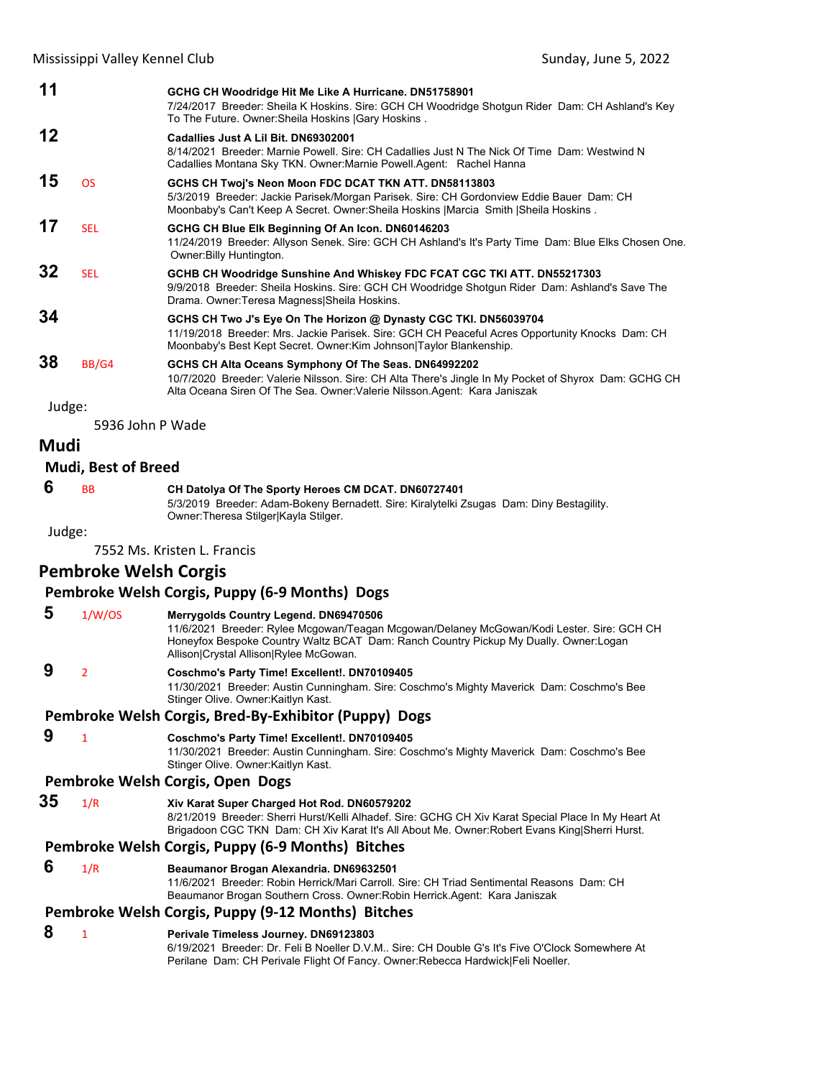| 11     |                            | GCHG CH Woodridge Hit Me Like A Hurricane. DN51758901<br>7/24/2017 Breeder: Sheila K Hoskins. Sire: GCH CH Woodridge Shotgun Rider Dam: CH Ashland's Key<br>To The Future. Owner: Sheila Hoskins   Gary Hoskins.                            |
|--------|----------------------------|---------------------------------------------------------------------------------------------------------------------------------------------------------------------------------------------------------------------------------------------|
| 12     |                            | Cadallies Just A Lil Bit. DN69302001<br>8/14/2021 Breeder: Marnie Powell, Sire: CH Cadallies Just N The Nick Of Time Dam: Westwind N<br>Cadallies Montana Sky TKN. Owner: Marnie Powell. Agent: Rachel Hanna                                |
| 15     | <b>OS</b>                  | GCHS CH Twoj's Neon Moon FDC DCAT TKN ATT. DN58113803<br>5/3/2019 Breeder: Jackie Parisek/Morgan Parisek. Sire: CH Gordonview Eddie Bauer Dam: CH<br>Moonbaby's Can't Keep A Secret. Owner: Sheila Hoskins   Marcia Smith   Sheila Hoskins. |
| 17     | <b>SEL</b>                 | GCHG CH Blue Elk Beginning Of An Icon. DN60146203<br>11/24/2019 Breeder: Allyson Senek. Sire: GCH CH Ashland's It's Party Time Dam: Blue Elks Chosen One.<br>Owner: Billy Huntington.                                                       |
| 32     | <b>SEL</b>                 | GCHB CH Woodridge Sunshine And Whiskey FDC FCAT CGC TKI ATT. DN55217303<br>9/9/2018 Breeder: Sheila Hoskins. Sire: GCH CH Woodridge Shotgun Rider Dam: Ashland's Save The<br>Drama. Owner: Teresa Magness Sheila Hoskins.                   |
| 34     |                            | GCHS CH Two J's Eye On The Horizon @ Dynasty CGC TKI. DN56039704<br>11/19/2018 Breeder: Mrs. Jackie Parisek. Sire: GCH CH Peaceful Acres Opportunity Knocks Dam: CH<br>Moonbaby's Best Kept Secret. Owner: Kim Johnson Taylor Blankenship.  |
| 38     | BB/G4                      | GCHS CH Alta Oceans Symphony Of The Seas. DN64992202<br>10/7/2020 Breeder: Valerie Nilsson. Sire: CH Alta There's Jingle In My Pocket of Shyrox Dam: GCHG CH<br>Alta Oceana Siren Of The Sea. Owner: Valerie Nilsson. Agent: Kara Janiszak  |
| Judge: |                            |                                                                                                                                                                                                                                             |
|        | 5936 John P Wade           |                                                                                                                                                                                                                                             |
| Mudi   |                            |                                                                                                                                                                                                                                             |
|        | <b>Mudi, Best of Breed</b> |                                                                                                                                                                                                                                             |
| 6      | <b>BB</b>                  | CH Datolya Of The Sporty Heroes CM DCAT. DN60727401<br>5/3/2019 Breeder: Adam-Bokeny Bernadett. Sire: Kiralytelki Zsugas Dam: Diny Bestagility.<br>Owner: Theresa Stilger Kayla Stilger.                                                    |
|        |                            |                                                                                                                                                                                                                                             |

Judge:

7552 Ms. Kristen L. Francis

# **Pembroke Welsh Corgis**

| Pembroke Welsh Corgis, Puppy (6-9 Months) Dogs |  |  |  |  |  |  |
|------------------------------------------------|--|--|--|--|--|--|
|------------------------------------------------|--|--|--|--|--|--|

| 5  | 1/W/OS         | Merrygolds Country Legend. DN69470506<br>11/6/2021 Breeder: Rylee Mcgowan/Teagan Mcgowan/Delaney McGowan/Kodi Lester. Sire: GCH CH<br>Honeyfox Bespoke Country Waltz BCAT Dam: Ranch Country Pickup My Dually. Owner: Logan                         |
|----|----------------|-----------------------------------------------------------------------------------------------------------------------------------------------------------------------------------------------------------------------------------------------------|
|    |                | Allison Crystal Allison Rylee McGowan.                                                                                                                                                                                                              |
| 9  | $\overline{2}$ | Coschmo's Party Time! Excellent!. DN70109405<br>11/30/2021 Breeder: Austin Cunningham. Sire: Coschmo's Mighty Maverick Dam: Coschmo's Bee<br>Stinger Olive. Owner: Kaitlyn Kast.                                                                    |
|    |                | Pembroke Welsh Corgis, Bred-By-Exhibitor (Puppy) Dogs                                                                                                                                                                                               |
| 9  | $\mathbf{1}$   | Coschmo's Party Time! Excellent!. DN70109405<br>11/30/2021 Breeder: Austin Cunningham. Sire: Coschmo's Mighty Maverick Dam: Coschmo's Bee<br>Stinger Olive. Owner: Kaitlyn Kast.                                                                    |
|    |                | Pembroke Welsh Corgis, Open Dogs                                                                                                                                                                                                                    |
| 35 | 1/R            | Xiv Karat Super Charged Hot Rod. DN60579202<br>8/21/2019 Breeder: Sherri Hurst/Kelli Alhadef. Sire: GCHG CH Xiv Karat Special Place In My Heart At<br>Brigadoon CGC TKN Dam: CH Xiv Karat It's All About Me. Owner: Robert Evans King Sherri Hurst. |
|    |                | Pembroke Welsh Corgis, Puppy (6-9 Months) Bitches                                                                                                                                                                                                   |
| 6  | 1/R            | Beaumanor Brogan Alexandria. DN69632501<br>11/6/2021 Breeder: Robin Herrick/Mari Carroll, Sire: CH Triad Sentimental Reasons, Dam: CH<br>Beaumanor Brogan Southern Cross. Owner: Robin Herrick. Agent: Kara Janiszak                                |
|    |                | Pembroke Welsh Corgis, Puppy (9-12 Months) Bitches                                                                                                                                                                                                  |
| 8  | $\mathbf{1}$   | Perivale Timeless Journey. DN69123803<br>6/19/2021 Breeder: Dr. Feli B Noeller D.V.M., Sire: CH Double G's It's Five O'Clock Somewhere At<br>Perilane Dam: CH Perivale Flight Of Fancy. Owner: Rebecca Hardwick [Feli Noeller.                      |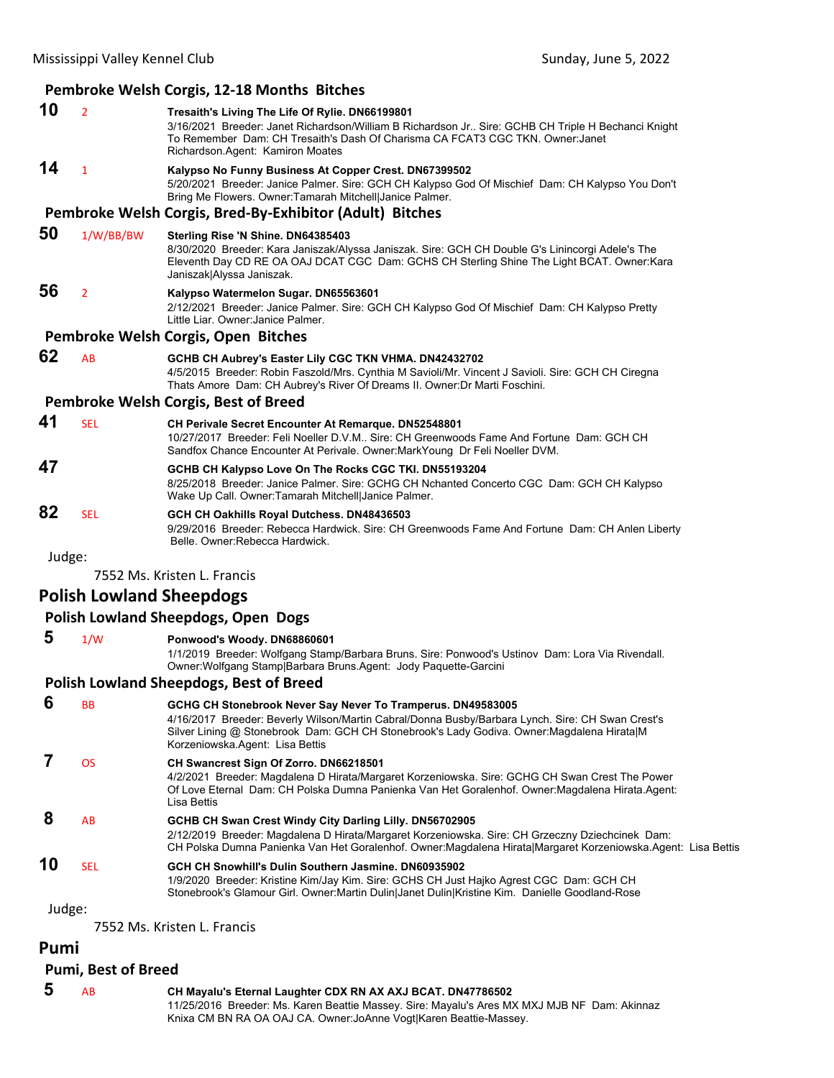## **Pembroke Welsh Corgis, 12‐18 Months Bitches**

|        |                | <b>I CHIDIONE WEBIT COIGS, 12-10 INIURIIS DILLIES</b>                                                                                                                                                                                                                       |  |  |  |
|--------|----------------|-----------------------------------------------------------------------------------------------------------------------------------------------------------------------------------------------------------------------------------------------------------------------------|--|--|--|
| 10     | $\overline{2}$ | Tresaith's Living The Life Of Rylie. DN66199801<br>3/16/2021 Breeder: Janet Richardson/William B Richardson Jr Sire: GCHB CH Triple H Bechanci Knight<br>To Remember Dam: CH Tresaith's Dash Of Charisma CA FCAT3 CGC TKN, Owner: Janet<br>Richardson.Agent: Kamiron Moates |  |  |  |
| 14     | 1              | Kalypso No Funny Business At Copper Crest. DN67399502<br>5/20/2021 Breeder: Janice Palmer. Sire: GCH CH Kalypso God Of Mischief Dam: CH Kalypso You Don't<br>Bring Me Flowers. Owner: Tamarah Mitchell Janice Palmer.                                                       |  |  |  |
|        |                | Pembroke Welsh Corgis, Bred-By-Exhibitor (Adult) Bitches                                                                                                                                                                                                                    |  |  |  |
| 50     | 1/W/BB/BW      | Sterling Rise 'N Shine. DN64385403<br>8/30/2020 Breeder: Kara Janiszak/Alyssa Janiszak. Sire: GCH CH Double G's Linincorgi Adele's The<br>Eleventh Day CD RE OA OAJ DCAT CGC Dam: GCHS CH Sterling Shine The Light BCAT. Owner: Kara<br>Janiszak Alyssa Janiszak.           |  |  |  |
| 56     | $\overline{2}$ | Kalypso Watermelon Sugar, DN65563601<br>2/12/2021 Breeder: Janice Palmer. Sire: GCH CH Kalypso God Of Mischief Dam: CH Kalypso Pretty<br>Little Liar, Owner Janice Palmer                                                                                                   |  |  |  |
|        |                | Pembroke Welsh Corgis, Open Bitches                                                                                                                                                                                                                                         |  |  |  |
| 62     | AB             | GCHB CH Aubrey's Easter Lily CGC TKN VHMA. DN42432702<br>4/5/2015 Breeder: Robin Faszold/Mrs. Cynthia M Savioli/Mr. Vincent J Savioli. Sire: GCH CH Ciregna<br>Thats Amore Dam: CH Aubrey's River Of Dreams II. Owner: Dr Marti Foschini.                                   |  |  |  |
|        |                | Pembroke Welsh Corgis, Best of Breed                                                                                                                                                                                                                                        |  |  |  |
| 41     | <b>SEL</b>     | <b>CH Perivale Secret Encounter At Remarque. DN52548801</b><br>10/27/2017 Breeder: Feli Noeller D.V.M., Sire: CH Greenwoods Fame And Fortune Dam: GCH CH<br>Sandfox Chance Encounter At Perivale. Owner: Mark Young Dr Feli Noeller DVM.                                    |  |  |  |
| 47     |                | GCHB CH Kalypso Love On The Rocks CGC TKI. DN55193204<br>8/25/2018 Breeder: Janice Palmer. Sire: GCHG CH Nchanted Concerto CGC Dam: GCH CH Kalypso<br>Wake Up Call. Owner: Tamarah Mitchell Janice Palmer.                                                                  |  |  |  |
| 82     | <b>SEL</b>     | GCH CH Oakhills Royal Dutchess. DN48436503<br>9/29/2016 Breeder: Rebecca Hardwick. Sire: CH Greenwoods Fame And Fortune Dam: CH Anlen Liberty<br>Belle, Owner: Rebecca Hardwick.                                                                                            |  |  |  |
| Judge: |                |                                                                                                                                                                                                                                                                             |  |  |  |

7552 Ms. Kristen L. Francis

## **Polish Lowland Sheepdogs**

## **Polish Lowland Sheepdogs, Open Dogs**

| -5 | 1/W | Ponwood's Woody. DN68860601 |
|----|-----|-----------------------------|
|----|-----|-----------------------------|

1/1/2019 Breeder: Wolfgang Stamp/Barbara Bruns. Sire: Ponwood's Ustinov Dam: Lora Via Rivendall. Owner:Wolfgang Stamp|Barbara Bruns.Agent: Jody Paquette-Garcini

### **Polish Lowland Sheepdogs, Best of Breed**

| 6      | <b>BB</b>  | GCHG CH Stonebrook Never Say Never To Tramperus. DN49583005<br>4/16/2017 Breeder: Beverly Wilson/Martin Cabral/Donna Busby/Barbara Lynch. Sire: CH Swan Crest's<br>Silver Lining @ Stonebrook Dam: GCH CH Stonebrook's Lady Godiva. Owner: Magdalena HiratalM<br>Korzeniowska Agent: Lisa Bettis |
|--------|------------|--------------------------------------------------------------------------------------------------------------------------------------------------------------------------------------------------------------------------------------------------------------------------------------------------|
|        | <b>OS</b>  | CH Swancrest Sign Of Zorro. DN66218501<br>4/2/2021 Breeder: Magdalena D Hirata/Margaret Korzeniowska. Sire: GCHG CH Swan Crest The Power<br>Of Love Eternal Dam: CH Polska Dumna Panienka Van Het Goralenhof. Owner: Magdalena Hirata. Agent:<br>Lisa Bettis                                     |
| 8      | AB         | GCHB CH Swan Crest Windy City Darling Lilly. DN56702905<br>2/12/2019 Breeder: Magdalena D Hirata/Margaret Korzeniowska. Sire: CH Grzeczny Dziechcinek Dam:<br>CH Polska Dumna Panienka Van Het Goralenhof. Owner:Magdalena HiratalMargaret Korzeniowska Agent: Lisa Bettis                       |
| 10     | <b>SEL</b> | GCH CH Snowhill's Dulin Southern Jasmine, DN60935902<br>1/9/2020 Breeder: Kristine Kim/Jay Kim. Sire: GCHS CH Just Hajko Agrest CGC Dam: GCH CH<br>Stonebrook's Glamour Girl. Owner: Martin Dulin Janet Dulin Kristine Kim. Danielle Goodland-Rose                                               |
| Judge: |            |                                                                                                                                                                                                                                                                                                  |

7552 Ms. Kristen L. Francis

## **Pumi**

### **Pumi, Best of Breed**

 **5** AB **CH Mayalu's Eternal Laughter CDX RN AX AXJ BCAT. DN47786502** 11/25/2016 Breeder: Ms. Karen Beattie Massey. Sire: Mayalu's Ares MX MXJ MJB NF Dam: Akinnaz Knixa CM BN RA OA OAJ CA. Owner:JoAnne Vogt|Karen Beattie-Massey.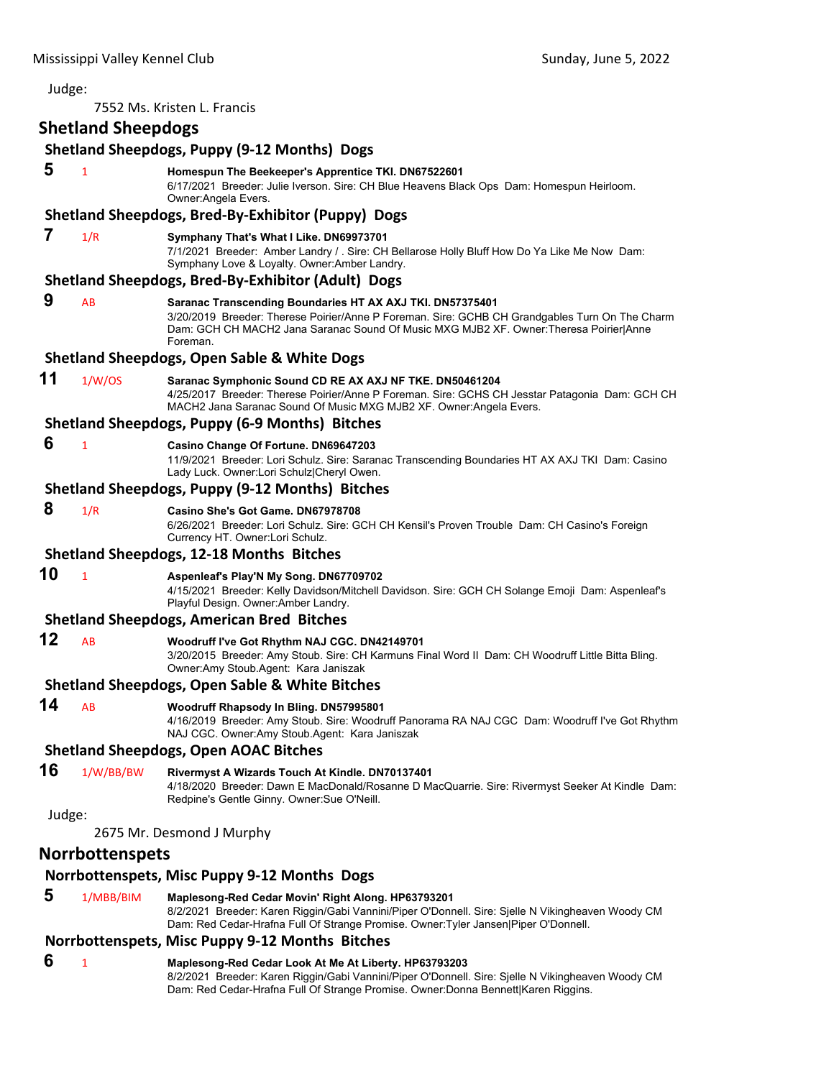| Judge:                                                                                                                                                                                                   |                           |                                                                                                                                                                                                                                                                  |
|----------------------------------------------------------------------------------------------------------------------------------------------------------------------------------------------------------|---------------------------|------------------------------------------------------------------------------------------------------------------------------------------------------------------------------------------------------------------------------------------------------------------|
|                                                                                                                                                                                                          |                           | 7552 Ms. Kristen L. Francis                                                                                                                                                                                                                                      |
|                                                                                                                                                                                                          | <b>Shetland Sheepdogs</b> |                                                                                                                                                                                                                                                                  |
|                                                                                                                                                                                                          |                           | <b>Shetland Sheepdogs, Puppy (9-12 Months) Dogs</b>                                                                                                                                                                                                              |
| 5                                                                                                                                                                                                        | 1                         | Homespun The Beekeeper's Apprentice TKI. DN67522601<br>6/17/2021 Breeder: Julie Iverson. Sire: CH Blue Heavens Black Ops Dam: Homespun Heirloom.<br>Owner: Angela Evers.                                                                                         |
|                                                                                                                                                                                                          |                           | Shetland Sheepdogs, Bred-By-Exhibitor (Puppy) Dogs                                                                                                                                                                                                               |
| 7                                                                                                                                                                                                        | 1/R                       | Symphany That's What I Like. DN69973701<br>7/1/2021 Breeder: Amber Landry / . Sire: CH Bellarose Holly Bluff How Do Ya Like Me Now Dam:<br>Symphany Love & Loyalty. Owner: Amber Landry.<br>Shetland Sheepdogs, Bred-By-Exhibitor (Adult) Dogs                   |
| 9                                                                                                                                                                                                        |                           |                                                                                                                                                                                                                                                                  |
|                                                                                                                                                                                                          | AB                        | Saranac Transcending Boundaries HT AX AXJ TKI. DN57375401<br>3/20/2019 Breeder: Therese Poirier/Anne P Foreman. Sire: GCHB CH Grandgables Turn On The Charm<br>Dam: GCH CH MACH2 Jana Saranac Sound Of Music MXG MJB2 XF. Owner:Theresa Poirier Anne<br>Foreman. |
|                                                                                                                                                                                                          |                           | <b>Shetland Sheepdogs, Open Sable &amp; White Dogs</b>                                                                                                                                                                                                           |
| 11                                                                                                                                                                                                       | 1/W/OS                    | Saranac Symphonic Sound CD RE AX AXJ NF TKE. DN50461204<br>4/25/2017 Breeder: Therese Poirier/Anne P Foreman. Sire: GCHS CH Jesstar Patagonia Dam: GCH CH<br>MACH2 Jana Saranac Sound Of Music MXG MJB2 XF. Owner:Angela Evers.                                  |
|                                                                                                                                                                                                          |                           | <b>Shetland Sheepdogs, Puppy (6-9 Months) Bitches</b>                                                                                                                                                                                                            |
| 6                                                                                                                                                                                                        | $\mathbf{1}$              | Casino Change Of Fortune. DN69647203<br>11/9/2021 Breeder: Lori Schulz. Sire: Saranac Transcending Boundaries HT AX AXJ TKI Dam: Casino<br>Lady Luck. Owner:Lori Schulz Cheryl Owen.                                                                             |
|                                                                                                                                                                                                          |                           | Shetland Sheepdogs, Puppy (9-12 Months) Bitches                                                                                                                                                                                                                  |
| 8                                                                                                                                                                                                        | 1/R                       | Casino She's Got Game, DN67978708<br>6/26/2021 Breeder: Lori Schulz. Sire: GCH CH Kensil's Proven Trouble Dam: CH Casino's Foreign<br>Currency HT. Owner:Lori Schulz.                                                                                            |
|                                                                                                                                                                                                          |                           | <b>Shetland Sheepdogs, 12-18 Months Bitches</b>                                                                                                                                                                                                                  |
| 10<br>$\mathbf{1}$<br>Aspenieaf's Play'N My Song. DN67709702<br>4/15/2021 Breeder: Kelly Davidson/Mitchell Davidson. Sire: GCH CH Solange Emoji Dam: Aspenleaf's<br>Playful Design. Owner: Amber Landry. |                           |                                                                                                                                                                                                                                                                  |
|                                                                                                                                                                                                          |                           | <b>Shetland Sheepdogs, American Bred Bitches</b>                                                                                                                                                                                                                 |
| 12                                                                                                                                                                                                       | AB                        | Woodruff I've Got Rhythm NAJ CGC. DN42149701<br>3/20/2015 Breeder: Amy Stoub. Sire: CH Karmuns Final Word II Dam: CH Woodruff Little Bitta Bling.<br>Owner:Amy Stoub.Agent: Kara Janiszak                                                                        |
|                                                                                                                                                                                                          |                           | <b>Shetland Sheepdogs, Open Sable &amp; White Bitches</b>                                                                                                                                                                                                        |
| 14                                                                                                                                                                                                       | AB                        | Woodruff Rhapsody In Bling. DN57995801<br>4/16/2019 Breeder: Amy Stoub. Sire: Woodruff Panorama RA NAJ CGC Dam: Woodruff I've Got Rhythm<br>NAJ CGC. Owner:Amy Stoub.Agent: Kara Janiszak                                                                        |
|                                                                                                                                                                                                          |                           | <b>Shetland Sheepdogs, Open AOAC Bitches</b>                                                                                                                                                                                                                     |
| 16                                                                                                                                                                                                       | 1/W/BB/BW                 | Rivermyst A Wizards Touch At Kindle. DN70137401<br>4/18/2020 Breeder: Dawn E MacDonald/Rosanne D MacQuarrie. Sire: Rivermyst Seeker At Kindle Dam:<br>Redpine's Gentle Ginny. Owner: Sue O'Neill.                                                                |
| Judge:                                                                                                                                                                                                   |                           |                                                                                                                                                                                                                                                                  |
|                                                                                                                                                                                                          |                           | 2675 Mr. Desmond J Murphy                                                                                                                                                                                                                                        |
|                                                                                                                                                                                                          | <b>Norrbottenspets</b>    |                                                                                                                                                                                                                                                                  |
|                                                                                                                                                                                                          |                           | Norrbottenspets, Misc Puppy 9-12 Months Dogs                                                                                                                                                                                                                     |
| 5                                                                                                                                                                                                        | 1/MBB/BIM                 | Maplesong-Red Cedar Movin' Right Along. HP63793201<br>8/2/2021 Breeder: Karen Riggin/Gabi Vannini/Piper O'Donnell. Sire: Sjelle N Vikingheaven Woody CM<br>Dam: Red Cedar-Hrafna Full Of Strange Promise. Owner: Tyler Jansen Piper O'Donnell.                   |
|                                                                                                                                                                                                          |                           | Norrbottenspets, Misc Puppy 9-12 Months Bitches                                                                                                                                                                                                                  |
| 6                                                                                                                                                                                                        | 1                         | Maplesong-Red Cedar Look At Me At Liberty. HP63793203<br>8/2/2021 Breeder: Karen Riggin/Gabi Vannini/Piper O'Donnell. Sire: Sjelle N Vikingheaven Woody CM<br>Dam: Red Cedar-Hrafna Full Of Strange Promise. Owner:Donna Bennett Karen Riggins.                  |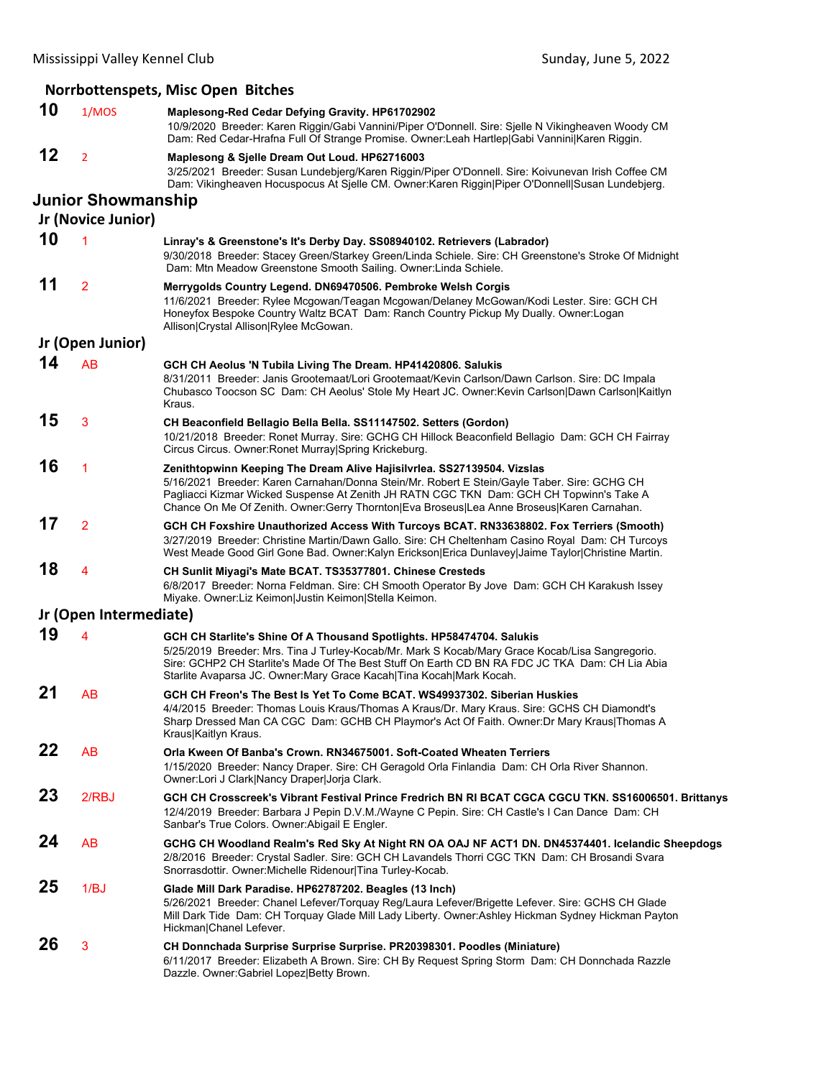|    |                                                 | Norrbottenspets, Misc Open Bitches                                                                                                                                                                                                                                                                                                                             |
|----|-------------------------------------------------|----------------------------------------------------------------------------------------------------------------------------------------------------------------------------------------------------------------------------------------------------------------------------------------------------------------------------------------------------------------|
| 10 | 1/MOS                                           | Maplesong-Red Cedar Defying Gravity. HP61702902<br>10/9/2020 Breeder: Karen Riggin/Gabi Vannini/Piper O'Donnell. Sire: Sjelle N Vikingheaven Woody CM<br>Dam: Red Cedar-Hrafna Full Of Strange Promise. Owner:Leah Hartlep Gabi Vannini Karen Riggin.                                                                                                          |
| 12 | $\overline{2}$                                  | Maplesong & Sjelle Dream Out Loud. HP62716003<br>3/25/2021 Breeder: Susan Lundebjerg/Karen Riggin/Piper O'Donnell. Sire: Koivunevan Irish Coffee CM<br>Dam: Vikingheaven Hocuspocus At Sjelle CM. Owner:Karen Riggin Piper O'Donnell Susan Lundebjerg.                                                                                                         |
|    | <b>Junior Showmanship</b><br>Jr (Novice Junior) |                                                                                                                                                                                                                                                                                                                                                                |
| 10 | $\overline{1}$                                  | Linray's & Greenstone's It's Derby Day. SS08940102. Retrievers (Labrador)<br>9/30/2018 Breeder: Stacey Green/Starkey Green/Linda Schiele. Sire: CH Greenstone's Stroke Of Midnight<br>Dam: Mtn Meadow Greenstone Smooth Sailing. Owner: Linda Schiele.                                                                                                         |
| 11 | $\overline{2}$                                  | Merrygolds Country Legend. DN69470506. Pembroke Welsh Corgis<br>11/6/2021 Breeder: Rylee Mcgowan/Teagan Mcgowan/Delaney McGowan/Kodi Lester. Sire: GCH CH<br>Honeyfox Bespoke Country Waltz BCAT Dam: Ranch Country Pickup My Dually. Owner:Logan<br>Allison Crystal Allison Rylee McGowan.                                                                    |
|    | Jr (Open Junior)                                |                                                                                                                                                                                                                                                                                                                                                                |
| 14 | <b>AB</b>                                       | GCH CH Aeolus 'N Tubila Living The Dream. HP41420806. Salukis<br>8/31/2011 Breeder: Janis Grootemaat/Lori Grootemaat/Kevin Carlson/Dawn Carlson. Sire: DC Impala<br>Chubasco Toocson SC Dam: CH Aeolus' Stole My Heart JC. Owner: Kevin Carlson Dawn Carlson Kaitlyn<br>Kraus.                                                                                 |
| 15 | 3                                               | CH Beaconfield Bellagio Bella Bella. SS11147502. Setters (Gordon)<br>10/21/2018 Breeder: Ronet Murray. Sire: GCHG CH Hillock Beaconfield Bellagio Dam: GCH CH Fairray<br>Circus Circus. Owner: Ronet Murray Spring Krickeburg.                                                                                                                                 |
| 16 | 1                                               | Zenithtopwinn Keeping The Dream Alive Hajisilvrlea. SS27139504. Vizslas<br>5/16/2021 Breeder: Karen Carnahan/Donna Stein/Mr. Robert E Stein/Gayle Taber. Sire: GCHG CH<br>Pagliacci Kizmar Wicked Suspense At Zenith JH RATN CGC TKN Dam: GCH CH Topwinn's Take A<br>Chance On Me Of Zenith. Owner:Gerry Thornton Eva Broseus Lea Anne Broseus Karen Carnahan. |
| 17 | $\overline{2}$                                  | GCH CH Foxshire Unauthorized Access With Turcoys BCAT. RN33638802. Fox Terriers (Smooth)<br>3/27/2019 Breeder: Christine Martin/Dawn Gallo. Sire: CH Cheltenham Casino Royal Dam: CH Turcoys<br>West Meade Good Girl Gone Bad. Owner:Kalyn Erickson Erica Dunlavey Jaime Taylor Christine Martin.                                                              |
| 18 | 4                                               | CH Sunlit Miyagi's Mate BCAT. TS35377801. Chinese Cresteds<br>6/8/2017 Breeder: Norna Feldman. Sire: CH Smooth Operator By Jove Dam: GCH CH Karakush Issey<br>Miyake. Owner: Liz Keimon Justin Keimon Stella Keimon.                                                                                                                                           |
|    | Jr (Open Intermediate)                          |                                                                                                                                                                                                                                                                                                                                                                |
| 19 | 4                                               | GCH CH Starlite's Shine Of A Thousand Spotlights. HP58474704. Salukis<br>5/25/2019 Breeder: Mrs. Tina J Turley-Kocab/Mr. Mark S Kocab/Mary Grace Kocab/Lisa Sangregorio.<br>Sire: GCHP2 CH Starlite's Made Of The Best Stuff On Earth CD BN RA FDC JC TKA Dam: CH Lia Abia<br>Starlite Avaparsa JC. Owner: Mary Grace Kacah   Tina Kocah   Mark Kocah.         |
| 21 | AB                                              | GCH CH Freon's The Best Is Yet To Come BCAT. WS49937302. Siberian Huskies<br>4/4/2015 Breeder: Thomas Louis Kraus/Thomas A Kraus/Dr. Mary Kraus. Sire: GCHS CH Diamondt's<br>Sharp Dressed Man CA CGC Dam: GCHB CH Playmor's Act Of Faith. Owner: Dr Mary Kraus Thomas A<br>Kraus Kaitlyn Kraus.                                                               |
| 22 | AB                                              | Orla Kween Of Banba's Crown. RN34675001. Soft-Coated Wheaten Terriers<br>1/15/2020 Breeder: Nancy Draper. Sire: CH Geragold Orla Finlandia Dam: CH Orla River Shannon.<br>Owner:Lori J Clark Nancy Draper Jorja Clark.                                                                                                                                         |
| 23 | 2/RBJ                                           | GCH CH Crosscreek's Vibrant Festival Prince Fredrich BN RI BCAT CGCA CGCU TKN. SS16006501. Brittanys<br>12/4/2019 Breeder: Barbara J Pepin D.V.M./Wayne C Pepin. Sire: CH Castle's I Can Dance Dam: CH<br>Sanbar's True Colors. Owner: Abigail E Engler.                                                                                                       |
| 24 | AB                                              | GCHG CH Woodland Realm's Red Sky At Night RN OA OAJ NF ACT1 DN. DN45374401. Icelandic Sheepdogs<br>2/8/2016 Breeder: Crystal Sadler. Sire: GCH CH Lavandels Thorri CGC TKN Dam: CH Brosandi Svara<br>Snorrasdottir. Owner: Michelle Ridenour Tina Turley-Kocab.                                                                                                |
| 25 | 1/BJ                                            | Glade Mill Dark Paradise. HP62787202. Beagles (13 Inch)<br>5/26/2021 Breeder: Chanel Lefever/Torquay Reg/Laura Lefever/Brigette Lefever. Sire: GCHS CH Glade<br>Mill Dark Tide Dam: CH Torquay Glade Mill Lady Liberty. Owner:Ashley Hickman Sydney Hickman Payton<br>Hickman Chanel Lefever.                                                                  |
| 26 | 3                                               | CH Donnchada Surprise Surprise Surprise. PR20398301. Poodles (Miniature)<br>6/11/2017 Breeder: Elizabeth A Brown. Sire: CH By Request Spring Storm Dam: CH Donnchada Razzle<br>Dazzle. Owner: Gabriel Lopez Betty Brown.                                                                                                                                       |